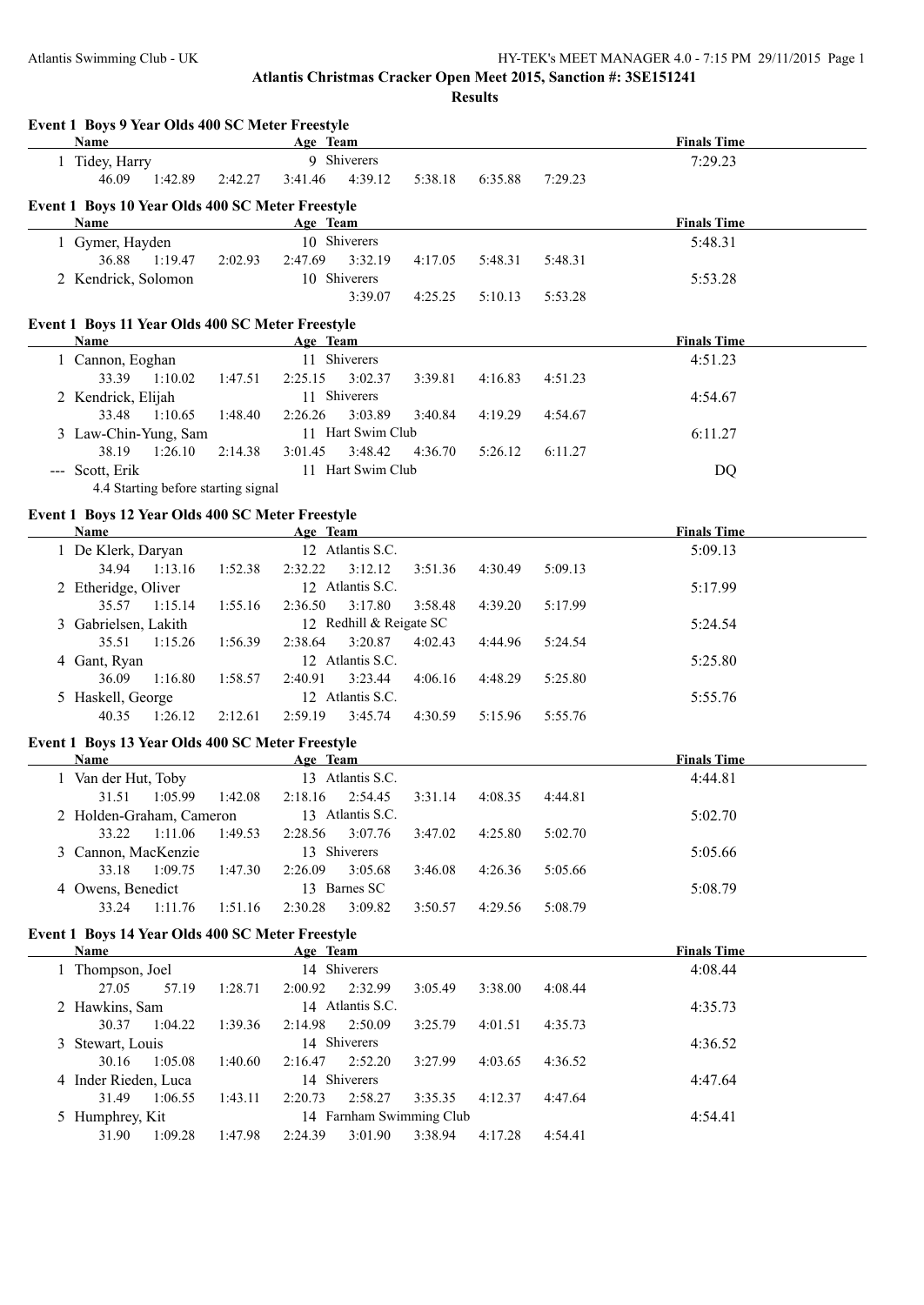**Event 1 Boys 9 Year Olds 400 SC Meter Freestyle**

**Atlantis Christmas Cracker Open Meet 2015, Sanction #: 3SE151241 Results**

**Age Team Age Team Finals Time** 1 Tidey, Harry 9 Shiverers 7:29.23 46.09 1:42.89 2:42.27 3:41.46 4:39.12 5:38.18 6:35.88 7:29.23 **Event 1 Boys 10 Year Olds 400 SC Meter Freestyle Age Team Age Team Finals Time** 1 Gymer, Hayden 10 Shiverers 5:48.31 36.88 1:19.47 2:02.93 2:47.69 3:32.19 4:17.05 5:48.31 5:48.31 2 Kendrick, Solomon 10 Shiverers 5:53.28 3:39.07 4:25.25 5:10.13 5:53.28 **Event 1 Boys 11 Year Olds 400 SC Meter Freestyle Age Team Finals Time** 1 Cannon, Eoghan 11 Shiverers 4:51.23 33.39 1:10.02 1:47.51 2:25.15 3:02.37 3:39.81 4:16.83 4:51.23 2 Kendrick, Elijah 11 Shiverers 4:54.67 33.48 1:10.65 1:48.40 2:26.26 3:03.89 3:40.84 4:19.29 4:54.67 3 Law-Chin-Yung, Sam 11 Hart Swim Club 6:11.27 38.19 1:26.10 2:14.38 3:01.45 3:48.42 4:36.70 5:26.12 6:11.27 --- Scott, Erik 11 Hart Swim Club DQ 4.4 Starting before starting signal **Event 1 Boys 12 Year Olds 400 SC Meter Freestyle Age Team Age Team Finals Time** 1 De Klerk, Daryan 12 Atlantis S.C. 5:09.13 34.94 1:13.16 1:52.38 2:32.22 3:12.12 3:51.36 4:30.49 5:09.13 2 Etheridge, Oliver 12 Atlantis S.C. 5:17.99 35.57 1:15.14 1:55.16 2:36.50 3:17.80 3:58.48 4:39.20 5:17.99 3 Gabrielsen, Lakith 12 Redhill & Reigate SC 5:24.54 35.51 1:15.26 1:56.39 2:38.64 3:20.87 4:02.43 4:44.96 5:24.54 4 Gant, Ryan 12 Atlantis S.C. 5:25.80 36.09 1:16.80 1:58.57 2:40.91 3:23.44 4:06.16 4:48.29 5:25.80 5 Haskell, George 12 Atlantis S.C. 5:55.76 40.35 1:26.12 2:12.61 2:59.19 3:45.74 4:30.59 5:15.96 5:55.76 **Event 1 Boys 13 Year Olds 400 SC Meter Freestyle Age Team Age Team** *Age* **<b>Team** *Finals Time* 1 Van der Hut, Toby 13 Atlantis S.C. 4:44.81 31.51 1:05.99 1:42.08 2:18.16 2:54.45 3:31.14 4:08.35 4:44.81 2 Holden-Graham, Cameron 13 Atlantis S.C. 5:02.70 33.22 1:11.06 1:49.53 2:28.56 3:07.76 3:47.02 4:25.80 5:02.70 3 Cannon, MacKenzie 13 Shiverers 5:05.66 33.18 1:09.75 1:47.30 2:26.09 3:05.68 3:46.08 4:26.36 5:05.66 4 Owens, Benedict 13 Barnes SC 5:08.79 33.24 1:11.76 1:51.16 2:30.28 3:09.82 3:50.57 4:29.56 5:08.79 **Event 1 Boys 14 Year Olds 400 SC Meter Freestyle Age Team Age Team Finals Time** 1 Thompson, Joel 14 Shiverers 4:08.44 27.05 57.19 1:28.71 2:00.92 2:32.99 3:05.49 3:38.00 4:08.44 2 Hawkins, Sam 14 Atlantis S.C. 4:35.73 30.37 1:04.22 1:39.36 2:14.98 2:50.09 3:25.79 4:01.51 4:35.73 3 Stewart, Louis 14 Shiverers 4:36.52 30.16 1:05.08 1:40.60 2:16.47 2:52.20 3:27.99 4:03.65 4:36.52 4 Inder Rieden, Luca 14 Shiverers 4:47.64 31.49 1:06.55 1:43.11 2:20.73 2:58.27 3:35.35 4:12.37 4:47.64 5 Humphrey, Kit 14 Farnham Swimming Club 4:54.41 31.90 1:09.28 1:47.98 2:24.39 3:01.90 3:38.94 4:17.28 4:54.41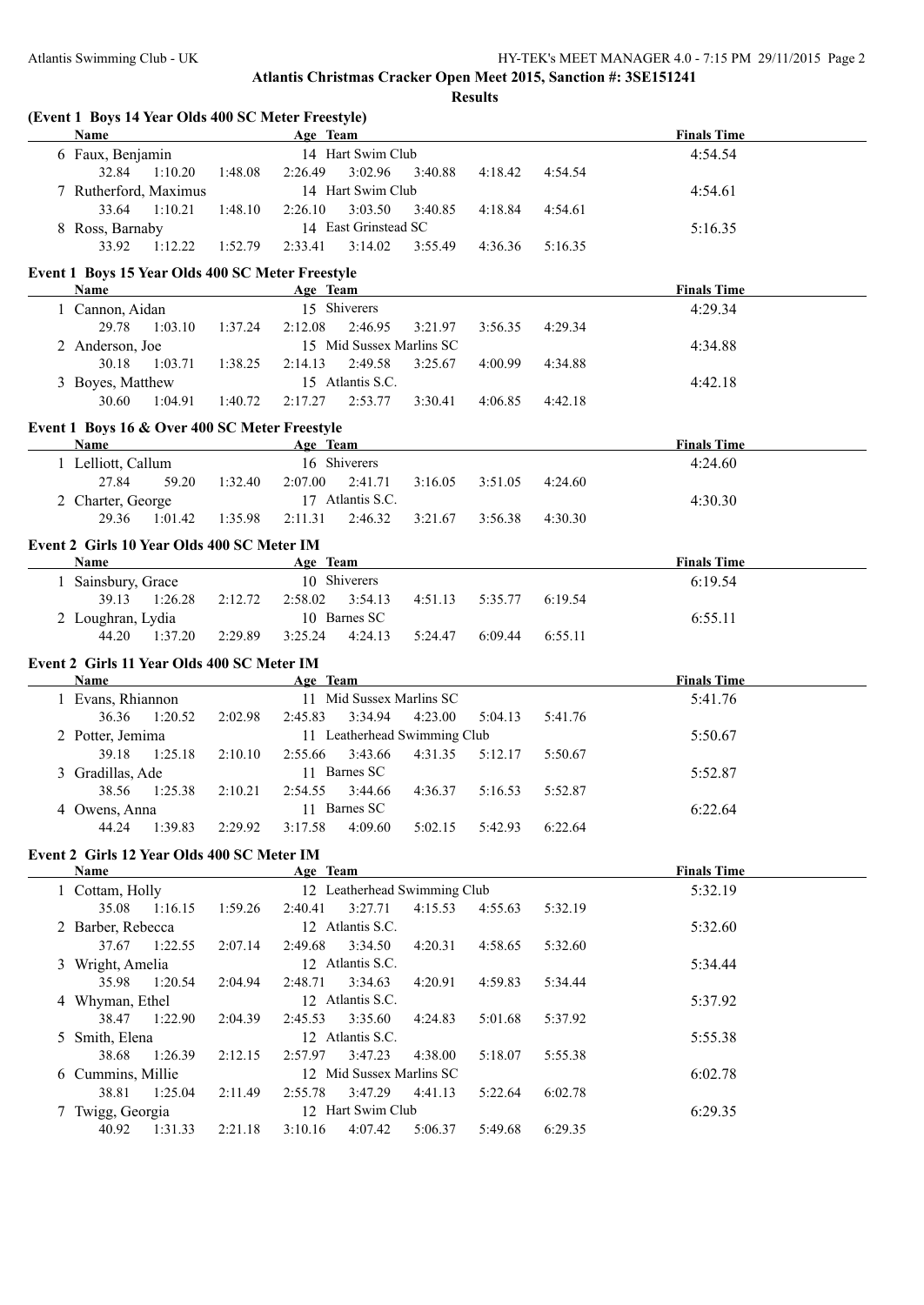**(Event 1 Boys 14 Year Olds 400 SC Meter Freestyle)**

### **Atlantis Christmas Cracker Open Meet 2015, Sanction #: 3SE151241 Results**

| <b>Name</b>                                      |         | Age Team |                              |         |         |         | <b>Finals Time</b> |
|--------------------------------------------------|---------|----------|------------------------------|---------|---------|---------|--------------------|
| 6 Faux, Benjamin                                 |         |          | 14 Hart Swim Club            |         |         |         | 4:54.54            |
| 32.84<br>1:10.20                                 | 1:48.08 | 2:26.49  | 3:02.96                      | 3:40.88 | 4:18.42 | 4:54.54 |                    |
| 7 Rutherford, Maximus                            |         |          | 14 Hart Swim Club            |         |         |         | 4:54.61            |
| 33.64<br>1:10.21                                 | 1:48.10 | 2:26.10  | 3:03.50                      | 3:40.85 | 4:18.84 | 4:54.61 |                    |
| 8 Ross, Barnaby                                  |         |          | 14 East Grinstead SC         |         |         |         | 5:16.35            |
| 33.92<br>1:12.22                                 | 1:52.79 | 2:33.41  | 3:14.02                      | 3:55.49 | 4:36.36 | 5:16.35 |                    |
| Event 1 Boys 15 Year Olds 400 SC Meter Freestyle |         |          |                              |         |         |         |                    |
| Name                                             |         | Age Team |                              |         |         |         | <b>Finals Time</b> |
| 1 Cannon, Aidan                                  |         |          | 15 Shiverers                 |         |         |         | 4:29.34            |
| 29.78<br>1:03.10                                 | 1:37.24 | 2:12.08  | 2:46.95                      | 3:21.97 | 3:56.35 | 4:29.34 |                    |
| 2 Anderson, Joe                                  |         |          | 15 Mid Sussex Marlins SC     |         |         |         | 4:34.88            |
| 30.18<br>1:03.71                                 | 1:38.25 | 2:14.13  | 2:49.58                      | 3:25.67 | 4:00.99 | 4:34.88 |                    |
| 3 Boyes, Matthew                                 |         |          | 15 Atlantis S.C.             |         |         |         | 4:42.18            |
| 30.60<br>1:04.91                                 | 1:40.72 | 2:17.27  | 2:53.77                      | 3:30.41 | 4:06.85 | 4:42.18 |                    |
| Event 1 Boys 16 & Over 400 SC Meter Freestyle    |         |          |                              |         |         |         |                    |
| Name                                             |         | Age Team |                              |         |         |         | <b>Finals Time</b> |
| 1 Lelliott, Callum                               |         |          | 16 Shiverers                 |         |         |         | 4:24.60            |
| 27.84<br>59.20                                   | 1:32.40 | 2:07.00  | 2:41.71                      | 3:16.05 | 3:51.05 | 4:24.60 |                    |
| 2 Charter, George                                |         |          | 17 Atlantis S.C.             |         |         |         | 4:30.30            |
| 29.36<br>1:01.42                                 | 1:35.98 | 2:11.31  | 2:46.32                      | 3:21.67 | 3:56.38 | 4:30.30 |                    |
| Event 2 Girls 10 Year Olds 400 SC Meter IM       |         |          |                              |         |         |         |                    |
| <b>Name</b>                                      |         | Age Team |                              |         |         |         | <b>Finals Time</b> |
| 1 Sainsbury, Grace                               |         |          | 10 Shiverers                 |         |         |         | 6:19.54            |
| 39.13<br>1:26.28                                 | 2:12.72 | 2:58.02  | 3:54.13                      | 4:51.13 | 5:35.77 | 6:19.54 |                    |
| 2 Loughran, Lydia                                |         |          | 10 Barnes SC                 |         |         |         | 6:55.11            |
| 44.20<br>1:37.20                                 | 2:29.89 | 3:25.24  | 4:24.13                      | 5:24.47 | 6:09.44 | 6:55.11 |                    |
| Event 2 Girls 11 Year Olds 400 SC Meter IM       |         |          |                              |         |         |         |                    |
| Name                                             |         | Age Team |                              |         |         |         | <b>Finals Time</b> |
| 1 Evans, Rhiannon                                |         |          | 11 Mid Sussex Marlins SC     |         |         |         | 5:41.76            |
| 36.36<br>1:20.52                                 | 2:02.98 | 2:45.83  | 3:34.94                      | 4:23.00 | 5:04.13 | 5:41.76 |                    |
| 2 Potter, Jemima                                 |         |          | 11 Leatherhead Swimming Club |         |         |         | 5:50.67            |
| 39.18<br>1:25.18                                 | 2:10.10 | 2:55.66  | 3:43.66                      | 4:31.35 | 5:12.17 | 5:50.67 |                    |
| 3 Gradillas, Ade                                 |         |          | 11 Barnes SC                 |         |         |         | 5:52.87            |
| 38.56<br>1:25.38                                 | 2:10.21 | 2:54.55  | 3:44.66                      | 4:36.37 | 5:16.53 | 5:52.87 |                    |
| 4 Owens, Anna                                    |         |          | 11 Barnes SC                 |         |         |         | 6:22.64            |
| 44.24 1:39.83 2:29.92 3:17.58 4:09.60 5:02.15    |         |          |                              |         | 5:42.93 | 6:22.64 |                    |
| Event 2 Girls 12 Year Olds 400 SC Meter IM       |         |          |                              |         |         |         |                    |
| <b>Name</b>                                      |         | Age Team |                              |         |         |         | <b>Finals Time</b> |
| 1 Cottam, Holly                                  |         |          | 12 Leatherhead Swimming Club |         |         |         | 5:32.19            |
| 35.08<br>1:16.15                                 | 1:59.26 | 2:40.41  | 3:27.71                      | 4:15.53 | 4:55.63 | 5:32.19 |                    |
| 2 Barber, Rebecca                                |         |          | 12 Atlantis S.C.             |         |         |         | 5:32.60            |
| 37.67<br>1:22.55                                 | 2:07.14 | 2:49.68  | 3:34.50                      | 4:20.31 | 4:58.65 | 5:32.60 |                    |
| 3 Wright, Amelia                                 |         |          | 12 Atlantis S.C.             |         |         |         | 5:34.44            |
| 35.98<br>1:20.54                                 | 2:04.94 | 2:48.71  | 3:34.63<br>12 Atlantis S.C.  | 4:20.91 | 4:59.83 | 5:34.44 |                    |
| 4 Whyman, Ethel<br>38.47<br>1:22.90              | 2:04.39 | 2:45.53  | 3:35.60                      | 4:24.83 | 5:01.68 | 5:37.92 | 5:37.92            |
| 5 Smith, Elena                                   |         |          | 12 Atlantis S.C.             |         |         |         | 5:55.38            |
| 38.68<br>1:26.39                                 | 2:12.15 | 2:57.97  | 3:47.23                      | 4:38.00 | 5:18.07 | 5:55.38 |                    |
| 6 Cummins, Millie                                |         |          | 12 Mid Sussex Marlins SC     |         |         |         | 6:02.78            |
| 38.81<br>1:25.04                                 | 2:11.49 | 2:55.78  | 3:47.29                      | 4:41.13 | 5:22.64 | 6:02.78 |                    |
| 7 Twigg, Georgia                                 |         |          | 12 Hart Swim Club            |         |         |         | 6:29.35            |
| 40.92<br>1:31.33                                 | 2:21.18 | 3:10.16  | 4:07.42                      | 5:06.37 | 5:49.68 | 6:29.35 |                    |
|                                                  |         |          |                              |         |         |         |                    |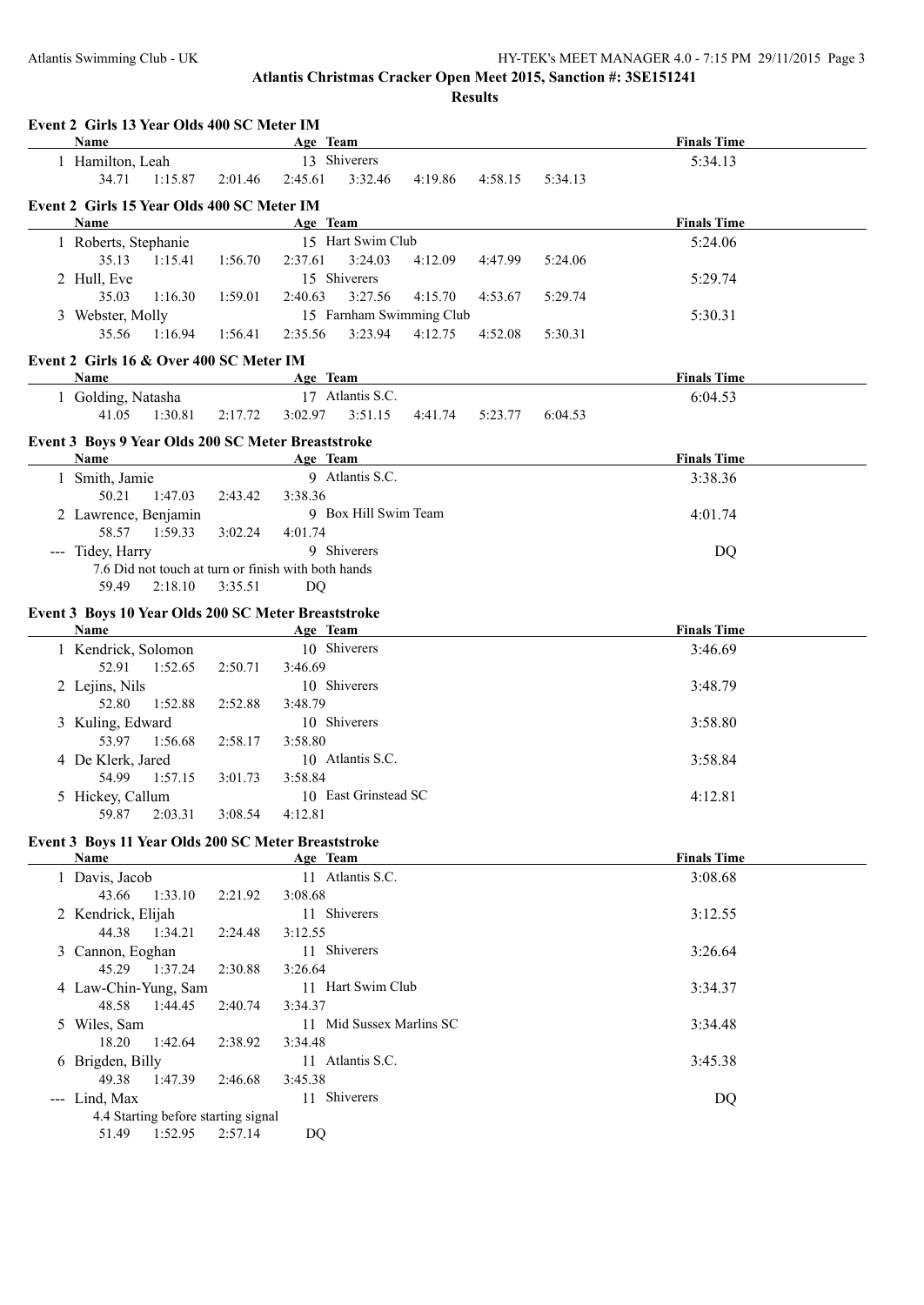**Results**

| Event 2 Girls 13 Year Olds 400 SC Meter IM<br>Name      |         | Age Team                                            | <b>Finals Time</b> |
|---------------------------------------------------------|---------|-----------------------------------------------------|--------------------|
| 1 Hamilton, Leah                                        |         | 13 Shiverers                                        | 5:34.13            |
| 34.71<br>1:15.87                                        | 2:01.46 | 3:32.46<br>2:45.61<br>4:19.86<br>4:58.15<br>5:34.13 |                    |
| Event 2 Girls 15 Year Olds 400 SC Meter IM              |         |                                                     |                    |
| Name                                                    |         | Age Team                                            | <b>Finals Time</b> |
| 1 Roberts, Stephanie                                    |         | 15 Hart Swim Club                                   | 5:24.06            |
| 35.13<br>1:15.41                                        | 1:56.70 | 3:24.03<br>2:37.61<br>4:12.09<br>4:47.99<br>5:24.06 |                    |
| 2 Hull, Eve                                             |         | 15 Shiverers                                        | 5:29.74            |
| 35.03<br>1:16.30                                        | 1:59.01 | 3:27.56<br>2:40.63<br>4:15.70<br>5:29.74<br>4:53.67 |                    |
| 3 Webster, Molly                                        |         | 15 Farnham Swimming Club                            | 5:30.31            |
| 35.56<br>1:16.94                                        | 1:56.41 | 2:35.56<br>3:23.94<br>4:12.75<br>4:52.08<br>5:30.31 |                    |
|                                                         |         |                                                     |                    |
| Event 2 Girls 16 & Over 400 SC Meter IM                 |         |                                                     |                    |
| Name                                                    |         | Age Team<br>17 Atlantis S.C.                        | <b>Finals Time</b> |
| 1 Golding, Natasha<br>41.05<br>1:30.81                  |         | 3:51.15<br>3:02.97<br>4:41.74<br>6:04.53            | 6:04.53            |
|                                                         | 2:17.72 | 5:23.77                                             |                    |
| Event 3 Boys 9 Year Olds 200 SC Meter Breaststroke      |         |                                                     |                    |
| Name                                                    |         | Age Team                                            | <b>Finals Time</b> |
| 1 Smith, Jamie                                          |         | 9 Atlantis S.C.                                     | 3:38.36            |
| 50.21<br>1:47.03                                        | 2:43.42 | 3:38.36                                             |                    |
| 2 Lawrence, Benjamin                                    |         | 9 Box Hill Swim Team                                | 4:01.74            |
| 58.57<br>1:59.33                                        | 3:02.24 | 4:01.74                                             |                    |
| --- Tidey, Harry                                        |         | 9 Shiverers                                         | DQ                 |
| 7.6 Did not touch at turn or finish with both hands     |         |                                                     |                    |
| 59.49<br>2:18.10                                        | 3:35.51 | DQ                                                  |                    |
| Event 3 Boys 10 Year Olds 200 SC Meter Breaststroke     |         |                                                     |                    |
| Name                                                    |         | Age Team                                            | <b>Finals Time</b> |
| 1 Kendrick, Solomon                                     |         | 10 Shiverers                                        | 3:46.69            |
| 52.91<br>1:52.65                                        | 2:50.71 | 3:46.69                                             |                    |
| 2 Lejins, Nils                                          |         | 10 Shiverers                                        | 3:48.79            |
| 52.80<br>1:52.88                                        | 2:52.88 | 3:48.79                                             |                    |
| 3 Kuling, Edward                                        |         | 10 Shiverers                                        | 3:58.80            |
| 53.97<br>1:56.68                                        | 2:58.17 | 3:58.80                                             |                    |
| 4 De Klerk, Jared                                       |         | 10 Atlantis S.C.                                    | 3:58.84            |
| 54.99<br>1:57.15                                        | 3:01.73 | 3:58.84                                             |                    |
| 5 Hickey, Callum                                        |         | 10 East Grinstead SC                                | 4:12.81            |
| 59.87 2:03.31                                           |         | 3:08.54 4:12.81                                     |                    |
| Event 3 Boys 11 Year Olds 200 SC Meter Breaststroke     |         |                                                     |                    |
| <b>Name</b>                                             |         | Age Team                                            | <b>Finals Time</b> |
| 1 Davis, Jacob                                          |         | 11 Atlantis S.C.                                    | 3:08.68            |
| 43.66<br>1:33.10                                        | 2:21.92 | 3:08.68                                             |                    |
| 2 Kendrick, Elijah                                      |         | 11 Shiverers                                        | 3:12.55            |
| 44.38<br>1:34.21                                        | 2:24.48 | 3:12.55                                             |                    |
| 3 Cannon, Eoghan                                        |         | 11 Shiverers                                        | 3:26.64            |
| 45.29<br>1:37.24                                        | 2:30.88 | 3:26.64                                             |                    |
| 4 Law-Chin-Yung, Sam                                    |         | 11 Hart Swim Club                                   | 3:34.37            |
| 48.58<br>1:44.45                                        | 2:40.74 | 3:34.37                                             |                    |
| 5 Wiles, Sam                                            |         | 11 Mid Sussex Marlins SC                            | 3:34.48            |
| 18.20<br>1:42.64                                        | 2:38.92 | 3:34.48                                             |                    |
|                                                         |         |                                                     |                    |
| 6 Brigden, Billy                                        |         | 11 Atlantis S.C.                                    | 3:45.38            |
| 49.38<br>1:47.39                                        | 2:46.68 | 3:45.38                                             |                    |
| --- Lind, Max                                           |         | 11 Shiverers                                        | <b>DQ</b>          |
|                                                         |         |                                                     |                    |
| 4.4 Starting before starting signal<br>51.49<br>1:52.95 | 2:57.14 | DQ                                                  |                    |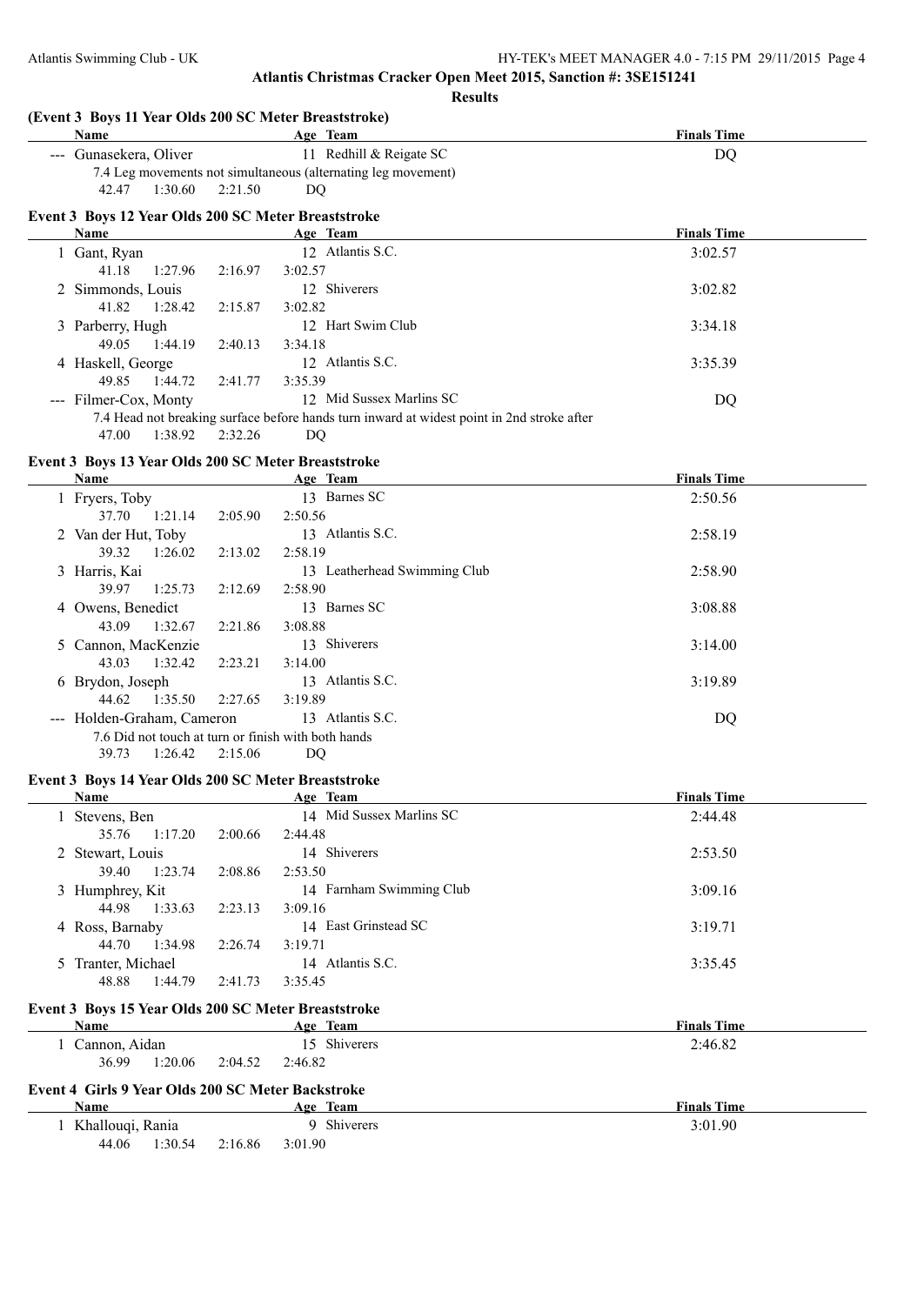**(Event 3 Boys 11 Year Olds 200 SC Meter Breaststroke) Age Team Age Team Age Team Finals Time** --- Gunasekera, Oliver 11 Redhill & Reigate SC DQ 7.4 Leg movements not simultaneous (alternating leg movement) 42.47 1:30.60 2:21.50 DQ **Event 3 Boys 12 Year Olds 200 SC Meter Breaststroke Age Team Age Team Finals Time** 1 Gant, Ryan 12 Atlantis S.C. 3:02.57 41.18 1:27.96 2:16.97 3:02.57 2 Simmonds, Louis 12 Shiverers 3:02.82 41.82 1:28.42 2:15.87 3:02.82 3 Parberry, Hugh 12 Hart Swim Club 3:34.18 49.05 1:44.19 2:40.13 3:34.18 4 Haskell, George 12 Atlantis S.C. 3:35.39<br>49.85 1:44.72 2:41.77 3:35.39 49.85 1:44.72 2:41.77 --- Filmer-Cox, Monty 12 Mid Sussex Marlins SC DQ 7.4 Head not breaking surface before hands turn inward at widest point in 2nd stroke after 47.00 1:38.92 2:32.26 DQ **Event 3 Boys 13 Year Olds 200 SC Meter Breaststroke Name Age Team Finals Time** 1 Fryers, Toby 13 Barnes SC 2:50.56 37.70 1:21.14 2:05.90 2:50.56 2 Van der Hut, Toby 13 Atlantis S.C. 2:58.19 39.32 1:26.02 2:13.02 2:58.19 3 Harris, Kai 13 Leatherhead Swimming Club 2:58.90 39.97 1:25.73 2:12.69 2:58.90 4 Owens, Benedict 13 Barnes SC 3:08.88 43.09 1:32.67 2:21.86 3:08.88 5 Cannon, MacKenzie 13 Shiverers 3:14.00 43.03 1:32.42 2:23.21 3:14.00 6 Brydon, Joseph 13 Atlantis S.C. 3:19.89 44.62 1:35.50 2:27.65 3:19.89 --- Holden-Graham, Cameron 13 Atlantis S.C. DQ 7.6 Did not touch at turn or finish with both hands 39.73 1:26.42 2:15.06 DQ **Event 3 Boys 14 Year Olds 200 SC Meter Breaststroke Name Age Team Finals Time** 1 Stevens, Ben 14 Mid Sussex Marlins SC 2:44.48 35.76 1:17.20 2:00.66 2:44.48 2 Stewart, Louis 14 Shiverers 2:53.50 39.40 1:23.74 2:08.86 2:53.50 3 Humphrey, Kit 14 Farnham Swimming Club 3:09.16 44.98 1:33.63 2:23.13 3:09.16 4 Ross, Barnaby 14 East Grinstead SC 3:19.71 44.70 1:34.98 2:26.74 3:19.71

#### **Event 3 Boys 15 Year Olds 200 SC Meter Breaststroke**

48.88 1:44.79 2:41.73 3:35.45

| Name                                                                                                                                             |         |  | Age Team     | <b>Finals Time</b> |
|--------------------------------------------------------------------------------------------------------------------------------------------------|---------|--|--------------|--------------------|
|                                                                                                                                                  |         |  | 15 Shiverers | 2:46.82            |
| 36.99                                                                                                                                            | 1:20.06 |  |              |                    |
| Cannon, Aidan<br>2:04.52<br>2:46.82<br>Event 4 Girls 9 Year Olds 200 SC Meter Backstroke<br><b>Name</b><br><b>Finals Time</b><br><u>Age Team</u> |         |  |              |                    |
|                                                                                                                                                  |         |  |              |                    |

| Khallouqi, Rania |         |         | Shiverers | 3:01.90 |
|------------------|---------|---------|-----------|---------|
| 44.06            | 1:30.54 | 2:16.86 | 3:01.90   |         |

5 Tranter, Michael 14 Atlantis S.C. 3:35.45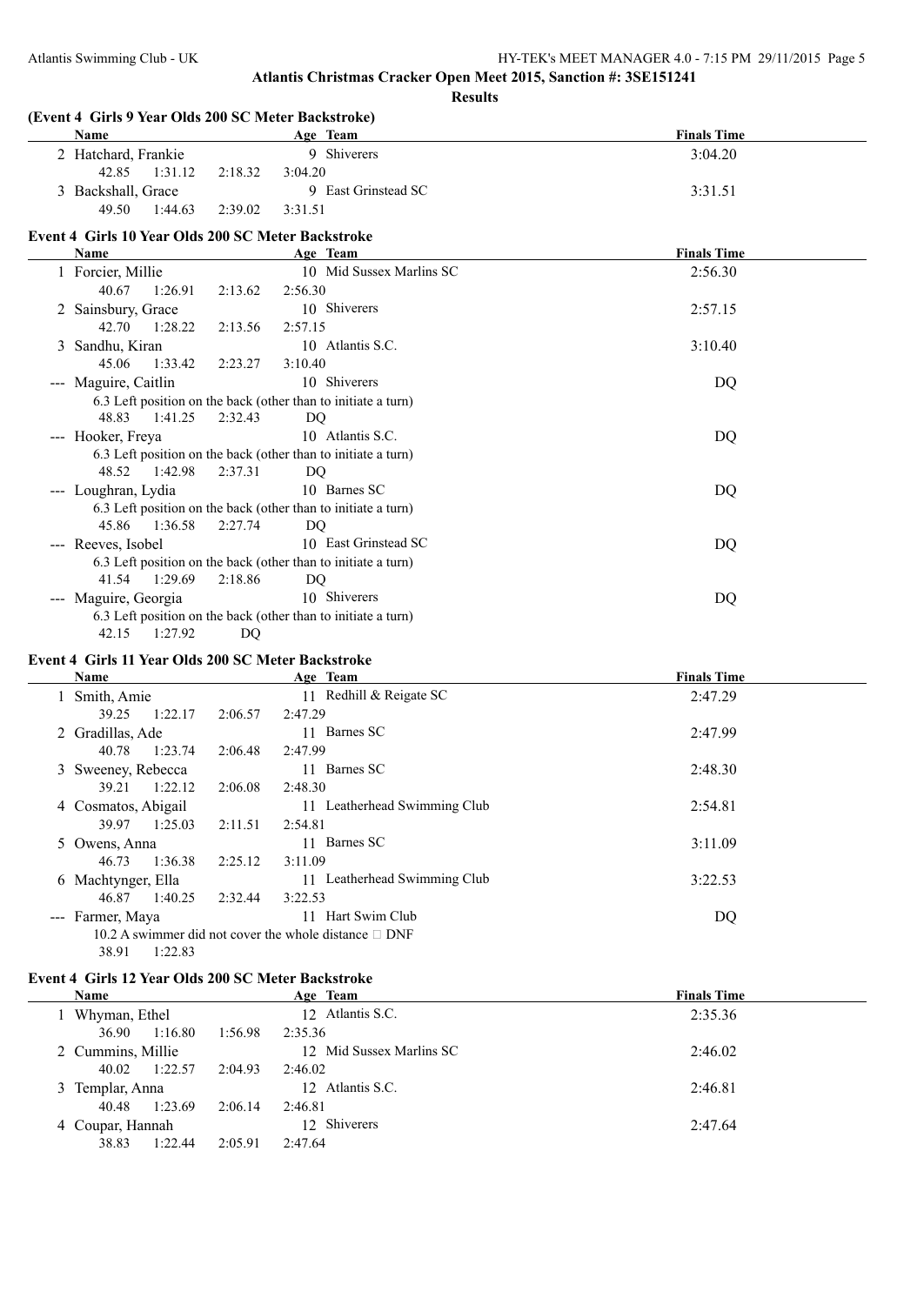| <b>Name</b>                                        |         | Age Team                                                      | <b>Finals Time</b> |
|----------------------------------------------------|---------|---------------------------------------------------------------|--------------------|
| 2 Hatchard, Frankie                                |         | 9 Shiverers                                                   | 3:04.20            |
| 42.85<br>1:31.12                                   | 2:18.32 | 3:04.20                                                       |                    |
| 3 Backshall, Grace                                 |         | 9 East Grinstead SC                                           | 3:31.51            |
| 49.50<br>1:44.63                                   | 2:39.02 | 3:31.51                                                       |                    |
| Event 4 Girls 10 Year Olds 200 SC Meter Backstroke |         |                                                               |                    |
| Name                                               |         | Age Team                                                      | <b>Finals Time</b> |
| 1 Forcier, Millie                                  |         | 10 Mid Sussex Marlins SC                                      | 2:56.30            |
| 40.67<br>1:26.91                                   | 2:13.62 | 2:56.30                                                       |                    |
| 2 Sainsbury, Grace                                 |         | 10 Shiverers                                                  | 2:57.15            |
| 42.70<br>1:28.22                                   | 2:13.56 | 2:57.15                                                       |                    |
| 3 Sandhu, Kiran                                    |         | 10 Atlantis S.C.                                              | 3:10.40            |
| 45.06<br>1:33.42                                   | 2:23.27 | 3:10.40                                                       |                    |
| --- Maguire, Caitlin                               |         | 10 Shiverers                                                  | DQ                 |
|                                                    |         | 6.3 Left position on the back (other than to initiate a turn) |                    |
| 48.83<br>1:41.25                                   | 2:32.43 | DO                                                            |                    |
| --- Hooker, Freya                                  |         | 10 Atlantis S.C.                                              | DQ                 |
|                                                    |         | 6.3 Left position on the back (other than to initiate a turn) |                    |
| 1:42.98<br>48.52                                   | 2:37.31 | DQ                                                            |                    |
| --- Loughran, Lydia                                |         | 10 Barnes SC                                                  | DQ                 |
|                                                    |         | 6.3 Left position on the back (other than to initiate a turn) |                    |
| 45.86 1:36.58                                      | 2:27.74 | DQ                                                            |                    |
| --- Reeves, Isobel                                 |         | 10 East Grinstead SC                                          | DQ                 |
|                                                    |         | 6.3 Left position on the back (other than to initiate a turn) |                    |
| 41.54<br>1:29.69                                   | 2:18.86 | DQ                                                            |                    |
| --- Maguire, Georgia                               |         | 10 Shiverers                                                  | DQ                 |
|                                                    |         | 6.3 Left position on the back (other than to initiate a turn) |                    |
| 1:27.92<br>42.15                                   | DQ      |                                                               |                    |

#### **Event 4 Girls 11 Year Olds 200 SC Meter Backstroke**

| Name                |         | Age Team                                                      | <b>Finals Time</b> |
|---------------------|---------|---------------------------------------------------------------|--------------------|
| 1 Smith, Amie       |         | 11 Redhill & Reigate SC                                       | 2:47.29            |
| 1:22.17<br>39.25    | 2:06.57 | 2:47.29                                                       |                    |
| 2 Gradillas, Ade    |         | 11 Barnes SC                                                  | 2:47.99            |
| 1:23.74<br>40.78    | 2:06.48 | 2:47.99                                                       |                    |
| 3 Sweeney, Rebecca  |         | 11 Barnes SC                                                  | 2:48.30            |
| 1:22.12<br>39.21    | 2:06.08 | 2:48.30                                                       |                    |
| 4 Cosmatos, Abigail |         | 11 Leatherhead Swimming Club                                  | 2:54.81            |
| 1:25.03<br>39.97    | 2:11.51 | 2:54.81                                                       |                    |
| 5 Owens, Anna       |         | 11 Barnes SC                                                  | 3:11.09            |
| 1:36.38<br>46.73    | 2:25.12 | 3:11.09                                                       |                    |
| 6 Machtynger, Ella  |         | 11 Leatherhead Swimming Club                                  | 3:22.53            |
| 1:40.25<br>46.87    | 2:32.44 | 3:22.53                                                       |                    |
| --- Farmer, Maya    |         | Hart Swim Club<br>11                                          | DQ                 |
|                     |         | 10.2 A swimmer did not cover the whole distance $\square$ DNF |                    |
| 1:22.83<br>38.91    |         |                                                               |                    |

#### **Event 4 Girls 12 Year Olds 200 SC Meter Backstroke**

| <b>Name</b>       |         |         | Age Team                 | <b>Finals Time</b> |
|-------------------|---------|---------|--------------------------|--------------------|
| Whyman, Ethel     |         |         | 12 Atlantis S.C.         | 2:35.36            |
| 36.90             | 1:16.80 | 1:56.98 | 2:35.36                  |                    |
| 2 Cummins, Millie |         |         | 12 Mid Sussex Marlins SC | 2:46.02            |
| 40.02             | 1:22.57 | 2:04.93 | 2:46.02                  |                    |
| 3 Templar, Anna   |         |         | 12 Atlantis S.C.         | 2:46.81            |
| 40.48             | 1:23.69 | 2:06.14 | 2:46.81                  |                    |
| 4 Coupar, Hannah  |         |         | 12 Shiverers             | 2:47.64            |
| 38.83             | 1:22.44 | 2:05.91 | 2:47.64                  |                    |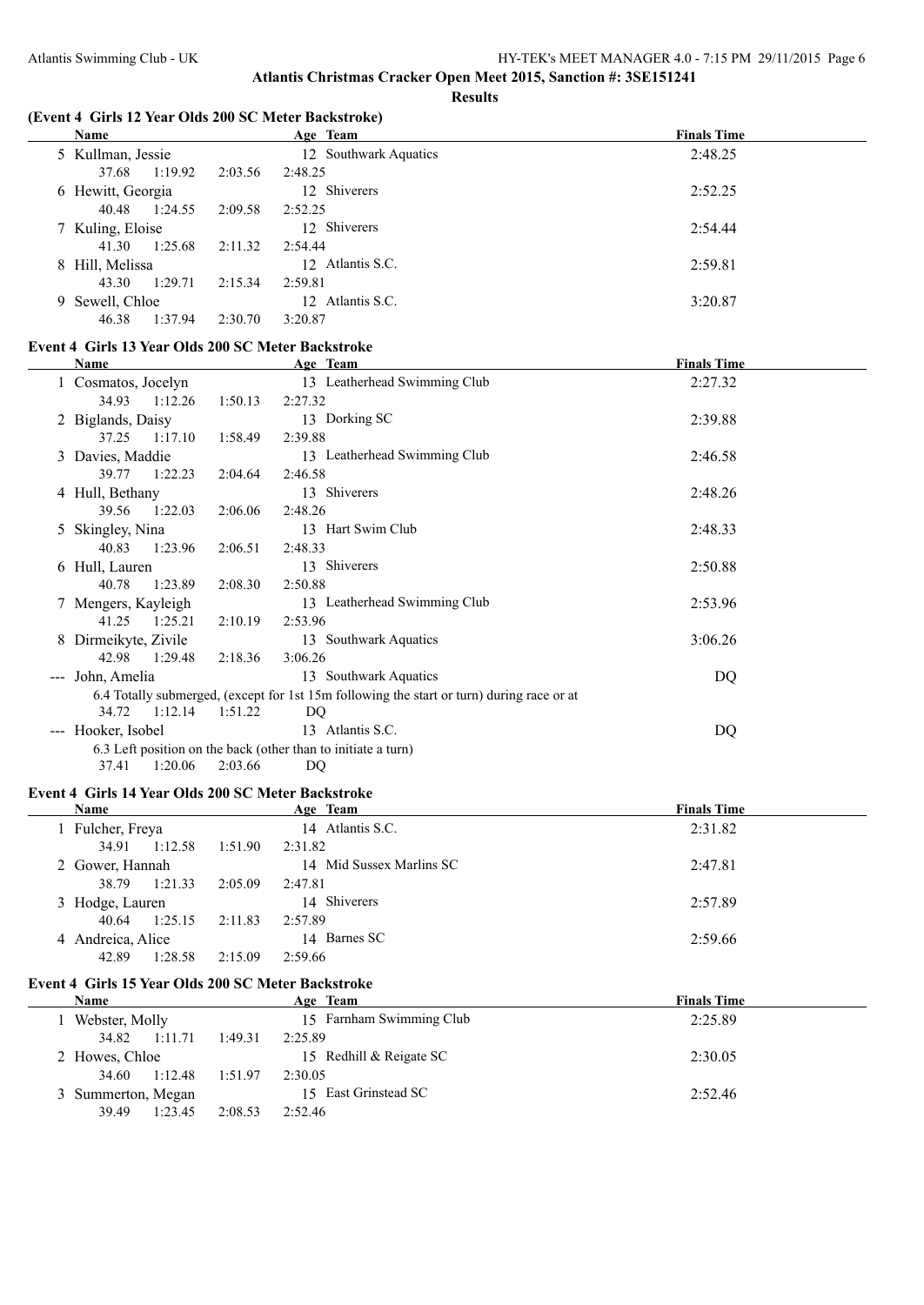**Results**

#### **(Event 4 Girls 12 Year Olds 200 SC Meter Backstroke)**

| Name              | Age Team              | <b>Finals Time</b> |
|-------------------|-----------------------|--------------------|
| 5 Kullman, Jessie | 12 Southwark Aquatics | 2:48.25            |
| 1:19.92<br>37.68  | 2:03.56<br>2:48.25    |                    |
| 6 Hewitt, Georgia | 12 Shiverers          | 2:52.25            |
| 40.48<br>1:24.55  | 2:09.58<br>2:52.25    |                    |
| 7 Kuling, Eloise  | 12 Shiverers          | 2:54.44            |
| 1:25.68<br>41.30  | 2:11.32<br>2:54.44    |                    |
| 8 Hill, Melissa   | 12 Atlantis S.C.      | 2:59.81            |
| 1:29.71<br>43.30  | 2:15.34<br>2:59.81    |                    |
| 9 Sewell, Chloe   | 12 Atlantis S.C.      | 3:20.87            |
| 46.38<br>1:37.94  | 2:30.70<br>3:20.87    |                    |

#### **Event 4 Girls 13 Year Olds 200 SC Meter Backstroke**

|                                     | <b>Name</b>          |         | Age Team                                                                                  | <b>Finals Time</b> |  |
|-------------------------------------|----------------------|---------|-------------------------------------------------------------------------------------------|--------------------|--|
|                                     | 1 Cosmatos, Jocelyn  |         | 13 Leatherhead Swimming Club                                                              | 2:27.32            |  |
|                                     | 34.93<br>1:12.26     | 1:50.13 | 2:27.32                                                                                   |                    |  |
|                                     | 2 Biglands, Daisy    |         | 13 Dorking SC                                                                             | 2:39.88            |  |
|                                     | 1:17.10<br>37.25     | 1:58.49 | 2:39.88                                                                                   |                    |  |
|                                     | 3 Davies, Maddie     |         | 13 Leatherhead Swimming Club                                                              | 2:46.58            |  |
|                                     | 1:22.23<br>39.77     | 2:04.64 | 2:46.58                                                                                   |                    |  |
|                                     | 4 Hull, Bethany      |         | 13 Shiverers                                                                              | 2:48.26            |  |
|                                     | 39.56<br>1:22.03     | 2:06.06 | 2:48.26                                                                                   |                    |  |
|                                     | 5 Skingley, Nina     |         | 13 Hart Swim Club                                                                         | 2:48.33            |  |
|                                     | 1:23.96<br>40.83     | 2:06.51 | 2:48.33                                                                                   |                    |  |
|                                     | 6 Hull, Lauren       |         | 13 Shiverers                                                                              | 2:50.88            |  |
|                                     | 1:23.89<br>40.78     | 2:08.30 | 2:50.88                                                                                   |                    |  |
|                                     | 7 Mengers, Kayleigh  |         | 13 Leatherhead Swimming Club                                                              | 2:53.96            |  |
|                                     | 41.25<br>1:25.21     | 2:10.19 | 2:53.96                                                                                   |                    |  |
|                                     | 8 Dirmeikyte, Zivile |         | 13 Southwark Aquatics                                                                     | 3:06.26            |  |
|                                     | 42.98<br>1:29.48     | 2:18.36 | 3:06.26                                                                                   |                    |  |
| $\sim$ $\sim$ $\sim$                | John, Amelia         |         | 13 Southwark Aquatics                                                                     | DQ                 |  |
|                                     |                      |         | 6.4 Totally submerged, (except for 1st 15m following the start or turn) during race or at |                    |  |
|                                     | 1:12.14<br>34.72     | 1:51.22 | DQ                                                                                        |                    |  |
| $\hspace{0.05cm}---\hspace{0.05cm}$ | Hooker, Isobel       |         | 13 Atlantis S.C.                                                                          | DQ                 |  |
|                                     |                      |         | 6.3 Left position on the back (other than to initiate a turn)                             |                    |  |
|                                     | 1:20.06<br>37.41     | 2:03.66 | DQ                                                                                        |                    |  |

#### **Event 4 Girls 14 Year Olds 200 SC Meter Backstroke**

| <b>Name</b>       |         | Age Team                 | <b>Finals Time</b> |
|-------------------|---------|--------------------------|--------------------|
| Fulcher, Freya    |         | 14 Atlantis S.C.         | 2:31.82            |
| 34.91<br>1:12.58  | 1:51.90 | 2:31.82                  |                    |
| 2 Gower, Hannah   |         | 14 Mid Sussex Marlins SC | 2:47.81            |
| 1:21.33<br>38.79  | 2:05.09 | 2:47.81                  |                    |
| 3 Hodge, Lauren   |         | 14 Shiverers             | 2:57.89            |
| 1:25.15<br>40.64  | 2:11.83 | 2:57.89                  |                    |
| 4 Andreica, Alice |         | 14 Barnes SC             | 2:59.66            |
| 1:28.58<br>42.89  | 2:15.09 | 2:59.66                  |                    |

#### **Event 4 Girls 15 Year Olds 200 SC Meter Backstroke**

| Name               |         | Age Team                 | <b>Finals Time</b> |
|--------------------|---------|--------------------------|--------------------|
| Webster, Molly     |         | 15 Farnham Swimming Club | 2:25.89            |
| 1:11.71<br>34.82   | 1:49.31 | 2:25.89                  |                    |
| 2 Howes, Chloe     |         | 15 Redhill & Reigate SC  | 2:30.05            |
| 1:12.48<br>34.60   | 1:51.97 | 2:30.05                  |                    |
| 3 Summerton, Megan |         | 15 East Grinstead SC     | 2:52.46            |
| 1:23.45<br>39.49   | 2:08.53 | 2:52.46                  |                    |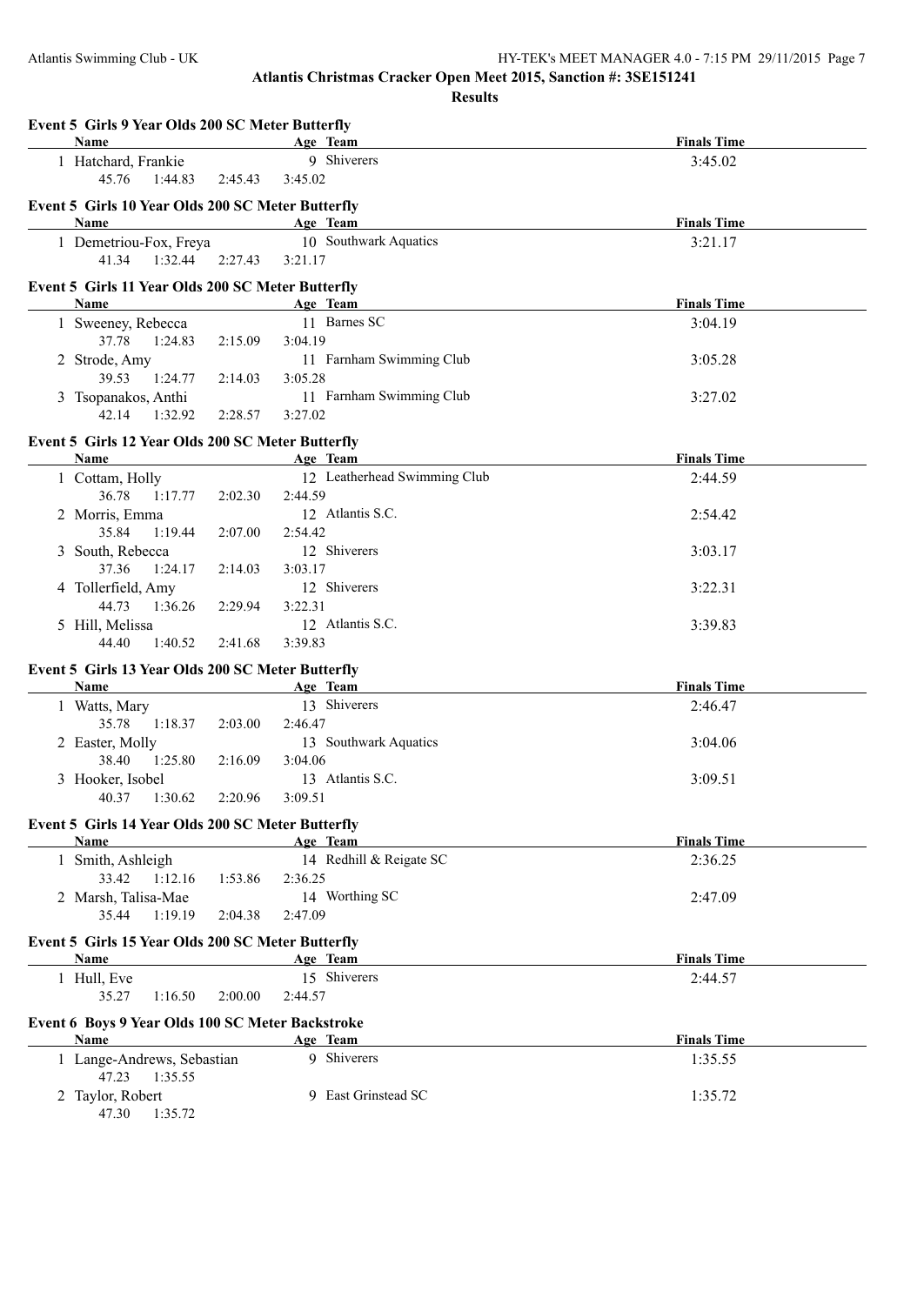#### Atlantis Swimming Club - UK HY-TEK's MEET MANAGER 4.0 - 7:15 PM 29/11/2015 Page 7

**Atlantis Christmas Cracker Open Meet 2015, Sanction #: 3SE151241**

**Results**

| Event 5 Girls 9 Year Olds 200 SC Meter Butterfly<br>Name  |         | Age Team                            | <b>Finals Time</b> |  |
|-----------------------------------------------------------|---------|-------------------------------------|--------------------|--|
| 1 Hatchard, Frankie                                       |         | 9 Shiverers                         | 3:45.02            |  |
| 45.76<br>1:44.83                                          | 2:45.43 | 3:45.02                             |                    |  |
|                                                           |         |                                     |                    |  |
| Event 5 Girls 10 Year Olds 200 SC Meter Butterfly<br>Name |         | Age Team                            | <b>Finals Time</b> |  |
| 1 Demetriou-Fox, Freya                                    |         | 10 Southwark Aquatics               | 3:21.17            |  |
| 41.34<br>1:32.44                                          | 2:27.43 | 3:21.17                             |                    |  |
|                                                           |         |                                     |                    |  |
| Event 5 Girls 11 Year Olds 200 SC Meter Butterfly         |         |                                     |                    |  |
| Name                                                      |         | Age Team<br>11 Barnes SC            | <b>Finals Time</b> |  |
| 1 Sweeney, Rebecca                                        |         |                                     | 3:04.19            |  |
| 37.78<br>1:24.83                                          | 2:15.09 | 3:04.19<br>11 Farnham Swimming Club |                    |  |
| 2 Strode, Amy<br>39.53<br>1:24.77                         | 2:14.03 | 3:05.28                             | 3:05.28            |  |
| 3 Tsopanakos, Anthi                                       |         | 11 Farnham Swimming Club            | 3:27.02            |  |
| 42.14 1:32.92                                             | 2:28.57 | 3:27.02                             |                    |  |
|                                                           |         |                                     |                    |  |
| Event 5 Girls 12 Year Olds 200 SC Meter Butterfly         |         |                                     |                    |  |
| <b>Name</b>                                               |         | Age Team                            | <b>Finals Time</b> |  |
| 1 Cottam, Holly                                           |         | 12 Leatherhead Swimming Club        | 2:44.59            |  |
| 36.78<br>1:17.77                                          | 2:02.30 | 2:44.59<br>12 Atlantis S.C.         |                    |  |
| 2 Morris, Emma<br>35.84                                   |         |                                     | 2:54.42            |  |
| 1:19.44                                                   | 2:07.00 | 2:54.42<br>12 Shiverers             |                    |  |
| 3 South, Rebecca<br>37.36<br>1:24.17                      | 2:14.03 | 3:03.17                             | 3:03.17            |  |
| 4 Tollerfield, Amy                                        |         | 12 Shiverers                        | 3:22.31            |  |
| 44.73<br>1:36.26                                          | 2:29.94 | 3:22.31                             |                    |  |
| 5 Hill, Melissa                                           |         | 12 Atlantis S.C.                    | 3:39.83            |  |
| 44.40<br>1:40.52                                          | 2:41.68 | 3:39.83                             |                    |  |
|                                                           |         |                                     |                    |  |
| Event 5 Girls 13 Year Olds 200 SC Meter Butterfly<br>Name |         | Age Team                            | <b>Finals Time</b> |  |
| 1 Watts, Mary                                             |         | 13 Shiverers                        | 2:46.47            |  |
| 35.78<br>1:18.37                                          | 2:03.00 | 2:46.47                             |                    |  |
| 2 Easter, Molly                                           |         | 13 Southwark Aquatics               | 3:04.06            |  |
| 38.40<br>1:25.80                                          | 2:16.09 | 3:04.06                             |                    |  |
| 3 Hooker, Isobel                                          |         | 13 Atlantis S.C.                    | 3:09.51            |  |
| 40.37<br>1:30.62                                          | 2:20.96 | 3:09.51                             |                    |  |
|                                                           |         |                                     |                    |  |
| Event 5 Girls 14 Year Olds 200 SC Meter Butterfly<br>Name |         | Age Team                            | <b>Finals Time</b> |  |
| 1 Smith, Ashleigh                                         |         | 14 Redhill & Reigate SC             | 2:36.25            |  |
| 33.42 1:12.16                                             | 1:53.86 | 2:36.25                             |                    |  |
| 2 Marsh, Talisa-Mae                                       |         | 14 Worthing SC                      | 2:47.09            |  |
| 35.44<br>1:19.19                                          | 2:04.38 | 2:47.09                             |                    |  |
|                                                           |         |                                     |                    |  |
| Event 5 Girls 15 Year Olds 200 SC Meter Butterfly<br>Name |         | Age Team                            | <b>Finals Time</b> |  |
| 1 Hull, Eve                                               |         | 15 Shiverers                        | 2:44.57            |  |
| 35.27<br>1:16.50                                          | 2:00.00 | 2:44.57                             |                    |  |
|                                                           |         |                                     |                    |  |
| Event 6 Boys 9 Year Olds 100 SC Meter Backstroke          |         |                                     |                    |  |
| Name                                                      |         | Age Team                            | <b>Finals Time</b> |  |
| 1 Lange-Andrews, Sebastian                                |         | 9 Shiverers                         | 1:35.55            |  |
| 47.23<br>1:35.55<br>2 Taylor, Robert                      |         | 9 East Grinstead SC                 | 1:35.72            |  |
| 47.30<br>1:35.72                                          |         |                                     |                    |  |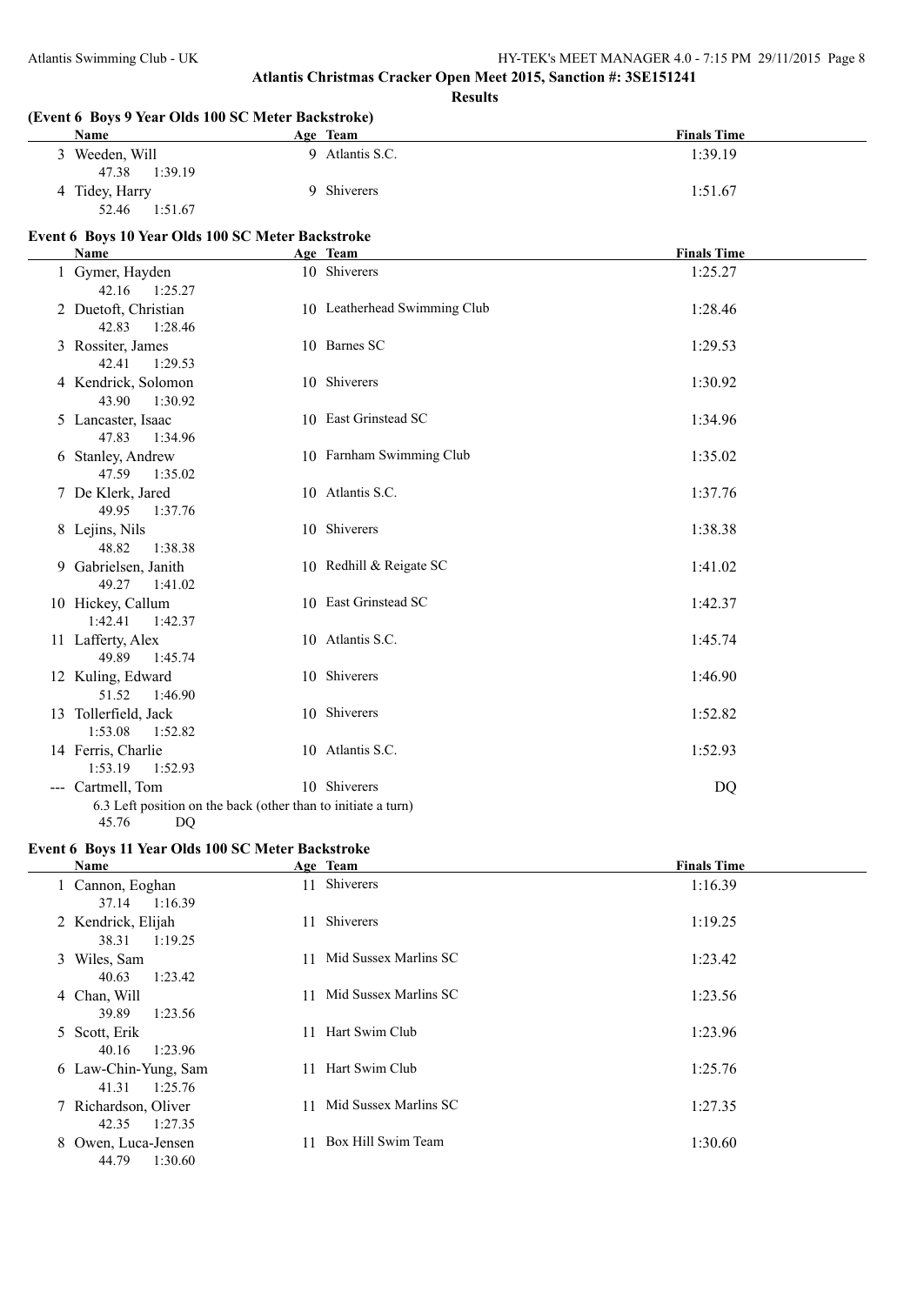**Results**

| (Event 6 Boys 9 Year Olds 100 SC Meter Backstroke)<br><b>Name</b> | Age Team                     | <b>Finals Time</b> |
|-------------------------------------------------------------------|------------------------------|--------------------|
| 3 Weeden, Will<br>47.38<br>1:39.19                                | 9 Atlantis S.C.              | 1:39.19            |
| 4 Tidey, Harry<br>52.46<br>1:51.67                                | 9 Shiverers                  | 1:51.67            |
| Event 6 Boys 10 Year Olds 100 SC Meter Backstroke                 |                              |                    |
| Name                                                              | Age Team                     | <b>Finals Time</b> |
| 1 Gymer, Hayden<br>42.16<br>1:25.27                               | 10 Shiverers                 | 1:25.27            |
| 2 Duetoft, Christian<br>42.83<br>1:28.46                          | 10 Leatherhead Swimming Club | 1:28.46            |
| 3 Rossiter, James<br>42.41<br>1:29.53                             | 10 Barnes SC                 | 1:29.53            |
| 4 Kendrick, Solomon<br>43.90<br>1:30.92                           | 10 Shiverers                 | 1:30.92            |
| 5 Lancaster, Isaac<br>47.83<br>1:34.96                            | 10 East Grinstead SC         | 1:34.96            |
| 6 Stanley, Andrew<br>47.59<br>1:35.02                             | 10 Farnham Swimming Club     | 1:35.02            |
| 7 De Klerk, Jared<br>49.95<br>1:37.76                             | 10 Atlantis S.C.             | 1:37.76            |
| 8 Lejins, Nils<br>48.82<br>1:38.38                                | 10 Shiverers                 | 1:38.38            |
| 9 Gabrielsen, Janith<br>49.27<br>1:41.02                          | 10 Redhill & Reigate SC      | 1:41.02            |
| 10 Hickey, Callum<br>1:42.41<br>1:42.37                           | 10 East Grinstead SC         | 1:42.37            |
| 11 Lafferty, Alex<br>49.89<br>1:45.74                             | 10 Atlantis S.C.             | 1:45.74            |
| 12 Kuling, Edward<br>51.52<br>1:46.90                             | 10 Shiverers                 | 1:46.90            |
| 13 Tollerfield, Jack<br>1:53.08<br>1:52.82                        | 10 Shiverers                 | 1:52.82            |
| 14 Ferris, Charlie<br>1:53.19<br>1:52.93                          | 10 Atlantis S.C.             | 1:52.93            |
| --- Cartmell, Tom                                                 | 10 Shiverers                 | <b>DQ</b>          |
| 6.3 Left position on the back (other than to initiate a turn)     |                              |                    |
| 45.76<br>DQ                                                       |                              |                    |

### **Event 6 Boys 11 Year Olds 100 SC Meter Backstroke**

| Name                                     | Age Team                    | <b>Finals Time</b> |
|------------------------------------------|-----------------------------|--------------------|
| 1 Cannon, Eoghan<br>1:16.39<br>37.14     | 11 Shiverers                | 1:16.39            |
| 2 Kendrick, Elijah<br>1:19.25<br>38.31   | Shiverers<br>11             | 1:19.25            |
| 3 Wiles, Sam<br>1:23.42<br>40.63         | Mid Sussex Marlins SC<br>11 | 1:23.42            |
| 4 Chan, Will<br>1:23.56<br>39.89         | Mid Sussex Marlins SC<br>11 | 1:23.56            |
| 5 Scott, Erik<br>1:23.96<br>40.16        | Hart Swim Club<br>11        | 1:23.96            |
| 6 Law-Chin-Yung, Sam<br>1:25.76<br>41.31 | Hart Swim Club<br>11        | 1:25.76            |
| 7 Richardson, Oliver<br>1:27.35<br>42.35 | Mid Sussex Marlins SC<br>11 | 1:27.35            |
| 8 Owen, Luca-Jensen<br>44.79<br>1:30.60  | Box Hill Swim Team          | 1:30.60            |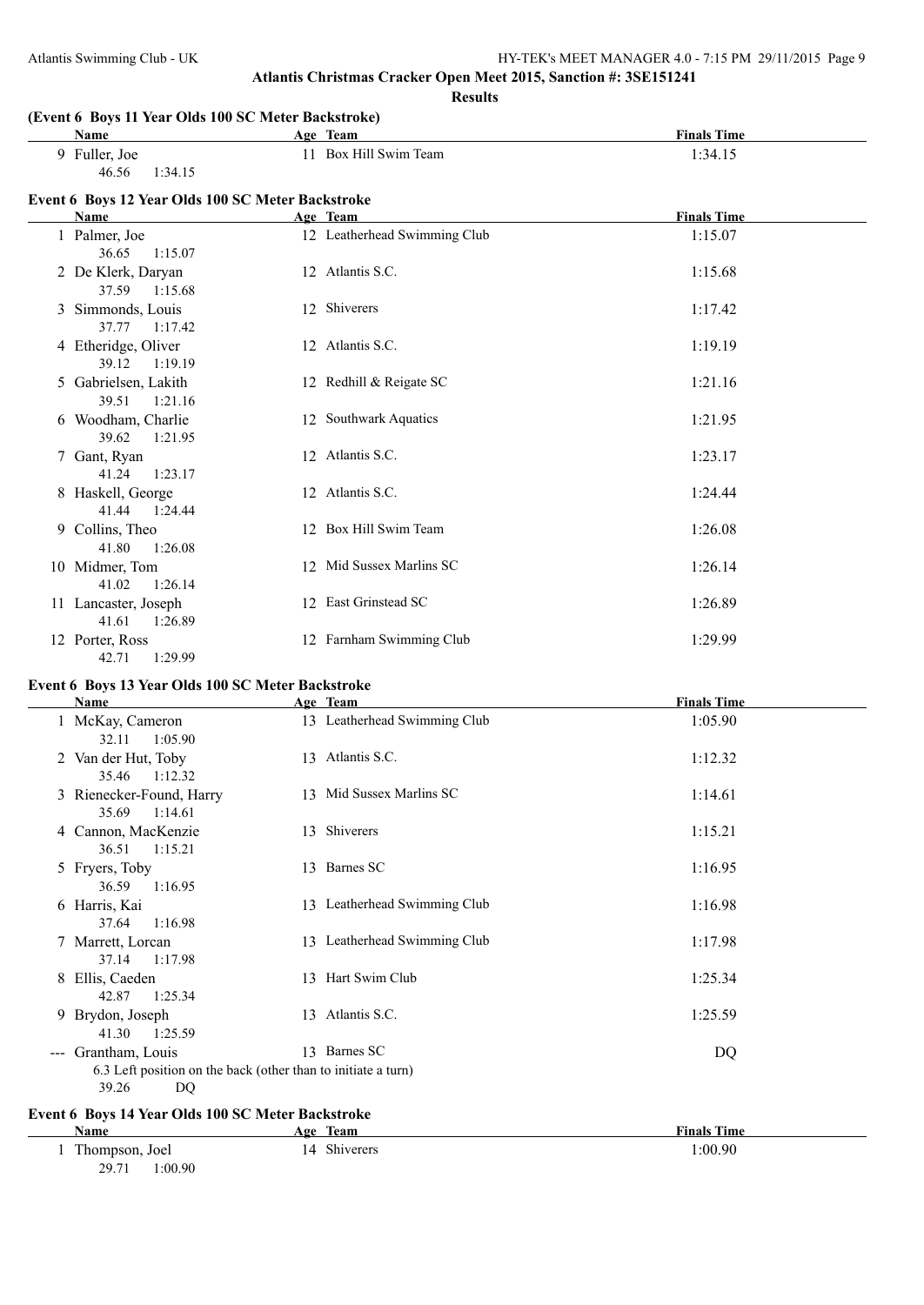**Results**

| (Event 6 Boys 11 Year Olds 100 SC Meter Backstroke)<br>Name | Age Team                     | <b>Finals Time</b> |
|-------------------------------------------------------------|------------------------------|--------------------|
| 9 Fuller, Joe                                               | 11 Box Hill Swim Team        | 1:34.15            |
| 46.56<br>1:34.15                                            |                              |                    |
| Event 6 Boys 12 Year Olds 100 SC Meter Backstroke           |                              |                    |
| Name                                                        | Age Team                     | <b>Finals Time</b> |
| 1 Palmer, Joe<br>36.65<br>1:15.07                           | 12 Leatherhead Swimming Club | 1:15.07            |
| 2 De Klerk, Daryan<br>37.59<br>1:15.68                      | 12 Atlantis S.C.             | 1:15.68            |
| 3 Simmonds, Louis<br>37.77<br>1:17.42                       | 12 Shiverers                 | 1:17.42            |
| 4 Etheridge, Oliver<br>39.12<br>1:19.19                     | 12 Atlantis S.C.             | 1:19.19            |
| 5 Gabrielsen, Lakith<br>39.51<br>1:21.16                    | 12 Redhill & Reigate SC      | 1:21.16            |
| 6 Woodham, Charlie<br>39.62<br>1:21.95                      | 12 Southwark Aquatics        | 1:21.95            |
| 7 Gant, Ryan<br>41.24<br>1:23.17                            | 12 Atlantis S.C.             | 1:23.17            |
| 8 Haskell, George<br>41.44<br>1:24.44                       | 12 Atlantis S.C.             | 1:24.44            |
| 9 Collins, Theo<br>41.80<br>1:26.08                         | 12 Box Hill Swim Team        | 1:26.08            |
| 10 Midmer, Tom<br>41.02<br>1:26.14                          | 12 Mid Sussex Marlins SC     | 1:26.14            |
| 11 Lancaster, Joseph<br>41.61<br>1:26.89                    | 12 East Grinstead SC         | 1:26.89            |
| 12 Porter, Ross<br>1:29.99<br>42.71                         | 12 Farnham Swimming Club     | 1:29.99            |
| Event 6 Boys 13 Year Olds 100 SC Meter Backstroke           |                              |                    |
| Name                                                        | Age Team                     | <b>Finals Time</b> |
| 1 McKay, Cameron                                            | 13 Leatherhead Swimming Club | 1:05.90            |
| 32.11<br>1:05.90<br>2 Van der Hut, Toby                     | 13 Atlantis S.C.             | 1:12.32            |
| 35.46<br>1:12.32                                            |                              |                    |
| 3 Rienecker-Found, Harry<br>35.69<br>1:14.61                | 13 Mid Sussex Marlins SC     | 1:14.61            |
| 4 Cannon, MacKenzie<br>36.51<br>1:15.21                     | 13 Shiverers                 | 1:15.21            |
| 5 Fryers, Toby<br>36.59<br>1:16.95                          | 13 Barnes SC                 | 1:16.95            |
| 6 Harris, Kai<br>37.64<br>1:16.98                           | 13 Leatherhead Swimming Club | 1:16.98            |
| 7 Marrett, Lorcan<br>37.14 1:17.98                          | 13 Leatherhead Swimming Club | 1:17.98            |

9 Brydon, Joseph 13 Atlantis S.C. 1:25.59 41.30 1:25.59 --- Grantham, Louis 13 Barnes SC DQ 6.3 Left position on the back (other than to initiate a turn) 39.26 DQ

## **Event 6 Boys 14 Year Olds 100 SC Meter Backstroke**

42.87 1:25.34

| <b>Name</b>     | Team<br>Age                 | <b>Finals Time</b> |
|-----------------|-----------------------------|--------------------|
| Thompson, Joel  | Shiverers<br>$\overline{4}$ | 1:00.90            |
| :00.90<br>29.71 |                             |                    |

8 Ellis, Caeden 13 Hart Swim Club 1:25.34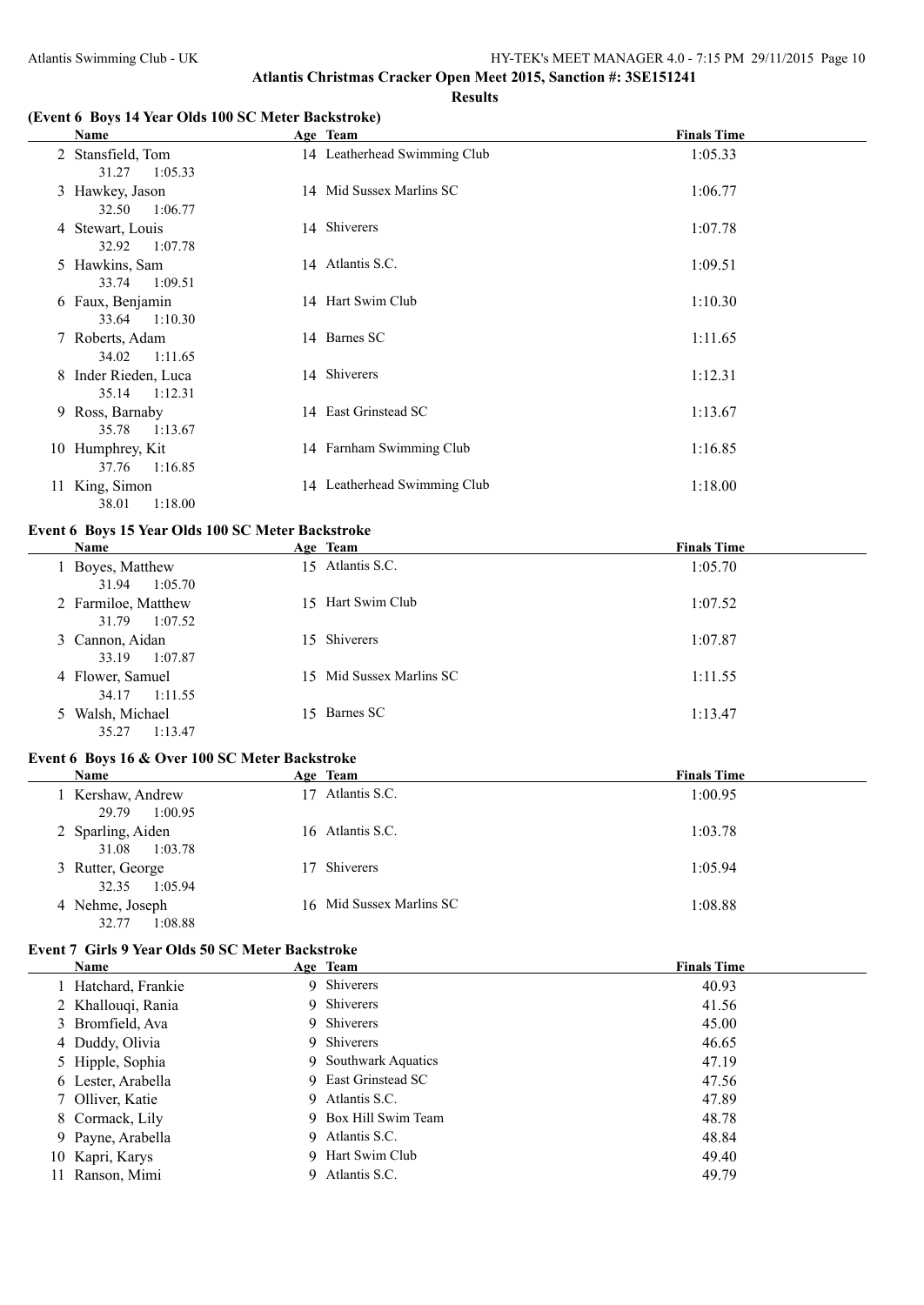#### **(Event 6 Boys 14 Year Olds 100 SC Meter Backstroke)**

|   | Name                                   | Age Team                     | <b>Finals Time</b> |
|---|----------------------------------------|------------------------------|--------------------|
|   | 2 Stansfield, Tom<br>31.27<br>1:05.33  | 14 Leatherhead Swimming Club | 1:05.33            |
|   | 3 Hawkey, Jason<br>32.50<br>1:06.77    | 14 Mid Sussex Marlins SC     | 1:06.77            |
|   | 4 Stewart, Louis<br>32.92<br>1:07.78   | 14 Shiverers                 | 1:07.78            |
|   | 5 Hawkins, Sam<br>33.74<br>1:09.51     | 14 Atlantis S.C.             | 1:09.51            |
|   | 6 Faux, Benjamin<br>33.64 1:10.30      | 14 Hart Swim Club            | 1:10.30            |
|   | 7 Roberts, Adam<br>1:11.65<br>34.02    | 14 Barnes SC                 | 1:11.65            |
| 8 | Inder Rieden, Luca<br>35.14<br>1:12.31 | 14 Shiverers                 | 1:12.31            |
|   | 9 Ross, Barnaby<br>35.78<br>1:13.67    | 14 East Grinstead SC         | 1:13.67            |
|   | 10 Humphrey, Kit<br>37.76<br>1:16.85   | 14 Farnham Swimming Club     | 1:16.85            |
|   | 11 King, Simon<br>1:18.00<br>38.01     | 14 Leatherhead Swimming Club | 1:18.00            |

### **Event 6 Boys 15 Year Olds 100 SC Meter Backstroke**

| Name                                    | Age Team                 | <b>Finals Time</b> |
|-----------------------------------------|--------------------------|--------------------|
| Boyes, Matthew<br>1:05.70<br>31.94      | 15 Atlantis S.C.         | 1:05.70            |
| 2 Farmiloe, Matthew<br>1:07.52<br>31.79 | 15 Hart Swim Club        | 1:07.52            |
| 3 Cannon, Aidan<br>1:07.87<br>33.19     | 15 Shiverers             | 1:07.87            |
| 4 Flower, Samuel<br>34.17<br>1:11.55    | 15 Mid Sussex Marlins SC | 1:11.55            |
| Walsh, Michael<br>35.27<br>1:13.47      | 15 Barnes SC             | 1:13.47            |

#### **Event 6 Boys 16 & Over 100 SC Meter Backstroke**

| Name                                  | Age Team                 | <b>Finals Time</b> |
|---------------------------------------|--------------------------|--------------------|
| Kershaw, Andrew<br>29.79<br>1:00.95   | Atlantis S.C.<br>17      | 1:00.95            |
| 2 Sparling, Aiden<br>31.08<br>1:03.78 | 16 Atlantis S.C.         | 1:03.78            |
| 3 Rutter, George<br>32.35<br>1:05.94  | 17 Shiverers             | 1:05.94            |
| 4 Nehme, Joseph<br>1:08.88<br>32.77   | 16 Mid Sussex Marlins SC | 1:08.88            |

### **Event 7 Girls 9 Year Olds 50 SC Meter Backstroke**

|    | <b>Name</b>         | Age Team             | <b>Finals Time</b> |
|----|---------------------|----------------------|--------------------|
|    | 1 Hatchard, Frankie | 9 Shiverers          | 40.93              |
|    | 2 Khallouqi, Rania  | 9 Shiverers          | 41.56              |
|    | 3 Bromfield, Ava    | 9 Shiverers          | 45.00              |
|    | 4 Duddy, Olivia     | 9 Shiverers          | 46.65              |
|    | 5 Hipple, Sophia    | 9 Southwark Aquatics | 47.19              |
|    | 6 Lester, Arabella  | 9 East Grinstead SC  | 47.56              |
|    | 7 Olliver, Katie    | 9 Atlantis S.C.      | 47.89              |
|    | 8 Cormack, Lily     | 9 Box Hill Swim Team | 48.78              |
|    | 9 Payne, Arabella   | 9 Atlantis S.C.      | 48.84              |
|    | 10 Kapri, Karys     | 9 Hart Swim Club     | 49.40              |
| 11 | Ranson, Mimi        | 9 Atlantis S.C.      | 49.79              |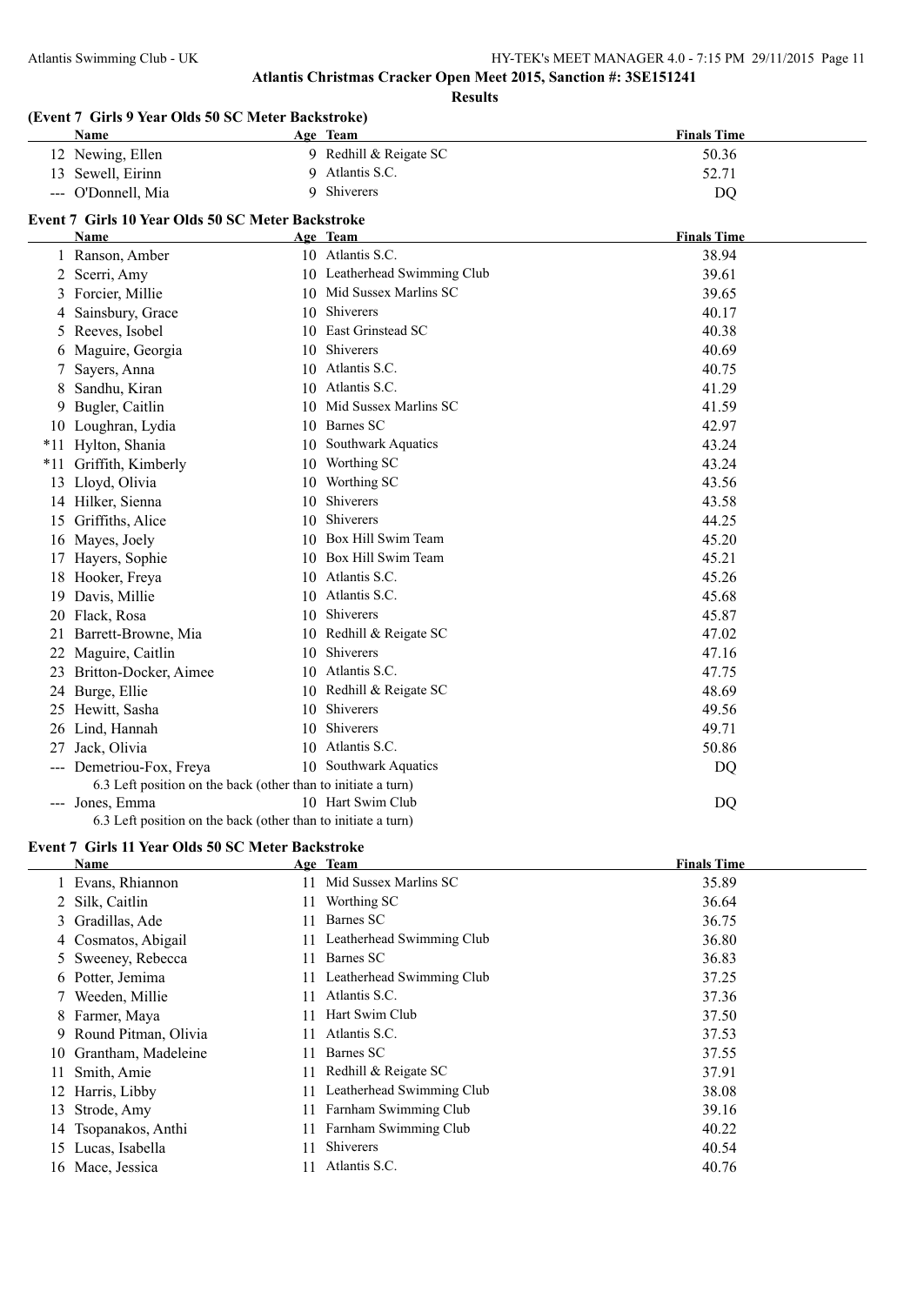|    | (Event 7 Girls 9 Year Olds 50 SC Meter Backstroke)            |    |                              |                    |
|----|---------------------------------------------------------------|----|------------------------------|--------------------|
|    | Name                                                          |    | Age Team                     | <b>Finals Time</b> |
|    | 12 Newing, Ellen                                              |    | 9 Redhill & Reigate SC       | 50.36              |
|    | 13 Sewell, Eirinn                                             |    | 9 Atlantis S.C.              | 52.71              |
|    | --- O'Donnell, Mia                                            | 9  | Shiverers                    | DQ                 |
|    | Event 7 Girls 10 Year Olds 50 SC Meter Backstroke             |    |                              |                    |
|    | Name                                                          |    | Age Team                     | <b>Finals Time</b> |
|    | 1 Ranson, Amber                                               |    | 10 Atlantis S.C.             | 38.94              |
|    | 2 Scerri, Amy                                                 |    | 10 Leatherhead Swimming Club | 39.61              |
|    | 3 Forcier, Millie                                             |    | 10 Mid Sussex Marlins SC     | 39.65              |
| 4  | Sainsbury, Grace                                              |    | 10 Shiverers                 | 40.17              |
|    | 5 Reeves, Isobel                                              |    | 10 East Grinstead SC         | 40.38              |
|    | 6 Maguire, Georgia                                            |    | 10 Shiverers                 | 40.69              |
| 7  | Sayers, Anna                                                  |    | 10 Atlantis S.C.             | 40.75              |
| 8  | Sandhu, Kiran                                                 |    | 10 Atlantis S.C.             | 41.29              |
| 9. | Bugler, Caitlin                                               |    | 10 Mid Sussex Marlins SC     | 41.59              |
|    | 10 Loughran, Lydia                                            | 10 | Barnes SC                    | 42.97              |
|    | *11 Hylton, Shania                                            | 10 | Southwark Aquatics           | 43.24              |
|    | *11 Griffith, Kimberly                                        |    | 10 Worthing SC               | 43.24              |
|    | 13 Lloyd, Olivia                                              | 10 | Worthing SC                  | 43.56              |
|    | 14 Hilker, Sienna                                             | 10 | Shiverers                    | 43.58              |
|    | 15 Griffiths, Alice                                           | 10 | <b>Shiverers</b>             | 44.25              |
|    | 16 Mayes, Joely                                               |    | 10 Box Hill Swim Team        | 45.20              |
|    | 17 Hayers, Sophie                                             |    | 10 Box Hill Swim Team        | 45.21              |
|    | 18 Hooker, Freya                                              |    | 10 Atlantis S.C.             | 45.26              |
|    | 19 Davis, Millie                                              |    | 10 Atlantis S.C.             | 45.68              |
|    | 20 Flack, Rosa                                                |    | 10 Shiverers                 | 45.87              |
| 21 | Barrett-Browne, Mia                                           |    | 10 Redhill & Reigate SC      | 47.02              |
| 22 | Maguire, Caitlin                                              | 10 | Shiverers                    | 47.16              |
| 23 | Britton-Docker, Aimee                                         |    | 10 Atlantis S.C.             | 47.75              |
|    | 24 Burge, Ellie                                               |    | 10 Redhill & Reigate SC      | 48.69              |
|    | 25 Hewitt, Sasha                                              | 10 | Shiverers                    | 49.56              |
|    | 26 Lind, Hannah                                               | 10 | Shiverers                    | 49.71              |
| 27 | Jack, Olivia                                                  | 10 | Atlantis S.C.                | 50.86              |
|    | --- Demetriou-Fox, Freya                                      |    | 10 Southwark Aquatics        | DQ                 |
|    | 6.3 Left position on the back (other than to initiate a turn) |    |                              |                    |
|    | --- Jones, Emma                                               |    | 10 Hart Swim Club            | DQ                 |
|    | 6.3 Left position on the back (other than to initiate a turn) |    |                              |                    |
|    | Event 7 Girls 11 Year Olds 50 SC Meter Backstroke             |    |                              |                    |
|    | <b>Name</b>                                                   |    | Age Team                     | <b>Finals Time</b> |
|    | 1 Evans, Rhiannon                                             |    | 11 Mid Sussex Marlins SC     | 35.89              |
|    | 2 Silk, Caitlin                                               |    | 11 Worthing SC               | 36.64              |
|    | 3 Gradillas, Ade                                              |    | 11 Barnes SC                 | 36.75              |
|    | 4 Cosmatos, Abigail                                           |    | 11 Leatherhead Swimming Club | 36.80              |
|    |                                                               |    | 11 Barnes SC                 |                    |
|    | 5 Sweeney, Rebecca                                            |    |                              | 36.83              |
|    | 6 Potter, Jemima                                              |    | 11 Leatherhead Swimming Club | 37.25              |

 Weeden, Millie 11 Atlantis S.C. 37.36 8 Farmer, Maya 11 Hart Swim Club 37.50<br>
9 Round Pitman. Olivia 11 Atlantis S.C. 37.53 Round Pitman, Olivia 11 Atlantis S.C. 37.53 10 Grantham, Madeleine 11 Barnes SC 37.55 11 Smith, Amie 11 Redhill & Reigate SC 37.91 Harris, Libby 11 Leatherhead Swimming Club 38.08 13 Strode, Amy 11 Farnham Swimming Club 39.16 Tsopanakos, Anthi 11 Farnham Swimming Club 40.22 Lucas, Isabella 11 Shiverers 40.54 Mace, Jessica 11 Atlantis S.C. 40.76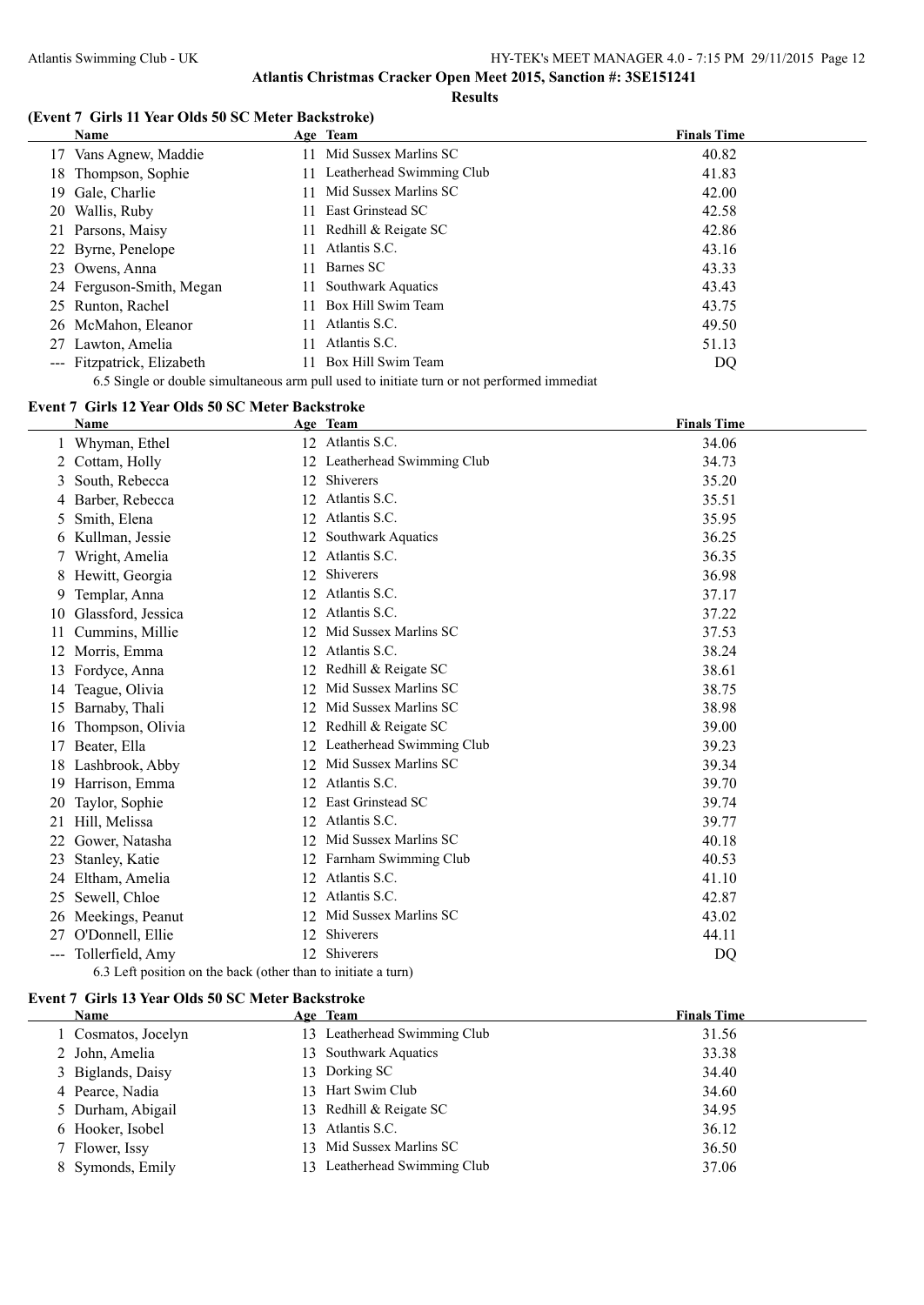#### **Results**

# **(Event 7 Girls 11 Year Olds 50 SC Meter Backstroke)**

| <b>Name</b>                | Age Team                         | <b>Finals Time</b> |
|----------------------------|----------------------------------|--------------------|
| Vans Agnew, Maddie<br>17 - | Mid Sussex Marlins SC<br>11      | 40.82              |
| 18 Thompson, Sophie        | Leatherhead Swimming Club<br>11. | 41.83              |
| Gale, Charlie<br>19.       | Mid Sussex Marlins SC            | 42.00              |
| 20 Wallis, Ruby            | East Grinstead SC<br>11.         | 42.58              |
| 21 Parsons, Maisy          | Redhill & Reigate SC<br>11       | 42.86              |
| 22 Byrne, Penelope         | Atlantis S.C.<br>11              | 43.16              |
| 23 Owens, Anna             | Barnes SC<br>11                  | 43.33              |
| 24 Ferguson-Smith, Megan   | <b>Southwark Aquatics</b><br>11. | 43.43              |
| 25 Runton, Rachel          | Box Hill Swim Team               | 43.75              |
| 26 McMahon, Eleanor        | Atlantis S.C.<br>11.             | 49.50              |
| 27 Lawton, Amelia          | Atlantis S.C.<br>11              | 51.13              |
| --- Fitzpatrick, Elizabeth | Box Hill Swim Team               | DQ                 |

6.5 Single or double simultaneous arm pull used to initiate turn or not performed immediat

# **Event 7 Girls 12 Year Olds 50 SC Meter Backstroke**

|     | Name                                                          |    | Age Team                  | <b>Finals Time</b> |  |
|-----|---------------------------------------------------------------|----|---------------------------|--------------------|--|
| 1   | Whyman, Ethel                                                 |    | 12 Atlantis S.C.          | 34.06              |  |
| 2   | Cottam, Holly                                                 | 12 | Leatherhead Swimming Club | 34.73              |  |
| 3   | South, Rebecca                                                | 12 | <b>Shiverers</b>          | 35.20              |  |
| 4   | Barber, Rebecca                                               | 12 | Atlantis S.C.             | 35.51              |  |
| 5   | Smith, Elena                                                  | 12 | Atlantis S.C.             | 35.95              |  |
| 6   | Kullman, Jessie                                               | 12 | Southwark Aquatics        | 36.25              |  |
|     | Wright, Amelia                                                | 12 | Atlantis S.C.             | 36.35              |  |
| 8   | Hewitt, Georgia                                               | 12 | Shiverers                 | 36.98              |  |
| 9   | Templar, Anna                                                 | 12 | Atlantis S.C.             | 37.17              |  |
| 10  | Glassford, Jessica                                            | 12 | Atlantis S.C.             | 37.22              |  |
| 11  | Cummins, Millie                                               | 12 | Mid Sussex Marlins SC     | 37.53              |  |
| 12  | Morris, Emma                                                  | 12 | Atlantis S.C.             | 38.24              |  |
| 13  | Fordyce, Anna                                                 | 12 | Redhill & Reigate SC      | 38.61              |  |
| 14  | Teague, Olivia                                                | 12 | Mid Sussex Marlins SC     | 38.75              |  |
| 15  | Barnaby, Thali                                                | 12 | Mid Sussex Marlins SC     | 38.98              |  |
| 16  | Thompson, Olivia                                              | 12 | Redhill & Reigate SC      | 39.00              |  |
| 17  | Beater, Ella                                                  | 12 | Leatherhead Swimming Club | 39.23              |  |
| 18  | Lashbrook, Abby                                               | 12 | Mid Sussex Marlins SC     | 39.34              |  |
| 19  | Harrison, Emma                                                | 12 | Atlantis S.C.             | 39.70              |  |
| 20  | Taylor, Sophie                                                | 12 | East Grinstead SC         | 39.74              |  |
| 21  | Hill, Melissa                                                 | 12 | Atlantis S.C.             | 39.77              |  |
| 22  | Gower, Natasha                                                | 12 | Mid Sussex Marlins SC     | 40.18              |  |
| 23  | Stanley, Katie                                                | 12 | Farnham Swimming Club     | 40.53              |  |
| 24  | Eltham, Amelia                                                | 12 | Atlantis S.C.             | 41.10              |  |
| 25  | Sewell, Chloe                                                 | 12 | Atlantis S.C.             | 42.87              |  |
| 26  | Meekings, Peanut                                              | 12 | Mid Sussex Marlins SC     | 43.02              |  |
| 27  | O'Donnell, Ellie                                              | 12 | Shiverers                 | 44.11              |  |
| --- | Tollerfield, Amy                                              | 12 | Shiverers                 | DQ                 |  |
|     | 6.3 Left position on the back (other than to initiate a turn) |    |                           |                    |  |

#### **Event 7 Girls 13 Year Olds 50 SC Meter Backstroke**

| <b>Name</b>         | Age Team                     | <b>Finals Time</b> |
|---------------------|------------------------------|--------------------|
| 1 Cosmatos, Jocelyn | 13 Leatherhead Swimming Club | 31.56              |
| 2 John, Amelia      | 13 Southwark Aquatics        | 33.38              |
| 3 Biglands, Daisy   | 13 Dorking SC                | 34.40              |
| 4 Pearce, Nadia     | 13 Hart Swim Club            | 34.60              |
| 5 Durham, Abigail   | 13 Redhill & Reigate SC      | 34.95              |
| 6 Hooker, Isobel    | 13 Atlantis S.C.             | 36.12              |
| 7 Flower, Issy      | 13 Mid Sussex Marlins SC     | 36.50              |
| 8 Symonds, Emily    | Leatherhead Swimming Club    | 37.06              |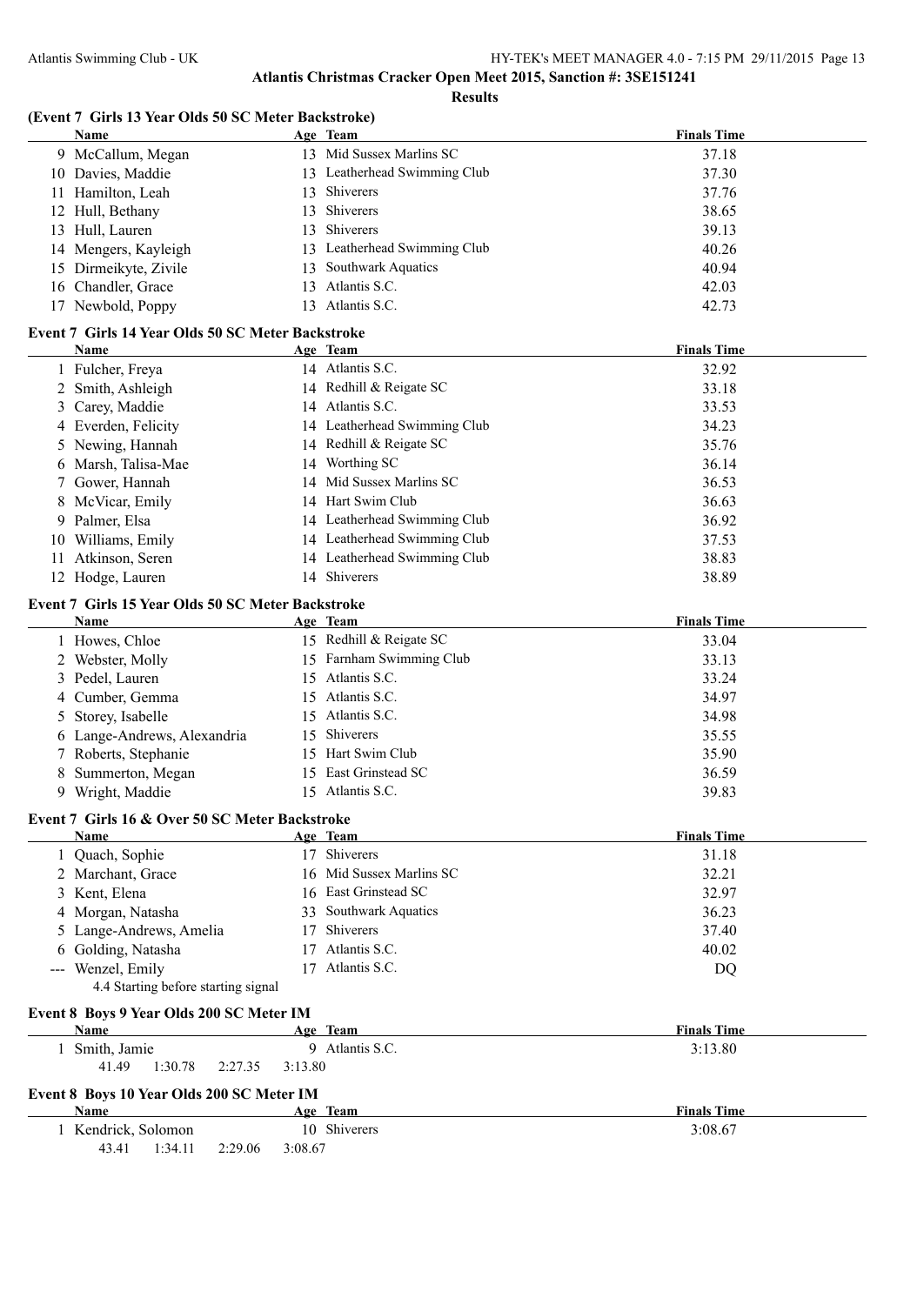#### **Results**

#### **(Event 7 Girls 13 Year Olds 50 SC Meter Backstroke)**

|    | Name                                                          |         | Age Team                     | <b>Finals Time</b> |
|----|---------------------------------------------------------------|---------|------------------------------|--------------------|
|    | 9 McCallum, Megan                                             |         | 13 Mid Sussex Marlins SC     | 37.18              |
|    | 10 Davies, Maddie                                             |         | 13 Leatherhead Swimming Club | 37.30              |
| 11 | Hamilton, Leah                                                | 13      | Shiverers                    | 37.76              |
| 12 | Hull, Bethany                                                 | 13      | Shiverers                    | 38.65              |
|    | 13 Hull, Lauren                                               | 13      | Shiverers                    | 39.13              |
| 14 | Mengers, Kayleigh                                             |         | 13 Leatherhead Swimming Club | 40.26              |
| 15 | Dirmeikyte, Zivile                                            | 13      | Southwark Aquatics           | 40.94              |
|    | 16 Chandler, Grace                                            | 13      | Atlantis S.C.                | 42.03              |
|    | 17 Newbold, Poppy                                             |         | 13 Atlantis S.C.             | 42.73              |
|    |                                                               |         |                              |                    |
|    | Event 7 Girls 14 Year Olds 50 SC Meter Backstroke             |         |                              |                    |
|    | <b>Name</b>                                                   |         | Age Team                     | <b>Finals Time</b> |
|    | 1 Fulcher, Freya                                              |         | 14 Atlantis S.C.             | 32.92              |
|    | 2 Smith, Ashleigh                                             |         | 14 Redhill & Reigate SC      | 33.18              |
| 3  | Carey, Maddie                                                 |         | 14 Atlantis S.C.             | 33.53              |
|    | 4 Everden, Felicity                                           |         | 14 Leatherhead Swimming Club | 34.23              |
| 5  | Newing, Hannah                                                |         | 14 Redhill & Reigate SC      | 35.76              |
|    | 6 Marsh, Talisa-Mae                                           |         | 14 Worthing SC               | 36.14              |
|    | Gower, Hannah                                                 |         | 14 Mid Sussex Marlins SC     | 36.53              |
| 8  | McVicar, Emily                                                |         | 14 Hart Swim Club            | 36.63              |
| 9  | Palmer, Elsa                                                  |         | 14 Leatherhead Swimming Club | 36.92              |
| 10 | Williams, Emily                                               |         | 14 Leatherhead Swimming Club | 37.53              |
| 11 | Atkinson, Seren                                               |         | 14 Leatherhead Swimming Club | 38.83              |
|    | 12 Hodge, Lauren                                              |         | 14 Shiverers                 | 38.89              |
|    |                                                               |         |                              |                    |
|    | Event 7 Girls 15 Year Olds 50 SC Meter Backstroke             |         |                              |                    |
|    | Name                                                          |         | Age Team                     | <b>Finals Time</b> |
|    | 1 Howes, Chloe                                                |         | 15 Redhill & Reigate SC      | 33.04              |
|    | 2 Webster, Molly                                              |         | 15 Farnham Swimming Club     | 33.13              |
| 3  | Pedel, Lauren                                                 | 15      | Atlantis S.C.                | 33.24              |
| 4  | Cumber, Gemma                                                 | 15      | Atlantis S.C.                | 34.97              |
| 5  | Storey, Isabelle                                              | 15      | Atlantis S.C.                | 34.98              |
| 6  | Lange-Andrews, Alexandria                                     | 15      | Shiverers                    | 35.55              |
|    | Roberts, Stephanie                                            | 15      | Hart Swim Club               | 35.90              |
| 8  | Summerton, Megan                                              | 15      | East Grinstead SC            | 36.59              |
|    | 9 Wright, Maddie                                              |         | 15 Atlantis S.C.             | 39.83              |
|    |                                                               |         |                              |                    |
|    | Event 7 Girls 16 & Over 50 SC Meter Backstroke<br><b>Name</b> |         |                              |                    |
|    |                                                               |         | Age Team<br>17 Shiverers     | <b>Finals Time</b> |
|    | Quach, Sophie                                                 |         |                              | 31.18              |
|    | 2 Marchant, Grace                                             |         | 16 Mid Sussex Marlins SC     | 32.21              |
| 3  | Kent, Elena                                                   |         | 16 East Grinstead SC         | 32.97              |
| 4  | Morgan, Natasha                                               |         | 33 Southwark Aquatics        | 36.23              |
| 5  | Lange-Andrews, Amelia                                         | 17      | Shiverers                    | 37.40              |
| 6  | Golding, Natasha                                              | 17      | Atlantis S.C.                | 40.02              |
|    | Wenzel, Emily                                                 | 17      | Atlantis S.C.                | <b>DQ</b>          |
|    | 4.4 Starting before starting signal                           |         |                              |                    |
|    | Event 8 Boys 9 Year Olds 200 SC Meter IM                      |         |                              |                    |
|    | Name                                                          |         | Age Team                     | <b>Finals Time</b> |
|    | 1 Smith, Jamie                                                |         | 9 Atlantis S.C.              | 3:13.80            |
|    | 41.49<br>1:30.78<br>2:27.35                                   | 3:13.80 |                              |                    |
|    |                                                               |         |                              |                    |
|    | Event 8 Boys 10 Year Olds 200 SC Meter IM                     |         |                              |                    |
|    | Name                                                          |         | Age Team                     | <b>Finals Time</b> |
|    | 1 Kendrick, Solomon                                           |         | 10 Shiverers                 | 3:08.67            |
|    | 43.41<br>1:34.11<br>2:29.06                                   | 3:08.67 |                              |                    |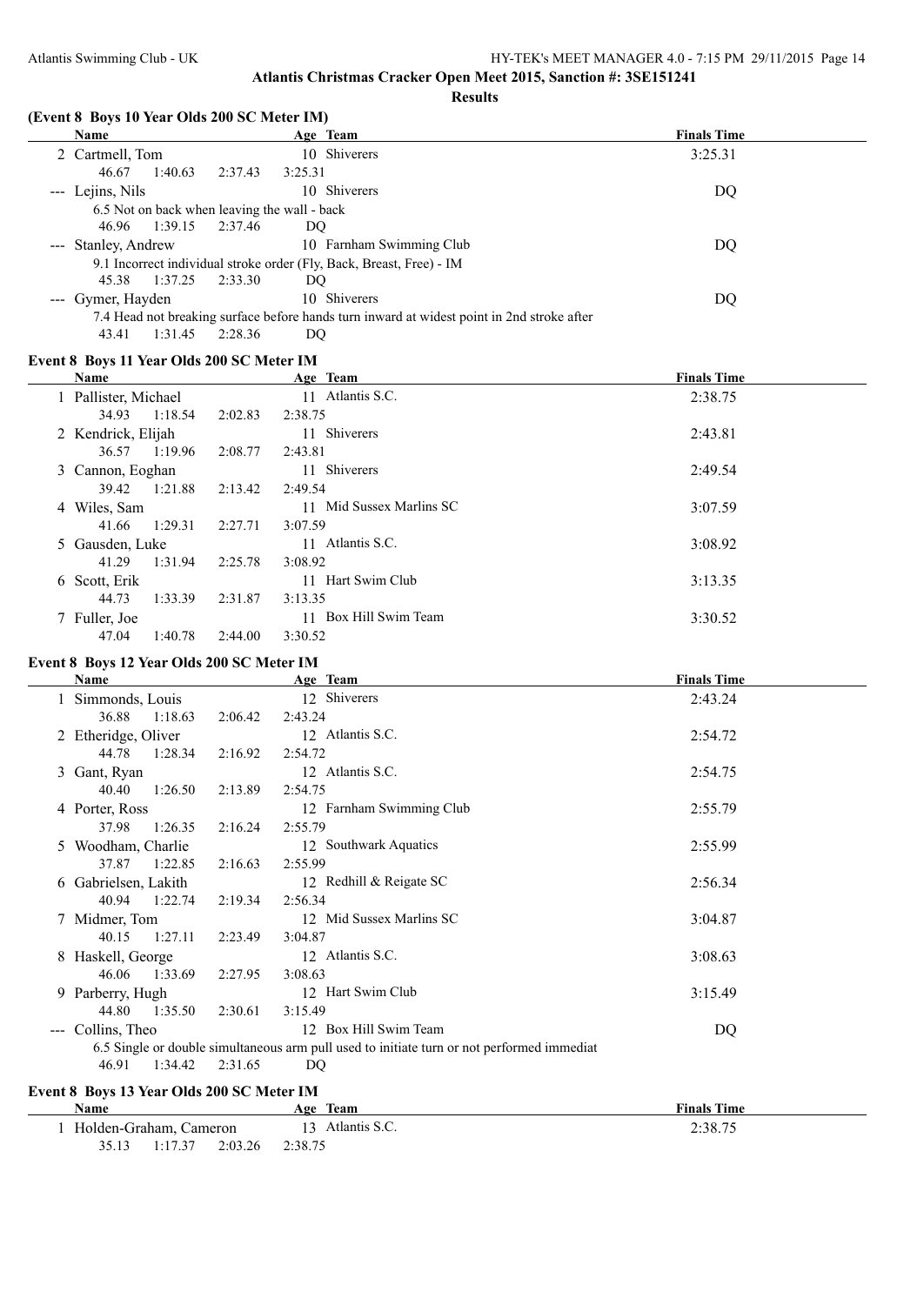#### **Results**

#### **(Event 8 Boys 10 Year Olds 200 SC Meter IM)**

| <b>Name</b>                                  |                    | Age Team                                                                                   | <b>Finals Time</b> |
|----------------------------------------------|--------------------|--------------------------------------------------------------------------------------------|--------------------|
| 2 Cartmell, Tom                              |                    | 10 Shiverers                                                                               | 3:25.31            |
| 1:40.63<br>46.67                             | 2:37.43<br>3:25.31 |                                                                                            |                    |
| --- Lejins, Nils                             |                    | 10 Shiverers                                                                               | DQ                 |
| 6.5 Not on back when leaving the wall - back |                    |                                                                                            |                    |
| 1:39.15<br>46.96                             | 2:37.46<br>DQ.     |                                                                                            |                    |
| --- Stanley, Andrew                          |                    | 10 Farnham Swimming Club                                                                   | DO                 |
|                                              |                    | 9.1 Incorrect individual stroke order (Fly, Back, Breast, Free) - IM                       |                    |
| 45.38<br>1:37.25                             | 2:33.30<br>DQ      |                                                                                            |                    |
| --- Gymer, Hayden                            |                    | 10 Shiverers                                                                               | DQ                 |
|                                              |                    | 7.4 Head not breaking surface before hands turn inward at widest point in 2nd stroke after |                    |
| 1:31.45<br>43.41                             | 2:28.36<br>DO      |                                                                                            |                    |

#### **Event 8 Boys 11 Year Olds 200 SC Meter IM**

| Name                 |         |         | Age Team                 | <b>Finals Time</b> |
|----------------------|---------|---------|--------------------------|--------------------|
| 1 Pallister, Michael |         |         | 11 Atlantis S.C.         | 2:38.75            |
| 34.93                | 1:18.54 | 2:02.83 | 2:38.75                  |                    |
| 2 Kendrick, Elijah   |         |         | 11 Shiverers             | 2:43.81            |
| 36.57                | 1:19.96 | 2:08.77 | 2:43.81                  |                    |
| 3 Cannon, Eoghan     |         |         | 11 Shiverers             | 2:49.54            |
| 39.42                | 1:21.88 | 2:13.42 | 2:49.54                  |                    |
| 4 Wiles, Sam         |         |         | 11 Mid Sussex Marlins SC | 3:07.59            |
| 41.66                | 1:29.31 | 2:27.71 | 3:07.59                  |                    |
| 5 Gausden, Luke      |         |         | Atlantis S.C.<br>11      | 3:08.92            |
| 41.29                | 1:31.94 | 2:25.78 | 3:08.92                  |                    |
| 6 Scott, Erik        |         |         | 11 Hart Swim Club        | 3:13.35            |
| 44.73                | 1:33.39 | 2:31.87 | 3:13.35                  |                    |
| 7 Fuller, Joe        |         |         | 11 Box Hill Swim Team    | 3:30.52            |
| 47.04                | 1:40.78 | 2:44.00 | 3:30.52                  |                    |

### **Event 8 Boys 12 Year Olds 200 SC Meter IM**

| Name                                      |         | Age Team                                                                                   | <b>Finals Time</b> |
|-------------------------------------------|---------|--------------------------------------------------------------------------------------------|--------------------|
| 1 Simmonds, Louis                         |         | 12 Shiverers                                                                               | 2:43.24            |
| 36.88<br>1:18.63                          | 2:06.42 | 2:43.24                                                                                    |                    |
| 2 Etheridge, Oliver                       |         | 12 Atlantis S.C.                                                                           | 2:54.72            |
| 44.78<br>1:28.34                          | 2:16.92 | 2:54.72                                                                                    |                    |
| 3 Gant, Ryan                              |         | 12 Atlantis S.C.                                                                           | 2:54.75            |
| 40.40<br>1:26.50                          | 2:13.89 | 2:54.75                                                                                    |                    |
| 4 Porter, Ross                            |         | 12 Farnham Swimming Club                                                                   | 2:55.79            |
| 37.98<br>1:26.35                          | 2:16.24 | 2:55.79                                                                                    |                    |
| 5 Woodham, Charlie                        |         | 12 Southwark Aquatics                                                                      | 2:55.99            |
| 1:22.85<br>37.87                          | 2:16.63 | 2:55.99                                                                                    |                    |
| 6 Gabrielsen, Lakith                      |         | 12 Redhill & Reigate SC                                                                    | 2:56.34            |
| 40.94<br>1:22.74                          | 2:19.34 | 2:56.34                                                                                    |                    |
| 7 Midmer, Tom                             |         | 12 Mid Sussex Marlins SC                                                                   | 3:04.87            |
| 40.15<br>1:27.11                          | 2:23.49 | 3:04.87                                                                                    |                    |
| 8 Haskell, George                         |         | 12 Atlantis S.C.                                                                           | 3:08.63            |
| 46.06<br>1:33.69                          | 2:27.95 | 3:08.63                                                                                    |                    |
| 9 Parberry, Hugh                          |         | 12 Hart Swim Club                                                                          | 3:15.49            |
| 1:35.50<br>44.80                          | 2:30.61 | 3:15.49                                                                                    |                    |
| Collins, Theo<br>$\qquad \qquad - -$      |         | 12 Box Hill Swim Team                                                                      | DQ                 |
|                                           |         | 6.5 Single or double simultaneous arm pull used to initiate turn or not performed immediat |                    |
| 1:34.42<br>46.91                          | 2:31.65 | DQ.                                                                                        |                    |
| Event 8 Boys 13 Year Olds 200 SC Meter IM |         |                                                                                            |                    |

#### **Age** Team **Age Team Finals Time** 1 Holden-Graham, Cameron 13 Atlantis S.C. 2:38.75 35.13 1:17.37 2:03.26 2:38.75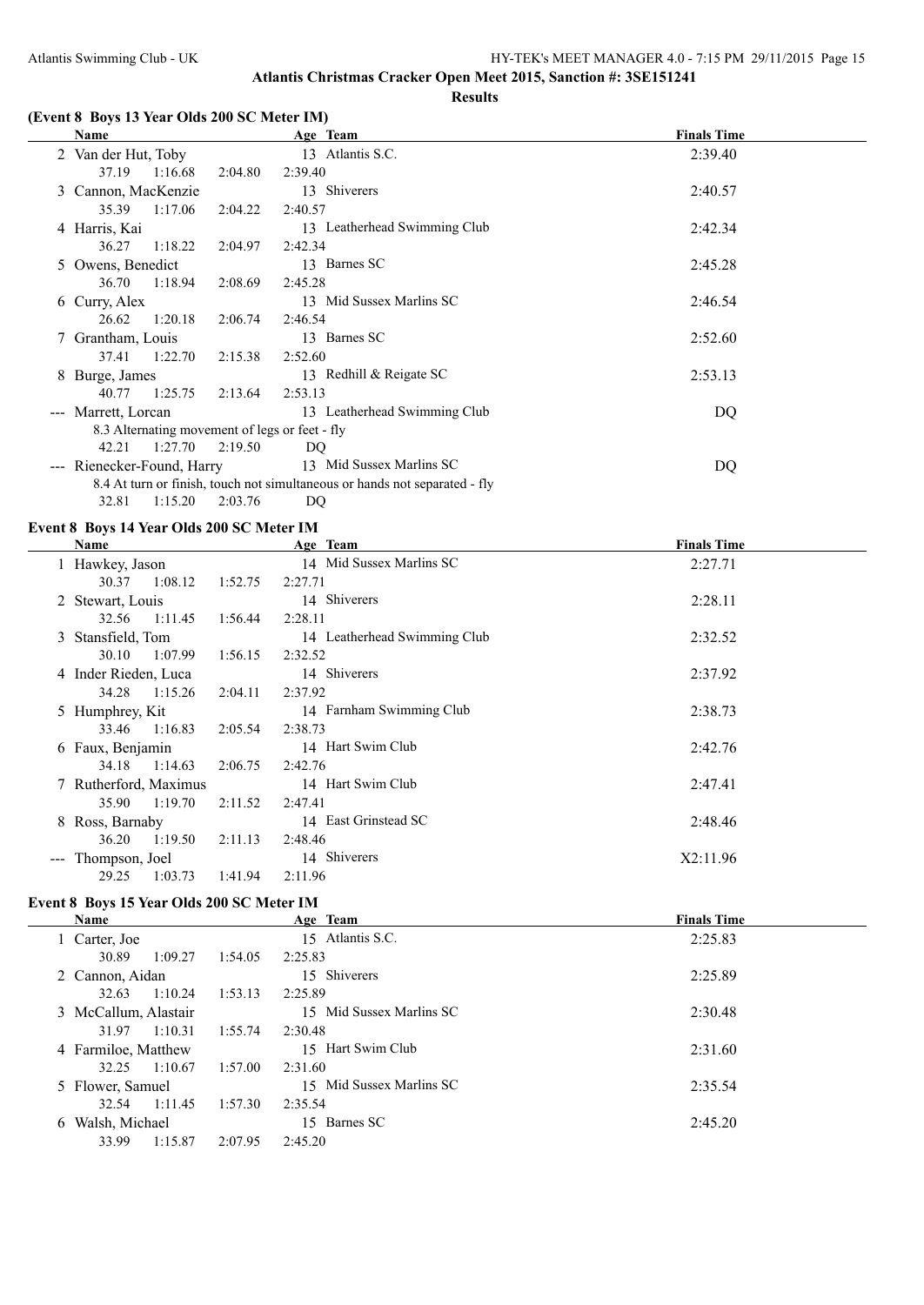### **(Event 8 Boys 13 Year Olds 200 SC Meter IM)**

|                                                | Name                   |         |         | Age Team                                                                   | <b>Finals Time</b> |
|------------------------------------------------|------------------------|---------|---------|----------------------------------------------------------------------------|--------------------|
|                                                | 2 Van der Hut, Toby    |         |         | 13 Atlantis S.C.                                                           | 2:39.40            |
|                                                | 37.19                  | 1:16.68 | 2:04.80 | 2:39.40                                                                    |                    |
| 3                                              | Cannon, MacKenzie      |         |         | 13 Shiverers                                                               | 2:40.57            |
|                                                | 35.39                  | 1:17.06 | 2:04.22 | 2:40.57                                                                    |                    |
|                                                | 4 Harris, Kai          |         |         | 13 Leatherhead Swimming Club                                               | 2:42.34            |
|                                                | 36.27                  | 1:18.22 | 2:04.97 | 2:42.34                                                                    |                    |
|                                                | 5 Owens, Benedict      |         |         | 13 Barnes SC                                                               | 2:45.28            |
|                                                | 36.70                  | 1:18.94 | 2:08.69 | 2:45.28                                                                    |                    |
| 6                                              | Curry, Alex            |         |         | 13 Mid Sussex Marlins SC                                                   | 2:46.54            |
|                                                | 26.62                  | 1:20.18 | 2:06.74 | 2:46.54                                                                    |                    |
|                                                | 7 Grantham, Louis      |         |         | 13 Barnes SC                                                               | 2:52.60            |
|                                                | 37.41                  | 1:22.70 | 2:15.38 | 2:52.60                                                                    |                    |
| 8                                              | Burge, James           |         |         | 13 Redhill & Reigate SC                                                    | 2:53.13            |
|                                                | 40.77                  | 1:25.75 | 2:13.64 | 2:53.13                                                                    |                    |
|                                                | Marrett, Lorcan        |         |         | 13 Leatherhead Swimming Club                                               | DQ                 |
| 8.3 Alternating movement of legs or feet - fly |                        |         |         |                                                                            |                    |
|                                                | 42.21 1:27.70          |         | 2:19.50 | DQ                                                                         |                    |
| $\sim$ $\sim$ $\sim$                           | Rienecker-Found, Harry |         |         | 13 Mid Sussex Marlins SC                                                   | DQ                 |
|                                                |                        |         |         | 8.4 At turn or finish, touch not simultaneous or hands not separated - fly |                    |

32.81 1:15.20 2:03.76 DQ

### **Event 8 Boys 14 Year Olds 200 SC Meter IM**

|   | Name                 | Age Team |         |                              | <b>Finals Time</b> |  |
|---|----------------------|----------|---------|------------------------------|--------------------|--|
|   | 1 Hawkey, Jason      |          |         | 14 Mid Sussex Marlins SC     | 2:27.71            |  |
|   | 30.37                | 1:08.12  | 1:52.75 | 2:27.71                      |                    |  |
|   | 2 Stewart, Louis     |          |         | 14 Shiverers                 | 2:28.11            |  |
|   | 32.56                | 1:11.45  | 1:56.44 | 2:28.11                      |                    |  |
|   | 3 Stansfield, Tom    |          |         | 14 Leatherhead Swimming Club | 2:32.52            |  |
|   | 30.10                | 1:07.99  | 1:56.15 | 2:32.52                      |                    |  |
|   | 4 Inder Rieden, Luca |          |         | 14 Shiverers                 | 2:37.92            |  |
|   | 34.28                | 1:15.26  | 2:04.11 | 2:37.92                      |                    |  |
|   | 5 Humphrey, Kit      |          |         | 14 Farnham Swimming Club     | 2:38.73            |  |
|   | 33.46                | 1:16.83  | 2:05.54 | 2:38.73                      |                    |  |
|   | 6 Faux, Benjamin     |          |         | 14 Hart Swim Club            | 2:42.76            |  |
|   | 34.18                | 1:14.63  | 2:06.75 | 2:42.76                      |                    |  |
|   | Rutherford, Maximus  |          |         | 14 Hart Swim Club            | 2:47.41            |  |
|   | 35.90                | 1:19.70  | 2:11.52 | 2:47.41                      |                    |  |
| 8 | Ross, Barnaby        |          |         | 14 East Grinstead SC         | 2:48.46            |  |
|   | 36.20                | 1:19.50  | 2:11.13 | 2:48.46                      |                    |  |
|   | --- Thompson, Joel   |          |         | 14 Shiverers                 | X2:11.96           |  |
|   | 29.25                | 1:03.73  | 1:41.94 | 2:11.96                      |                    |  |

# **Event 8 Boys 15 Year Olds 200 SC Meter IM**

|   | Name                 |         |                    | Age Team                 | <b>Finals Time</b> |
|---|----------------------|---------|--------------------|--------------------------|--------------------|
|   | 1 Carter, Joe        |         |                    | 15 Atlantis S.C.         | 2:25.83            |
|   | 30.89                | 1:09.27 | 1:54.05<br>2:25.83 |                          |                    |
|   | 2 Cannon, Aidan      |         |                    | 15 Shiverers             | 2:25.89            |
|   | 32.63                | 1:10.24 | 1:53.13<br>2:25.89 |                          |                    |
|   | 3 McCallum, Alastair |         |                    | 15 Mid Sussex Marlins SC | 2:30.48            |
|   | 31.97                | 1:10.31 | 1:55.74<br>2:30.48 |                          |                    |
|   | 4 Farmiloe, Matthew  |         |                    | 15 Hart Swim Club        | 2:31.60            |
|   | 32.25                | 1:10.67 | 1:57.00<br>2:31.60 |                          |                    |
|   | 5 Flower, Samuel     |         |                    | 15 Mid Sussex Marlins SC | 2:35.54            |
|   | 32.54                | 1:11.45 | 1:57.30<br>2:35.54 |                          |                    |
| 6 | Walsh, Michael       |         | 15.                | Barnes SC                | 2:45.20            |
|   | 33.99                | 1:15.87 | 2:07.95<br>2:45.20 |                          |                    |
|   |                      |         |                    |                          |                    |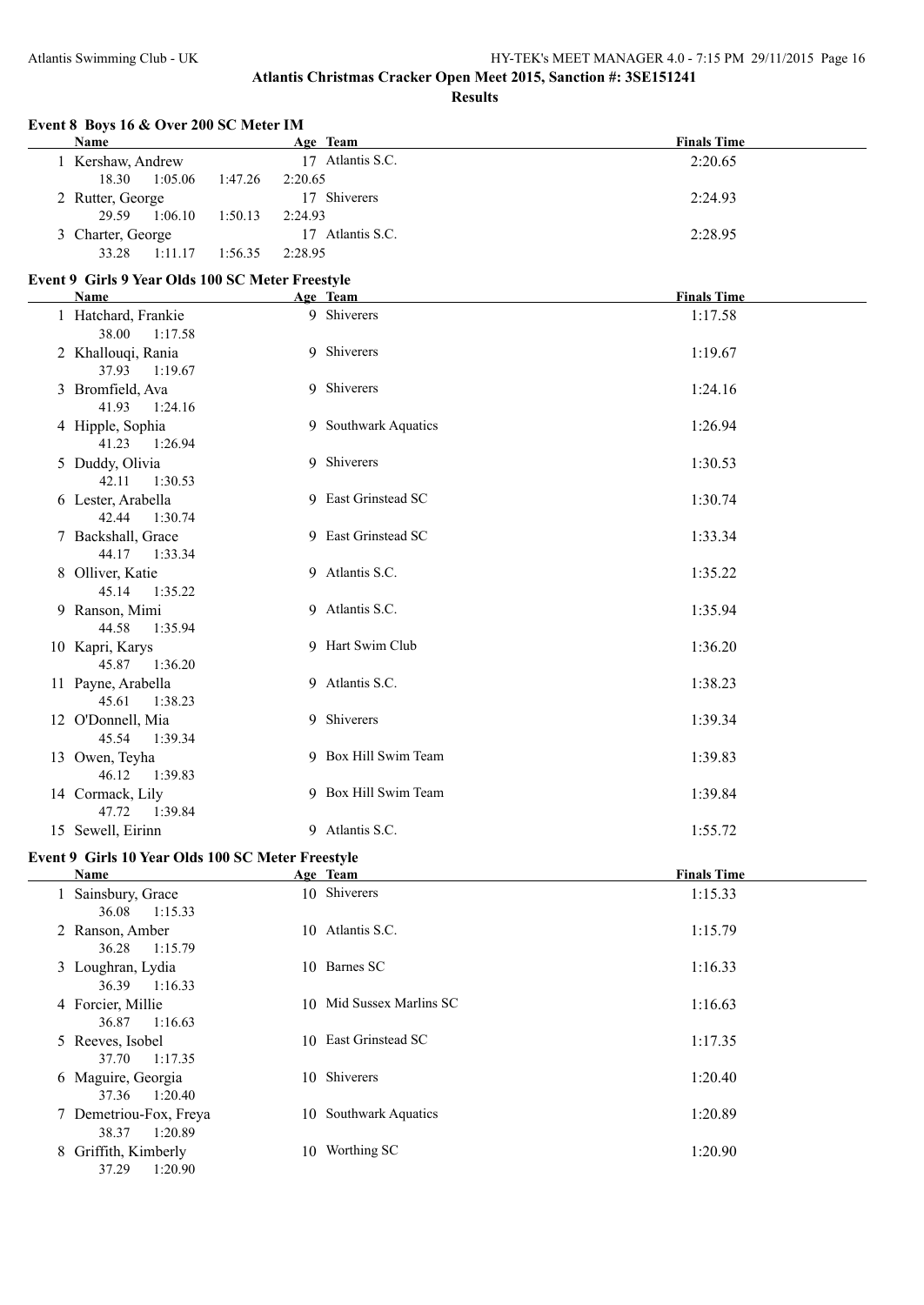#### **Event 8 Boys 16 & Over 200 SC Meter IM**

| Name              |                  |                  | Age Team         | <b>Finals Time</b> |
|-------------------|------------------|------------------|------------------|--------------------|
| 1 Kershaw, Andrew |                  |                  | 17 Atlantis S.C. | 2:20.65            |
| 18.30             | 1:05.06          | 1:47.26          | 2:20.65          |                    |
|                   | 2 Rutter, George |                  | 17 Shiverers     | 2:24.93            |
| 29.59             | 1:06.10          | 1:50.13          | 2:24.93          |                    |
| 3 Charter, George |                  | 17 Atlantis S.C. | 2:28.95          |                    |
| 33.28             | 1:11.17          | 1:56.35          | 2:28.95          |                    |

### **Event 9 Girls 9 Year Olds 100 SC Meter Freestyle**

| <b>Name</b>                             | Age Team             | <b>Finals Time</b> |
|-----------------------------------------|----------------------|--------------------|
| 1 Hatchard, Frankie<br>38.00<br>1:17.58 | 9 Shiverers          | 1:17.58            |
| 2 Khallouqi, Rania<br>37.93<br>1:19.67  | 9 Shiverers          | 1:19.67            |
| 3 Bromfield, Ava<br>41.93 1:24.16       | 9 Shiverers          | 1:24.16            |
| 4 Hipple, Sophia<br>41.23 1:26.94       | 9 Southwark Aquatics | 1:26.94            |
| 5 Duddy, Olivia<br>42.11<br>1:30.53     | 9 Shiverers          | 1:30.53            |
| 6 Lester, Arabella<br>42.44<br>1:30.74  | 9 East Grinstead SC  | 1:30.74            |
| 7 Backshall, Grace<br>44.17 1:33.34     | 9 East Grinstead SC  | 1:33.34            |
| 8 Olliver, Katie<br>45.14<br>1:35.22    | 9 Atlantis S.C.      | 1:35.22            |
| 9 Ranson, Mimi<br>44.58<br>1:35.94      | 9 Atlantis S.C.      | 1:35.94            |
| 10 Kapri, Karys<br>45.87<br>1:36.20     | 9 Hart Swim Club     | 1:36.20            |
| 11 Payne, Arabella<br>45.61<br>1:38.23  | 9 Atlantis S.C.      | 1:38.23            |
| 12 O'Donnell, Mia<br>45.54 1:39.34      | 9 Shiverers          | 1:39.34            |
| 13 Owen, Teyha<br>46.12<br>1:39.83      | 9 Box Hill Swim Team | 1:39.83            |
| 14 Cormack, Lily<br>47.72<br>1:39.84    | 9 Box Hill Swim Team | 1:39.84            |
| 15 Sewell, Eirinn                       | 9 Atlantis S.C.      | 1:55.72            |

#### **Event 9 Girls 10 Year Olds 100 SC Meter Freestyle**

| Name                                       |     | Age Team                  | <b>Finals Time</b> |
|--------------------------------------------|-----|---------------------------|--------------------|
| 1 Sainsbury, Grace<br>36.08<br>1:15.33     |     | 10 Shiverers              | 1:15.33            |
| 2 Ranson, Amber<br>1:15.79<br>36.28        |     | 10 Atlantis S.C.          | 1:15.79            |
| 3 Loughran, Lydia<br>36.39<br>1:16.33      |     | 10 Barnes SC              | 1:16.33            |
| 4 Forcier, Millie<br>1:16.63<br>36.87      |     | 10 Mid Sussex Marlins SC  | 1:16.63            |
| 5 Reeves, Isobel<br>37.70<br>1:17.35       |     | 10 East Grinstead SC      | 1:17.35            |
| 6 Maguire, Georgia<br>1:20.40<br>37.36     |     | 10 Shiverers              | 1:20.40            |
| 7 Demetriou-Fox, Freya<br>38.37<br>1:20.89 | 10. | <b>Southwark Aquatics</b> | 1:20.89            |
| 8 Griffith, Kimberly<br>37.29<br>1:20.90   | 10  | Worthing SC               | 1:20.90            |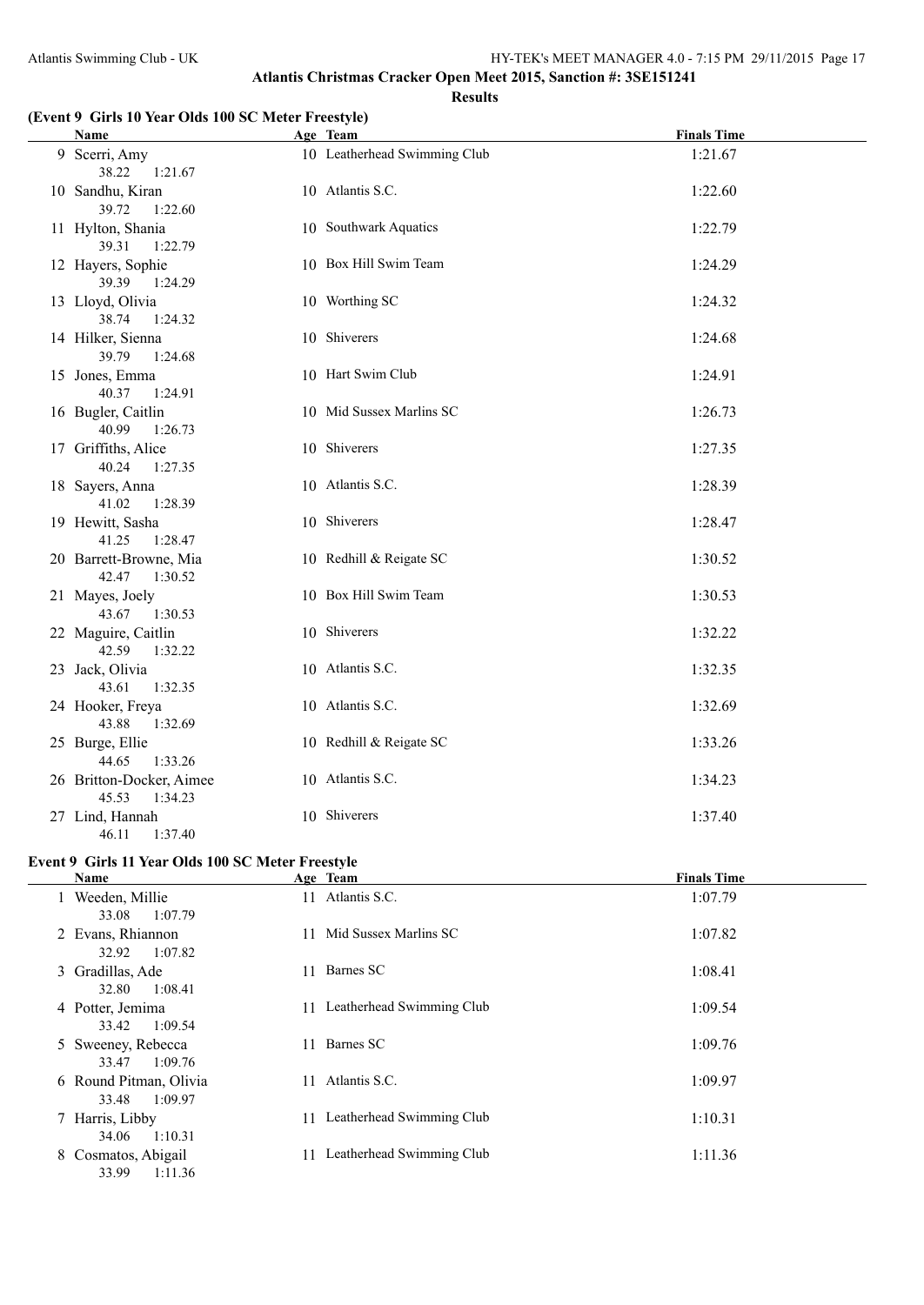### **(Event 9 Girls 10 Year Olds 100 SC Meter Freestyle)**

|  | <b>Name</b>                                  | Age Team                     | <b>Finals Time</b> |
|--|----------------------------------------------|------------------------------|--------------------|
|  | 9 Scerri, Amy<br>38.22<br>1:21.67            | 10 Leatherhead Swimming Club | 1:21.67            |
|  | 10 Sandhu, Kiran<br>39.72<br>1:22.60         | 10 Atlantis S.C.             | 1:22.60            |
|  | 11 Hylton, Shania<br>39.31<br>1:22.79        | 10 Southwark Aquatics        | 1:22.79            |
|  | 12 Hayers, Sophie<br>39.39<br>1:24.29        | 10 Box Hill Swim Team        | 1:24.29            |
|  | 13 Lloyd, Olivia<br>38.74<br>1:24.32         | 10 Worthing SC               | 1:24.32            |
|  | 14 Hilker, Sienna<br>39.79<br>1:24.68        | 10 Shiverers                 | 1:24.68            |
|  | 15 Jones, Emma<br>40.37<br>1:24.91           | 10 Hart Swim Club            | 1:24.91            |
|  | 16 Bugler, Caitlin<br>40.99<br>1:26.73       | 10 Mid Sussex Marlins SC     | 1:26.73            |
|  | 17 Griffiths, Alice<br>40.24<br>1:27.35      | 10 Shiverers                 | 1:27.35            |
|  | 18 Sayers, Anna<br>41.02<br>1:28.39          | 10 Atlantis S.C.             | 1:28.39            |
|  | 19 Hewitt, Sasha<br>41.25<br>1:28.47         | 10 Shiverers                 | 1:28.47            |
|  | 20 Barrett-Browne, Mia<br>42.47<br>1:30.52   | 10 Redhill & Reigate SC      | 1:30.52            |
|  | 21 Mayes, Joely<br>43.67<br>1:30.53          | 10 Box Hill Swim Team        | 1:30.53            |
|  | 22 Maguire, Caitlin<br>42.59<br>1:32.22      | 10 Shiverers                 | 1:32.22            |
|  | 23 Jack, Olivia<br>43.61<br>1:32.35          | 10 Atlantis S.C.             | 1:32.35            |
|  | 24 Hooker, Freya<br>43.88<br>1:32.69         | 10 Atlantis S.C.             | 1:32.69            |
|  | 25 Burge, Ellie<br>44.65<br>1:33.26          | 10 Redhill & Reigate SC      | 1:33.26            |
|  | 26 Britton-Docker, Aimee<br>45.53<br>1:34.23 | 10 Atlantis S.C.             | 1:34.23            |
|  | 27 Lind, Hannah<br>46.11<br>1:37.40          | 10 Shiverers                 | 1:37.40            |

### **Event 9 Girls 11 Year Olds 100 SC Meter Freestyle**

| <b>Name</b>                                | Age Team                        | <b>Finals Time</b> |
|--------------------------------------------|---------------------------------|--------------------|
| 1 Weeden, Millie<br>1:07.79<br>33.08       | 11 Atlantis S.C.                | 1:07.79            |
| 2 Evans, Rhiannon<br>1:07.82<br>32.92      | 11 Mid Sussex Marlins SC        | 1:07.82            |
| 3 Gradillas, Ade<br>32.80<br>1:08.41       | Barnes SC<br>11                 | 1:08.41            |
| 4 Potter, Jemima<br>1:09.54<br>33.42       | Leatherhead Swimming Club<br>11 | 1:09.54            |
| 5 Sweeney, Rebecca<br>1:09.76<br>33.47     | Barnes SC<br>11.                | 1:09.76            |
| 6 Round Pitman, Olivia<br>1:09.97<br>33.48 | Atlantis S.C.<br>11             | 1:09.97            |
| 7 Harris, Libby<br>1:10.31<br>34.06        | 11 Leatherhead Swimming Club    | 1:10.31            |
| 8 Cosmatos, Abigail<br>1:11.36<br>33.99    | Leatherhead Swimming Club<br>11 | 1:11.36            |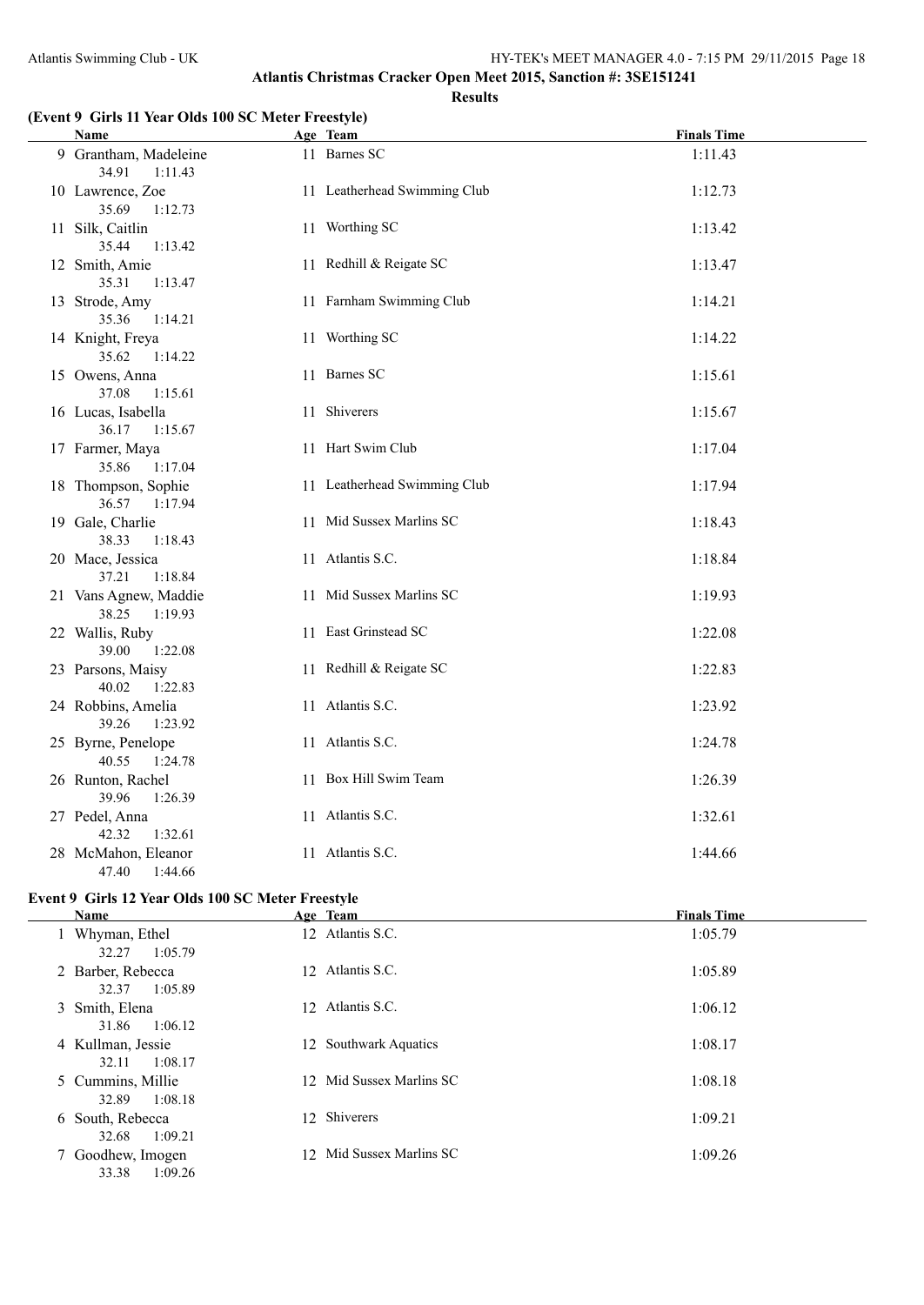### **(Event 9 Girls 11 Year Olds 100 SC Meter Freestyle)**

| <b>Name</b>                               | Age Team                     | <b>Finals Time</b> |
|-------------------------------------------|------------------------------|--------------------|
| 9 Grantham, Madeleine<br>34.91<br>1:11.43 | 11 Barnes SC                 | 1:11.43            |
| 10 Lawrence, Zoe<br>35.69<br>1:12.73      | 11 Leatherhead Swimming Club | 1:12.73            |
| 11 Silk, Caitlin<br>35.44<br>1:13.42      | 11 Worthing SC               | 1:13.42            |
| 12 Smith, Amie<br>35.31<br>1:13.47        | 11 Redhill & Reigate SC      | 1:13.47            |
| 13 Strode, Amy<br>35.36<br>1:14.21        | 11 Farnham Swimming Club     | 1:14.21            |
| 14 Knight, Freya<br>35.62<br>1:14.22      | 11 Worthing SC               | 1:14.22            |
| 15 Owens, Anna<br>37.08<br>1:15.61        | 11 Barnes SC                 | 1:15.61            |
| 16 Lucas, Isabella<br>36.17<br>1:15.67    | 11 Shiverers                 | 1:15.67            |
| 17 Farmer, Maya<br>35.86<br>1:17.04       | 11 Hart Swim Club            | 1:17.04            |
| 18 Thompson, Sophie<br>36.57<br>1:17.94   | 11 Leatherhead Swimming Club | 1:17.94            |
| 19 Gale, Charlie<br>38.33<br>1:18.43      | 11 Mid Sussex Marlins SC     | 1:18.43            |
| 20 Mace, Jessica<br>37.21<br>1:18.84      | 11 Atlantis S.C.             | 1:18.84            |
| 21 Vans Agnew, Maddie<br>38.25<br>1:19.93 | 11 Mid Sussex Marlins SC     | 1:19.93            |
| 22 Wallis, Ruby<br>39.00<br>1:22.08       | 11 East Grinstead SC         | 1:22.08            |
| 23 Parsons, Maisy<br>40.02<br>1:22.83     | 11 Redhill & Reigate SC      | 1:22.83            |
| 24 Robbins, Amelia<br>39.26<br>1:23.92    | 11 Atlantis S.C.             | 1:23.92            |
| 25 Byrne, Penelope<br>40.55<br>1:24.78    | 11 Atlantis S.C.             | 1:24.78            |
| 26 Runton, Rachel<br>39.96<br>1:26.39     | 11 Box Hill Swim Team        | 1:26.39            |
| 27 Pedel, Anna<br>42.32<br>1:32.61        | 11 Atlantis S.C.             | 1:32.61            |
| 28 McMahon, Eleanor<br>47.40 1:44.66      | 11 Atlantis S.C.             | 1:44.66            |

# **Event 9 Girls 12 Year Olds 100 SC Meter Freestyle**

 $\overline{\phantom{a}}$ 

| Name                                  | Age Team                 | <b>Finals Time</b> |
|---------------------------------------|--------------------------|--------------------|
| 1 Whyman, Ethel<br>1:05.79<br>32.27   | 12 Atlantis S.C.         | 1:05.79            |
| 2 Barber, Rebecca<br>1:05.89<br>32.37 | 12 Atlantis S.C.         | 1:05.89            |
| 3 Smith, Elena<br>31.86<br>1:06.12    | 12 Atlantis S.C.         | 1:06.12            |
| 4 Kullman, Jessie<br>1:08.17<br>32.11 | 12 Southwark Aquatics    | 1:08.17            |
| 5 Cummins, Millie<br>32.89<br>1:08.18 | 12 Mid Sussex Marlins SC | 1:08.18            |
| 6 South, Rebecca                      | 12 Shiverers             | 1:09.21            |
| 7 Goodhew, Imogen<br>33.38<br>1:09.26 | 12 Mid Sussex Marlins SC | 1:09.26            |
| 1:09.21<br>32.68                      |                          |                    |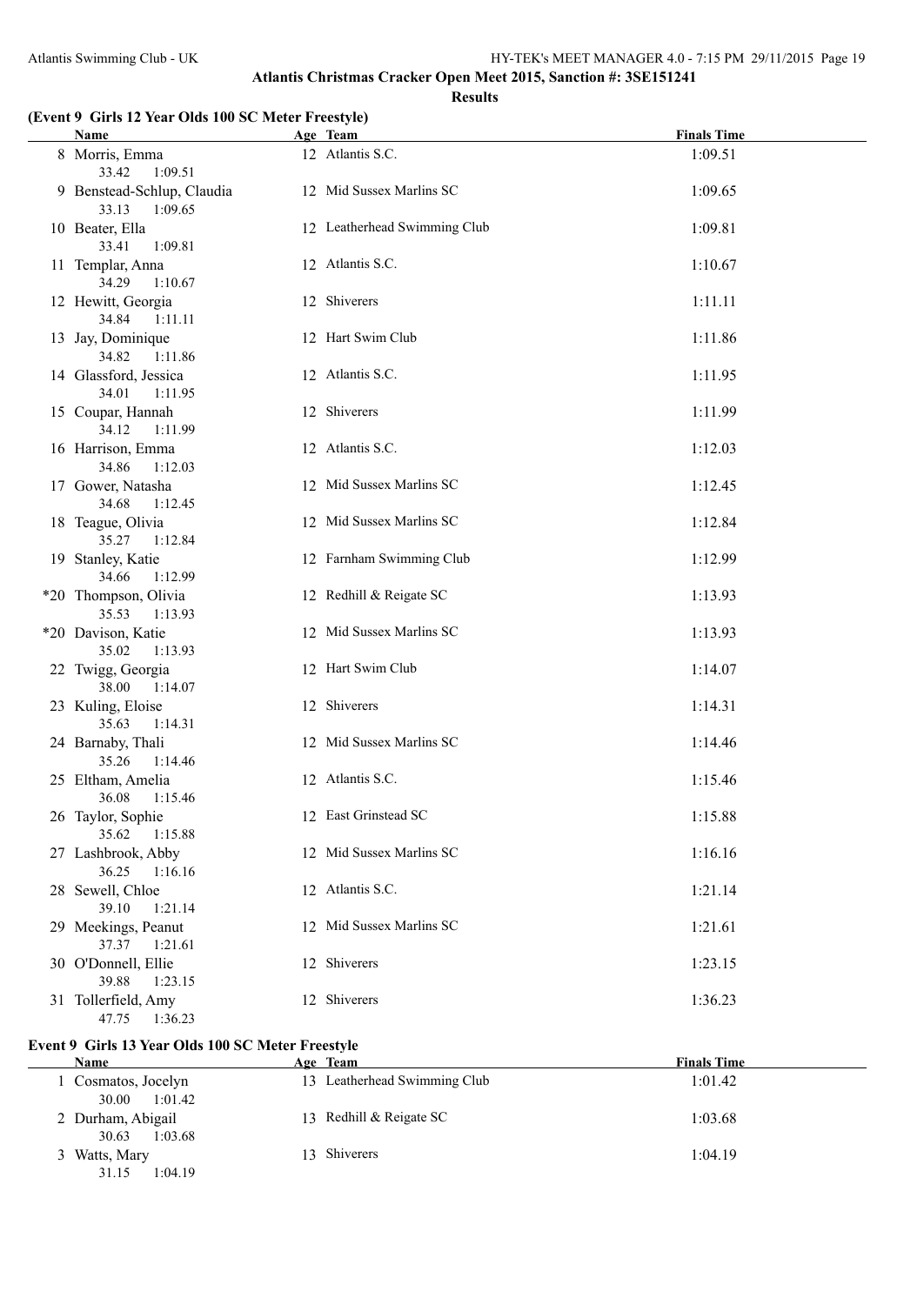#### **(Event 9 Girls 12 Year Olds 100 SC Meter Freestyle)**

| <b>Name</b>                                    | Age Team                     | <b>Finals Time</b> |
|------------------------------------------------|------------------------------|--------------------|
| 8 Morris, Emma<br>33.42<br>1:09.51             | 12 Atlantis S.C.             | 1:09.51            |
| 9 Benstead-Schlup, Claudia<br>33.13<br>1:09.65 | 12 Mid Sussex Marlins SC     | 1:09.65            |
| 10 Beater, Ella<br>1:09.81<br>33.41            | 12 Leatherhead Swimming Club | 1:09.81            |
| 11 Templar, Anna<br>34.29<br>1:10.67           | 12 Atlantis S.C.             | 1:10.67            |
| 12 Hewitt, Georgia<br>34.84<br>1:11.11         | 12 Shiverers                 | 1:11.11            |
| 13 Jay, Dominique<br>34.82<br>1:11.86          | 12 Hart Swim Club            | 1:11.86            |
| 14 Glassford, Jessica<br>34.01<br>1:11.95      | 12 Atlantis S.C.             | 1:11.95            |
| 15 Coupar, Hannah<br>34.12<br>1:11.99          | 12 Shiverers                 | 1:11.99            |
| 16 Harrison, Emma<br>34.86<br>1:12.03          | 12 Atlantis S.C.             | 1:12.03            |
| 17 Gower, Natasha<br>34.68<br>1:12.45          | 12 Mid Sussex Marlins SC     | 1:12.45            |
| 18 Teague, Olivia<br>35.27<br>1:12.84          | 12 Mid Sussex Marlins SC     | 1:12.84            |
| 19 Stanley, Katie<br>34.66<br>1:12.99          | 12 Farnham Swimming Club     | 1:12.99            |
| *20 Thompson, Olivia<br>35.53<br>1:13.93       | 12 Redhill & Reigate SC      | 1:13.93            |
| *20 Davison, Katie<br>35.02<br>1:13.93         | 12 Mid Sussex Marlins SC     | 1:13.93            |
| 22 Twigg, Georgia<br>38.00<br>1:14.07          | 12 Hart Swim Club            | 1:14.07            |
| 23 Kuling, Eloise<br>35.63<br>1:14.31          | 12 Shiverers                 | 1:14.31            |
| 24 Barnaby, Thali<br>35.26<br>1:14.46          | 12 Mid Sussex Marlins SC     | 1:14.46            |
| 25 Eltham, Amelia<br>36.08<br>1:15.46          | 12 Atlantis S.C.             | 1:15.46            |
| 26 Taylor, Sophie<br>35.62<br>1:15.88          | 12 East Grinstead SC         | 1:15.88            |
| 27 Lashbrook, Abby<br>36.25<br>1:16.16         | 12 Mid Sussex Marlins SC     | 1:16.16            |
| 28 Sewell, Chloe<br>39.10<br>1:21.14           | 12 Atlantis S.C.             | 1:21.14            |
| 29 Meekings, Peanut<br>37.37<br>1:21.61        | 12 Mid Sussex Marlins SC     | 1:21.61            |
| 30 O'Donnell, Ellie<br>39.88<br>1:23.15        | 12 Shiverers                 | 1:23.15            |
| 31 Tollerfield, Amy<br>47.75<br>1:36.23        | 12 Shiverers                 | 1:36.23            |

#### **Event 9 Girls 13 Year Olds 100 SC Meter Freestyle**

| <b>Name</b>                           | Age Team                     | <b>Finals Time</b> |
|---------------------------------------|------------------------------|--------------------|
| Cosmatos, Jocelyn<br>1:01.42<br>30.00 | 13 Leatherhead Swimming Club | 1:01.42            |
| 2 Durham, Abigail<br>1:03.68<br>30.63 | 13 Redhill & Reigate SC      | 1:03.68            |
| 3 Watts, Mary<br>1:04.19<br>31.15     | 13 Shiverers                 | 1:04.19            |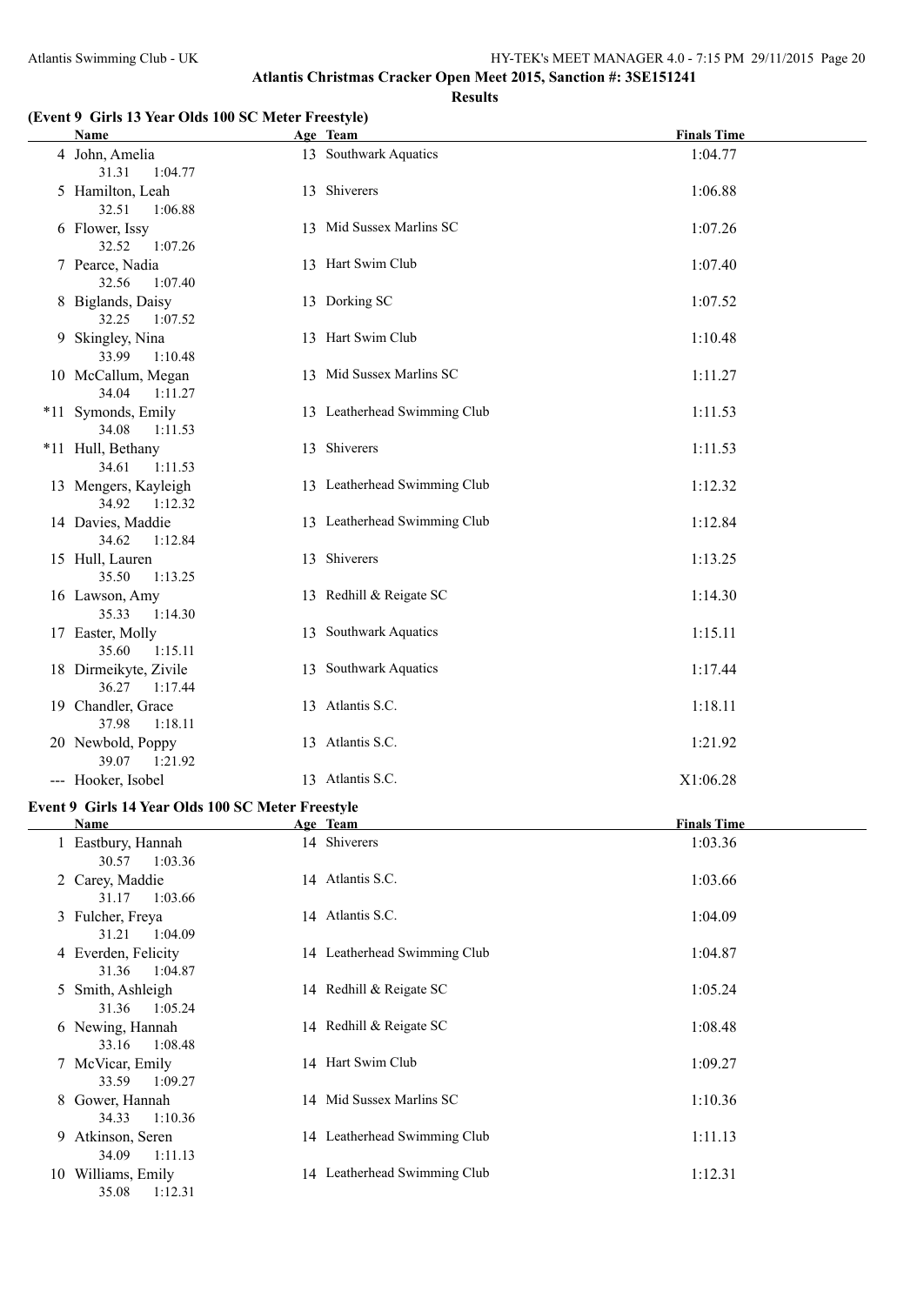31.36 1:05.24

33.16 1:08.48

33.59 1:09.27

34.33 1:10.36

34.09 1:11.13

35.08 1:12.31

#### **Atlantis Christmas Cracker Open Meet 2015, Sanction #: 3SE151241 Results**

### **(Event 9 Girls 13 Year Olds 100 SC Meter Freestyle)**

| $\frac{1}{2}$<br>Name                             | Age Team                     | <b>Finals Time</b> |
|---------------------------------------------------|------------------------------|--------------------|
| 4 John, Amelia                                    | 13 Southwark Aquatics        | 1:04.77            |
| 31.31<br>1:04.77                                  |                              |                    |
| 5 Hamilton, Leah                                  | 13 Shiverers                 | 1:06.88            |
| 32.51<br>1:06.88                                  |                              |                    |
| 6 Flower, Issy                                    | 13 Mid Sussex Marlins SC     | 1:07.26            |
| 32.52<br>1:07.26                                  |                              |                    |
| 7 Pearce, Nadia<br>32.56<br>1:07.40               | 13 Hart Swim Club            | 1:07.40            |
| 8 Biglands, Daisy                                 | 13 Dorking SC                | 1:07.52            |
| 32.25<br>1:07.52                                  |                              |                    |
| 9 Skingley, Nina                                  | 13 Hart Swim Club            | 1:10.48            |
| 33.99<br>1:10.48                                  |                              |                    |
| 10 McCallum, Megan                                | 13 Mid Sussex Marlins SC     | 1:11.27            |
| 34.04<br>1:11.27                                  |                              |                    |
| *11 Symonds, Emily                                | 13 Leatherhead Swimming Club | 1:11.53            |
| 34.08<br>1:11.53                                  | 13 Shiverers                 |                    |
| *11 Hull, Bethany<br>34.61<br>1:11.53             |                              | 1:11.53            |
| 13 Mengers, Kayleigh                              | 13 Leatherhead Swimming Club | 1:12.32            |
| 34.92 1:12.32                                     |                              |                    |
| 14 Davies, Maddie                                 | 13 Leatherhead Swimming Club | 1:12.84            |
| 34.62<br>1:12.84                                  |                              |                    |
| 15 Hull, Lauren                                   | 13 Shiverers                 | 1:13.25            |
| 35.50<br>1:13.25                                  |                              |                    |
| 16 Lawson, Amy                                    | 13 Redhill & Reigate SC      | 1:14.30            |
| 35.33<br>1:14.30                                  |                              |                    |
| 17 Easter, Molly                                  | 13 Southwark Aquatics        | 1:15.11            |
| 35.60 1:15.11<br>18 Dirmeikyte, Zivile            | 13 Southwark Aquatics        | 1:17.44            |
| 36.27 1:17.44                                     |                              |                    |
| 19 Chandler, Grace                                | 13 Atlantis S.C.             | 1:18.11            |
| 37.98<br>1:18.11                                  |                              |                    |
| 20 Newbold, Poppy                                 | 13 Atlantis S.C.             | 1:21.92            |
| 39.07<br>1:21.92                                  |                              |                    |
| --- Hooker, Isobel                                | 13 Atlantis S.C.             | X1:06.28           |
| Event 9 Girls 14 Year Olds 100 SC Meter Freestyle |                              |                    |
| <u>Name</u>                                       | Age Team                     | <b>Finals Time</b> |
| 1 Eastbury, Hannah                                | 14 Shiverers                 | 1:03.36            |
| 1:03.36<br>30.57                                  |                              |                    |
| 2 Carey, Maddie                                   | 14 Atlantis S.C.             | 1:03.66            |
| 31.17<br>1:03.66                                  |                              |                    |
| 3 Fulcher, Freya                                  | 14 Atlantis S.C.             | 1:04.09            |
| 31.21<br>1:04.09<br>4 Everden, Felicity           | 14 Leatherhead Swimming Club | 1:04.87            |
| 1:04.87<br>31.36                                  |                              |                    |
| 5 Smith, Ashleigh                                 | 14 Redhill & Reigate SC      | 1:05.24            |
|                                                   |                              |                    |

6 Newing, Hannah 14 Redhill & Reigate SC 1:08.48

7 McVicar, Emily 14 Hart Swim Club 1:09.27

8 Gower, Hannah 14 Mid Sussex Marlins SC 1:10.36

9 Atkinson, Seren 14 Leatherhead Swimming Club 1:11.13

10 Williams, Emily 14 Leatherhead Swimming Club 1:12.31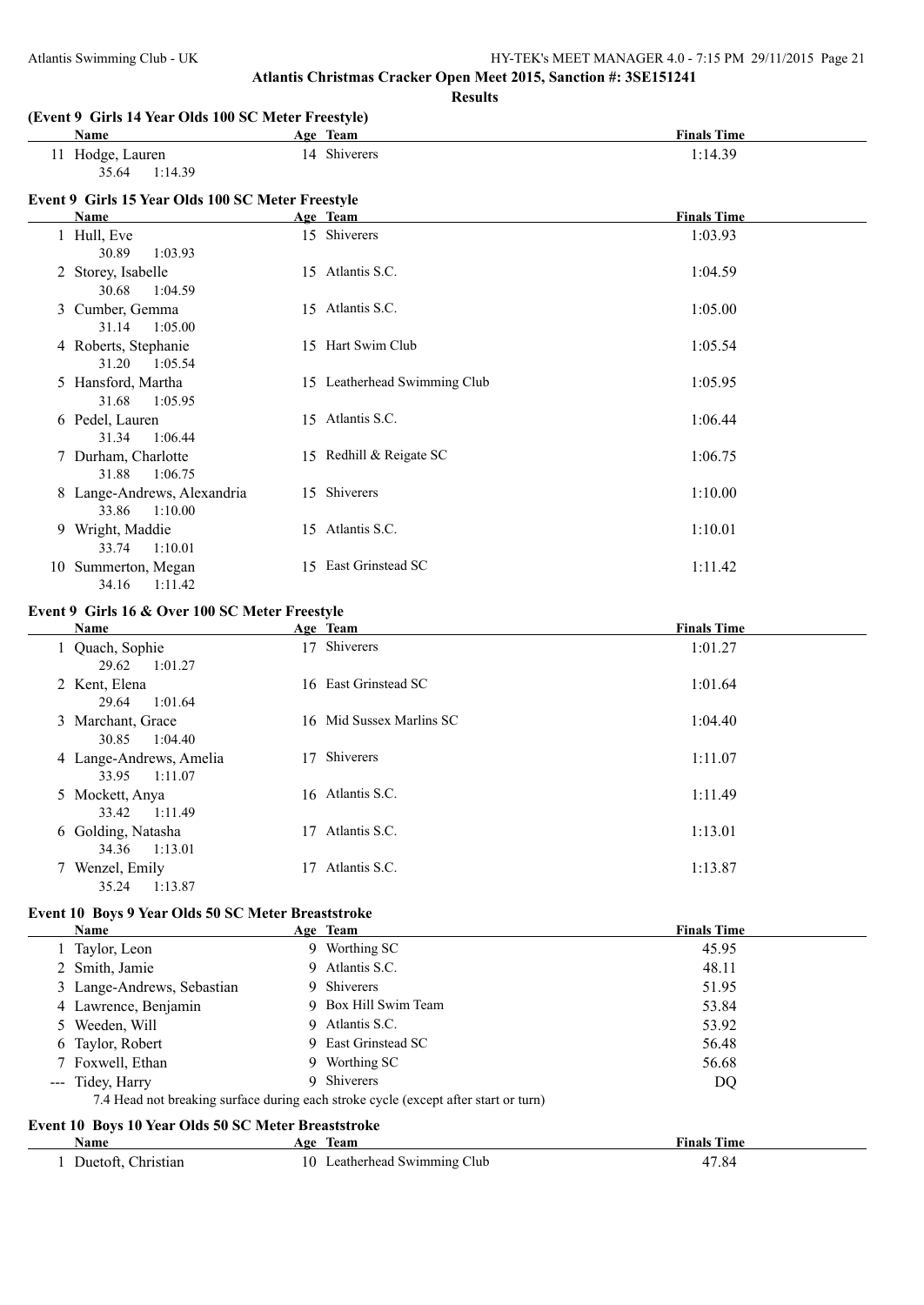**Results**

#### **(Event 9 Girls 14 Year Olds 100 SC Meter Freestyle)**

| $\mu$ , $\mu$ , $\sigma$ , $\sigma$ , $\sigma$ , $\sigma$ , $\sigma$ , $\sigma$ , $\sigma$ , $\sigma$ , $\sigma$ , $\sigma$ , $\sigma$ , $\sigma$ , $\sigma$ , $\sigma$ , $\sigma$ , $\sigma$ , $\sigma$ , $\sigma$ , $\sigma$ , $\sigma$ , $\sigma$ , $\sigma$ , $\sigma$ , $\sigma$ , $\sigma$ , $\sigma$ , $\sigma$ , $\sigma$ , $\sigma$ , $\sigma$ , $\sigma$ , $\sigma$ , $\sigma$ , $\sigma$ , $\sigma$ , |              |                    |  |  |  |  |
|------------------------------------------------------------------------------------------------------------------------------------------------------------------------------------------------------------------------------------------------------------------------------------------------------------------------------------------------------------------------------------------------------------------|--------------|--------------------|--|--|--|--|
| Name                                                                                                                                                                                                                                                                                                                                                                                                             | Age Team     | <b>Finals Time</b> |  |  |  |  |
| Hodge, Lauren                                                                                                                                                                                                                                                                                                                                                                                                    | 14 Shiverers | 1:14.39            |  |  |  |  |
| 35.64<br>1.1439                                                                                                                                                                                                                                                                                                                                                                                                  |              |                    |  |  |  |  |
| Event 9 Girls 15 Year Olds 100 SC Meter Freestyle                                                                                                                                                                                                                                                                                                                                                                |              |                    |  |  |  |  |
| <b>Name</b>                                                                                                                                                                                                                                                                                                                                                                                                      | Age Team     | <b>Finals Time</b> |  |  |  |  |

| гуанис                                          |  | гшав ішіс                                                                                                                                                                                                                        |
|-------------------------------------------------|--|----------------------------------------------------------------------------------------------------------------------------------------------------------------------------------------------------------------------------------|
| 1 Hull, Eve<br>30.89<br>1:03.93                 |  | 1:03.93                                                                                                                                                                                                                          |
| 2 Storey, Isabelle<br>30.68<br>1:04.59          |  | 1:04.59                                                                                                                                                                                                                          |
| 3 Cumber, Gemma<br>31.14 1:05.00                |  | 1:05.00                                                                                                                                                                                                                          |
| 4 Roberts, Stephanie<br>1:05.54<br>31.20        |  | 1:05.54                                                                                                                                                                                                                          |
| 5 Hansford, Martha<br>31.68<br>1:05.95          |  | 1:05.95                                                                                                                                                                                                                          |
| 6 Pedel, Lauren<br>31.34 1:06.44                |  | 1:06.44                                                                                                                                                                                                                          |
| 7 Durham, Charlotte<br>1:06.75<br>31.88         |  | 1:06.75                                                                                                                                                                                                                          |
| 8 Lange-Andrews, Alexandria<br>1:10.00<br>33.86 |  | 1:10.00                                                                                                                                                                                                                          |
| Wright, Maddie<br>9<br>33.74<br>1:10.01         |  | 1:10.01                                                                                                                                                                                                                          |
| 10 Summerton, Megan<br>1:11.42<br>34.16         |  | 1:11.42                                                                                                                                                                                                                          |
|                                                 |  | дес теаш<br>15 Shiverers<br>15 Atlantis S.C.<br>15 Atlantis S.C.<br>15 Hart Swim Club<br>15 Leatherhead Swimming Club<br>15 Atlantis S.C.<br>15 Redhill & Reigate SC<br>15 Shiverers<br>15 Atlantis S.C.<br>15 East Grinstead SC |

## **Event 9 Girls 16 & Over 100 SC Meter Freestyle**

| Name                                        | Age Team                 | <b>Finals Time</b> |
|---------------------------------------------|--------------------------|--------------------|
| 1 Quach, Sophie<br>1:01.27<br>29.62         | Shiverers<br>17          | 1:01.27            |
| 2 Kent, Elena<br>1:01.64<br>29.64           | 16 East Grinstead SC     | 1:01.64            |
| 3 Marchant, Grace<br>1:04.40<br>30.85       | 16 Mid Sussex Marlins SC | 1:04.40            |
| 4 Lange-Andrews, Amelia<br>1:11.07<br>33.95 | Shiverers<br>17          | 1:11.07            |
| 5 Mockett, Anya<br>33.42 1:11.49            | 16 Atlantis S.C.         | 1:11.49            |
| 6 Golding, Natasha<br>1:13.01<br>34.36      | Atlantis S.C.<br>17      | 1:13.01            |
| 7 Wenzel, Emily<br>1:13.87<br>35.24         | Atlantis S.C.<br>17      | 1:13.87            |

#### **Event 10 Boys 9 Year Olds 50 SC Meter Breaststroke**

| <b>Name</b>                                                                         |    | Age Team             | <b>Finals Time</b> |  |  |
|-------------------------------------------------------------------------------------|----|----------------------|--------------------|--|--|
| 1 Taylor, Leon                                                                      |    | 9 Worthing SC        | 45.95              |  |  |
| 2 Smith, Jamie                                                                      |    | 9 Atlantis S.C.      | 48.11              |  |  |
| 3 Lange-Andrews, Sebastian                                                          |    | 9 Shiverers          | 51.95              |  |  |
| 4 Lawrence, Benjamin                                                                |    | 9 Box Hill Swim Team | 53.84              |  |  |
| 5 Weeden, Will                                                                      |    | 9 Atlantis S.C.      | 53.92              |  |  |
| 6 Taylor, Robert                                                                    |    | 9 East Grinstead SC  | 56.48              |  |  |
| 7 Foxwell, Ethan                                                                    | 9. | Worthing SC          | 56.68              |  |  |
| --- Tidey, Harry                                                                    |    | 9 Shiverers          | DQ                 |  |  |
| 7.4 Head not breaking surface during each stroke cycle (except after start or turn) |    |                      |                    |  |  |
| Event 10 Boys 10 Year Olds 50 SC Meter Breaststroke                                 |    |                      |                    |  |  |

| Name                     | Age<br>leam                     | <b>Finals Time</b> |
|--------------------------|---------------------------------|--------------------|
| Christian<br>')uetoft. ∖ | Leatherhead Swimming Club<br>10 | 47.84              |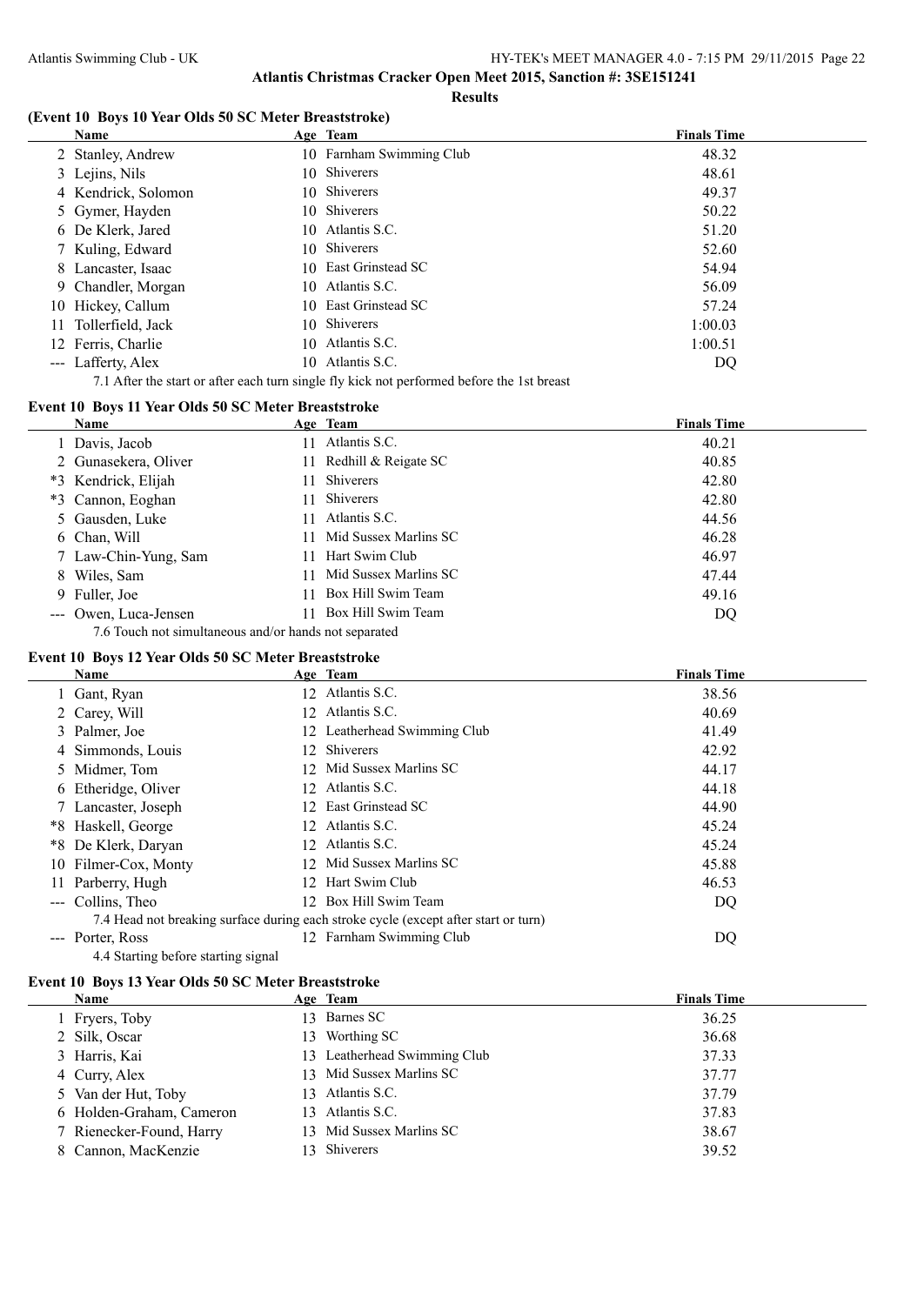#### **(Event 10 Boys 10 Year Olds 50 SC Meter Breaststroke)**

| Name                 |     | Age Team                 | <b>Finals Time</b> |  |
|----------------------|-----|--------------------------|--------------------|--|
| 2 Stanley, Andrew    |     | 10 Farnham Swimming Club | 48.32              |  |
| 3 Lejins, Nils       | 10- | Shiverers                | 48.61              |  |
| 4 Kendrick, Solomon  |     | 10 Shiverers             | 49.37              |  |
| 5 Gymer, Hayden      |     | 10 Shiverers             | 50.22              |  |
| 6 De Klerk, Jared    |     | 10 Atlantis S.C.         | 51.20              |  |
| 7 Kuling, Edward     |     | 10 Shiverers             | 52.60              |  |
| 8 Lancaster, Isaac   |     | 10 East Grinstead SC     | 54.94              |  |
| 9 Chandler, Morgan   |     | 10 Atlantis S.C.         | 56.09              |  |
| 10 Hickey, Callum    |     | 10 East Grinstead SC     | 57.24              |  |
| 11 Tollerfield, Jack | 10- | Shiverers                | 1:00.03            |  |
| 12 Ferris, Charlie   | 10. | Atlantis S.C.            | 1:00.51            |  |
| --- Lafferty, Alex   | 10  | Atlantis S.C.            | DQ                 |  |

7.1 After the start or after each turn single fly kick not performed before the 1st breast

# **Event 10 Boys 11 Year Olds 50 SC Meter Breaststroke**

| Name                                                  |    | Age Team                | <b>Finals Time</b> |
|-------------------------------------------------------|----|-------------------------|--------------------|
| 1 Davis, Jacob                                        | 11 | Atlantis S.C.           | 40.21              |
| 2 Gunasekera, Oliver                                  |    | 11 Redhill & Reigate SC | 40.85              |
| *3 Kendrick, Elijah                                   | 11 | Shiverers               | 42.80              |
| *3 Cannon, Eoghan                                     | 11 | Shiverers               | 42.80              |
| 5 Gausden, Luke                                       | 11 | Atlantis S.C.           | 44.56              |
| 6 Chan, Will                                          |    | Mid Sussex Marlins SC   | 46.28              |
| 7 Law-Chin-Yung, Sam                                  | 11 | Hart Swim Club          | 46.97              |
| 8 Wiles, Sam                                          | 11 | Mid Sussex Marlins SC   | 47.44              |
| 9 Fuller, Joe                                         | 11 | Box Hill Swim Team      | 49.16              |
| --- Owen, Luca-Jensen                                 | 11 | Box Hill Swim Team      | DQ                 |
| 7.6 Touch not simultaneous and/or hands not separated |    |                         |                    |

#### **Event 10 Boys 12 Year Olds 50 SC Meter Breaststroke**

 $\equiv$ 

| Name                 | Age Team                                                                            | <b>Finals Time</b> |
|----------------------|-------------------------------------------------------------------------------------|--------------------|
| 1 Gant, Ryan         | 12 Atlantis S.C.                                                                    | 38.56              |
| 2 Carey, Will        | 12 Atlantis S.C.                                                                    | 40.69              |
| 3 Palmer, Joe        | 12 Leatherhead Swimming Club                                                        | 41.49              |
| 4 Simmonds, Louis    | 12 Shiverers                                                                        | 42.92              |
| 5 Midmer, Tom        | 12 Mid Sussex Marlins SC                                                            | 44.17              |
| 6 Etheridge, Oliver  | 12 Atlantis S.C.                                                                    | 44.18              |
| 7 Lancaster, Joseph  | 12 East Grinstead SC                                                                | 44.90              |
| *8 Haskell, George   | 12 Atlantis S.C.                                                                    | 45.24              |
| *8 De Klerk, Daryan  | 12 Atlantis S.C.                                                                    | 45.24              |
| 10 Filmer-Cox, Monty | 12 Mid Sussex Marlins SC                                                            | 45.88              |
| 11 Parberry, Hugh    | 12 Hart Swim Club                                                                   | 46.53              |
| --- Collins, Theo    | 12 Box Hill Swim Team                                                               | DQ                 |
|                      | 7.4 Head not breaking surface during each stroke cycle (except after start or turn) |                    |
| Porter, Ross         | 12 Farnham Swimming Club                                                            | DQ                 |

# 4.4 Starting before starting signal **Event 10 Boys 13 Year Olds 50 SC Meter Breaststroke**

| Name           |                          | Age Team                     | <b>Finals Time</b> |
|----------------|--------------------------|------------------------------|--------------------|
| 1 Fryers, Toby |                          | 13 Barnes SC                 | 36.25              |
| 2 Silk, Oscar  | 13.                      | Worthing SC                  | 36.68              |
| 3 Harris, Kai  |                          | 13 Leatherhead Swimming Club | 37.33              |
| 4 Curry, Alex  |                          | 13 Mid Sussex Marlins SC     | 37.77              |
|                | 5 Van der Hut, Toby      | 13 Atlantis S.C.             | 37.79              |
|                | 6 Holden-Graham, Cameron | 13 Atlantis S.C.             | 37.83              |
|                | 7 Rienecker-Found, Harry | 13 Mid Sussex Marlins SC     | 38.67              |
|                | 8 Cannon, MacKenzie      | 13 Shiverers                 | 39.52              |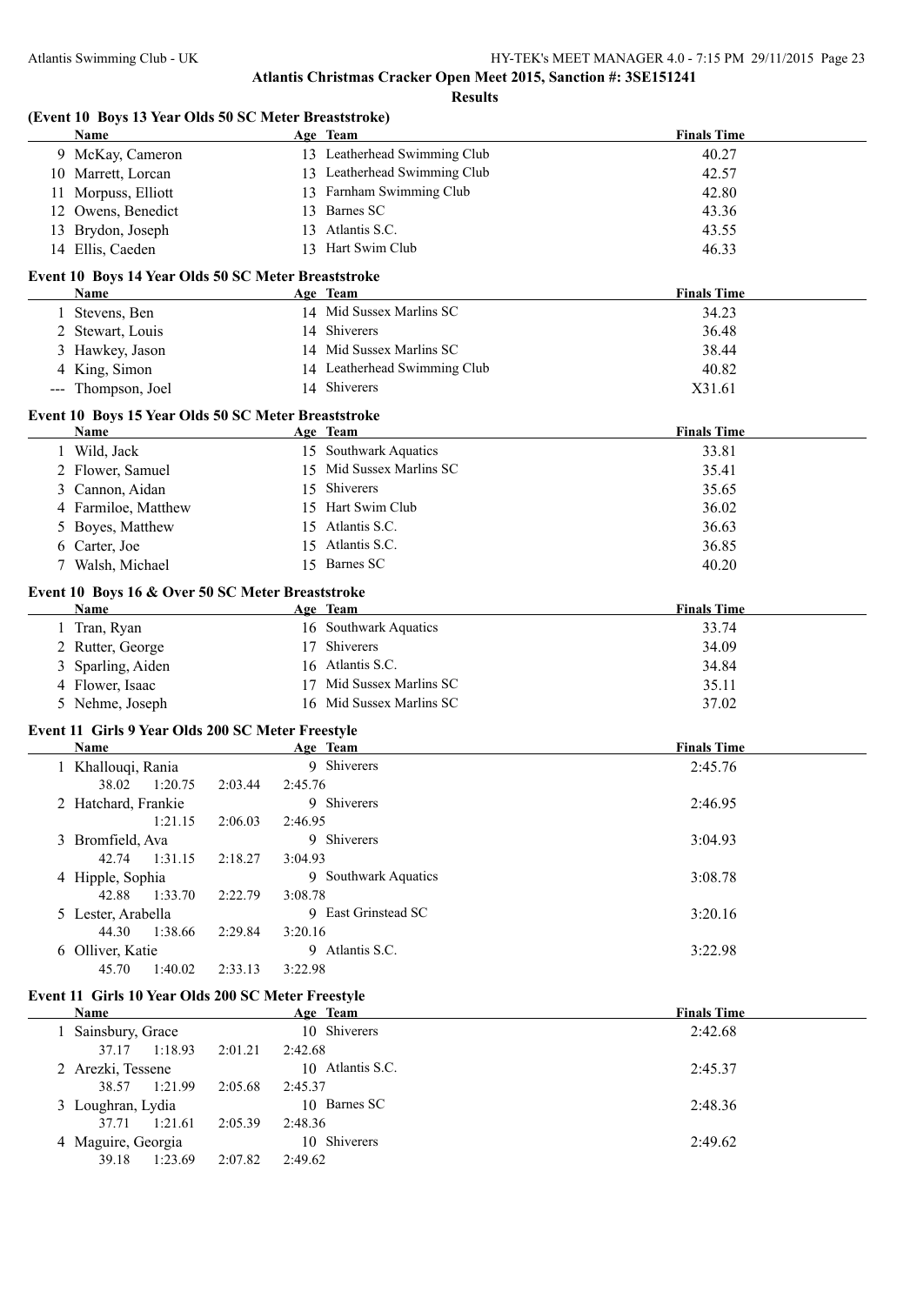**Results**

| (Event 10 Boys 13 Year Olds 50 SC Meter Breaststroke)    |         |         |                              |                    |
|----------------------------------------------------------|---------|---------|------------------------------|--------------------|
| Name                                                     |         |         | Age Team                     | <b>Finals Time</b> |
| 9 McKay, Cameron                                         |         |         | 13 Leatherhead Swimming Club | 40.27              |
| 10 Marrett, Lorcan                                       |         |         | 13 Leatherhead Swimming Club | 42.57              |
| 11 Morpuss, Elliott                                      |         |         | 13 Farnham Swimming Club     | 42.80              |
| 12 Owens, Benedict                                       |         |         | 13 Barnes SC                 | 43.36              |
| 13 Brydon, Joseph                                        |         |         | 13 Atlantis S.C.             | 43.55              |
| 14 Ellis, Caeden                                         |         |         | 13 Hart Swim Club            | 46.33              |
| Event 10 Boys 14 Year Olds 50 SC Meter Breaststroke      |         |         |                              |                    |
| Name                                                     |         |         | Age Team                     | <b>Finals Time</b> |
| 1 Stevens, Ben                                           |         |         | 14 Mid Sussex Marlins SC     | 34.23              |
| 2 Stewart, Louis                                         |         |         | 14 Shiverers                 | 36.48              |
| 3 Hawkey, Jason                                          |         |         | 14 Mid Sussex Marlins SC     | 38.44              |
| 4 King, Simon                                            |         |         | 14 Leatherhead Swimming Club | 40.82              |
| --- Thompson, Joel                                       |         |         | 14 Shiverers                 | X31.61             |
| Event 10 Boys 15 Year Olds 50 SC Meter Breaststroke      |         |         |                              |                    |
| Name                                                     |         |         | Age Team                     | <b>Finals Time</b> |
| 1 Wild, Jack                                             |         |         | 15 Southwark Aquatics        | 33.81              |
| 2 Flower, Samuel                                         |         |         | 15 Mid Sussex Marlins SC     | 35.41              |
| 3 Cannon, Aidan                                          |         |         | 15 Shiverers                 | 35.65              |
| 4 Farmiloe, Matthew                                      |         |         | 15 Hart Swim Club            | 36.02              |
| 5 Boyes, Matthew                                         |         |         | 15 Atlantis S.C.             | 36.63              |
| 6 Carter, Joe                                            |         |         | 15 Atlantis S.C.             | 36.85              |
| 7 Walsh, Michael                                         |         |         | 15 Barnes SC                 | 40.20              |
|                                                          |         |         |                              |                    |
| Event 10 Boys 16 & Over 50 SC Meter Breaststroke<br>Name |         |         | Age Team                     | <b>Finals Time</b> |
|                                                          |         |         | 16 Southwark Aquatics        |                    |
| 1 Tran, Ryan                                             |         |         |                              | 33.74              |
| 2 Rutter, George                                         |         |         | 17 Shiverers                 | 34.09              |
| Sparling, Aiden                                          |         |         | 16 Atlantis S.C.             | 34.84              |
| 4 Flower, Isaac                                          |         |         | 17 Mid Sussex Marlins SC     | 35.11              |
| 5 Nehme, Joseph                                          |         |         | 16 Mid Sussex Marlins SC     | 37.02              |
| Event 11 Girls 9 Year Olds 200 SC Meter Freestyle        |         |         |                              |                    |
| Name                                                     |         |         | Age Team                     | <b>Finals Time</b> |
| 1 Khallouqi, Rania                                       |         |         | 9 Shiverers                  | 2:45.76            |
| 38.02<br>1:20.75                                         | 2:03.44 | 2:45.76 |                              |                    |
| 2 Hatchard, Frankie                                      |         |         | 9 Shiverers                  | 2:46.95            |
| 1:21.15                                                  | 2:06.03 | 2:46.95 |                              |                    |
| 3 Bromfield, Ava                                         |         |         | 9 Shiverers                  | 3:04.93            |
| 42.74<br>1:31.15                                         | 2:18.27 | 3:04.93 |                              |                    |
| 4 Hipple, Sophia                                         |         |         | 9 Southwark Aquatics         | 3:08.78            |
| 42.88<br>1:33.70                                         | 2:22.79 | 3:08.78 |                              |                    |
| 5 Lester, Arabella                                       |         |         | 9 East Grinstead SC          | 3:20.16            |
| 44.30<br>1:38.66                                         | 2:29.84 | 3:20.16 |                              |                    |
| 6 Olliver, Katie                                         |         |         | 9 Atlantis S.C.              | 3:22.98            |
| 45.70<br>1:40.02                                         | 2:33.13 | 3:22.98 |                              |                    |
| Event 11 Girls 10 Year Olds 200 SC Meter Freestyle       |         |         |                              |                    |
| Name                                                     |         |         | Age Team                     | <b>Finals Time</b> |
| 1 Sainsbury, Grace                                       |         |         | 10 Shiverers                 | 2:42.68            |
| 37.17<br>1:18.93                                         | 2:01.21 | 2:42.68 |                              |                    |
| 2 Arezki, Tessene                                        |         |         | 10 Atlantis S.C.             | 2:45.37            |
| 38.57<br>1:21.99                                         | 2:05.68 | 2:45.37 |                              |                    |
| 3 Loughran, Lydia                                        |         |         | 10 Barnes SC                 | 2:48.36            |
| 37.71<br>1:21.61                                         | 2:05.39 | 2:48.36 |                              |                    |
| 4 Maguire, Georgia                                       |         |         | 10 Shiverers                 | 2:49.62            |
| 39.18<br>1:23.69                                         | 2:07.82 | 2:49.62 |                              |                    |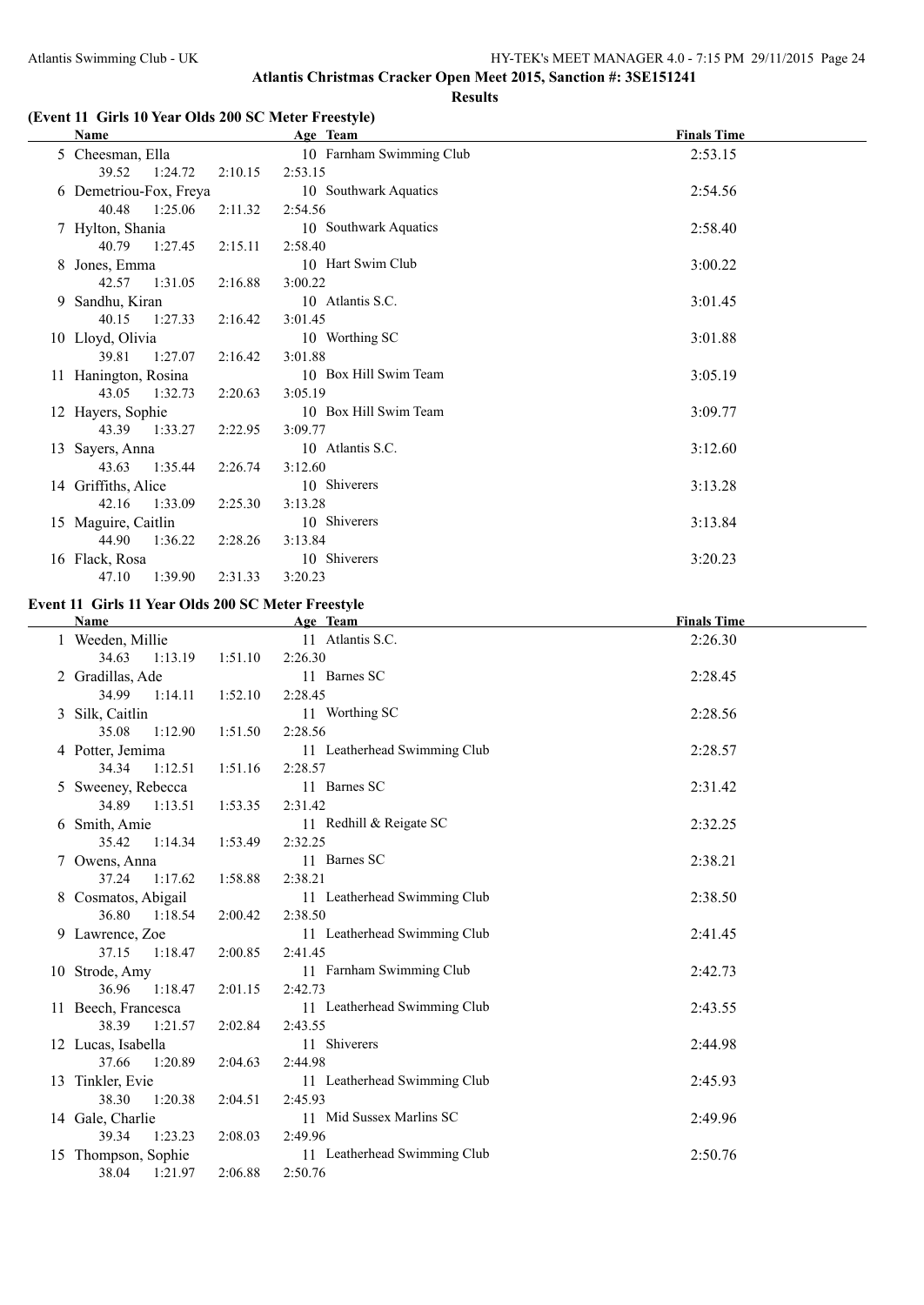### **(Event 11 Girls 10 Year Olds 200 SC Meter Freestyle)**

| Name                   |         | Age Team                 | <b>Finals Time</b> |
|------------------------|---------|--------------------------|--------------------|
| 5 Cheesman, Ella       |         | 10 Farnham Swimming Club | 2:53.15            |
| 39.52 1:24.72          | 2:10.15 | 2:53.15                  |                    |
| 6 Demetriou-Fox, Freya |         | 10 Southwark Aquatics    | 2:54.56            |
| 40.48 1:25.06          | 2:11.32 | 2:54.56                  |                    |
| 7 Hylton, Shania       |         | 10 Southwark Aquatics    | 2:58.40            |
| 40.79<br>1:27.45       | 2:15.11 | 2:58.40                  |                    |
| 8 Jones, Emma          |         | 10 Hart Swim Club        | 3:00.22            |
| 42.57 1:31.05          | 2:16.88 | 3:00.22                  |                    |
| 9 Sandhu, Kiran        |         | 10 Atlantis S.C.         | 3:01.45            |
| 40.15 1:27.33          | 2:16.42 | 3:01.45                  |                    |
| 10 Lloyd, Olivia       |         | 10 Worthing SC           | 3:01.88            |
| 39.81<br>1:27.07       | 2:16.42 | 3:01.88                  |                    |
| 11 Hanington, Rosina   |         | 10 Box Hill Swim Team    | 3:05.19            |
| 43.05<br>1:32.73       | 2:20.63 | 3:05.19                  |                    |
| 12 Hayers, Sophie      |         | 10 Box Hill Swim Team    | 3:09.77            |
| 43.39<br>1:33.27       | 2:22.95 | 3:09.77                  |                    |
| 13 Sayers, Anna        |         | 10 Atlantis S.C.         | 3:12.60            |
| 1:35.44<br>43.63       | 2:26.74 | 3:12.60                  |                    |
| 14 Griffiths, Alice    |         | 10 Shiverers             | 3:13.28            |
| 1:33.09<br>42.16       | 2:25.30 | 3:13.28                  |                    |
| 15 Maguire, Caitlin    |         | 10 Shiverers             | 3:13.84            |
| 44.90<br>1:36.22       | 2:28.26 | 3:13.84                  |                    |
| 16 Flack, Rosa         |         | 10 Shiverers             | 3:20.23            |
| 1:39.90<br>47.10       | 2:31.33 | 3:20.23                  |                    |

#### **Event 11 Girls 11 Year Olds 200 SC Meter Freestyle**

| Name                |         | Age Team                     | <b>Finals Time</b> |
|---------------------|---------|------------------------------|--------------------|
| 1 Weeden, Millie    |         | 11 Atlantis S.C.             | 2:26.30            |
| 34.63<br>1:13.19    | 1:51.10 | 2:26.30                      |                    |
| 2 Gradillas, Ade    |         | 11 Barnes SC                 | 2:28.45            |
| 34.99<br>1:14.11    | 1:52.10 | 2:28.45                      |                    |
| Silk, Caitlin       |         | 11 Worthing SC               | 2:28.56            |
| 35.08<br>1:12.90    | 1:51.50 | 2:28.56                      |                    |
| 4 Potter, Jemima    |         | 11 Leatherhead Swimming Club | 2:28.57            |
| 34.34<br>1:12.51    | 1:51.16 | 2:28.57                      |                    |
| 5 Sweeney, Rebecca  |         | 11 Barnes SC                 | 2:31.42            |
| 34.89<br>1:13.51    | 1:53.35 | 2:31.42                      |                    |
| 6 Smith, Amie       |         | 11 Redhill & Reigate SC      | 2:32.25            |
| 35.42<br>1:14.34    | 1:53.49 | 2:32.25                      |                    |
| 7 Owens, Anna       |         | 11 Barnes SC                 | 2:38.21            |
| 37.24<br>1:17.62    | 1:58.88 | 2:38.21                      |                    |
| 8 Cosmatos, Abigail |         | 11 Leatherhead Swimming Club | 2:38.50            |
| 36.80<br>1:18.54    | 2:00.42 | 2:38.50                      |                    |
| 9 Lawrence, Zoe     |         | 11 Leatherhead Swimming Club | 2:41.45            |
| 1:18.47<br>37.15    | 2:00.85 | 2:41.45                      |                    |
| 10 Strode, Amy      |         | 11 Farnham Swimming Club     | 2:42.73            |
| 36.96<br>1:18.47    | 2:01.15 | 2:42.73                      |                    |
| 11 Beech, Francesca |         | 11 Leatherhead Swimming Club | 2:43.55            |
| 38.39<br>1:21.57    | 2:02.84 | 2:43.55                      |                    |
| 12 Lucas, Isabella  |         | 11 Shiverers                 | 2:44.98            |
| 37.66<br>1:20.89    | 2:04.63 | 2:44.98                      |                    |
| 13 Tinkler, Evie    |         | 11 Leatherhead Swimming Club | 2:45.93            |
| 38.30<br>1:20.38    | 2:04.51 | 2:45.93                      |                    |
| 14 Gale, Charlie    |         | 11 Mid Sussex Marlins SC     | 2:49.96            |
| 39.34 1:23.23       | 2:08.03 | 2:49.96                      |                    |
| 15 Thompson, Sophie |         | 11 Leatherhead Swimming Club | 2:50.76            |
| 38.04<br>1:21.97    | 2:06.88 | 2:50.76                      |                    |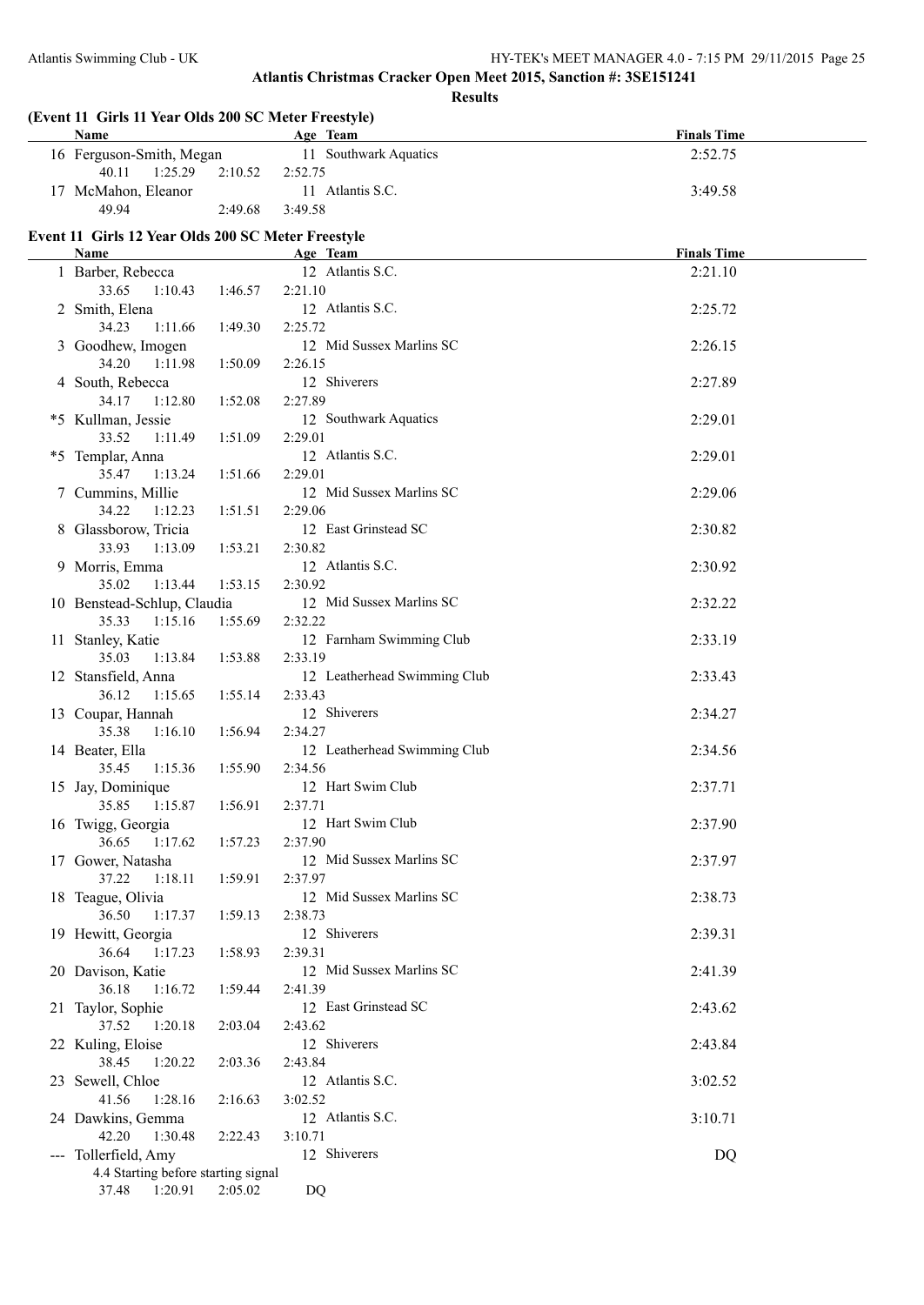| (Event 11 Girls 11 Year Olds 200 SC Meter Freestyle)<br><b>Name</b> |                   | Age Team                     | <b>Finals Time</b> |
|---------------------------------------------------------------------|-------------------|------------------------------|--------------------|
| 16 Ferguson-Smith, Megan                                            |                   | 11 Southwark Aquatics        | 2:52.75            |
| 40.11<br>1:25.29                                                    | 2:10.52           | 2:52.75                      |                    |
| 17 McMahon, Eleanor                                                 |                   | 11 Atlantis S.C.             | 3:49.58            |
| 49.94                                                               | 2:49.68           | 3:49.58                      |                    |
|                                                                     |                   |                              |                    |
| Event 11 Girls 12 Year Olds 200 SC Meter Freestyle<br>Name          |                   |                              | <b>Finals Time</b> |
|                                                                     |                   | Age Team<br>12 Atlantis S.C. | 2:21.10            |
| 1 Barber, Rebecca                                                   |                   |                              |                    |
| 33.65<br>1:10.43                                                    | 1:46.57           | 2:21.10                      |                    |
| 2 Smith, Elena                                                      |                   | 12 Atlantis S.C.             | 2:25.72            |
| 34.23<br>1:11.66                                                    | 1:49.30           | 2:25.72                      |                    |
| 3 Goodhew, Imogen                                                   |                   | 12 Mid Sussex Marlins SC     | 2:26.15            |
| 34.20<br>1:11.98                                                    | 1:50.09           | 2:26.15                      |                    |
| 4 South, Rebecca                                                    |                   | 12 Shiverers                 | 2:27.89            |
| 34.17<br>1:12.80                                                    | 1:52.08           | 2:27.89                      |                    |
| *5 Kullman, Jessie                                                  |                   | 12 Southwark Aquatics        | 2:29.01            |
| 33.52<br>1:11.49                                                    | 1:51.09           | 2:29.01                      |                    |
| *5 Templar, Anna                                                    |                   | 12 Atlantis S.C.             | 2:29.01            |
| 35.47<br>1:13.24                                                    | 1:51.66           | 2:29.01                      |                    |
| 7 Cummins, Millie                                                   |                   | 12 Mid Sussex Marlins SC     | 2:29.06            |
| 34.22<br>1:12.23                                                    | 1:51.51           | 2:29.06                      |                    |
| 8 Glassborow, Tricia                                                |                   | 12 East Grinstead SC         | 2:30.82            |
| 33.93<br>1:13.09                                                    | 1:53.21           | 2:30.82                      |                    |
| 9 Morris, Emma                                                      |                   | 12 Atlantis S.C.             | 2:30.92            |
| 35.02<br>1:13.44                                                    | 1:53.15           | 2:30.92                      |                    |
| 10 Benstead-Schlup, Claudia                                         |                   | 12 Mid Sussex Marlins SC     | 2:32.22            |
| 35.33<br>1:15.16                                                    | 1:55.69           | 2:32.22                      |                    |
| 11 Stanley, Katie                                                   |                   | 12 Farnham Swimming Club     | 2:33.19            |
| 35.03<br>1:13.84                                                    | 1:53.88           | 2:33.19                      |                    |
| 12 Stansfield, Anna                                                 |                   | 12 Leatherhead Swimming Club | 2:33.43            |
| 36.12<br>1:15.65                                                    | 1:55.14           | 2:33.43                      |                    |
| 13 Coupar, Hannah                                                   |                   | 12 Shiverers                 | 2:34.27            |
| 35.38<br>1:16.10                                                    | 1:56.94           | 2:34.27                      |                    |
| 14 Beater, Ella                                                     |                   | 12 Leatherhead Swimming Club | 2:34.56            |
| 35.45<br>1:15.36                                                    | 1:55.90           | 2:34.56                      |                    |
| 15 Jay, Dominique                                                   |                   | 12 Hart Swim Club            | 2:37.71            |
| 35.85                                                               | 1:15.87   1:56.91 | 2:37.71                      |                    |
| 16 Twigg, Georgia                                                   |                   | 12 Hart Swim Club            | 2:37.90            |
| 36.65<br>1:17.62                                                    | 1:57.23           | 2:37.90                      |                    |
| 17 Gower, Natasha                                                   |                   | 12 Mid Sussex Marlins SC     | 2:37.97            |
| 37.22<br>1:18.11                                                    | 1:59.91           | 2:37.97                      |                    |
| 18 Teague, Olivia                                                   |                   | 12 Mid Sussex Marlins SC     | 2:38.73            |
| 36.50<br>1:17.37                                                    | 1:59.13           | 2:38.73                      |                    |
| 19 Hewitt, Georgia                                                  |                   | 12 Shiverers                 | 2:39.31            |
| 36.64<br>1:17.23                                                    | 1:58.93           | 2:39.31                      |                    |
| 20 Davison, Katie                                                   |                   | 12 Mid Sussex Marlins SC     | 2:41.39            |
| 36.18<br>1:16.72                                                    | 1:59.44           | 2:41.39                      |                    |
| 21 Taylor, Sophie                                                   |                   | 12 East Grinstead SC         | 2:43.62            |
| 37.52<br>1:20.18                                                    | 2:03.04           | 2:43.62                      |                    |
| 22 Kuling, Eloise                                                   |                   | 12 Shiverers                 | 2:43.84            |
| 38.45<br>1:20.22                                                    | 2:03.36           | 2:43.84                      |                    |
| 23 Sewell, Chloe                                                    |                   | 12 Atlantis S.C.             | 3:02.52            |
| 41.56<br>1:28.16                                                    | 2:16.63           | 3:02.52                      |                    |
| 24 Dawkins, Gemma                                                   |                   | 12 Atlantis S.C.             | 3:10.71            |
| 42.20<br>1:30.48                                                    | 2:22.43           | 3:10.71                      |                    |
| --- Tollerfield, Amy                                                |                   | 12 Shiverers                 | DQ                 |
| 4.4 Starting before starting signal                                 |                   |                              |                    |
| 37.48<br>1:20.91                                                    | 2:05.02           | DQ                           |                    |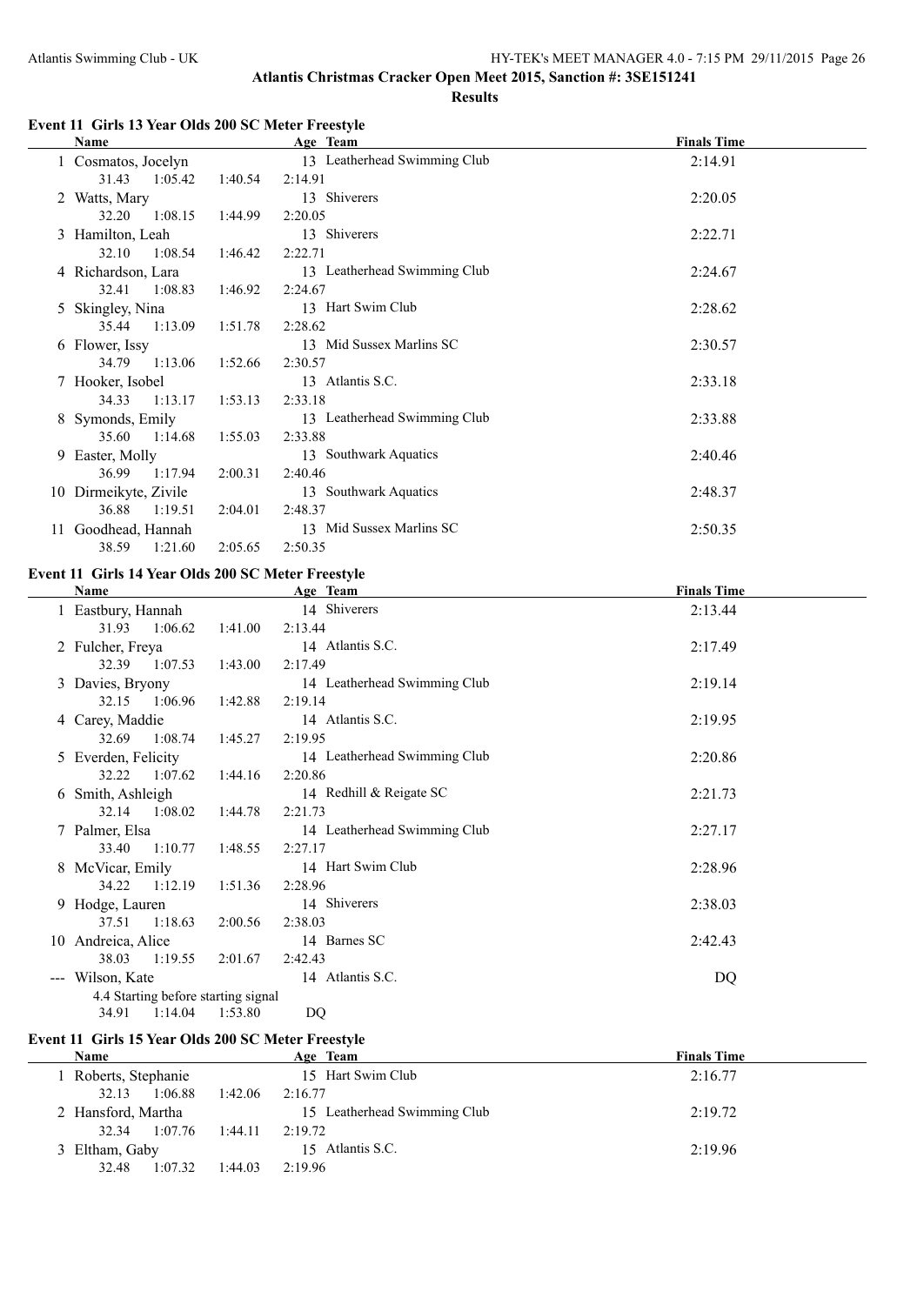#### **Event 11 Girls 13 Year Olds 200 SC Meter Freestyle**

|    | Name                  |         | Age Team                     | <b>Finals Time</b> |
|----|-----------------------|---------|------------------------------|--------------------|
|    | 1 Cosmatos, Jocelyn   |         | 13 Leatherhead Swimming Club | 2:14.91            |
|    | 31.43<br>1:05.42      | 1:40.54 | 2:14.91                      |                    |
|    | 2 Watts, Mary         |         | 13 Shiverers                 | 2:20.05            |
|    | 32.20<br>1:08.15      | 1:44.99 | 2:20.05                      |                    |
|    | 3 Hamilton, Leah      |         | 13 Shiverers                 | 2:22.71            |
|    | 32.10<br>1:08.54      | 1:46.42 | 2:22.71                      |                    |
|    | 4 Richardson, Lara    |         | 13 Leatherhead Swimming Club | 2:24.67            |
|    | 32.41<br>1:08.83      | 1:46.92 | 2:24.67                      |                    |
|    | 5 Skingley, Nina      |         | 13 Hart Swim Club            | 2:28.62            |
|    | 1:13.09<br>35.44      | 1:51.78 | 2:28.62                      |                    |
|    | 6 Flower, Issy        |         | 13 Mid Sussex Marlins SC     | 2:30.57            |
|    | 34.79<br>1:13.06      | 1:52.66 | 2:30.57                      |                    |
|    | 7 Hooker, Isobel      |         | 13 Atlantis S.C.             | 2:33.18            |
|    | 1:13.17<br>34.33      | 1:53.13 | 2:33.18                      |                    |
|    | Symonds, Emily        |         | 13 Leatherhead Swimming Club | 2:33.88            |
|    | 35.60<br>1:14.68      | 1:55.03 | 2:33.88                      |                    |
|    | 9 Easter, Molly       |         | 13 Southwark Aquatics        | 2:40.46            |
|    | 1:17.94<br>36.99      | 2:00.31 | 2:40.46                      |                    |
|    | 10 Dirmeikyte, Zivile |         | 13 Southwark Aquatics        | 2:48.37            |
|    | 36.88<br>1:19.51      | 2:04.01 | 2:48.37                      |                    |
| 11 | Goodhead, Hannah      |         | 13 Mid Sussex Marlins SC     | 2:50.35            |
|    | 38.59<br>1:21.60      | 2:05.65 | 2:50.35                      |                    |

#### **Event 11 Girls 14 Year Olds 200 SC Meter Freestyle**

|                     | Name                                |         | Age Team                     | <b>Finals Time</b> |
|---------------------|-------------------------------------|---------|------------------------------|--------------------|
|                     | 1 Eastbury, Hannah                  |         | 14 Shiverers                 | 2:13.44            |
|                     | 31.93 1:06.62                       | 1:41.00 | 2:13.44                      |                    |
|                     | 2 Fulcher, Freya                    |         | 14 Atlantis S.C.             | 2:17.49            |
|                     | 32.39 1:07.53                       | 1:43.00 | 2:17.49                      |                    |
|                     | 3 Davies, Bryony                    |         | 14 Leatherhead Swimming Club | 2:19.14            |
|                     | 32.15 1:06.96                       | 1:42.88 | 2:19.14                      |                    |
|                     | 4 Carey, Maddie                     |         | 14 Atlantis S.C.             | 2:19.95            |
|                     | 1:08.74<br>32.69                    | 1:45.27 | 2:19.95                      |                    |
|                     | 5 Everden, Felicity                 |         | 14 Leatherhead Swimming Club | 2:20.86            |
|                     | 32.22<br>1:07.62                    | 1:44.16 | 2:20.86                      |                    |
|                     | 6 Smith, Ashleigh                   |         | 14 Redhill & Reigate SC      | 2:21.73            |
|                     | 32.14<br>1:08.02                    | 1:44.78 | 2:21.73                      |                    |
|                     | 7 Palmer, Elsa                      |         | 14 Leatherhead Swimming Club | 2:27.17            |
|                     | 1:10.77<br>33.40                    | 1:48.55 | 2:27.17                      |                    |
|                     | 8 McVicar, Emily                    |         | 14 Hart Swim Club            | 2:28.96            |
|                     | 34.22 1:12.19                       | 1:51.36 | 2:28.96                      |                    |
|                     | 9 Hodge, Lauren                     |         | 14 Shiverers                 | 2:38.03            |
|                     | 1:18.63<br>37.51                    | 2:00.56 | 2:38.03                      |                    |
|                     | 10 Andreica, Alice                  |         | 14 Barnes SC                 | 2:42.43            |
|                     | 38.03<br>1:19.55                    | 2:01.67 | 2:42.43                      |                    |
| $\qquad \qquad - -$ | Wilson, Kate                        |         | 14 Atlantis S.C.             | DQ                 |
|                     | 4.4 Starting before starting signal |         |                              |                    |
|                     | 1:14.04<br>34.91                    | 1:53.80 | DQ                           |                    |

# **Event 11 Girls 15 Year Olds 200 SC Meter Freestyle**

| Name               |                    | Age Team                     | <b>Finals Time</b> |
|--------------------|--------------------|------------------------------|--------------------|
| Roberts, Stephanie |                    | 15 Hart Swim Club            | 2:16.77            |
| 1:06.88<br>32.13   | 1:42.06<br>2:16.77 |                              |                    |
| 2 Hansford, Martha |                    | 15 Leatherhead Swimming Club | 2:19.72            |
| 32.34<br>1:07.76   | 2:19.72<br>1:44.11 |                              |                    |
| 3 Eltham, Gaby     |                    | 15 Atlantis S.C.             | 2:19.96            |
| 32.48<br>1:07.32   | 2:19.96<br>1:44.03 |                              |                    |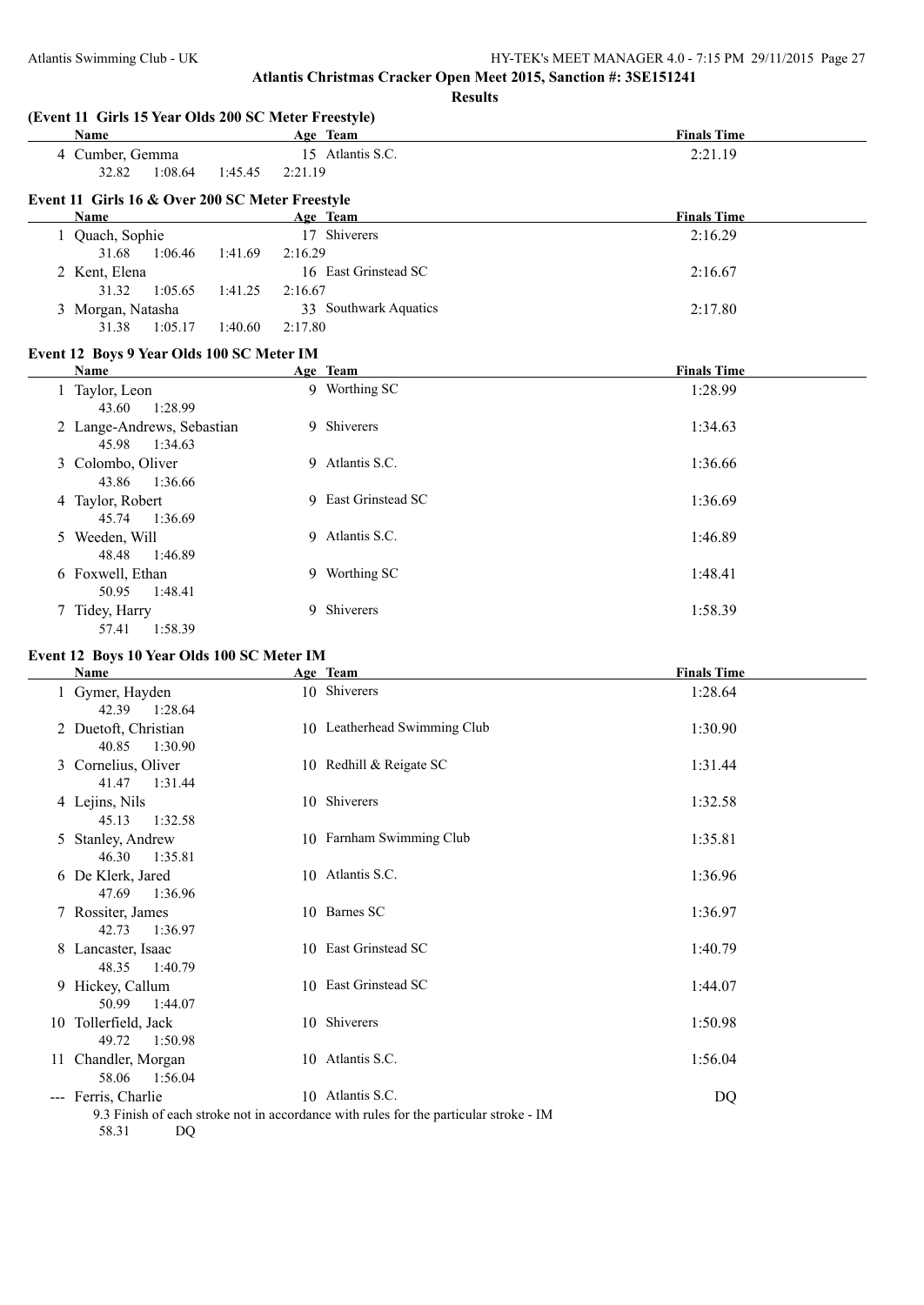**(Event 11 Girls 15 Year Olds 200 SC Meter Freestyle) Age Team Age Team Age Team Finals Time** 4 Cumber, Gemma 15 Atlantis S.C. 2:21.19 32.82 1:08.64 1:45.45 2:21.19 **Event 11 Girls 16 & Over 200 SC Meter Freestyle Age Team Age Team** *Age* **<b>Team** *Finals Time* 1 Quach, Sophie 17 Shiverers 2:16.29 31.68 1:06.46 1:41.69 2:16.29 2 Kent, Elena 16 East Grinstead SC 2:16.67 31.32 1:05.65 1:41.25 2:16.67 3 Morgan, Natasha 33 Southwark Aquatics 2:17.80 31.38 1:05.17 1:40.60 2:17.80 **Event 12 Boys 9 Year Olds 100 SC Meter IM Age Team Age Team Age Team** *Finals Time* 1 Taylor, Leon 9 Worthing SC 1:28.99 43.60 1:28.99 2 Lange-Andrews, Sebastian 9 Shiverers 1:34.63 45.98 1:34.63 3 Colombo, Oliver 9 Atlantis S.C. 1:36.66 43.86 1:36.66 4 Taylor, Robert 9 East Grinstead SC 1:36.69 45.74 1:36.69 5 Weeden, Will 9 Atlantis S.C. 1:46.89 48.48 1:46.89 6 Foxwell, Ethan 9 Worthing SC 1:48.41 50.95 1:48.41 7 Tidey, Harry 9 Shiverers 1:58.39 57.41 1:58.39 **Event 12 Boys 10 Year Olds 100 SC Meter IM Age Team Age Team** *Age Team* **Finals Time** 1 Gymer, Hayden 10 Shiverers 1:28.64 42.39 1:28.64 2 Duetoft, Christian 10 Leatherhead Swimming Club 1:30.90 40.85 1:30.90 3 Cornelius, Oliver 10 Redhill & Reigate SC 1:31.44 41.47 1:31.44 4 Lejins, Nils 10 Shiverers 1:32.58 45.13 1:32.58 5 Stanley, Andrew 10 Farnham Swimming Club 1:35.81 46.30 1:35.81 6 De Klerk, Jared 10 Atlantis S.C. 1:36.96 47.69 1:36.96 7 Rossiter, James 10 Barnes SC 1:36.97 42.73 1:36.97 8 Lancaster, Isaac 10 East Grinstead SC 1:40.79 48.35 1:40.79 9 Hickey, Callum 10 East Grinstead SC 1:44.07 50.99 1:44.07 10 Tollerfield, Jack 10 Shiverers 1:50.98 49.72 1:50.98 11 Chandler, Morgan 10 Atlantis S.C. 1:56.04 58.06 1:56.04 --- Ferris, Charlie 10 Atlantis S.C. DQ

9.3 Finish of each stroke not in accordance with rules for the particular stroke - IM 58.31 DQ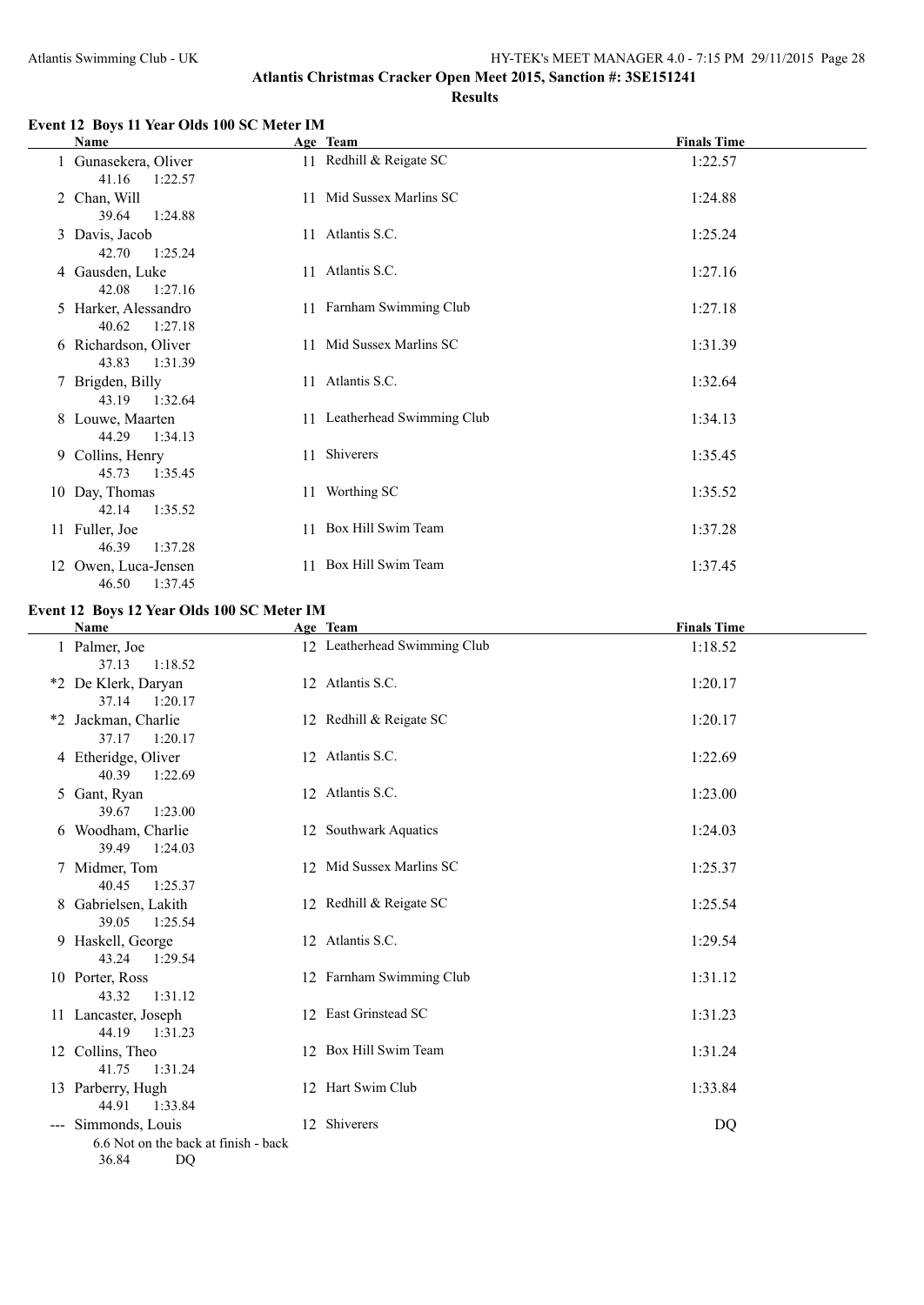### **Event 12 Boys 11 Year Olds 100 SC Meter IM**

| Name                                     | Age Team                     | <b>Finals Time</b> |
|------------------------------------------|------------------------------|--------------------|
| 1 Gunasekera, Oliver<br>41.16<br>1:22.57 | 11 Redhill & Reigate SC      | 1:22.57            |
| 2 Chan, Will<br>39.64<br>1:24.88         | 11 Mid Sussex Marlins SC     | 1:24.88            |
| 3 Davis, Jacob<br>42.70<br>1:25.24       | 11 Atlantis S.C.             | 1:25.24            |
| 4 Gausden, Luke<br>42.08<br>1:27.16      | 11 Atlantis S.C.             | 1:27.16            |
| 5 Harker, Alessandro<br>40.62<br>1:27.18 | 11 Farnham Swimming Club     | 1:27.18            |
| 6 Richardson, Oliver<br>43.83 1:31.39    | 11 Mid Sussex Marlins SC     | 1:31.39            |
| 7 Brigden, Billy<br>43.19 1:32.64        | 11 Atlantis S.C.             | 1:32.64            |
| 8 Louwe, Maarten<br>44.29<br>1:34.13     | 11 Leatherhead Swimming Club | 1:34.13            |
| 9 Collins, Henry<br>45.73<br>1:35.45     | 11 Shiverers                 | 1:35.45            |
| 10 Day, Thomas<br>42.14<br>1:35.52       | 11 Worthing SC               | 1:35.52            |
| 11 Fuller, Joe<br>46.39<br>1:37.28       | 11 Box Hill Swim Team        | 1:37.28            |
| 12 Owen, Luca-Jensen<br>1:37.45<br>46.50 | 11 Box Hill Swim Team        | 1:37.45            |

#### **Event 12 Boys 12 Year Olds 100 SC Meter IM**

| Name                                                                       | Age Team                     | <b>Finals Time</b> |
|----------------------------------------------------------------------------|------------------------------|--------------------|
| 1 Palmer, Joe<br>1:18.52<br>37.13                                          | 12 Leatherhead Swimming Club | 1:18.52            |
| *2 De Klerk, Daryan<br>37.14 1:20.17                                       | 12 Atlantis S.C.             | 1:20.17            |
| *2 Jackman, Charlie<br>37.17<br>1:20.17                                    | 12 Redhill & Reigate SC      | 1:20.17            |
| 4 Etheridge, Oliver<br>40.39<br>1:22.69                                    | 12 Atlantis S.C.             | 1:22.69            |
| 5 Gant, Ryan<br>39.67<br>1:23.00                                           | 12 Atlantis S.C.             | 1:23.00            |
| 6 Woodham, Charlie<br>39.49<br>1:24.03                                     | 12 Southwark Aquatics        | 1:24.03            |
| 7 Midmer, Tom<br>40.45<br>1:25.37                                          | 12 Mid Sussex Marlins SC     | 1:25.37            |
| 8 Gabrielsen, Lakith<br>39.05<br>1:25.54                                   | 12 Redhill & Reigate SC      | 1:25.54            |
| 9 Haskell, George<br>43.24<br>1:29.54                                      | 12 Atlantis S.C.             | 1:29.54            |
| 10 Porter, Ross<br>43.32<br>1:31.12                                        | 12 Farnham Swimming Club     | 1:31.12            |
| 11 Lancaster, Joseph<br>44.19<br>1:31.23                                   | 12 East Grinstead SC         | 1:31.23            |
| 12 Collins, Theo<br>41.75<br>1:31.24                                       | 12 Box Hill Swim Team        | 1:31.24            |
| 13 Parberry, Hugh<br>44.91<br>1:33.84                                      | 12 Hart Swim Club            | 1:33.84            |
| --- Simmonds, Louis<br>6.6 Not on the back at finish - back<br>36.84<br>DQ | 12 Shiverers                 | DQ                 |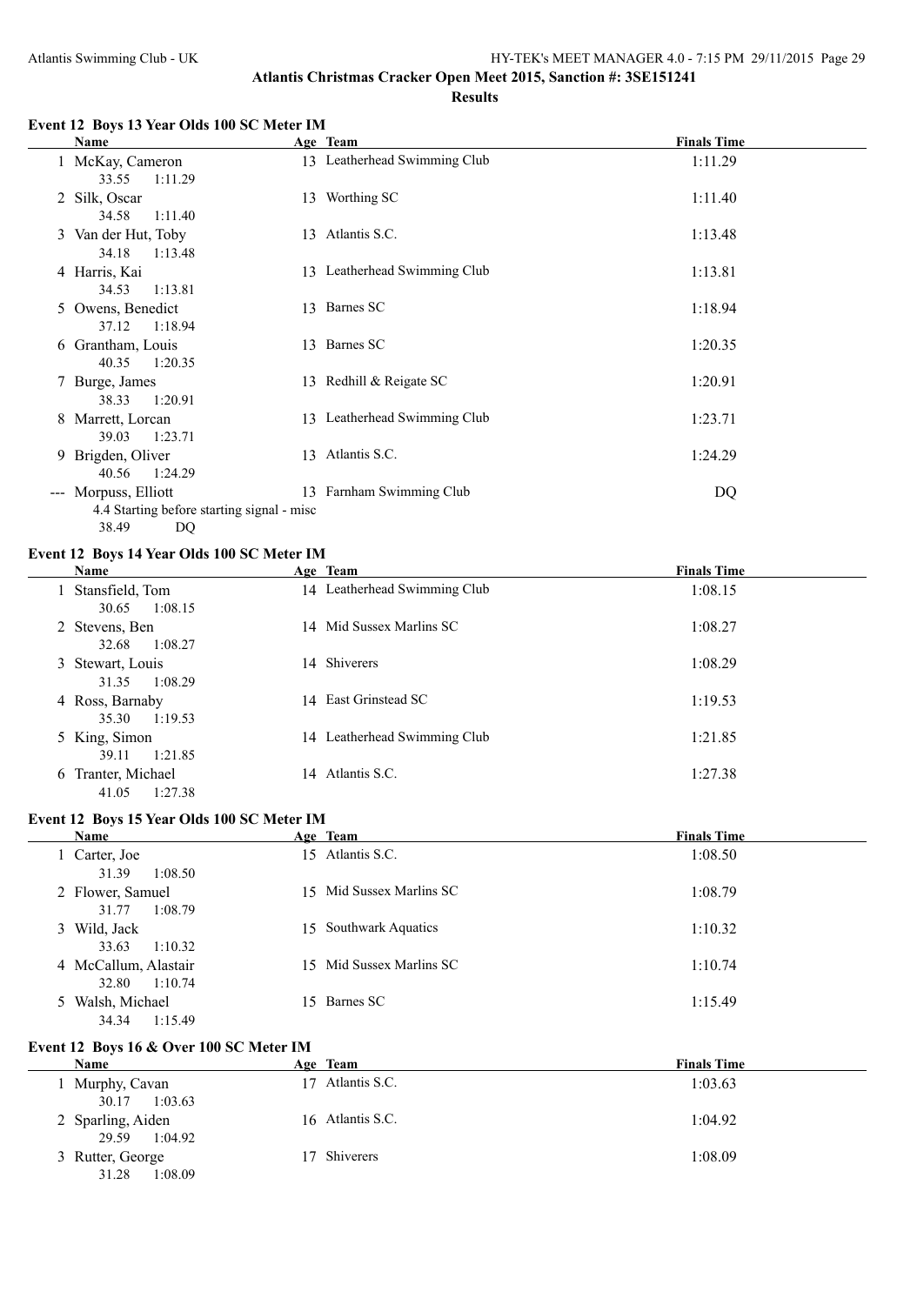#### **Event 12 Boys 13 Year Olds 100 SC Meter IM**

| Name                                                                              |    | Age Team                     | <b>Finals Time</b> |
|-----------------------------------------------------------------------------------|----|------------------------------|--------------------|
| 1 McKay, Cameron<br>33.55<br>1:11.29                                              |    | 13 Leatherhead Swimming Club | 1:11.29            |
| 2 Silk, Oscar<br>34.58<br>1:11.40                                                 |    | 13 Worthing SC               | 1:11.40            |
| 3 Van der Hut, Toby<br>34.18<br>1:13.48                                           |    | 13 Atlantis S.C.             | 1:13.48            |
| 4 Harris, Kai<br>34.53<br>1:13.81                                                 |    | 13 Leatherhead Swimming Club | 1:13.81            |
| 5 Owens, Benedict<br>1:18.94<br>37.12                                             |    | 13 Barnes SC                 | 1:18.94            |
| 6 Grantham, Louis<br>1:20.35<br>40.35                                             |    | 13 Barnes SC                 | 1:20.35            |
| 7 Burge, James<br>38.33<br>1:20.91                                                |    | 13 Redhill & Reigate SC      | 1:20.91            |
| 8 Marrett, Lorcan<br>39.03<br>1:23.71                                             |    | 13 Leatherhead Swimming Club | 1:23.71            |
| 9 Brigden, Oliver<br>1:24.29<br>40.56                                             | 13 | Atlantis S.C.                | 1:24.29            |
| --- Morpuss, Elliott<br>4.4 Starting before starting signal - misc<br>38.49<br>DQ |    | 13 Farnham Swimming Club     | DQ                 |

#### **Event 12 Boys 14 Year Olds 100 SC Meter IM**

| <b>Name</b>                            | Age Team                     | <b>Finals Time</b> |
|----------------------------------------|------------------------------|--------------------|
| 1 Stansfield, Tom<br>1:08.15<br>30.65  | 14 Leatherhead Swimming Club | 1:08.15            |
| 2 Stevens, Ben<br>1:08.27<br>32.68     | 14 Mid Sussex Marlins SC     | 1:08.27            |
| 3 Stewart, Louis<br>1:08.29<br>31.35   | 14 Shiverers                 | 1:08.29            |
| 4 Ross, Barnaby<br>1:19.53<br>35.30    | 14 East Grinstead SC         | 1:19.53            |
| 5 King, Simon<br>1:21.85<br>39.11      | 14 Leatherhead Swimming Club | 1:21.85            |
| 6 Tranter, Michael<br>1:27.38<br>41.05 | 14 Atlantis S.C.             | 1:27.38            |

#### **Event 12 Boys 15 Year Olds 100 SC Meter IM**

| Name                 |         | Age Team                 | <b>Finals Time</b> |
|----------------------|---------|--------------------------|--------------------|
| 1 Carter, Joe        |         | 15 Atlantis S.C.         | 1:08.50            |
| 31.39                | 1:08.50 |                          |                    |
| 2 Flower, Samuel     |         | 15 Mid Sussex Marlins SC | 1:08.79            |
| 31.77                | 1:08.79 |                          |                    |
| 3 Wild, Jack         |         | 15 Southwark Aquatics    | 1:10.32            |
| 33.63                | 1:10.32 |                          |                    |
| 4 McCallum, Alastair |         | 15 Mid Sussex Marlins SC | 1:10.74            |
| 32.80                | 1:10.74 |                          |                    |
| 5 Walsh, Michael     |         | 15 Barnes SC             | 1:15.49            |
| 34.34                | 1:15.49 |                          |                    |

### **Event 12 Boys 16 & Over 100 SC Meter IM**

| Name                                  | Age Team         | <b>Finals Time</b> |
|---------------------------------------|------------------|--------------------|
| 1 Murphy, Cavan<br>1:03.63<br>30.17   | 17 Atlantis S.C. | 1:03.63            |
| 2 Sparling, Aiden<br>1:04.92<br>29.59 | 16 Atlantis S.C. | 1:04.92            |
| 3 Rutter, George<br>31.28<br>1:08.09  | 17 Shiverers     | 1:08.09            |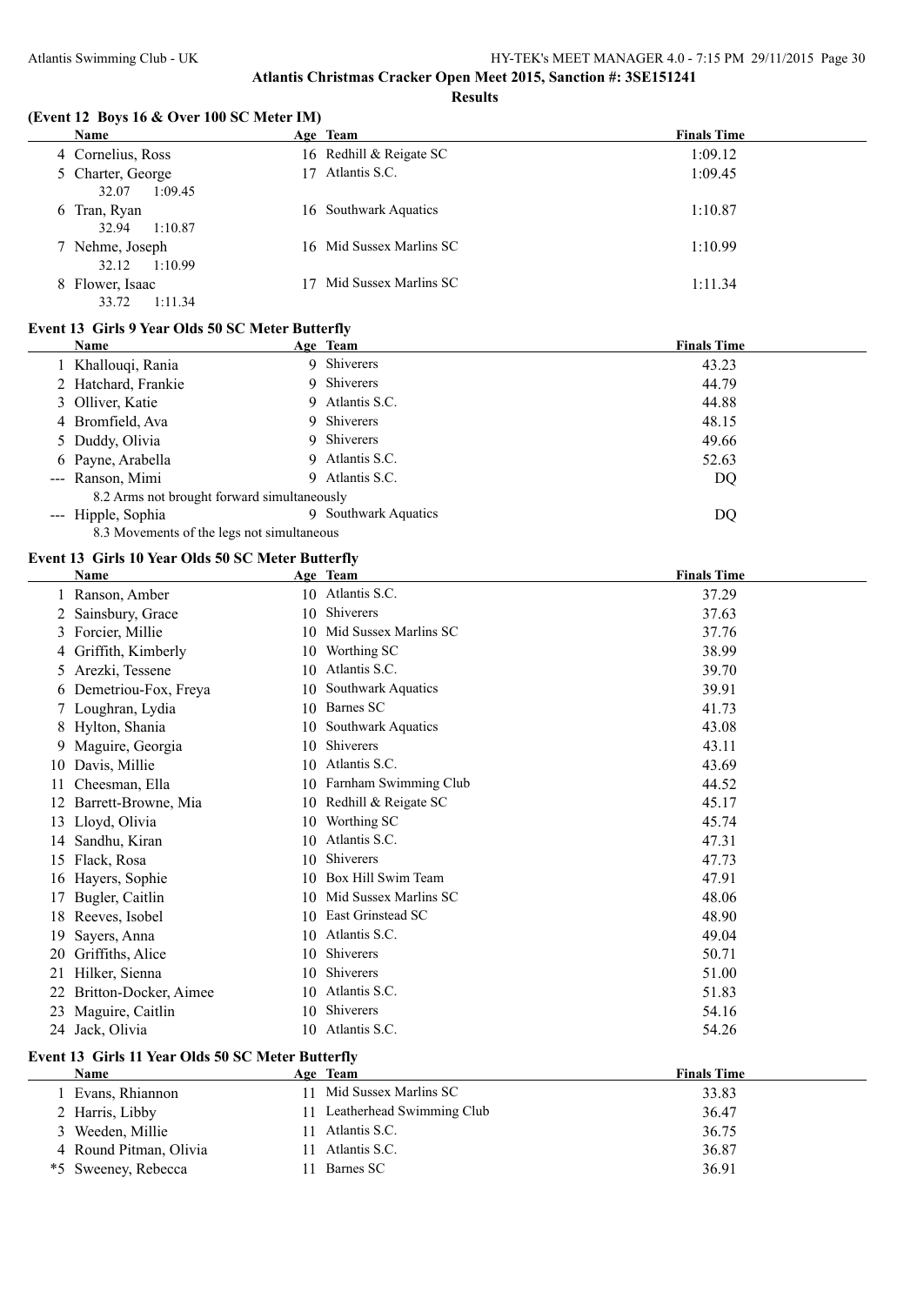#### **(Event 12 Boys 16 & Over 100 SC Meter IM)**

| Name              | Age Team                 | <b>Finals Time</b> |
|-------------------|--------------------------|--------------------|
| 4 Cornelius, Ross | 16 Redhill & Reigate SC  | 1:09.12            |
| 5 Charter, George | 17 Atlantis S.C.         | 1:09.45            |
| 1:09.45<br>32.07  |                          |                    |
| 6 Tran, Ryan      | 16 Southwark Aquatics    | 1:10.87            |
| 1:10.87<br>32.94  |                          |                    |
| 7 Nehme, Joseph   | 16 Mid Sussex Marlins SC | 1:10.99            |
| 1:10.99<br>32.12  |                          |                    |
| 8 Flower, Isaac   | Mid Sussex Marlins SC    | 1:11.34            |
| 1:11.34<br>33.72  |                          |                    |

### **Event 13 Girls 9 Year Olds 50 SC Meter Butterfly**

| Name                |    | <b>Finals Time</b>                                                                                                                                                                                      |
|---------------------|----|---------------------------------------------------------------------------------------------------------------------------------------------------------------------------------------------------------|
| 1 Khallouqi, Rania  |    | 43.23                                                                                                                                                                                                   |
| 2 Hatchard, Frankie |    | 44.79                                                                                                                                                                                                   |
| 3 Olliver, Katie    |    | 44.88                                                                                                                                                                                                   |
| 4 Bromfield, Ava    |    | 48.15                                                                                                                                                                                                   |
| 5 Duddy, Olivia     |    | 49.66                                                                                                                                                                                                   |
| 6 Payne, Arabella   |    | 52.63                                                                                                                                                                                                   |
| --- Ranson, Mimi    | 9. | DQ                                                                                                                                                                                                      |
|                     |    |                                                                                                                                                                                                         |
| --- Hipple, Sophia  |    | DQ                                                                                                                                                                                                      |
|                     |    | Age Team<br>9 Shiverers<br>9 Shiverers<br>9 Atlantis S.C.<br>9 Shiverers<br>9 Shiverers<br>9 Atlantis S.C.<br>Atlantis S.C.<br>8.2 Arms not brought forward simultaneously<br><b>Southwark Aquatics</b> |

8.3 Movements of the legs not simultaneous

#### **Event 13 Girls 10 Year Olds 50 SC Meter Butterfly**

| <b>Name</b>               |     |                       | <b>Finals Time</b>                                                         |
|---------------------------|-----|-----------------------|----------------------------------------------------------------------------|
| Ranson, Amber             |     |                       | 37.29                                                                      |
| Sainsbury, Grace          | 10  | Shiverers             | 37.63                                                                      |
| Forcier, Millie<br>3      | 10. | Mid Sussex Marlins SC | 37.76                                                                      |
| Griffith, Kimberly<br>4   | 10  | Worthing SC           | 38.99                                                                      |
| Arezki, Tessene<br>5      | 10  | Atlantis S.C.         | 39.70                                                                      |
| Demetriou-Fox, Freya<br>6 | 10  | Southwark Aquatics    | 39.91                                                                      |
| 7 Loughran, Lydia         | 10  | Barnes SC             | 41.73                                                                      |
| Hylton, Shania<br>8       | 10  | Southwark Aquatics    | 43.08                                                                      |
| Maguire, Georgia<br>9.    | 10  | <b>Shiverers</b>      | 43.11                                                                      |
| Davis, Millie<br>10       | 10  | Atlantis S.C.         | 43.69                                                                      |
| Cheesman, Ella            | 10. |                       | 44.52                                                                      |
| Barrett-Browne, Mia       | 10. | Redhill & Reigate SC  | 45.17                                                                      |
| Lloyd, Olivia             | 10  | Worthing SC           | 45.74                                                                      |
| Sandhu, Kiran             | 10  | Atlantis S.C.         | 47.31                                                                      |
| Flack, Rosa               | 10  | <b>Shiverers</b>      | 47.73                                                                      |
| Hayers, Sophie            | 10. | Box Hill Swim Team    | 47.91                                                                      |
| Bugler, Caitlin           | 10  | Mid Sussex Marlins SC | 48.06                                                                      |
| Reeves, Isobel            | 10. |                       | 48.90                                                                      |
| Sayers, Anna              | 10. | Atlantis S.C.         | 49.04                                                                      |
| Griffiths, Alice          | 10  | <b>Shiverers</b>      | 50.71                                                                      |
| Hilker, Sienna            | 10. | Shiverers             | 51.00                                                                      |
| Britton-Docker, Aimee     | 10  | Atlantis S.C.         | 51.83                                                                      |
| Maguire, Caitlin          | 10  | Shiverers             | 54.16                                                                      |
| Jack, Olivia<br>24        | 10  | Atlantis S.C.         | 54.26                                                                      |
|                           |     |                       | Age Team<br>10 Atlantis S.C.<br>Farnham Swimming Club<br>East Grinstead SC |

#### **Event 13 Girls 11 Year Olds 50 SC Meter Butterfly**

| <b>Name</b>            | Age Team                     | <b>Finals Time</b> |
|------------------------|------------------------------|--------------------|
| l Evans, Rhiannon      | 11 Mid Sussex Marlins SC     | 33.83              |
| 2 Harris, Libby        | 11 Leatherhead Swimming Club | 36.47              |
| 3 Weeden, Millie       | 11 Atlantis S.C.             | 36.75              |
| 4 Round Pitman, Olivia | Atlantis S.C.                | 36.87              |
| *5 Sweeney, Rebecca    | Barnes SC                    | 36.91              |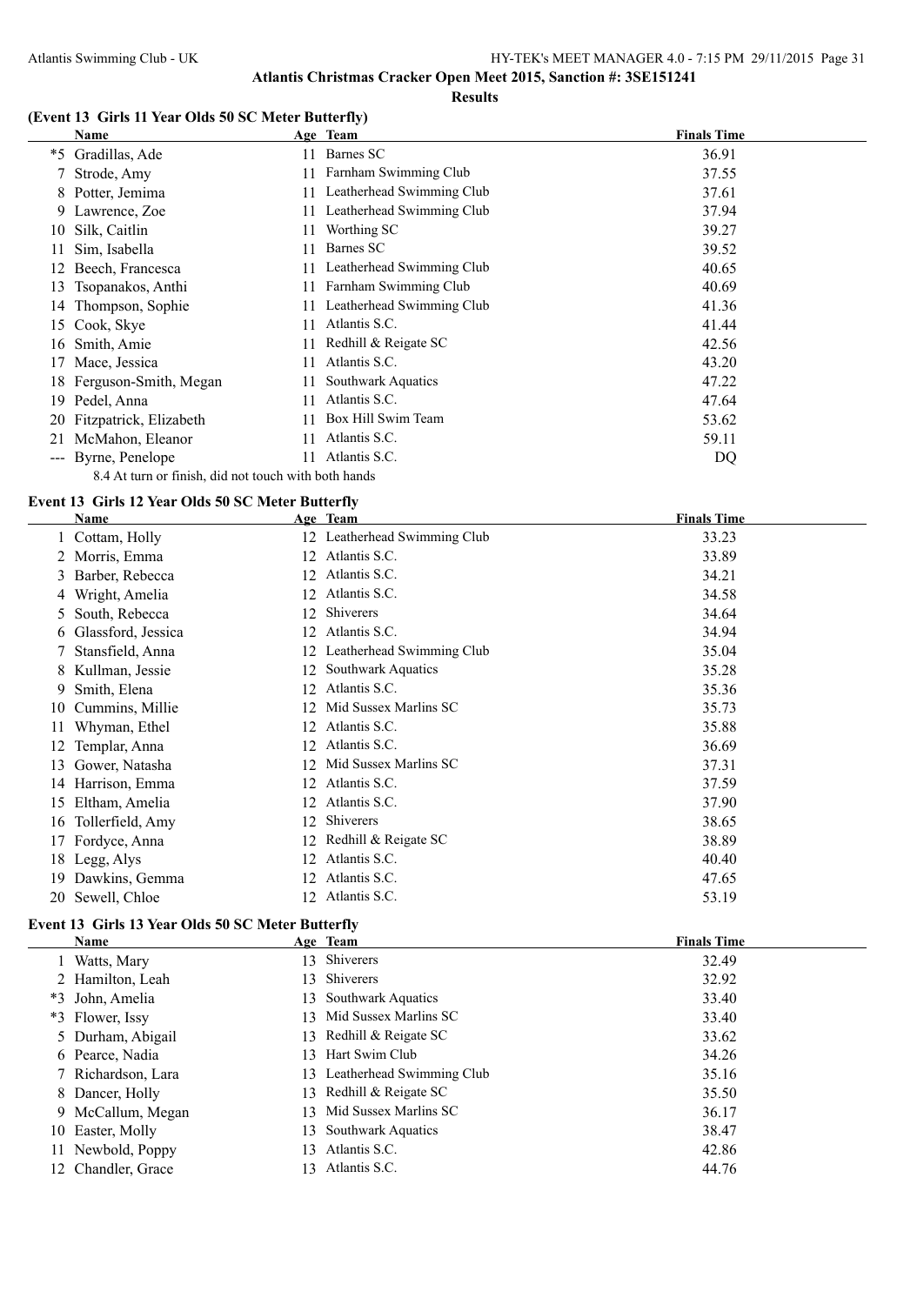#### **(Event 13 Girls 11 Year Olds 50 SC Meter Butterfly)**

|                     | Name                                                 |     | Age Team                     | <b>Finals Time</b> |
|---------------------|------------------------------------------------------|-----|------------------------------|--------------------|
| $*5$                | Gradillas, Ade                                       | 11  | Barnes SC                    | 36.91              |
|                     | 7 Strode, Amy                                        | 11  | Farnham Swimming Club        | 37.55              |
| 8                   | Potter, Jemima                                       | 11  | Leatherhead Swimming Club    | 37.61              |
|                     | 9 Lawrence, Zoe                                      |     | Leatherhead Swimming Club    | 37.94              |
| 10                  | Silk, Caitlin                                        |     | Worthing SC                  | 39.27              |
|                     | Sim, Isabella                                        | 11  | Barnes SC                    | 39.52              |
|                     | Beech, Francesca                                     | 11. | Leatherhead Swimming Club    | 40.65              |
| 13                  | Tsopanakos, Anthi                                    | 11. | Farnham Swimming Club        | 40.69              |
| 14                  | Thompson, Sophie                                     |     | 11 Leatherhead Swimming Club | 41.36              |
| 15                  | Cook, Skye                                           | 11  | Atlantis S.C.                | 41.44              |
| 16                  | Smith, Amie                                          | 11. | Redhill & Reigate SC         | 42.56              |
| 17                  | Mace, Jessica                                        | 11  | Atlantis S.C.                | 43.20              |
| 18.                 | Ferguson-Smith, Megan                                | 11  | Southwark Aquatics           | 47.22              |
| 19                  | Pedel, Anna                                          | 11  | Atlantis S.C.                | 47.64              |
|                     | 20 Fitzpatrick, Elizabeth                            |     | Box Hill Swim Team           | 53.62              |
| 21                  | McMahon, Eleanor                                     |     | Atlantis S.C.                | 59.11              |
| $\qquad \qquad - -$ | Byrne, Penelope                                      |     | Atlantis S.C.                | DQ                 |
|                     | 8.4 At turn or finish, did not touch with both hands |     |                              |                    |

#### **Event 13 Girls 12 Year Olds 50 SC Meter Butterfly**

|    | Name                 |    | Age Team                     | <b>Finals Time</b> |
|----|----------------------|----|------------------------------|--------------------|
|    | 1 Cottam, Holly      |    | 12 Leatherhead Swimming Club | 33.23              |
| 2  | Morris, Emma         | 12 | Atlantis S.C.                | 33.89              |
| 3. | Barber, Rebecca      | 12 | Atlantis S.C.                | 34.21              |
|    | Wright, Amelia       | 12 | Atlantis S.C.                | 34.58              |
|    | 5 South, Rebecca     | 12 | Shiverers                    | 34.64              |
|    | 6 Glassford, Jessica | 12 | Atlantis S.C.                | 34.94              |
|    | Stansfield, Anna     | 12 | Leatherhead Swimming Club    | 35.04              |
| 8. | Kullman, Jessie      | 12 | Southwark Aquatics           | 35.28              |
| 9. | Smith, Elena         | 12 | Atlantis S.C.                | 35.36              |
| 10 | Cummins, Millie      | 12 | Mid Sussex Marlins SC        | 35.73              |
| 11 | Whyman, Ethel        | 12 | Atlantis S.C.                | 35.88              |
| 12 | Templar, Anna        | 12 | Atlantis S.C.                | 36.69              |
| 13 | Gower, Natasha       | 12 | Mid Sussex Marlins SC        | 37.31              |
| 14 | Harrison, Emma       | 12 | Atlantis S.C.                | 37.59              |
| 15 | Eltham, Amelia       | 12 | Atlantis S.C.                | 37.90              |
| 16 | Tollerfield, Amy     | 12 | Shiverers                    | 38.65              |
| 17 | Fordyce, Anna        | 12 | Redhill & Reigate SC         | 38.89              |
| 18 | Legg, Alys           | 12 | Atlantis S.C.                | 40.40              |
| 19 | Dawkins, Gemma       | 12 | Atlantis S.C.                | 47.65              |
|    | 20 Sewell, Chloe     | 12 | Atlantis S.C.                | 53.19              |

# **Event 13 Girls 13 Year Olds 50 SC Meter Butterfly**

| Name               |                 | Age Team                     | <b>Finals Time</b> |
|--------------------|-----------------|------------------------------|--------------------|
| Watts, Mary        |                 | 13 Shiverers                 | 32.49              |
| 2 Hamilton, Leah   |                 | 13 Shiverers                 | 32.92              |
| *3 John, Amelia    | 13              | <b>Southwark Aquatics</b>    | 33.40              |
| *3 Flower, Issy    |                 | 13 Mid Sussex Marlins SC     | 33.40              |
| 5 Durham, Abigail  |                 | 13 Redhill & Reigate SC      | 33.62              |
| 6 Pearce, Nadia    | 13 <sup>7</sup> | Hart Swim Club               | 34.26              |
| 7 Richardson, Lara |                 | 13 Leatherhead Swimming Club | 35.16              |
| 8 Dancer, Holly    |                 | 13 Redhill & Reigate SC      | 35.50              |
| 9 McCallum, Megan  |                 | 13 Mid Sussex Marlins SC     | 36.17              |
| 10 Easter, Molly   | 13.             | <b>Southwark Aquatics</b>    | 38.47              |
| 11 Newbold, Poppy  | 13.             | Atlantis S.C.                | 42.86              |
| 12 Chandler, Grace | 13              | Atlantis S.C.                | 44.76              |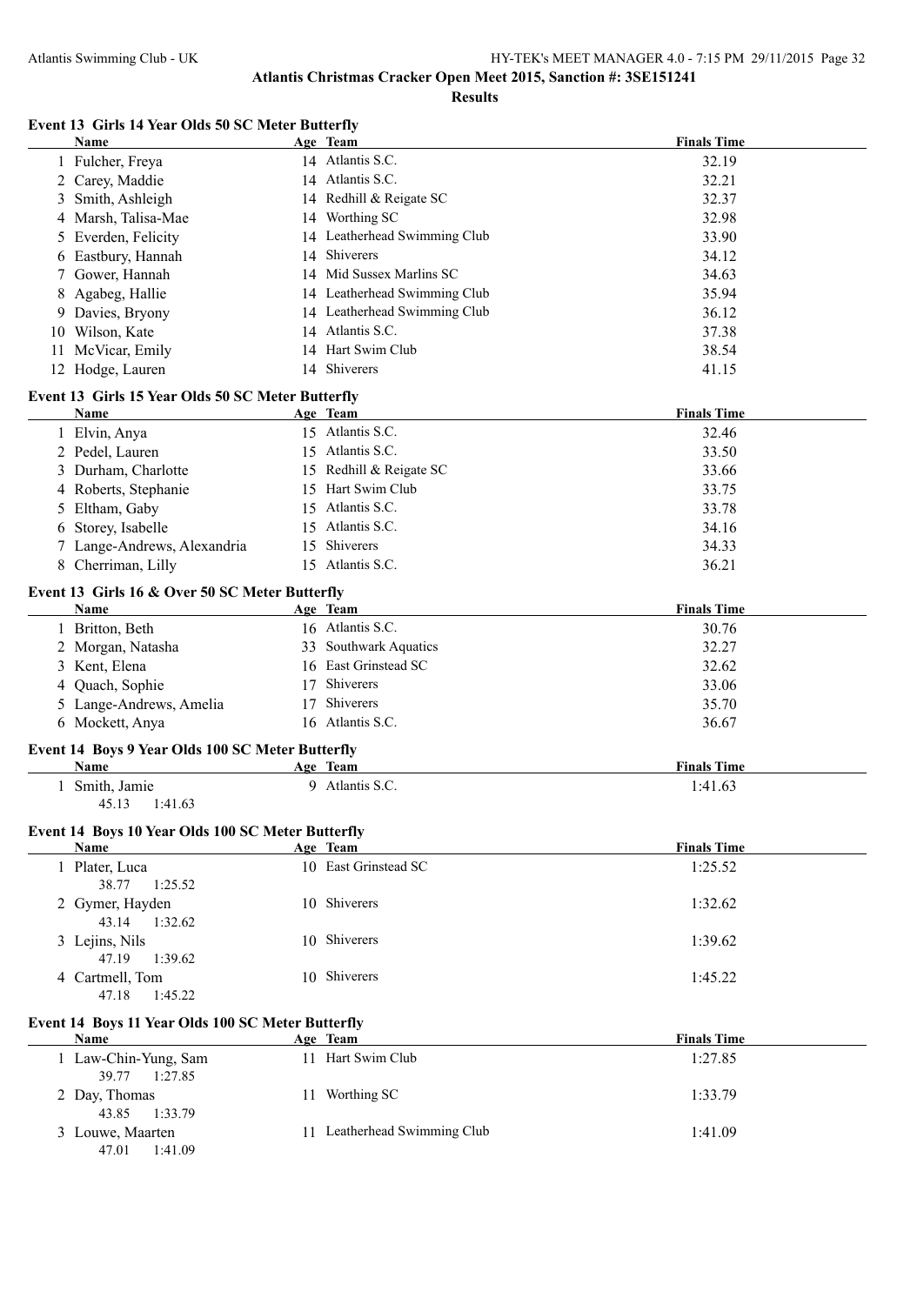**Results**

#### **Event 13 Girls 14 Year Olds 50 SC Meter Butterfly**

| Event 13 Girls 14 Year Olds 50 SC Meter Butterfly |    |                              |                    |
|---------------------------------------------------|----|------------------------------|--------------------|
| Name                                              |    | Age Team                     | <b>Finals Time</b> |
| 1 Fulcher, Freya                                  |    | 14 Atlantis S.C.             | 32.19              |
| 2 Carey, Maddie                                   |    | 14 Atlantis S.C.             | 32.21              |
| Smith, Ashleigh<br>3                              |    | 14 Redhill & Reigate SC      | 32.37              |
| 4 Marsh, Talisa-Mae                               |    | 14 Worthing SC               | 32.98              |
| 5 Everden, Felicity                               |    | 14 Leatherhead Swimming Club | 33.90              |
| Eastbury, Hannah<br>6                             | 14 | Shiverers                    | 34.12              |
| Gower, Hannah<br>7                                |    | 14 Mid Sussex Marlins SC     | 34.63              |
| Agabeg, Hallie<br>8                               |    | 14 Leatherhead Swimming Club | 35.94              |
| Davies, Bryony<br>9.                              |    | 14 Leatherhead Swimming Club | 36.12              |
| Wilson, Kate<br>10                                |    | 14 Atlantis S.C.             | 37.38              |
| McVicar, Emily<br>11                              |    | 14 Hart Swim Club            | 38.54              |
| 12 Hodge, Lauren                                  |    | 14 Shiverers                 | 41.15              |
| Event 13 Girls 15 Year Olds 50 SC Meter Butterfly |    |                              |                    |
| Name                                              |    | Age Team                     | <b>Finals Time</b> |
| 1 Elvin, Anya                                     |    | 15 Atlantis S.C.             | 32.46              |
| 2 Pedel, Lauren                                   |    | 15 Atlantis S.C.             | 33.50              |
| 3 Durham, Charlotte                               |    | 15 Redhill & Reigate SC      | 33.66              |
| 4 Roberts, Stephanie                              |    | 15 Hart Swim Club            | 33.75              |
| Eltham, Gaby<br>5                                 |    | 15 Atlantis S.C.             | 33.78              |
| Storey, Isabelle<br>6                             |    | 15 Atlantis S.C.             | 34.16              |
| 7 Lange-Andrews, Alexandria                       |    | 15 Shiverers                 | 34.33              |
| 8 Cherriman, Lilly                                |    | 15 Atlantis S.C.             | 36.21              |
|                                                   |    |                              |                    |
| Event 13 Girls 16 & Over 50 SC Meter Butterfly    |    |                              |                    |
| Name                                              |    | Age Team                     | <b>Finals Time</b> |
| 1 Britton, Beth                                   |    | 16 Atlantis S.C.             | 30.76              |
| 2 Morgan, Natasha                                 |    | 33 Southwark Aquatics        | 32.27              |
| Kent, Elena<br>3                                  |    | 16 East Grinstead SC         | 32.62              |
| Quach, Sophie<br>4                                |    | 17 Shiverers                 | 33.06              |
| 5 Lange-Andrews, Amelia                           | 17 | <b>Shiverers</b>             | 35.70              |
| 6 Mockett, Anya                                   |    | 16 Atlantis S.C.             | 36.67              |
| Event 14 Boys 9 Year Olds 100 SC Meter Butterfly  |    |                              |                    |
| <b>Name</b>                                       |    | Age Team                     | <b>Finals Time</b> |
| Smith, Jamie<br>1<br>1:41.63<br>45.13             |    | 9 Atlantis S.C.              | 1:41.63            |
| Event 14 Boys 10 Year Olds 100 SC Meter Butterfly |    |                              |                    |
| <b>Name</b>                                       |    | Age Team                     | <b>Finals Time</b> |
| 1 Plater, Luca<br>38.77<br>1:25.52                |    | 10 East Grinstead SC         | 1:25.52            |
| 2 Gymer, Hayden<br>43.14<br>1:32.62               |    | 10 Shiverers                 | 1:32.62            |
| 3 Lejins, Nils<br>47.19<br>1:39.62                |    | 10 Shiverers                 | 1:39.62            |
| 4 Cartmell, Tom<br>47.18<br>1:45.22               |    | 10 Shiverers                 | 1:45.22            |
| Event 14 Boys 11 Year Olds 100 SC Meter Butterfly |    |                              |                    |
| Name                                              |    | Age Team                     | <b>Finals Time</b> |
| 1 Law-Chin-Yung, Sam<br>39.77<br>1:27.85          |    | 11 Hart Swim Club            | 1:27.85            |
| 2 Day, Thomas<br>43.85<br>1:33.79                 |    | 11 Worthing SC               | 1:33.79            |
| 3 Louwe, Maarten<br>47.01<br>1:41.09              |    | 11 Leatherhead Swimming Club | 1:41.09            |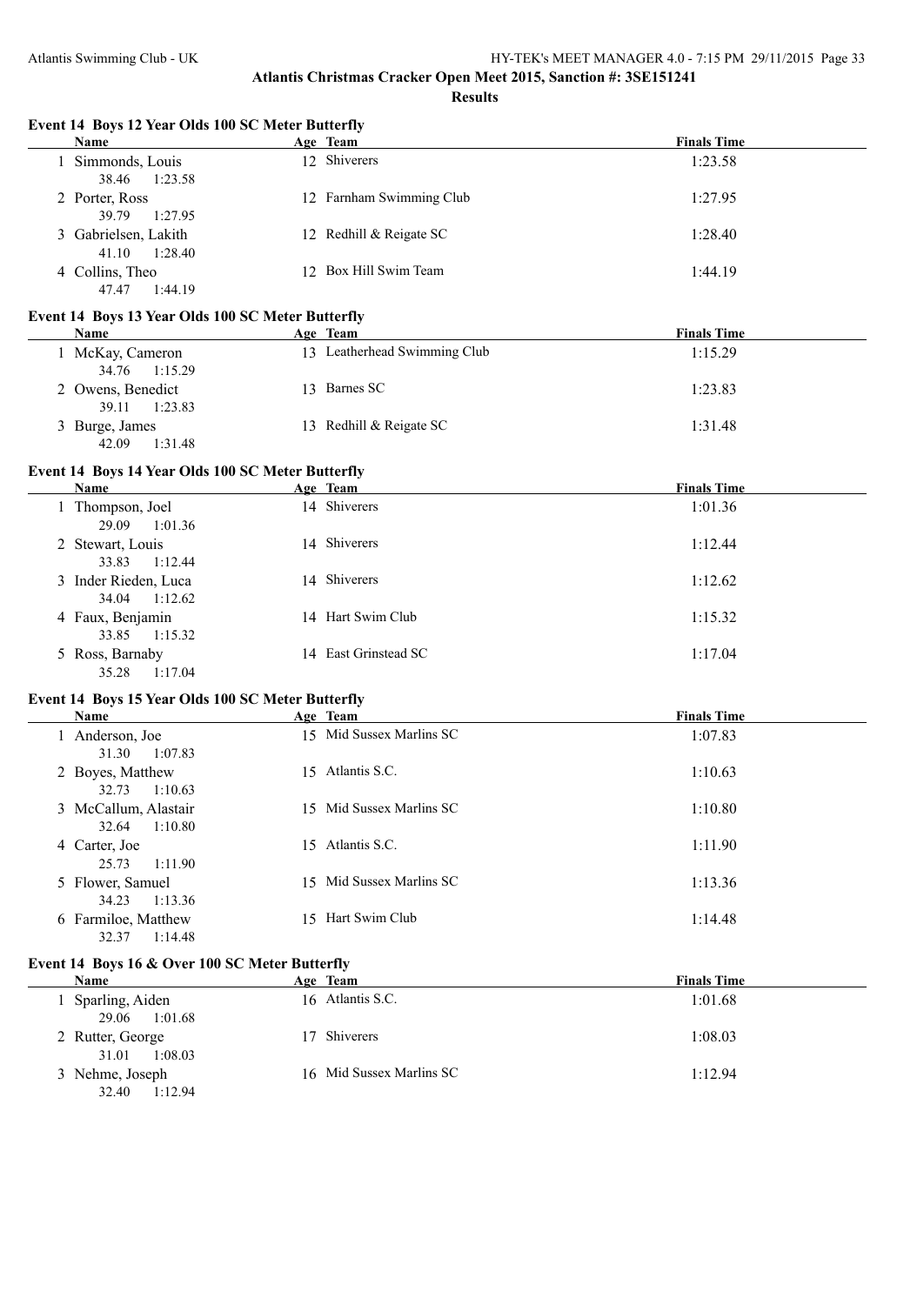**Results**

#### **Event 14 Boys 12 Year Olds 100 SC Meter Butterfly**

| Name                                     | Age Team                 | <b>Finals Time</b> |
|------------------------------------------|--------------------------|--------------------|
| 1 Simmonds, Louis<br>1:23.58<br>38.46    | 12 Shiverers             | 1:23.58            |
| 2 Porter, Ross<br>1:27.95<br>39.79       | 12 Farnham Swimming Club | 1:27.95            |
| 3 Gabrielsen, Lakith<br>1:28.40<br>41.10 | 12 Redhill & Reigate SC  | 1:28.40            |
| 4 Collins, Theo<br>1:44.19<br>47.47      | 12 Box Hill Swim Team    | 1:44.19            |

### **Event 14 Boys 13 Year Olds 100 SC Meter Butterfly**

| <b>Name</b>       | Age Team                     | <b>Finals Time</b> |
|-------------------|------------------------------|--------------------|
| McKay, Cameron    | 13 Leatherhead Swimming Club | 1:15.29            |
| 34.76 1:15.29     |                              |                    |
| 2 Owens, Benedict | 13 Barnes SC                 | 1:23.83            |
| 39.11 1:23.83     |                              |                    |
| 3 Burge, James    | 13 Redhill & Reigate SC      | 1:31.48            |
| 42.09<br>1:31.48  |                              |                    |

#### **Event 14 Boys 14 Year Olds 100 SC Meter Butterfly**

| <b>Name</b>                           | Age Team             | <b>Finals Time</b> |
|---------------------------------------|----------------------|--------------------|
| 1 Thompson, Joel<br>1:01.36<br>29.09  | 14 Shiverers         | 1:01.36            |
| 2 Stewart, Louis<br>1:12.44<br>33.83  | 14 Shiverers         | 1:12.44            |
| 3 Inder Rieden, Luca<br>34.04 1:12.62 | 14 Shiverers         | 1:12.62            |
| 4 Faux, Benjamin<br>33.85 1:15.32     | 14 Hart Swim Club    | 1:15.32            |
| 5 Ross, Barnaby<br>35.28<br>1:17.04   | 14 East Grinstead SC | 1:17.04            |

#### **Event 14 Boys 15 Year Olds 100 SC Meter Butterfly**

| Name                                     |     | Age Team                 | <b>Finals Time</b> |
|------------------------------------------|-----|--------------------------|--------------------|
| 1 Anderson, Joe<br>1:07.83<br>31.30      |     | 15 Mid Sussex Marlins SC | 1:07.83            |
| 2 Boyes, Matthew<br>32.73<br>1:10.63     |     | 15 Atlantis S.C.         | 1:10.63            |
| 3 McCallum, Alastair<br>32.64<br>1:10.80 |     | 15 Mid Sussex Marlins SC | 1:10.80            |
| 4 Carter, Joe<br>25.73<br>1:11.90        | 15. | Atlantis S.C.            | 1:11.90            |
| 5 Flower, Samuel<br>1:13.36<br>34.23     |     | 15 Mid Sussex Marlins SC | 1:13.36            |
| 6 Farmiloe, Matthew<br>1:14.48<br>32.37  |     | 15 Hart Swim Club        | 1:14.48            |

#### **Event 14 Boys 16 & Over 100 SC Meter Butterfly**

| Name                                 | Age Team                 | <b>Finals Time</b> |
|--------------------------------------|--------------------------|--------------------|
| Sparling, Aiden<br>1:01.68<br>29.06  | 16 Atlantis S.C.         | 1:01.68            |
| 2 Rutter, George<br>1:08.03<br>31.01 | Shiverers                | 1:08.03            |
| 3 Nehme, Joseph<br>1:12.94<br>32.40  | 16 Mid Sussex Marlins SC | 1:12.94            |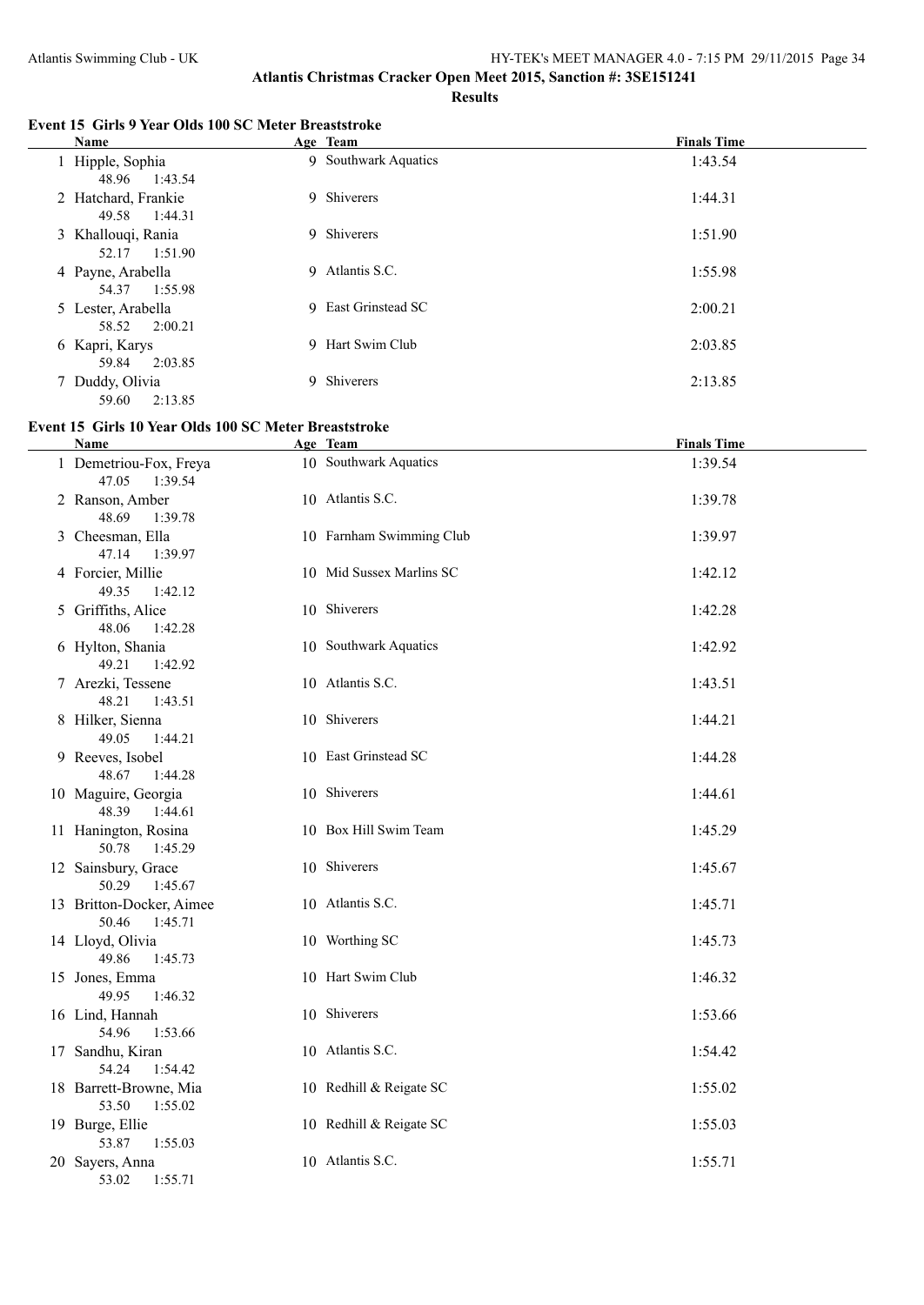#### **Event 15 Girls 9 Year Olds 100 SC Meter Breaststroke**

| Name                                    | Age Team             | <b>Finals Time</b> |
|-----------------------------------------|----------------------|--------------------|
| 1 Hipple, Sophia<br>1:43.54<br>48.96    | 9 Southwark Aquatics | 1:43.54            |
| 2 Hatchard, Frankie<br>1:44.31<br>49.58 | 9 Shiverers          | 1:44.31            |
| 3 Khallouqi, Rania<br>1:51.90<br>52.17  | 9 Shiverers          | 1:51.90            |
| 4 Payne, Arabella<br>1:55.98<br>54.37   | 9 Atlantis S.C.      | 1:55.98            |
| 5 Lester, Arabella<br>2:00.21<br>58.52  | 9 East Grinstead SC  | 2:00.21            |
| 6 Kapri, Karys<br>2:03.85<br>59.84      | 9 Hart Swim Club     | 2:03.85            |
| 7 Duddy, Olivia<br>2:13.85<br>59.60     | Shiverers<br>9       | 2:13.85            |

#### **Event 15 Girls 10 Year Olds 100 SC Meter Breaststroke**

| Name                                         | Age Team                 | <b>Finals Time</b> |
|----------------------------------------------|--------------------------|--------------------|
| 1 Demetriou-Fox, Freya<br>47.05<br>1:39.54   | 10 Southwark Aquatics    | 1:39.54            |
| 2 Ranson, Amber<br>48.69<br>1:39.78          | 10 Atlantis S.C.         | 1:39.78            |
| 3 Cheesman, Ella<br>47.14<br>1:39.97         | 10 Farnham Swimming Club | 1:39.97            |
| 4 Forcier, Millie<br>49.35<br>1:42.12        | 10 Mid Sussex Marlins SC | 1:42.12            |
| 5 Griffiths, Alice<br>48.06<br>1:42.28       | 10 Shiverers             | 1:42.28            |
| 6 Hylton, Shania<br>49.21<br>1:42.92         | 10 Southwark Aquatics    | 1:42.92            |
| 7 Arezki, Tessene<br>48.21<br>1:43.51        | 10 Atlantis S.C.         | 1:43.51            |
| 8 Hilker, Sienna<br>49.05<br>1:44.21         | 10 Shiverers             | 1:44.21            |
| 9 Reeves, Isobel<br>48.67<br>1:44.28         | 10 East Grinstead SC     | 1:44.28            |
| 10 Maguire, Georgia<br>48.39<br>1:44.61      | 10 Shiverers             | 1:44.61            |
| 11 Hanington, Rosina<br>50.78<br>1:45.29     | 10 Box Hill Swim Team    | 1:45.29            |
| 12 Sainsbury, Grace<br>50.29<br>1:45.67      | 10 Shiverers             | 1:45.67            |
| 13 Britton-Docker, Aimee<br>50.46<br>1:45.71 | 10 Atlantis S.C.         | 1:45.71            |
| 14 Lloyd, Olivia<br>49.86<br>1:45.73         | 10 Worthing SC           | 1:45.73            |
| 15 Jones, Emma<br>49.95<br>1:46.32           | 10 Hart Swim Club        | 1:46.32            |
| 16 Lind, Hannah<br>54.96<br>1:53.66          | 10 Shiverers             | 1:53.66            |
| 17 Sandhu, Kiran<br>54.24<br>1:54.42         | 10 Atlantis S.C.         | 1:54.42            |
| 18 Barrett-Browne, Mia<br>53.50<br>1:55.02   | 10 Redhill & Reigate SC  | 1:55.02            |
| 19 Burge, Ellie<br>53.87<br>1:55.03          | 10 Redhill & Reigate SC  | 1:55.03            |
| 20 Sayers, Anna<br>53.02<br>1:55.71          | 10 Atlantis S.C.         | 1:55.71            |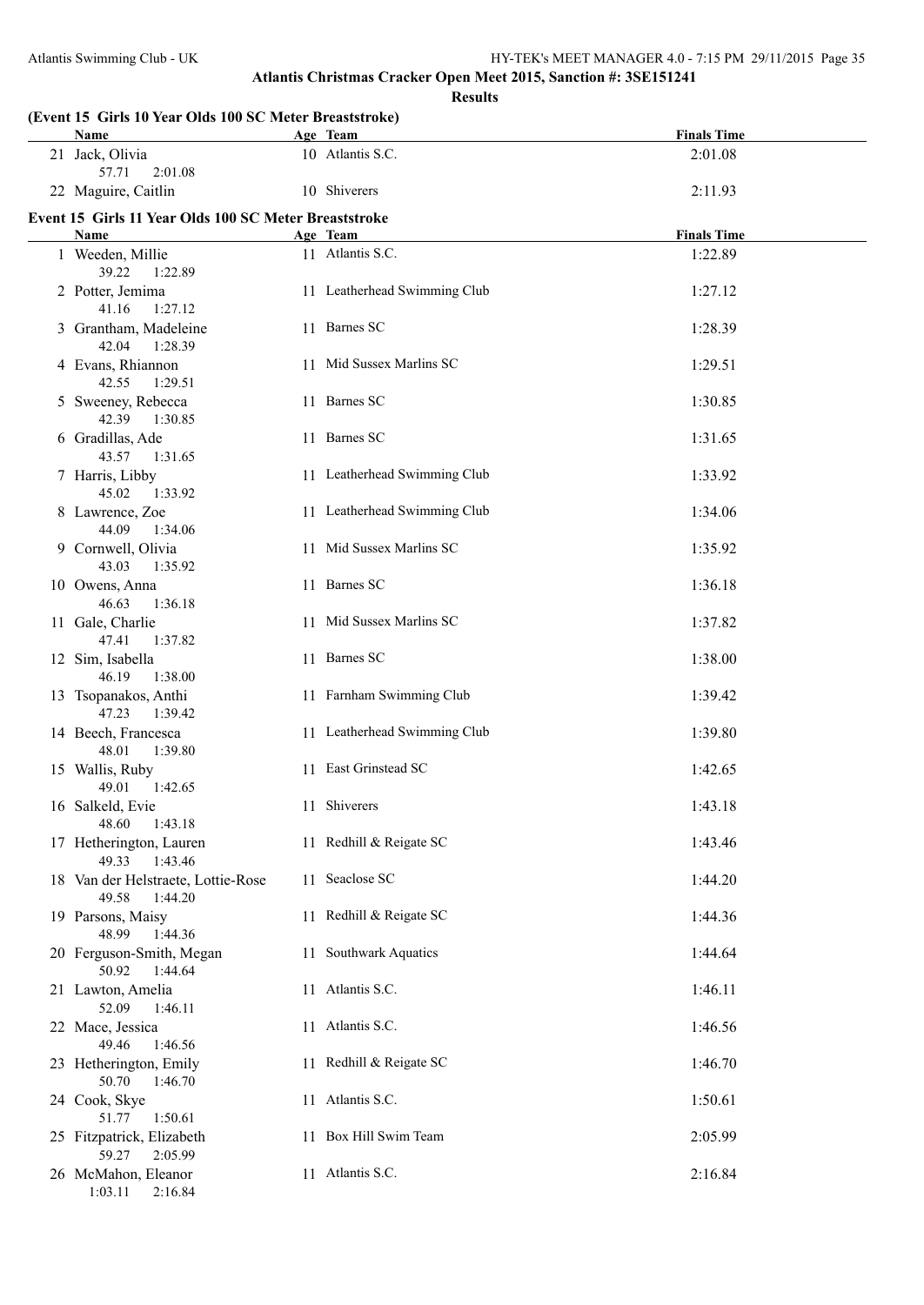**Results**

| (Event 15 Girls 10 Year Olds 100 SC Meter Breaststroke)<br>Name             | Age Team                                    | <b>Finals Time</b> |
|-----------------------------------------------------------------------------|---------------------------------------------|--------------------|
| 21 Jack, Olivia<br>57.71<br>2:01.08                                         | 10 Atlantis S.C.                            | 2:01.08            |
| 22 Maguire, Caitlin                                                         | 10 Shiverers                                | 2:11.93            |
| Event 15 Girls 11 Year Olds 100 SC Meter Breaststroke                       |                                             |                    |
| Name                                                                        | Age Team                                    | <b>Finals Time</b> |
| 1 Weeden, Millie<br>39.22<br>1:22.89                                        | 11 Atlantis S.C.                            | 1:22.89            |
| 2 Potter, Jemima<br>41.16<br>1:27.12                                        | 11 Leatherhead Swimming Club                | 1:27.12            |
| 3 Grantham, Madeleine<br>42.04<br>1:28.39                                   | 11 Barnes SC                                | 1:28.39            |
| 4 Evans, Rhiannon<br>42.55<br>1:29.51                                       | 11 Mid Sussex Marlins SC                    | 1:29.51            |
| 5 Sweeney, Rebecca<br>42.39<br>1:30.85                                      | 11 Barnes SC                                | 1:30.85            |
| 6 Gradillas, Ade<br>43.57<br>1:31.65                                        | 11 Barnes SC                                | 1:31.65            |
| 7 Harris, Libby<br>45.02<br>1:33.92                                         | 11 Leatherhead Swimming Club                | 1:33.92            |
| 8 Lawrence, Zoe<br>44.09<br>1:34.06                                         | 11 Leatherhead Swimming Club                | 1:34.06            |
| 9 Cornwell, Olivia<br>43.03<br>1:35.92                                      | 11 Mid Sussex Marlins SC                    | 1:35.92            |
| 10 Owens, Anna<br>46.63<br>1:36.18                                          | 11 Barnes SC                                | 1:36.18            |
| 11 Gale, Charlie<br>47.41<br>1:37.82<br>12 Sim, Isabella                    | 11 Mid Sussex Marlins SC<br>11 Barnes SC    | 1:37.82<br>1:38.00 |
| 46.19<br>1:38.00<br>13 Tsopanakos, Anthi                                    | 11 Farnham Swimming Club                    | 1:39.42            |
| 47.23<br>1:39.42<br>14 Beech, Francesca                                     | 11 Leatherhead Swimming Club                | 1:39.80            |
| 48.01<br>1:39.80<br>15 Wallis, Ruby                                         | 11 East Grinstead SC                        | 1:42.65            |
| 49.01<br>1:42.65                                                            |                                             |                    |
| 16 Salkeld, Evie<br>48.60<br>1:43.18                                        | 11 Shiverers                                | 1:43.18            |
| 17 Hetherington, Lauren<br>49.33<br>1:43.46                                 | 11 Redhill & Reigate SC                     | 1:43.46            |
| 18 Van der Helstraete, Lottie-Rose<br>49.58<br>1:44.20<br>19 Parsons, Maisy | 11 Seaclose SC<br>11 Redhill & Reigate SC   | 1:44.20<br>1:44.36 |
| 48.99<br>1:44.36<br>20 Ferguson-Smith, Megan                                | 11 Southwark Aquatics                       | 1:44.64            |
| 50.92<br>1:44.64<br>21 Lawton, Amelia                                       | 11 Atlantis S.C.                            | 1:46.11            |
| 52.09<br>1:46.11                                                            |                                             |                    |
| 22 Mace, Jessica<br>49.46<br>1:46.56                                        | 11 Atlantis S.C.                            | 1:46.56            |
| 23 Hetherington, Emily<br>50.70<br>1:46.70                                  | 11 Redhill & Reigate SC<br>11 Atlantis S.C. | 1:46.70            |
| 24 Cook, Skye<br>51.77<br>1:50.61<br>25 Fitzpatrick, Elizabeth              | 11 Box Hill Swim Team                       | 1:50.61<br>2:05.99 |
| 59.27<br>2:05.99                                                            |                                             |                    |
| 26 McMahon, Eleanor<br>1:03.11<br>2:16.84                                   | 11 Atlantis S.C.                            | 2:16.84            |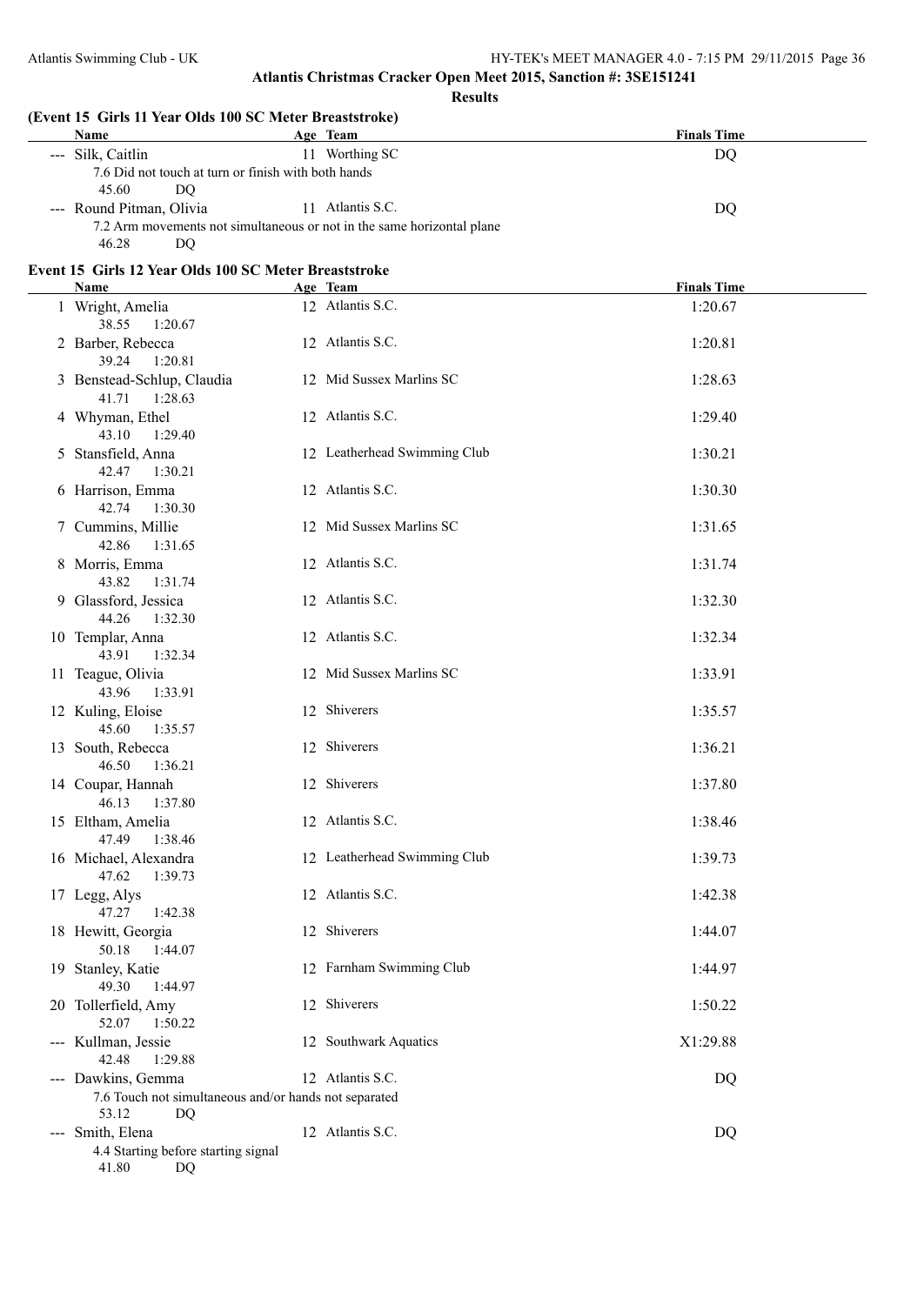**Results**

| Name                                                                   |                                                       | Age Team                                                               | <b>Finals Time</b> |  |
|------------------------------------------------------------------------|-------------------------------------------------------|------------------------------------------------------------------------|--------------------|--|
| --- Silk, Caitlin                                                      |                                                       | 11 Worthing SC                                                         | DQ                 |  |
| 45.60<br>DQ                                                            | 7.6 Did not touch at turn or finish with both hands   |                                                                        |                    |  |
| --- Round Pitman, Olivia                                               |                                                       | 11 Atlantis S.C.                                                       | <b>DQ</b>          |  |
| 46.28<br>DQ                                                            |                                                       | 7.2 Arm movements not simultaneous or not in the same horizontal plane |                    |  |
| Event 15 Girls 12 Year Olds 100 SC Meter Breaststroke                  |                                                       |                                                                        |                    |  |
| Name                                                                   |                                                       | Age Team                                                               | <b>Finals Time</b> |  |
| 1 Wright, Amelia                                                       |                                                       | 12 Atlantis S.C.                                                       | 1:20.67            |  |
| 38.55<br>1:20.67                                                       |                                                       |                                                                        |                    |  |
| 2 Barber, Rebecca<br>39.24<br>1:20.81                                  |                                                       | 12 Atlantis S.C.                                                       | 1:20.81            |  |
| 3 Benstead-Schlup, Claudia<br>41.71<br>1:28.63                         |                                                       | 12 Mid Sussex Marlins SC                                               | 1:28.63            |  |
| 4 Whyman, Ethel<br>43.10<br>1:29.40                                    |                                                       | 12 Atlantis S.C.                                                       | 1:29.40            |  |
| 5 Stansfield, Anna<br>42.47<br>1:30.21                                 |                                                       | 12 Leatherhead Swimming Club                                           | 1:30.21            |  |
| 6 Harrison, Emma<br>42.74<br>1:30.30                                   |                                                       | 12 Atlantis S.C.                                                       | 1:30.30            |  |
| 7 Cummins, Millie<br>42.86<br>1:31.65                                  |                                                       | 12 Mid Sussex Marlins SC                                               | 1:31.65            |  |
| 8 Morris, Emma<br>43.82<br>1:31.74                                     |                                                       | 12 Atlantis S.C.                                                       | 1:31.74            |  |
| 9 Glassford, Jessica<br>44.26<br>1:32.30                               |                                                       | 12 Atlantis S.C.                                                       | 1:32.30            |  |
| 10 Templar, Anna<br>43.91<br>1:32.34                                   |                                                       | 12 Atlantis S.C.                                                       | 1:32.34            |  |
| 11 Teague, Olivia<br>43.96<br>1:33.91                                  |                                                       | 12 Mid Sussex Marlins SC                                               | 1:33.91            |  |
| 12 Kuling, Eloise<br>45.60<br>1:35.57                                  |                                                       | 12 Shiverers                                                           | 1:35.57            |  |
| 13 South, Rebecca<br>46.50<br>1:36.21                                  |                                                       | 12 Shiverers                                                           | 1:36.21            |  |
| 14 Coupar, Hannah<br>46.13 1:37.80                                     |                                                       | 12 Shiverers                                                           | 1:37.80            |  |
| 15 Eltham, Amelia<br>47.49<br>1:38.46                                  |                                                       | 12 Atlantis S.C.                                                       | 1:38.46            |  |
| 16 Michael, Alexandra<br>47.62<br>1:39.73                              |                                                       | 12 Leatherhead Swimming Club                                           | 1:39.73            |  |
| 17 Legg, Alys<br>47.27<br>1:42.38                                      |                                                       | 12 Atlantis S.C.                                                       | 1:42.38            |  |
| 18 Hewitt, Georgia<br>50.18<br>1:44.07                                 |                                                       | 12 Shiverers                                                           | 1:44.07            |  |
| 19 Stanley, Katie<br>49.30<br>1:44.97                                  |                                                       | 12 Farnham Swimming Club                                               | 1:44.97            |  |
| 20 Tollerfield, Amy<br>52.07<br>1:50.22                                |                                                       | 12 Shiverers                                                           | 1:50.22            |  |
| --- Kullman, Jessie<br>42.48<br>1:29.88                                |                                                       | 12 Southwark Aquatics                                                  | X1:29.88           |  |
| --- Dawkins, Gemma                                                     | 7.6 Touch not simultaneous and/or hands not separated | 12 Atlantis S.C.                                                       | DQ                 |  |
| 53.12<br>DQ                                                            |                                                       |                                                                        |                    |  |
| --- Smith, Elena<br>4.4 Starting before starting signal<br>41.80<br>DQ |                                                       | 12 Atlantis S.C.                                                       | DQ                 |  |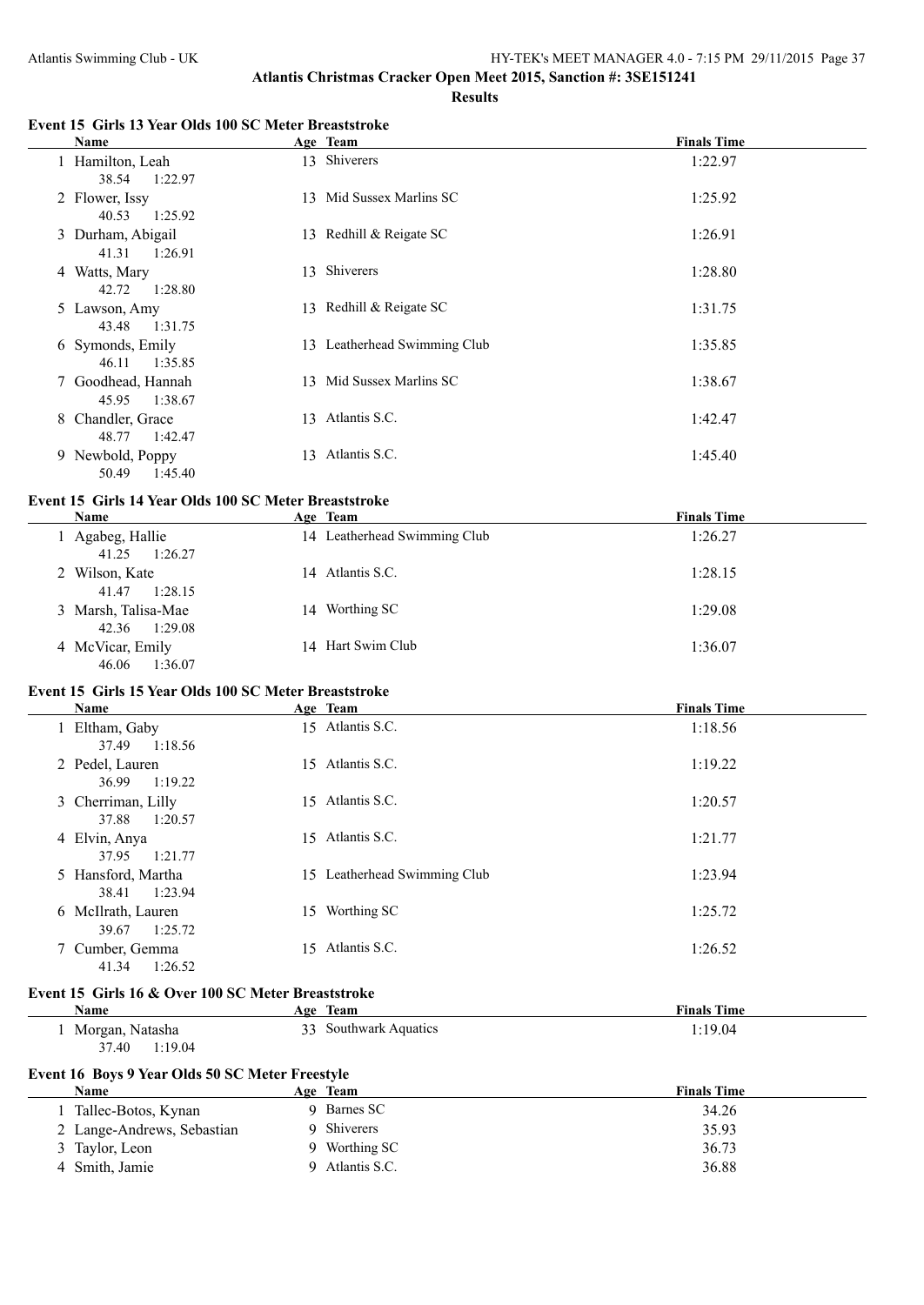#### **Event 15 Girls 13 Year Olds 100 SC Meter Breaststroke**

| <b>Name</b>                           | Age Team                     | <b>Finals Time</b> |
|---------------------------------------|------------------------------|--------------------|
| 1 Hamilton, Leah<br>1:22.97<br>38.54  | 13 Shiverers                 | 1:22.97            |
| 2 Flower, Issy<br>40.53 1:25.92       | 13 Mid Sussex Marlins SC     | 1:25.92            |
| 3 Durham, Abigail<br>41.31<br>1:26.91 | 13 Redhill & Reigate SC      | 1:26.91            |
| 4 Watts, Mary<br>42.72 1:28.80        | 13 Shiverers                 | 1:28.80            |
| 5 Lawson, Amy<br>43.48 1:31.75        | 13 Redhill & Reigate SC      | 1:31.75            |
| 6 Symonds, Emily<br>46.11 1:35.85     | 13 Leatherhead Swimming Club | 1:35.85            |
| 7 Goodhead, Hannah<br>45.95 1:38.67   | 13 Mid Sussex Marlins SC     | 1:38.67            |
| 8 Chandler, Grace<br>48.77 1:42.47    | 13 Atlantis S.C.             | 1:42.47            |
| 9 Newbold, Poppy<br>1:45.40<br>50.49  | 13 Atlantis S.C.             | 1:45.40            |

## **Event 15 Girls 14 Year Olds 100 SC Meter Breaststroke**

| Name                                    | Age Team                     | <b>Finals Time</b> |
|-----------------------------------------|------------------------------|--------------------|
| Agabeg, Hallie<br>1:26.27<br>41.25      | 14 Leatherhead Swimming Club | 1:26.27            |
| 2 Wilson, Kate<br>41.47<br>1:28.15      | 14 Atlantis S.C.             | 1:28.15            |
| 3 Marsh, Talisa-Mae<br>1:29.08<br>42.36 | 14 Worthing SC               | 1:29.08            |
| 4 McVicar, Emily<br>1:36.07<br>46.06    | 14 Hart Swim Club            | 1:36.07            |

#### **Event 15 Girls 15 Year Olds 100 SC Meter Breaststroke**

| Name                                   |     | Age Team                     | <b>Finals Time</b> |
|----------------------------------------|-----|------------------------------|--------------------|
| 1 Eltham, Gaby<br>1:18.56<br>37.49     |     | 15 Atlantis S.C.             | 1:18.56            |
| 2 Pedel, Lauren<br>36.99<br>1:19.22    | 15  | Atlantis S.C.                | 1:19.22            |
| 3 Cherriman, Lilly<br>37.88<br>1:20.57 |     | 15 Atlantis S.C.             | 1:20.57            |
| 4 Elvin, Anya<br>37.95<br>1:21.77      |     | 15 Atlantis S.C.             | 1:21.77            |
| 5 Hansford, Martha<br>1:23.94<br>38.41 |     | 15 Leatherhead Swimming Club | 1:23.94            |
| 6 McIlrath, Lauren<br>1:25.72<br>39.67 | 15  | Worthing SC                  | 1:25.72            |
| 7 Cumber, Gemma<br>1:26.52<br>41.34    | 15. | Atlantis S.C.                | 1:26.52            |

#### **Event 15 Girls 16 & Over 100 SC Meter Breaststroke**

 $\overline{a}$ 

| Name               | leam<br>А2Р.             | <b>Finals Time</b> |
|--------------------|--------------------------|--------------------|
| Morgan,<br>Natasha | າາ<br>Southwark Aquatics | :19.04             |
| 37.40<br>:19.04    |                          |                    |

# **Event 16 Boys 9 Year Olds 50 SC Meter Freestyle**

| Name                       |  | Age Team      | <b>Finals Time</b> |  |
|----------------------------|--|---------------|--------------------|--|
| Tallec-Botos, Kynan        |  | 9 Barnes SC   | 34.26              |  |
| 2 Lange-Andrews, Sebastian |  | 9 Shiverers   | 35.93              |  |
| 3 Taylor, Leon             |  | 9 Worthing SC | 36.73              |  |
| Smith, Jamie               |  | Atlantis S.C. | 36.88              |  |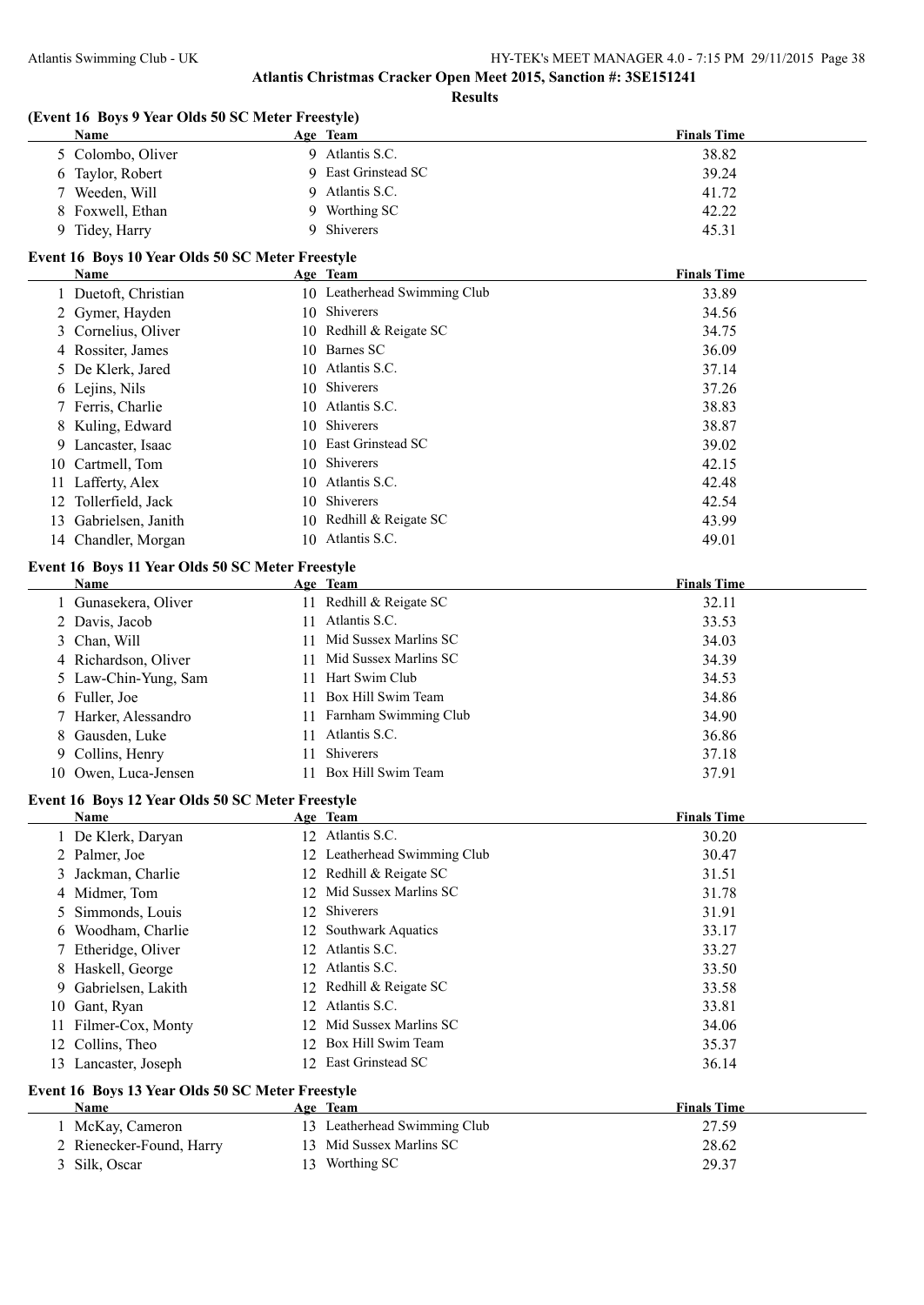**Finals Time** 

## **Atlantis Christmas Cracker Open Meet 2015, Sanction #: 3SE151241**

**Results**

| (Event 16 Boys 9 Year Olds 50 SC Meter Freestyle) |                            |  |  |  |
|---------------------------------------------------|----------------------------|--|--|--|
| <b>Name</b>                                       | Age Team                   |  |  |  |
| 5 Colombo, Oliver                                 | 9 Atlantis S.C.            |  |  |  |
| 6. Taylor Robert                                  | <b>Q</b> Fast Grinstead SC |  |  |  |

| 5 Colombo, Oliver | Atlantis S.C.       | 38.82 |
|-------------------|---------------------|-------|
| 6 Taylor, Robert  | 9 East Grinstead SC | 39.24 |
| 7 Weeden, Will    | 9 Atlantis S.C.     | 41.72 |
| 8 Foxwell, Ethan  | 9 Worthing SC       | 42.22 |
| Tidey, Harry      | <b>Shiverers</b>    | 45.31 |

## **Event 16 Boys 10 Year Olds 50 SC Meter Freestyle**

|    | Name                 | Age Team                     | <b>Finals Time</b> |
|----|----------------------|------------------------------|--------------------|
|    | 1 Duetoft, Christian | 10 Leatherhead Swimming Club | 33.89              |
|    | 2 Gymer, Hayden      | 10 Shiverers                 | 34.56              |
|    | 3 Cornelius, Oliver  | 10 Redhill & Reigate SC      | 34.75              |
|    | 4 Rossiter, James    | 10 Barnes SC                 | 36.09              |
|    | 5 De Klerk, Jared    | 10 Atlantis S.C.             | 37.14              |
|    | 6 Lejins, Nils       | 10 Shiverers                 | 37.26              |
|    | 7 Ferris, Charlie    | 10 Atlantis S.C.             | 38.83              |
|    | 8 Kuling, Edward     | 10 Shiverers                 | 38.87              |
|    | 9 Lancaster, Isaac   | 10 East Grinstead SC         | 39.02              |
|    | 10 Cartmell, Tom     | 10 Shiverers                 | 42.15              |
| 11 | Lafferty, Alex       | 10 Atlantis S.C.             | 42.48              |
|    | 12 Tollerfield, Jack | 10 Shiverers                 | 42.54              |
| 13 | Gabrielsen, Janith   | 10 Redhill & Reigate SC      | 43.99              |
|    | 14 Chandler, Morgan  | 10 Atlantis S.C.             | 49.01              |

## **Event 16 Boys 11 Year Olds 50 SC Meter Freestyle**

| Name                 | Age Team                     | <b>Finals Time</b> |
|----------------------|------------------------------|--------------------|
| 1 Gunasekera, Oliver | 11 Redhill & Reigate SC      | 32.11              |
| 2 Davis, Jacob       | Atlantis S.C.<br>11          | 33.53              |
| 3 Chan, Will         | 11 Mid Sussex Marlins SC     | 34.03              |
| 4 Richardson, Oliver | 11 Mid Sussex Marlins SC     | 34.39              |
| 5 Law-Chin-Yung, Sam | Hart Swim Club<br>11         | 34.53              |
| 6 Fuller, Joe        | 11 Box Hill Swim Team        | 34.86              |
| 7 Harker, Alessandro | Farnham Swimming Club<br>11. | 34.90              |
| 8 Gausden, Luke      | Atlantis S.C.<br>11          | 36.86              |
| 9 Collins, Henry     | Shiverers<br>11.             | 37.18              |
| 10 Owen, Luca-Jensen | Box Hill Swim Team<br>11     | 37.91              |
|                      |                              |                    |

#### **Event 16 Boys 12 Year Olds 50 SC Meter Freestyle**

|     | Name                                             |     | Age Team                     | <b>Finals Time</b> |
|-----|--------------------------------------------------|-----|------------------------------|--------------------|
|     | 1 De Klerk, Daryan                               |     | 12 Atlantis S.C.             | 30.20              |
|     | 2 Palmer, Joe                                    |     | 12 Leatherhead Swimming Club | 30.47              |
|     | 3 Jackman, Charlie                               |     | 12 Redhill & Reigate SC      | 31.51              |
|     | 4 Midmer, Tom                                    |     | Mid Sussex Marlins SC        | 31.78              |
|     | 5 Simmonds, Louis                                | 12  | <b>Shiverers</b>             | 31.91              |
| 6   | Woodham, Charlie                                 | 12  | <b>Southwark Aquatics</b>    | 33.17              |
|     | 7 Etheridge, Oliver                              | 12  | Atlantis S.C.                | 33.27              |
| 8   | Haskell, George                                  | 12  | Atlantis S.C.                | 33.50              |
|     | 9 Gabrielsen, Lakith                             |     | 12 Redhill & Reigate SC      | 33.58              |
| 10  | Gant, Ryan                                       | 12  | Atlantis S.C.                | 33.81              |
| 11. | Filmer-Cox, Monty                                |     | 12 Mid Sussex Marlins SC     | 34.06              |
|     | 12 Collins, Theo                                 | 12. | Box Hill Swim Team           | 35.37              |
| 13  | Lancaster, Joseph                                | 12  | East Grinstead SC            | 36.14              |
|     | Event 16 Boys 13 Year Olds 50 SC Meter Freestyle |     |                              |                    |
|     | Name                                             |     | Age Team                     | <b>Finals Time</b> |
|     | 1 McKay, Cameron                                 |     | 13 Leatherhead Swimming Club | 27.59              |
|     | 2 Rienecker-Found, Harry                         |     | 13 Mid Sussex Marlins SC     | 28.62              |

3 Silk, Oscar 13 Worthing SC 29.37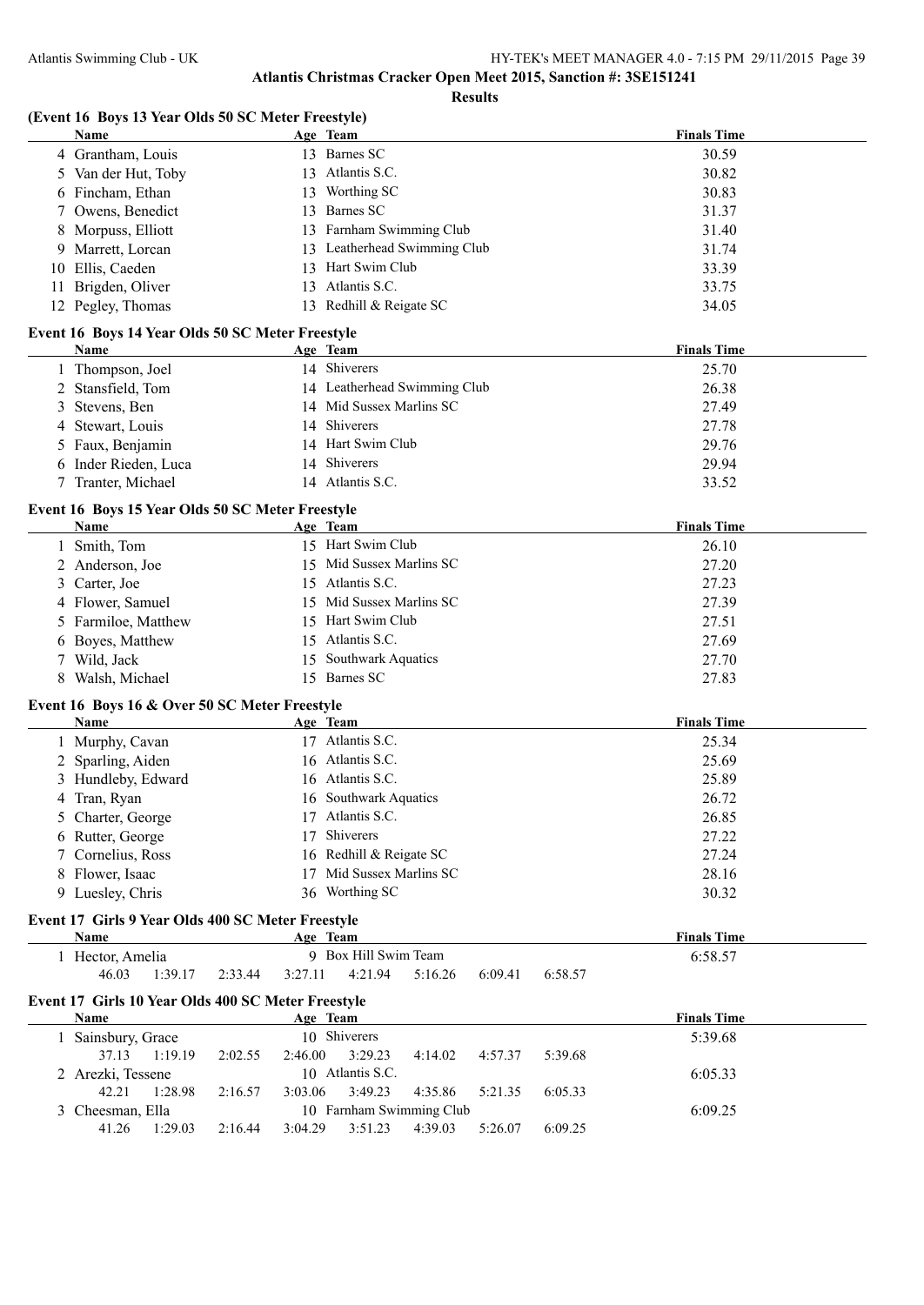**Results**

## **(Event 16 Boys 13 Year Olds 50 SC Meter Freestyle)**

|    | Name                                                       |         |         | Age Team                                 | <b>Finals Time</b> |
|----|------------------------------------------------------------|---------|---------|------------------------------------------|--------------------|
|    | 4 Grantham, Louis                                          |         |         | 13 Barnes SC                             | 30.59              |
|    | 5 Van der Hut, Toby                                        |         |         | 13 Atlantis S.C.                         | 30.82              |
|    | 6 Fincham, Ethan                                           |         |         | 13 Worthing SC                           | 30.83              |
|    | 7 Owens, Benedict                                          |         |         | 13 Barnes SC                             | 31.37              |
|    | 8 Morpuss, Elliott                                         |         |         | 13 Farnham Swimming Club                 | 31.40              |
| 9  | Marrett, Lorcan                                            |         |         | 13 Leatherhead Swimming Club             | 31.74              |
| 10 | Ellis, Caeden                                              |         |         | 13 Hart Swim Club                        | 33.39              |
| 11 | Brigden, Oliver                                            |         |         | 13 Atlantis S.C.                         | 33.75              |
|    | 12 Pegley, Thomas                                          |         |         | 13 Redhill & Reigate SC                  | 34.05              |
|    | Event 16 Boys 14 Year Olds 50 SC Meter Freestyle           |         |         |                                          |                    |
|    | Name                                                       |         |         | Age Team                                 | <b>Finals Time</b> |
|    | 1 Thompson, Joel                                           |         |         | 14 Shiverers                             | 25.70              |
|    | 2 Stansfield, Tom                                          |         |         | 14 Leatherhead Swimming Club             | 26.38              |
| 3  | Stevens, Ben                                               |         |         | 14 Mid Sussex Marlins SC                 | 27.49              |
| 4  | Stewart, Louis                                             |         |         | 14 Shiverers                             | 27.78              |
|    | 5 Faux, Benjamin                                           |         |         | 14 Hart Swim Club                        | 29.76              |
|    | 6 Inder Rieden, Luca                                       |         |         | 14 Shiverers                             | 29.94              |
|    | 7 Tranter, Michael                                         |         |         | 14 Atlantis S.C.                         | 33.52              |
|    | Event 16 Boys 15 Year Olds 50 SC Meter Freestyle           |         |         |                                          |                    |
|    | Name                                                       |         |         | Age Team                                 | <b>Finals Time</b> |
|    | 1 Smith, Tom                                               |         |         | 15 Hart Swim Club                        | 26.10              |
|    | 2 Anderson, Joe                                            |         |         | 15 Mid Sussex Marlins SC                 | 27.20              |
| 3  | Carter, Joe                                                |         |         | 15 Atlantis S.C.                         | 27.23              |
|    | 4 Flower, Samuel                                           |         |         | 15 Mid Sussex Marlins SC                 | 27.39              |
|    | 5 Farmiloe, Matthew                                        |         |         | 15 Hart Swim Club                        | 27.51              |
| 6  | Boyes, Matthew                                             |         |         | 15 Atlantis S.C.                         | 27.69              |
| 7  | Wild, Jack                                                 |         |         | 15 Southwark Aquatics                    | 27.70              |
| 8  | Walsh, Michael                                             |         |         | 15 Barnes SC                             | 27.83              |
|    | Event 16 Boys 16 & Over 50 SC Meter Freestyle              |         |         |                                          |                    |
|    | Name                                                       |         |         | Age Team                                 | <b>Finals Time</b> |
|    | 1 Murphy, Cavan                                            |         |         | 17 Atlantis S.C.                         | 25.34              |
|    |                                                            |         |         |                                          |                    |
|    |                                                            |         |         | 16 Atlantis S.C.                         | 25.69              |
|    | 2 Sparling, Aiden                                          |         |         | 16 Atlantis S.C.                         | 25.89              |
|    | 3 Hundleby, Edward                                         |         |         | 16 Southwark Aquatics                    | 26.72              |
|    | 4 Tran, Ryan                                               |         |         | 17 Atlantis S.C.                         |                    |
|    | 5 Charter, George                                          |         |         | 17 Shiverers                             | 26.85              |
|    | 6 Rutter, George                                           |         |         |                                          | 27.22              |
|    | 7 Cornelius, Ross                                          |         |         | 16 Redhill & Reigate SC                  | 27.24              |
|    | 8 Flower, Isaac                                            |         |         | 17 Mid Sussex Marlins SC                 | 28.16              |
|    | 9 Luesley, Chris                                           |         |         | 36 Worthing SC                           | 30.32              |
|    | Event 17 Girls 9 Year Olds 400 SC Meter Freestyle<br>Name  |         |         | Age Team                                 | <b>Finals Time</b> |
|    | 1 Hector, Amelia                                           |         |         | 9 Box Hill Swim Team                     | 6:58.57            |
|    | 46.03<br>1:39.17                                           | 2:33.44 | 3:27.11 | 4:21.94<br>5:16.26<br>6:09.41<br>6:58.57 |                    |
|    |                                                            |         |         |                                          |                    |
|    | Event 17 Girls 10 Year Olds 400 SC Meter Freestyle<br>Name |         |         | Age Team                                 | <b>Finals Time</b> |
|    | 1 Sainsbury, Grace                                         |         |         | 10 Shiverers                             | 5:39.68            |
|    | 37.13<br>1:19.19                                           | 2:02.55 | 2:46.00 | 3:29.23<br>5:39.68<br>4:14.02<br>4:57.37 |                    |
|    | 2 Arezki, Tessene                                          |         |         | 10 Atlantis S.C.                         | 6:05.33            |
|    | 42.21<br>1:28.98                                           | 2:16.57 | 3:03.06 | 3:49.23<br>4:35.86<br>5:21.35<br>6:05.33 |                    |
|    | 3 Cheesman, Ella                                           |         |         | 10 Farnham Swimming Club                 | 6:09.25            |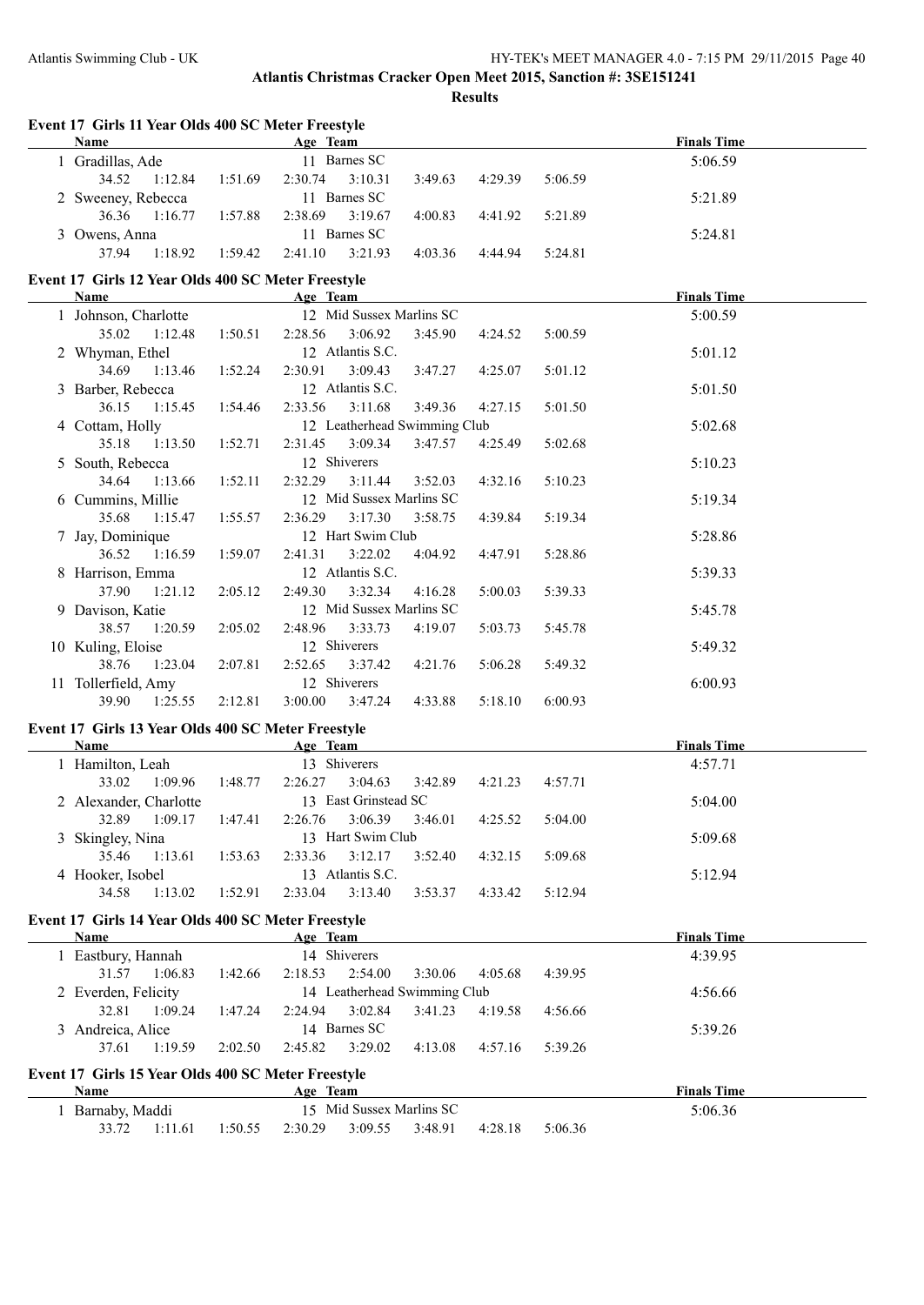**Event 17 Girls 11 Year Olds 400 SC Meter Freestyle**

## **Atlantis Christmas Cracker Open Meet 2015, Sanction #: 3SE151241 Results**

| <b>Name</b>                                                |         | Age Team                     |         |         |         | <b>Finals Time</b> |
|------------------------------------------------------------|---------|------------------------------|---------|---------|---------|--------------------|
| 1 Gradillas, Ade                                           |         | 11 Barnes SC                 |         |         |         | 5:06.59            |
| 34.52<br>1:12.84                                           | 1:51.69 | 2:30.74<br>3:10.31           | 3:49.63 | 4:29.39 | 5:06.59 |                    |
| 2 Sweeney, Rebecca                                         |         | 11 Barnes SC                 |         |         |         | 5:21.89            |
| 36.36<br>1:16.77                                           | 1:57.88 | 2:38.69<br>3:19.67           | 4:00.83 | 4:41.92 | 5:21.89 |                    |
| 3 Owens, Anna                                              |         | 11 Barnes SC                 |         |         |         | 5:24.81            |
| 1:18.92<br>37.94                                           | 1:59.42 | 2:41.10<br>3:21.93           | 4:03.36 | 4:44.94 | 5:24.81 |                    |
| Event 17 Girls 12 Year Olds 400 SC Meter Freestyle         |         |                              |         |         |         |                    |
| <b>Name</b>                                                |         | Age Team                     |         |         |         | <b>Finals Time</b> |
| 1 Johnson, Charlotte                                       |         | 12 Mid Sussex Marlins SC     |         |         |         | 5:00.59            |
| 35.02<br>1:12.48                                           | 1:50.51 | 2:28.56<br>3:06.92           | 3:45.90 | 4:24.52 | 5:00.59 |                    |
| 2 Whyman, Ethel                                            |         | 12 Atlantis S.C.             |         |         |         | 5:01.12            |
| 34.69<br>1:13.46                                           | 1:52.24 | 2:30.91<br>3:09.43           | 3:47.27 | 4:25.07 | 5:01.12 |                    |
| 3 Barber, Rebecca                                          |         | 12 Atlantis S.C.             |         |         |         | 5:01.50            |
| 36.15<br>1:15.45                                           | 1:54.46 | 3:11.68<br>2:33.56           | 3:49.36 | 4:27.15 | 5:01.50 |                    |
| 4 Cottam, Holly                                            |         | 12 Leatherhead Swimming Club |         |         |         | 5:02.68            |
| 35.18<br>1:13.50                                           | 1:52.71 | 2:31.45<br>3:09.34           | 3:47.57 | 4:25.49 | 5:02.68 |                    |
| 5 South, Rebecca                                           |         | 12 Shiverers                 |         |         |         | 5:10.23            |
| 34.64<br>1:13.66                                           | 1:52.11 | 2:32.29<br>3:11.44           | 3:52.03 | 4:32.16 | 5:10.23 |                    |
|                                                            |         | 12 Mid Sussex Marlins SC     |         |         |         |                    |
| 6 Cummins, Millie                                          |         |                              |         |         |         | 5:19.34            |
| 35.68<br>1:15.47                                           | 1:55.57 | 2:36.29<br>3:17.30           | 3:58.75 | 4:39.84 | 5:19.34 |                    |
| 7 Jay, Dominique                                           |         | 12 Hart Swim Club            |         |         |         | 5:28.86            |
| 36.52<br>1:16.59                                           | 1:59.07 | 2:41.31<br>3:22.02           | 4:04.92 | 4:47.91 | 5:28.86 |                    |
| 8 Harrison, Emma                                           |         | 12 Atlantis S.C.             |         |         |         | 5:39.33            |
| 37.90<br>1:21.12                                           | 2:05.12 | 2:49.30<br>3:32.34           | 4:16.28 | 5:00.03 | 5:39.33 |                    |
| 9 Davison, Katie                                           |         | 12 Mid Sussex Marlins SC     |         |         |         | 5:45.78            |
| 38.57<br>1:20.59                                           | 2:05.02 | 2:48.96<br>3:33.73           | 4:19.07 | 5:03.73 | 5:45.78 |                    |
| 10 Kuling, Eloise                                          |         | 12 Shiverers                 |         |         |         | 5:49.32            |
| 38.76<br>1:23.04                                           | 2:07.81 | 2:52.65<br>3:37.42           | 4:21.76 | 5:06.28 | 5:49.32 |                    |
| 11 Tollerfield, Amy                                        |         | 12 Shiverers                 |         |         |         | 6:00.93            |
| 39.90<br>1:25.55                                           | 2:12.81 | 3:00.00<br>3:47.24           | 4:33.88 | 5:18.10 | 6:00.93 |                    |
|                                                            |         |                              |         |         |         |                    |
| Event 17 Girls 13 Year Olds 400 SC Meter Freestyle<br>Name |         | Age Team                     |         |         |         | <b>Finals Time</b> |
| 1 Hamilton, Leah                                           |         | 13 Shiverers                 |         |         |         | 4:57.71            |
| 33.02<br>1:09.96                                           | 1:48.77 | 2:26.27<br>3:04.63           | 3:42.89 | 4:21.23 | 4:57.71 |                    |
|                                                            |         | 13 East Grinstead SC         |         |         |         |                    |
| 2 Alexander, Charlotte                                     |         |                              |         |         |         | 5:04.00            |
| 32.89<br>1:09.17                                           | 1:47.41 | 2:26.76<br>3:06.39           | 3:46.01 | 4:25.52 | 5:04.00 |                    |
| 3 Skingley, Nina                                           |         | 13 Hart Swim Club            |         |         |         | 5:09.68            |
| 35.46<br>1:13.61                                           | 1:53.63 | 3:12.17<br>2:33.36           | 3:52.40 | 4:32.15 | 5:09.68 |                    |
| 4 Hooker, Isobel                                           |         | 13 Atlantis S.C.             |         |         |         | 5:12.94            |
| 34.58<br>1:13.02                                           | 1:52.91 | 2:33.04<br>3:13.40           | 3:53.37 | 4:33.42 | 5:12.94 |                    |
| Event 17 Girls 14 Year Olds 400 SC Meter Freestyle         |         |                              |         |         |         |                    |
| Name                                                       |         | Age Team                     |         |         |         | <b>Finals Time</b> |
| 1 Eastbury, Hannah                                         |         | 14 Shiverers                 |         |         |         | 4:39.95            |
| 31.57<br>1:06.83                                           | 1:42.66 | 2:18.53<br>2:54.00           | 3:30.06 | 4:05.68 | 4:39.95 |                    |
| 2 Everden, Felicity                                        |         | 14 Leatherhead Swimming Club |         |         |         | 4:56.66            |
| 32.81<br>1:09.24                                           | 1:47.24 | 2:24.94<br>3:02.84           | 3:41.23 | 4:19.58 | 4:56.66 |                    |
| 3 Andreica, Alice                                          |         | 14 Barnes SC                 |         |         |         | 5:39.26            |
|                                                            |         |                              |         |         |         |                    |
| 37.61<br>1:19.59                                           | 2:02.50 | 3:29.02<br>2:45.82           | 4:13.08 | 4:57.16 | 5:39.26 |                    |
| Event 17 Girls 15 Year Olds 400 SC Meter Freestyle         |         |                              |         |         |         |                    |
| <b>Name</b>                                                |         | Age Team                     |         |         |         | <b>Finals Time</b> |
| 1 Barnaby, Maddi                                           |         | 15 Mid Sussex Marlins SC     |         |         |         | 5:06.36            |
| 33.72<br>1:11.61                                           | 1:50.55 | 3:09.55<br>2:30.29           | 3:48.91 | 4:28.18 | 5:06.36 |                    |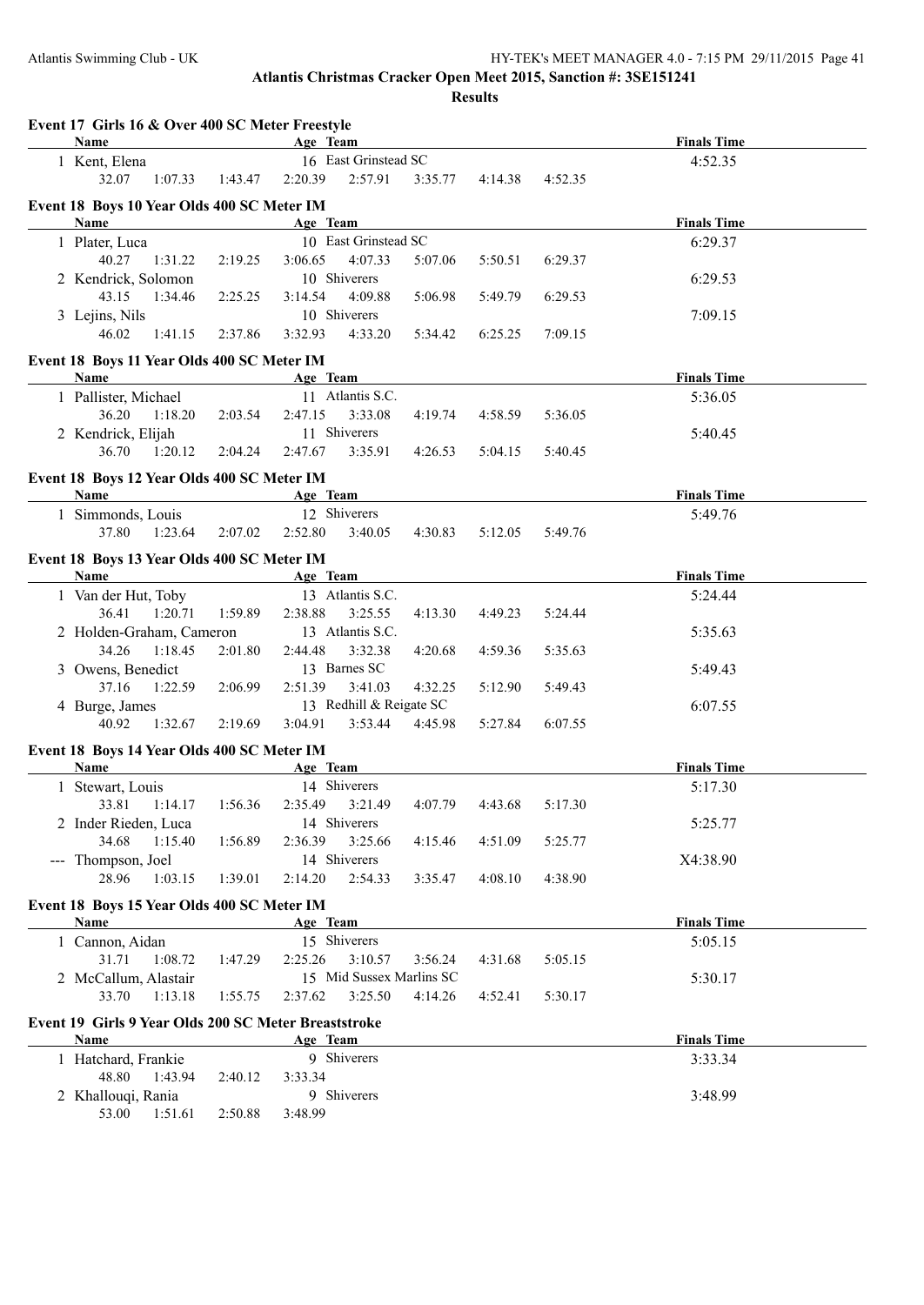| Event 17 Girls 16 & Over 400 SC Meter Freestyle<br>Name |         | Age Team                 |         |         |         | <b>Finals Time</b> |
|---------------------------------------------------------|---------|--------------------------|---------|---------|---------|--------------------|
| 1 Kent, Elena                                           |         | 16 East Grinstead SC     |         |         |         | 4:52.35            |
| 32.07<br>1:07.33                                        | 1:43.47 | 2:20.39<br>2:57.91       | 3:35.77 | 4:14.38 | 4:52.35 |                    |
| Event 18 Boys 10 Year Olds 400 SC Meter IM              |         |                          |         |         |         |                    |
| Name                                                    |         | Age Team                 |         |         |         | <b>Finals Time</b> |
| 1 Plater, Luca                                          |         | 10 East Grinstead SC     |         |         |         | 6:29.37            |
| 40.27<br>1:31.22                                        | 2:19.25 | 3:06.65<br>4:07.33       | 5:07.06 | 5:50.51 | 6:29.37 |                    |
| 2 Kendrick, Solomon                                     |         | 10 Shiverers             |         |         |         | 6:29.53            |
| 43.15<br>1:34.46                                        | 2:25.25 | 3:14.54<br>4:09.88       | 5:06.98 | 5:49.79 | 6:29.53 |                    |
| 3 Lejins, Nils                                          |         | 10 Shiverers             |         |         |         | 7:09.15            |
| 46.02<br>1:41.15                                        | 2:37.86 | 3:32.93<br>4:33.20       | 5:34.42 | 6:25.25 | 7:09.15 |                    |
|                                                         |         |                          |         |         |         |                    |
| Event 18 Boys 11 Year Olds 400 SC Meter IM              |         |                          |         |         |         |                    |
| Name                                                    |         | Age Team                 |         |         |         | <b>Finals Time</b> |
| 1 Pallister, Michael                                    |         | 11 Atlantis S.C.         |         |         |         | 5:36.05            |
| 36.20<br>1:18.20                                        | 2:03.54 | 3:33.08<br>2:47.15       | 4:19.74 | 4:58.59 | 5:36.05 |                    |
| 2 Kendrick, Elijah                                      |         | 11 Shiverers             |         |         |         | 5:40.45            |
| 36.70<br>1:20.12                                        | 2:04.24 | 2:47.67<br>3:35.91       | 4:26.53 | 5:04.15 | 5:40.45 |                    |
| Event 18 Boys 12 Year Olds 400 SC Meter IM              |         |                          |         |         |         |                    |
| Name                                                    |         | Age Team                 |         |         |         | <b>Finals Time</b> |
| 1 Simmonds, Louis                                       |         | 12 Shiverers             |         |         |         | 5:49.76            |
| 37.80<br>1:23.64                                        | 2:07.02 | 2:52.80<br>3:40.05       | 4:30.83 | 5:12.05 | 5:49.76 |                    |
| Event 18 Boys 13 Year Olds 400 SC Meter IM              |         |                          |         |         |         |                    |
| Name                                                    |         | Age Team                 |         |         |         | <b>Finals Time</b> |
| 1 Van der Hut, Toby                                     |         | 13 Atlantis S.C.         |         |         |         | 5:24.44            |
| 36.41<br>1:20.71                                        | 1:59.89 | 2:38.88<br>3:25.55       | 4:13.30 | 4:49.23 | 5:24.44 |                    |
| 2 Holden-Graham, Cameron                                |         | 13 Atlantis S.C.         |         |         |         | 5:35.63            |
| 34.26<br>1:18.45                                        | 2:01.80 | 2:44.48<br>3:32.38       | 4:20.68 | 4:59.36 | 5:35.63 |                    |
| 3 Owens, Benedict                                       |         | 13 Barnes SC             |         |         |         | 5:49.43            |
| 37.16<br>1:22.59                                        | 2:06.99 | 2:51.39<br>3:41.03       | 4:32.25 | 5:12.90 | 5:49.43 |                    |
| 4 Burge, James                                          |         | 13 Redhill & Reigate SC  |         |         |         | 6:07.55            |
| 40.92<br>1:32.67                                        | 2:19.69 | 3:04.91<br>3:53.44       | 4:45.98 | 5:27.84 | 6:07.55 |                    |
|                                                         |         |                          |         |         |         |                    |
| Event 18 Boys 14 Year Olds 400 SC Meter IM<br>Name      |         |                          |         |         |         |                    |
|                                                         |         | Age Team<br>14 Shiverers |         |         |         | <b>Finals Time</b> |
| 1 Stewart, Louis                                        |         |                          |         |         |         |                    |
|                                                         |         |                          |         |         |         | 5:17.30            |
| 33.81<br>1:14.17                                        | 1:56.36 | 2:35.49<br>3:21.49       | 4:07.79 | 4:43.68 | 5:17.30 |                    |
| 2 Inder Rieden, Luca                                    |         | 14 Shiverers             |         |         |         | 5:25.77            |
| 34.68<br>1:15.40                                        | 1:56.89 | 2:36.39<br>3:25.66       | 4:15.46 | 4:51.09 | 5:25.77 |                    |
| --- Thompson, Joel                                      |         | 14 Shiverers             |         |         |         | X4:38.90           |
| 28.96<br>1:03.15                                        | 1:39.01 | 2:14.20<br>2:54.33       | 3:35.47 | 4:08.10 | 4:38.90 |                    |
| Event 18 Boys 15 Year Olds 400 SC Meter IM              |         |                          |         |         |         |                    |
| Name                                                    |         | Age Team                 |         |         |         | <b>Finals Time</b> |
| 1 Cannon, Aidan                                         |         | 15 Shiverers             |         |         |         | 5:05.15            |
| 31.71<br>1:08.72                                        | 1:47.29 | 2:25.26<br>3:10.57       | 3:56.24 | 4:31.68 | 5:05.15 |                    |
| 2 McCallum, Alastair                                    |         | 15 Mid Sussex Marlins SC |         |         |         | 5:30.17            |
| 33.70<br>1:13.18                                        | 1:55.75 | 3:25.50<br>2:37.62       | 4:14.26 | 4:52.41 | 5:30.17 |                    |
| Event 19 Girls 9 Year Olds 200 SC Meter Breaststroke    |         |                          |         |         |         |                    |
| Name                                                    |         | Age Team                 |         |         |         | <b>Finals Time</b> |
| 1 Hatchard, Frankie                                     |         | 9 Shiverers              |         |         |         | 3:33.34            |
| 48.80<br>1:43.94                                        | 2:40.12 | 3:33.34                  |         |         |         |                    |
| 2 Khallouqi, Rania                                      |         | 9 Shiverers              |         |         |         | 3:48.99            |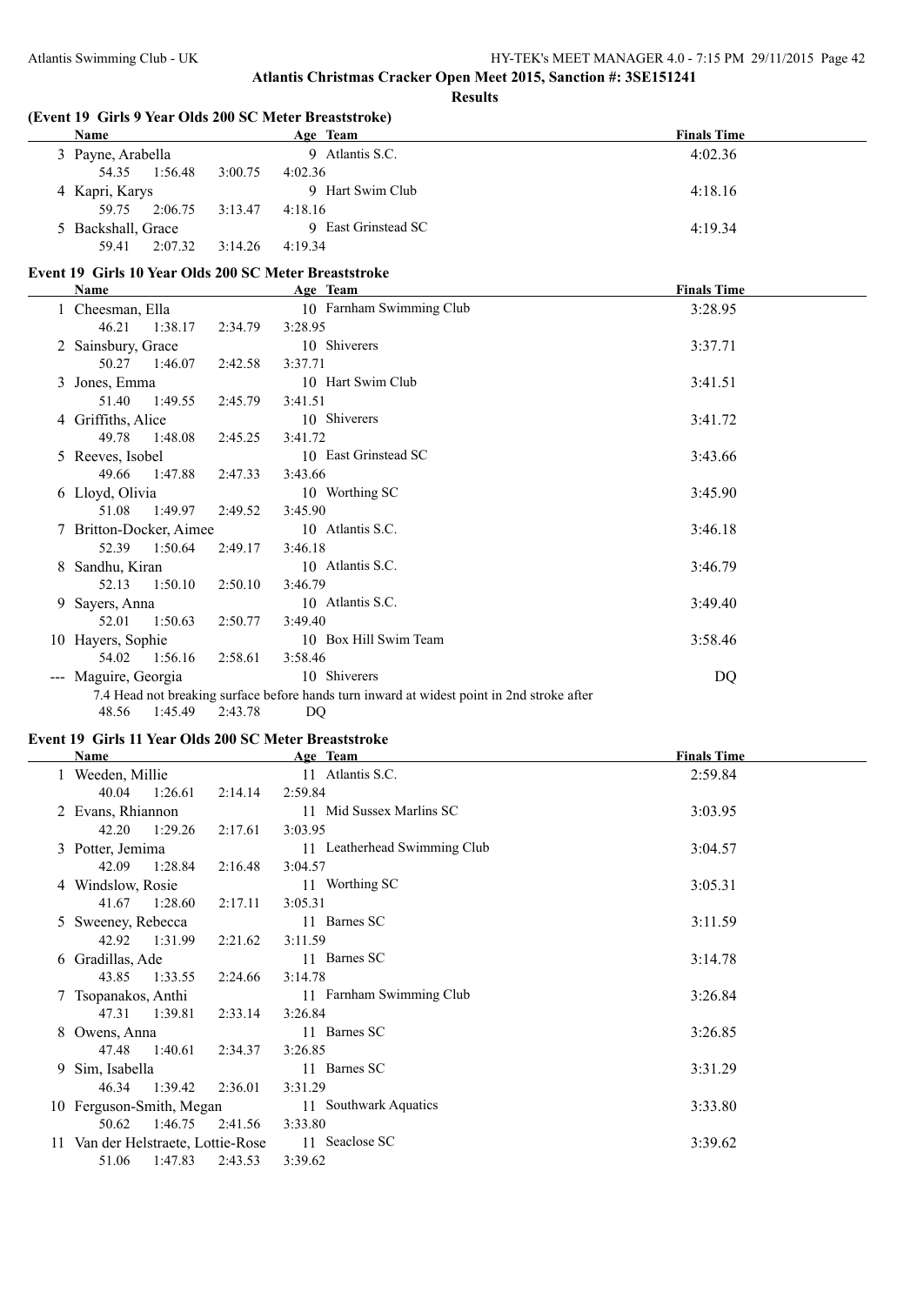#### **Results**

## **(Event 19 Girls 9 Year Olds 200 SC Meter Breaststroke)**

| <b>Name</b>        | Age Team            | <b>Finals Time</b> |
|--------------------|---------------------|--------------------|
| 3 Payne, Arabella  | 9 Atlantis S.C.     | 4:02.36            |
| 1:56.48<br>54.35   | 3:00.75<br>4:02.36  |                    |
| 4 Kapri, Karys     | 9 Hart Swim Club    | 4:18.16            |
| 2:06.75<br>59.75   | 3:13.47<br>4:18.16  |                    |
| 5 Backshall, Grace | 9 East Grinstead SC | 4:19.34            |
| 2:07.32<br>59.41   | 3:14.26<br>4:19.34  |                    |

### **Event 19 Girls 10 Year Olds 200 SC Meter Breaststroke**

|                                                                                                                                                                                                                                                                                                                                                                                              | Name                    |         | Age Team                                                                                   | <b>Finals Time</b> |
|----------------------------------------------------------------------------------------------------------------------------------------------------------------------------------------------------------------------------------------------------------------------------------------------------------------------------------------------------------------------------------------------|-------------------------|---------|--------------------------------------------------------------------------------------------|--------------------|
|                                                                                                                                                                                                                                                                                                                                                                                              | 1 Cheesman, Ella        |         | 10 Farnham Swimming Club                                                                   | 3:28.95            |
|                                                                                                                                                                                                                                                                                                                                                                                              | 46.21 1:38.17           | 2:34.79 | 3:28.95                                                                                    |                    |
|                                                                                                                                                                                                                                                                                                                                                                                              | 2 Sainsbury, Grace      |         | 10 Shiverers                                                                               | 3:37.71            |
|                                                                                                                                                                                                                                                                                                                                                                                              | 50.27<br>1:46.07        | 2:42.58 | 3:37.71                                                                                    |                    |
|                                                                                                                                                                                                                                                                                                                                                                                              | 3 Jones, Emma           |         | 10 Hart Swim Club                                                                          | 3:41.51            |
|                                                                                                                                                                                                                                                                                                                                                                                              | 1:49.55<br>51.40        | 2:45.79 | 3:41.51                                                                                    |                    |
|                                                                                                                                                                                                                                                                                                                                                                                              | 4 Griffiths, Alice      |         | 10 Shiverers                                                                               | 3:41.72            |
|                                                                                                                                                                                                                                                                                                                                                                                              | 49.78 1:48.08           | 2:45.25 | 3:41.72                                                                                    |                    |
|                                                                                                                                                                                                                                                                                                                                                                                              | 5 Reeves, Isobel        |         | 10 East Grinstead SC                                                                       | 3:43.66            |
|                                                                                                                                                                                                                                                                                                                                                                                              | 49.66 1:47.88           | 2:47.33 | 3:43.66                                                                                    |                    |
|                                                                                                                                                                                                                                                                                                                                                                                              | 6 Lloyd, Olivia         |         | 10 Worthing SC                                                                             | 3:45.90            |
|                                                                                                                                                                                                                                                                                                                                                                                              | 51.08 1:49.97           | 2:49.52 | 3:45.90                                                                                    |                    |
|                                                                                                                                                                                                                                                                                                                                                                                              | 7 Britton-Docker, Aimee |         | 10 Atlantis S.C.                                                                           | 3:46.18            |
|                                                                                                                                                                                                                                                                                                                                                                                              | 52.39<br>1:50.64        | 2:49.17 | 3:46.18                                                                                    |                    |
|                                                                                                                                                                                                                                                                                                                                                                                              | 8 Sandhu, Kiran         |         | 10 Atlantis S.C.                                                                           | 3:46.79            |
|                                                                                                                                                                                                                                                                                                                                                                                              | 52.13<br>1:50.10        | 2:50.10 | 3:46.79                                                                                    |                    |
|                                                                                                                                                                                                                                                                                                                                                                                              | 9 Sayers, Anna          |         | 10 Atlantis S.C.                                                                           | 3:49.40            |
|                                                                                                                                                                                                                                                                                                                                                                                              | 52.01<br>1:50.63        | 2:50.77 | 3:49.40                                                                                    |                    |
|                                                                                                                                                                                                                                                                                                                                                                                              | 10 Hayers, Sophie       |         | 10 Box Hill Swim Team                                                                      | 3:58.46            |
|                                                                                                                                                                                                                                                                                                                                                                                              | 54.02 1:56.16           | 2:58.61 | 3:58.46                                                                                    |                    |
| $\frac{1}{2} \frac{1}{2} \frac{1}{2} \frac{1}{2} \frac{1}{2} \frac{1}{2} \frac{1}{2} \frac{1}{2} \frac{1}{2} \frac{1}{2} \frac{1}{2} \frac{1}{2} \frac{1}{2} \frac{1}{2} \frac{1}{2} \frac{1}{2} \frac{1}{2} \frac{1}{2} \frac{1}{2} \frac{1}{2} \frac{1}{2} \frac{1}{2} \frac{1}{2} \frac{1}{2} \frac{1}{2} \frac{1}{2} \frac{1}{2} \frac{1}{2} \frac{1}{2} \frac{1}{2} \frac{1}{2} \frac{$ | Maguire, Georgia        |         | 10 Shiverers                                                                               | DQ                 |
|                                                                                                                                                                                                                                                                                                                                                                                              |                         |         | 7.4 Head not breaking surface before hands turn inward at widest point in 2nd stroke after |                    |
|                                                                                                                                                                                                                                                                                                                                                                                              | 48.56<br>1:45.49        | 2:43.78 | DQ                                                                                         |                    |

#### **Event 19 Girls 11 Year Olds 200 SC Meter Breaststroke**

| Name                               |         | Age Team                     | <b>Finals Time</b> |
|------------------------------------|---------|------------------------------|--------------------|
| 1 Weeden, Millie                   |         | 11 Atlantis S.C.             | 2:59.84            |
| 1:26.61<br>40.04                   | 2:14.14 | 2:59.84                      |                    |
| 2 Evans, Rhiannon                  |         | 11 Mid Sussex Marlins SC     | 3:03.95            |
| 1:29.26<br>42.20                   | 2:17.61 | 3:03.95                      |                    |
| 3 Potter, Jemima                   |         | 11 Leatherhead Swimming Club | 3:04.57            |
| 1:28.84<br>42.09                   | 2:16.48 | 3:04.57                      |                    |
| 4 Windslow, Rosie                  |         | 11 Worthing SC               | 3:05.31            |
| 41.67<br>1:28.60                   | 2:17.11 | 3:05.31                      |                    |
| 5 Sweeney, Rebecca                 |         | 11 Barnes SC                 | 3:11.59            |
| 42.92<br>1:31.99                   | 2:21.62 | 3:11.59                      |                    |
| 6 Gradillas, Ade                   |         | 11 Barnes SC                 | 3:14.78            |
| 1:33.55<br>43.85                   | 2:24.66 | 3:14.78                      |                    |
| 7 Tsopanakos, Anthi                |         | 11 Farnham Swimming Club     | 3:26.84            |
| 47.31 1:39.81                      | 2:33.14 | 3:26.84                      |                    |
| 8 Owens, Anna                      |         | 11 Barnes SC                 | 3:26.85            |
| 47.48<br>1:40.61                   | 2:34.37 | 3:26.85                      |                    |
| 9 Sim, Isabella                    |         | 11 Barnes SC                 | 3:31.29            |
| 1:39.42<br>46.34                   | 2:36.01 | 3:31.29                      |                    |
| 10 Ferguson-Smith, Megan           |         | 11 Southwark Aquatics        | 3:33.80            |
| 1:46.75<br>50.62                   | 2:41.56 | 3:33.80                      |                    |
| 11 Van der Helstraete, Lottie-Rose |         | 11 Seaclose SC               | 3:39.62            |
| 1:47.83<br>51.06                   | 2:43.53 | 3:39.62                      |                    |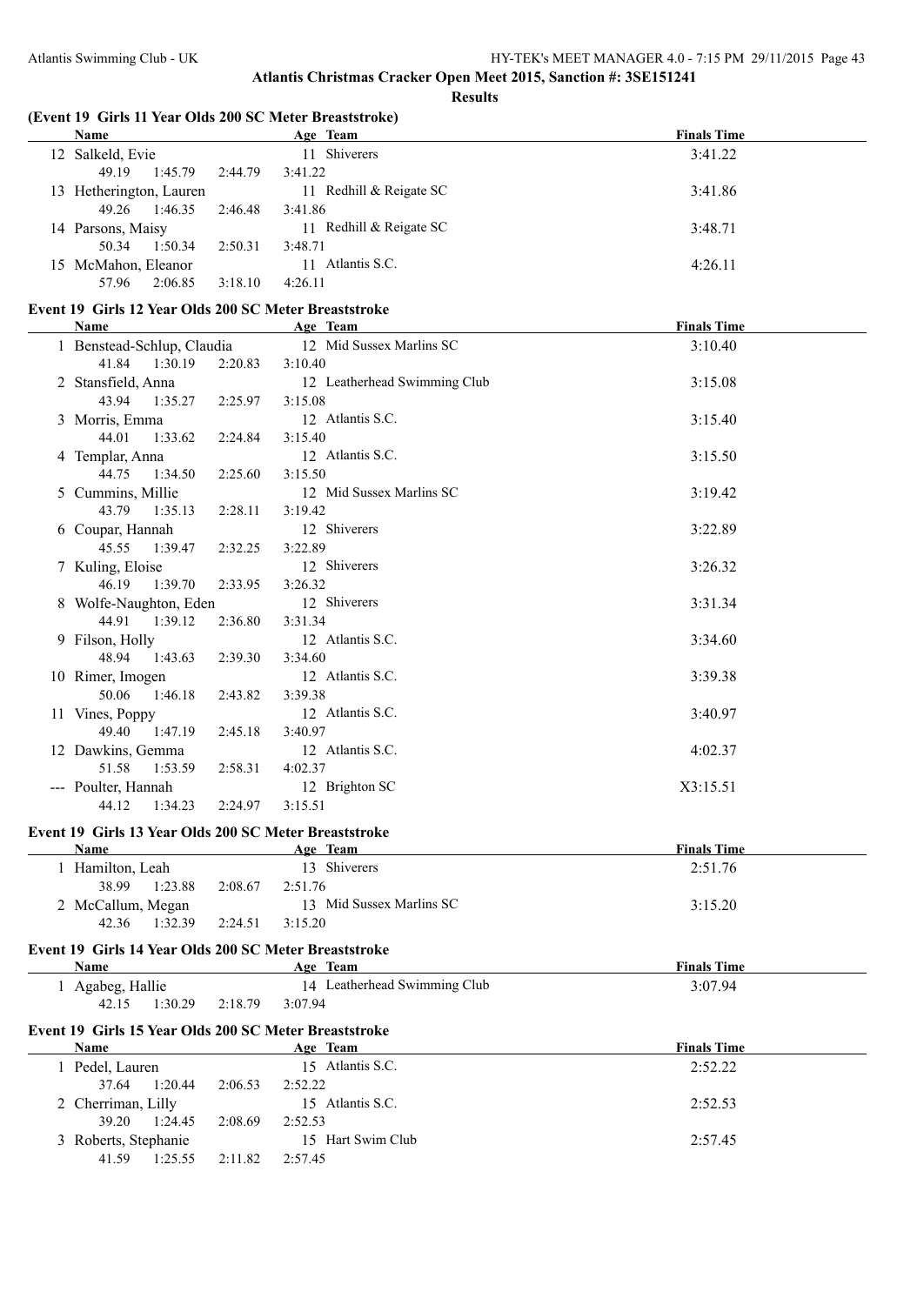## **(Event 19 Girls 11 Year Olds 200 SC Meter Breaststroke)**

|  | Name                    |         | Age Team                  | <b>Finals Time</b> |
|--|-------------------------|---------|---------------------------|--------------------|
|  | 12 Salkeld, Evie        |         | 11 Shiverers              | 3:41.22            |
|  | 1:45.79<br>49.19        | 2:44.79 | 3:41.22                   |                    |
|  | 13 Hetherington, Lauren |         | 11 Redhill $&$ Reigate SC | 3:41.86            |
|  | 1:46.35<br>49.26        | 2:46.48 | 3:41.86                   |                    |
|  | 14 Parsons, Maisy       |         | 11 Redhill & Reigate SC   | 3:48.71            |
|  | 1:50.34<br>50.34        | 2:50.31 | 3:48.71                   |                    |
|  | 15 McMahon, Eleanor     |         | Atlantis S.C.<br>11       | 4:26.11            |
|  | 2:06.85<br>57.96        | 3:18.10 | 4:26.11                   |                    |
|  |                         |         |                           |                    |

## **Event 19 Girls 12 Year Olds 200 SC Meter Breaststroke**

| Name                       |         | Age Team                     | <b>Finals Time</b> |
|----------------------------|---------|------------------------------|--------------------|
| 1 Benstead-Schlup, Claudia |         | 12 Mid Sussex Marlins SC     | 3:10.40            |
| 41.84 1:30.19              | 2:20.83 | 3:10.40                      |                    |
| 2 Stansfield, Anna         |         | 12 Leatherhead Swimming Club | 3:15.08            |
| 43.94<br>1:35.27           | 2:25.97 | 3:15.08                      |                    |
| 3 Morris, Emma             |         | 12 Atlantis S.C.             | 3:15.40            |
| 1:33.62<br>44.01           | 2:24.84 | 3:15.40                      |                    |
| 4 Templar, Anna            |         | 12 Atlantis S.C.             | 3:15.50            |
| 44.75<br>1:34.50           | 2:25.60 | 3:15.50                      |                    |
| 5 Cummins, Millie          |         | 12 Mid Sussex Marlins SC     | 3:19.42            |
| 43.79 1:35.13              | 2:28.11 | 3:19.42                      |                    |
| 6 Coupar, Hannah           |         | 12 Shiverers                 | 3:22.89            |
| 45.55<br>1:39.47           | 2:32.25 | 3:22.89                      |                    |
| 7 Kuling, Eloise           |         | 12 Shiverers                 | 3:26.32            |
| 46.19<br>1:39.70           | 2:33.95 | 3:26.32                      |                    |
| 8 Wolfe-Naughton, Eden     |         | 12 Shiverers                 | 3:31.34            |
| 44.91 1:39.12              | 2:36.80 | 3:31.34                      |                    |
| 9 Filson, Holly            |         | 12 Atlantis S.C.             | 3:34.60            |
| 48.94 1:43.63              | 2:39.30 | 3:34.60                      |                    |
| 10 Rimer, Imogen           |         | 12 Atlantis S.C.             | 3:39.38            |
| 50.06 1:46.18              | 2:43.82 | 3:39.38                      |                    |
| 11 Vines, Poppy            |         | 12 Atlantis S.C.             | 3:40.97            |
| 49.40<br>1:47.19           | 2:45.18 | 3:40.97                      |                    |
| 12 Dawkins, Gemma          |         | 12 Atlantis S.C.             | 4:02.37            |
| 51.58<br>1:53.59           | 2:58.31 | 4:02.37                      |                    |
| --- Poulter, Hannah        |         | 12 Brighton SC               | X3:15.51           |
| 44.12<br>1:34.23           | 2:24.97 | 3:15.51                      |                    |

### **Event 19 Girls 13 Year Olds 200 SC Meter Breaststroke**

| Name              |         |         | Age Team                 | <b>Finals Time</b> |
|-------------------|---------|---------|--------------------------|--------------------|
| Hamilton, Leah    |         |         | 13 Shiverers             | 2:51.76            |
| 38.99             | 1:23.88 | 2:08.67 | 2:51.76                  |                    |
| 2 McCallum, Megan |         |         | 13 Mid Sussex Marlins SC | 3:15.20            |
| 42.36             | 1:32.39 | 2:24.51 | 3:15.20                  |                    |

## **Event 19 Girls 14 Year Olds 200 SC Meter Breaststroke**

| <b>Name</b>      | Team<br>Age                  | <b>Finals Time</b> |
|------------------|------------------------------|--------------------|
| Agabeg, Hallie   | 14 Leatherhead Swimming Club | 3:07.94            |
| 1:30.29<br>42.15 | 2:18.79<br>3:07.94           |                    |

## **Event 19 Girls 15 Year Olds 200 SC Meter Breaststroke**

| <b>Name</b>          | Age Team           | <b>Finals Time</b> |
|----------------------|--------------------|--------------------|
| Pedel, Lauren        | 15 Atlantis S.C.   | 2:52.22            |
| 1:20.44<br>37.64     | 2:06.53<br>2:52.22 |                    |
| 2 Cherriman, Lilly   | 15 Atlantis S.C.   | 2:52.53            |
| 1:24.45<br>39.20     | 2:08.69<br>2:52.53 |                    |
| 3 Roberts, Stephanie | 15 Hart Swim Club  | 2:57.45            |
| 1:25.55<br>41.59     | 2:11.82<br>2:57.45 |                    |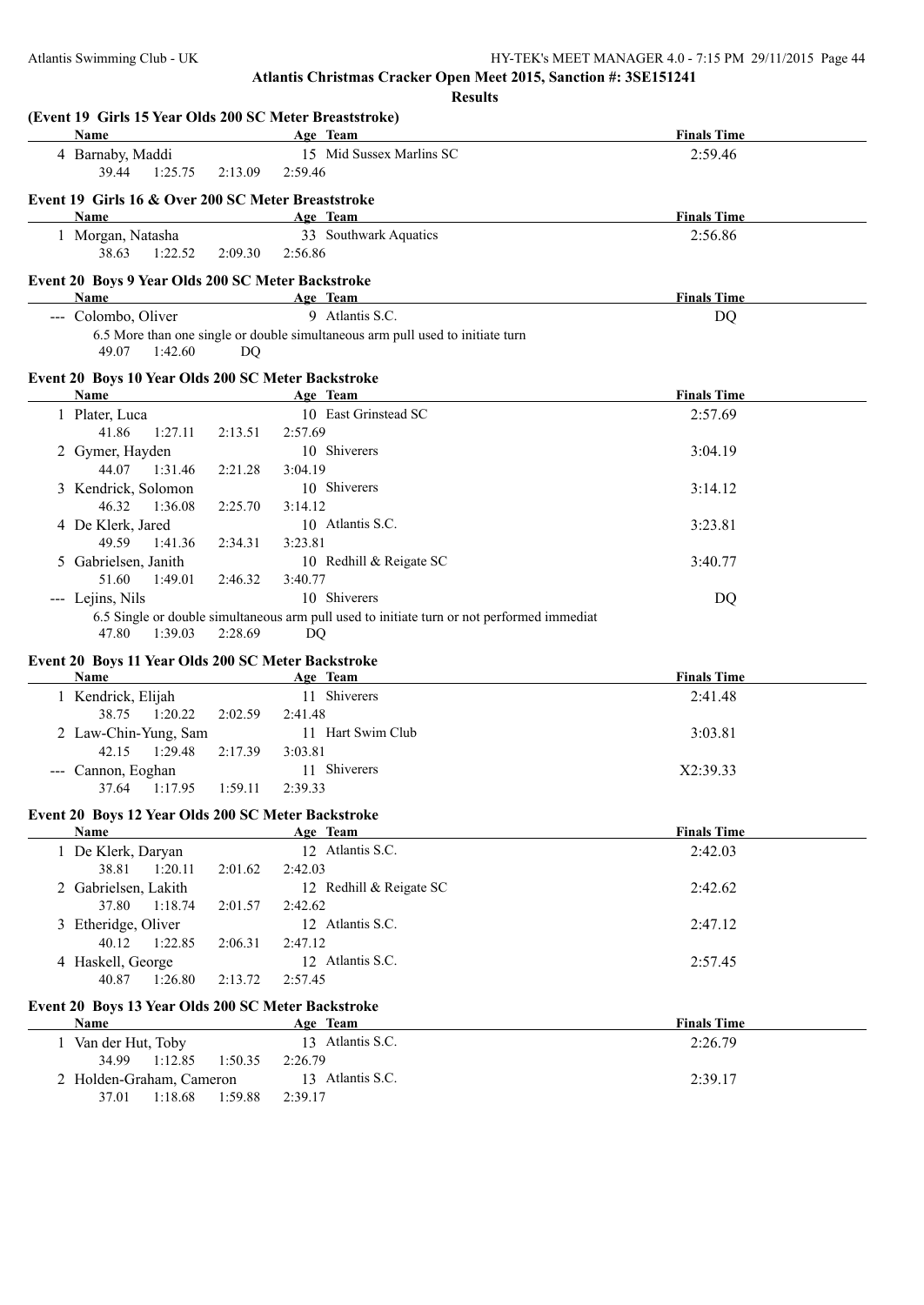**Results**

| (Event 19 Girls 15 Year Olds 200 SC Meter Breaststroke)<br>Name |         | Age Team                                                                                   | <b>Finals Time</b> |
|-----------------------------------------------------------------|---------|--------------------------------------------------------------------------------------------|--------------------|
| 4 Barnaby, Maddi                                                |         | 15 Mid Sussex Marlins SC                                                                   | 2:59.46            |
| 39.44<br>1:25.75                                                | 2:13.09 | 2:59.46                                                                                    |                    |
| Event 19 Girls 16 & Over 200 SC Meter Breaststroke              |         |                                                                                            |                    |
| Name                                                            |         | Age Team                                                                                   | <b>Finals Time</b> |
| 1 Morgan, Natasha                                               |         | 33 Southwark Aquatics                                                                      | 2:56.86            |
| 38.63<br>1:22.52                                                | 2:09.30 | 2:56.86                                                                                    |                    |
| Event 20 Boys 9 Year Olds 200 SC Meter Backstroke               |         |                                                                                            |                    |
| Name                                                            |         | Age Team                                                                                   | <b>Finals Time</b> |
| --- Colombo, Oliver                                             |         | 9 Atlantis S.C.                                                                            | <b>DQ</b>          |
| 49.07<br>1:42.60                                                | DQ      | 6.5 More than one single or double simultaneous arm pull used to initiate turn             |                    |
| Event 20 Boys 10 Year Olds 200 SC Meter Backstroke              |         |                                                                                            |                    |
| Name                                                            |         | Age Team                                                                                   | <b>Finals Time</b> |
| 1 Plater, Luca                                                  |         | 10 East Grinstead SC                                                                       | 2:57.69            |
| 41.86<br>1:27.11                                                | 2:13.51 | 2:57.69                                                                                    |                    |
| 2 Gymer, Hayden                                                 |         | 10 Shiverers                                                                               | 3:04.19            |
| 44.07<br>1:31.46                                                | 2:21.28 | 3:04.19                                                                                    |                    |
| 3 Kendrick, Solomon                                             |         | 10 Shiverers                                                                               | 3:14.12            |
| 46.32<br>1:36.08                                                | 2:25.70 | 3:14.12                                                                                    |                    |
| 4 De Klerk, Jared                                               |         | 10 Atlantis S.C.                                                                           | 3:23.81            |
| 49.59<br>1:41.36                                                | 2:34.31 | 3:23.81                                                                                    |                    |
| 5 Gabrielsen, Janith                                            |         | 10 Redhill & Reigate SC                                                                    | 3:40.77            |
| 51.60<br>1:49.01                                                | 2:46.32 | 3:40.77                                                                                    |                    |
| --- Lejins, Nils                                                |         | 10 Shiverers                                                                               | DQ                 |
|                                                                 |         | 6.5 Single or double simultaneous arm pull used to initiate turn or not performed immediat |                    |
| 47.80<br>1:39.03                                                | 2:28.69 | DQ                                                                                         |                    |
| Event 20 Boys 11 Year Olds 200 SC Meter Backstroke              |         |                                                                                            |                    |
| Name                                                            |         | Age Team                                                                                   | <b>Finals Time</b> |
| 1 Kendrick, Elijah                                              |         | 11 Shiverers                                                                               | 2:41.48            |
| 38.75<br>1:20.22                                                | 2:02.59 | 2:41.48                                                                                    |                    |
| 2 Law-Chin-Yung, Sam                                            |         | 11 Hart Swim Club                                                                          | 3:03.81            |
| 42.15<br>1:29.48                                                | 2:17.39 | 3:03.81                                                                                    |                    |
| --- Cannon, Eoghan                                              |         | 11 Shiverers                                                                               | X2:39.33           |
| 37.64<br>1:17.95                                                | 1:59.11 | 2:39.33                                                                                    |                    |
| Event 20 Boys 12 Year Olds 200 SC Meter Backstroke              |         |                                                                                            |                    |
| Name                                                            |         | Age Team                                                                                   | <b>Finals Time</b> |
| 1 De Klerk, Daryan                                              |         | 12 Atlantis S.C.                                                                           | 2:42.03            |
| 38.81<br>1:20.11                                                | 2:01.62 | 2:42.03                                                                                    |                    |
| 2 Gabrielsen, Lakith                                            |         | 12 Redhill & Reigate SC                                                                    | 2:42.62            |
| 37.80<br>1:18.74                                                | 2:01.57 | 2:42.62                                                                                    |                    |
| 3 Etheridge, Oliver                                             |         | 12 Atlantis S.C.                                                                           | 2:47.12            |
| 40.12<br>1:22.85                                                | 2:06.31 | 2:47.12                                                                                    |                    |
| 4 Haskell, George                                               |         | 12 Atlantis S.C.                                                                           | 2:57.45            |
| 40.87<br>1:26.80                                                | 2:13.72 | 2:57.45                                                                                    |                    |
|                                                                 |         |                                                                                            |                    |
| Event 20 Boys 13 Year Olds 200 SC Meter Backstroke              |         |                                                                                            |                    |
| Name                                                            |         | Age Team                                                                                   | <b>Finals Time</b> |
| 1 Van der Hut, Toby                                             |         | 13 Atlantis S.C.                                                                           | 2:26.79            |
| 34.99<br>1:12.85                                                | 1:50.35 | 2:26.79                                                                                    |                    |
| 2 Holden-Graham, Cameron                                        |         | 13 Atlantis S.C.                                                                           | 2:39.17            |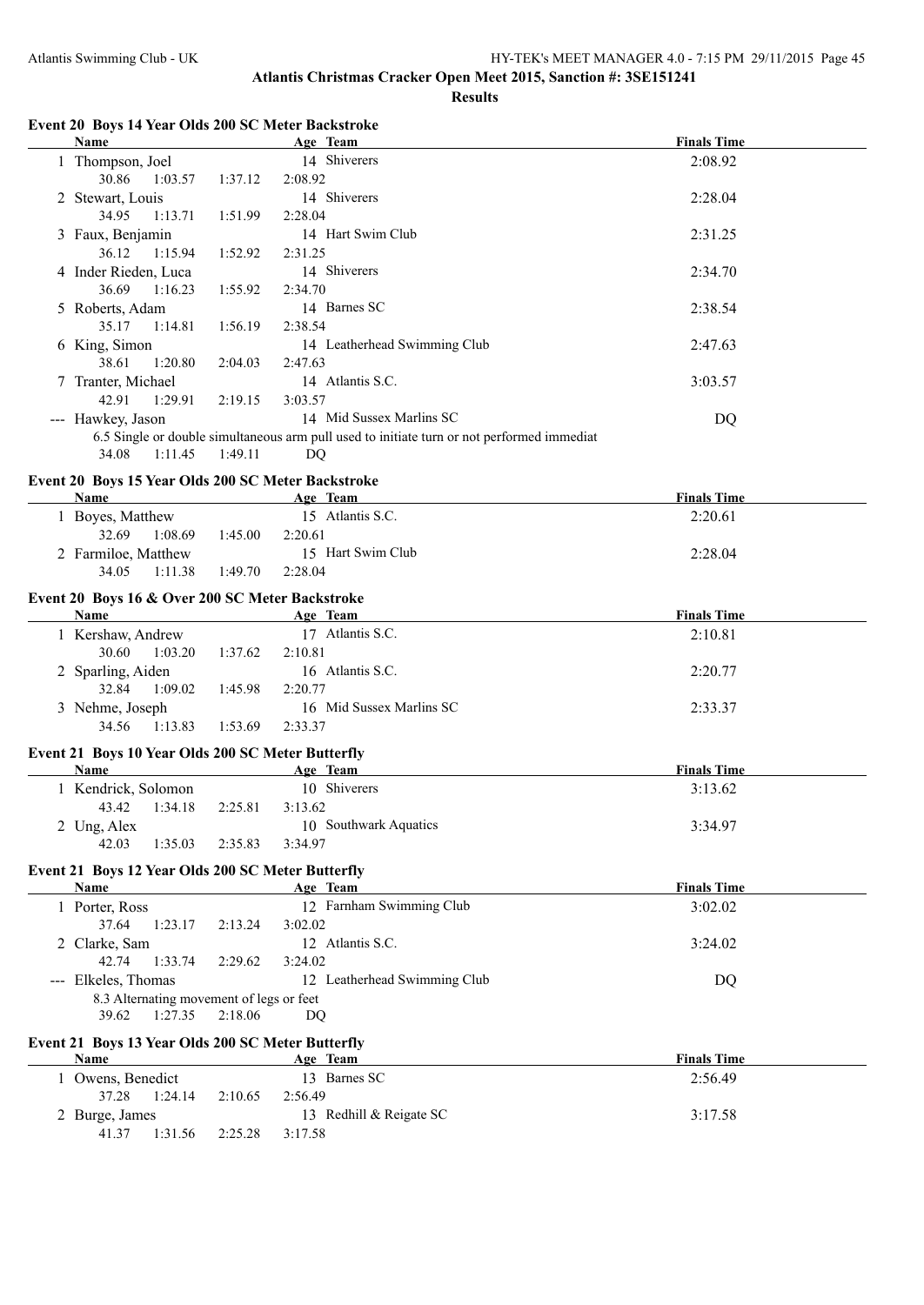**Results**

#### **Event 20 Boys 14 Year Olds 200 SC Meter Backstroke**

| <b>Name</b>                                        |         | Age Team                                                                                   | <b>Finals Time</b> |  |
|----------------------------------------------------|---------|--------------------------------------------------------------------------------------------|--------------------|--|
| 1 Thompson, Joel                                   |         | 14 Shiverers                                                                               | 2:08.92            |  |
| 30.86<br>1:03.57                                   | 1:37.12 | 2:08.92                                                                                    |                    |  |
| 2 Stewart, Louis                                   |         | 14 Shiverers                                                                               | 2:28.04            |  |
| 34.95<br>1:13.71                                   | 1:51.99 | 2:28.04                                                                                    |                    |  |
| 3 Faux, Benjamin                                   |         | 14 Hart Swim Club                                                                          | 2:31.25            |  |
| 36.12<br>1:15.94                                   | 1:52.92 | 2:31.25                                                                                    |                    |  |
| 4 Inder Rieden, Luca                               |         | 14 Shiverers                                                                               | 2:34.70            |  |
| 36.69<br>1:16.23                                   | 1:55.92 | 2:34.70                                                                                    |                    |  |
| 5 Roberts, Adam                                    |         | 14 Barnes SC                                                                               | 2:38.54            |  |
| 35.17<br>1:14.81                                   | 1:56.19 | 2:38.54                                                                                    |                    |  |
| 6 King, Simon                                      |         | 14 Leatherhead Swimming Club                                                               | 2:47.63            |  |
| 1:20.80<br>38.61                                   | 2:04.03 | 2:47.63                                                                                    |                    |  |
| 7 Tranter, Michael                                 |         | 14 Atlantis S.C.                                                                           | 3:03.57            |  |
| 42.91<br>1:29.91                                   | 2:19.15 | 3:03.57                                                                                    |                    |  |
| --- Hawkey, Jason                                  |         | 14 Mid Sussex Marlins SC                                                                   | DQ                 |  |
|                                                    |         | 6.5 Single or double simultaneous arm pull used to initiate turn or not performed immediat |                    |  |
| 1:11.45<br>34.08                                   | 1:49.11 | DQ                                                                                         |                    |  |
| Event 20 Boys 15 Year Olds 200 SC Meter Backstroke |         |                                                                                            |                    |  |
| <b>Name</b>                                        |         | Age Team                                                                                   | <b>Finals Time</b> |  |
| 1 Boyes, Matthew                                   |         | 15 Atlantis S.C.                                                                           | 2:20.61            |  |
| 1:08.69<br>32.69                                   | 1:45.00 | 2:20.61                                                                                    |                    |  |
| 2 Farmiloe, Matthew                                |         | 15 Hart Swim Club                                                                          | 2:28.04            |  |
| 34.05<br>1:11.38                                   | 1:49.70 | 2:28.04                                                                                    |                    |  |
| Event 20 Boys 16 & Over 200 SC Meter Backstroke    |         |                                                                                            |                    |  |
| <b>Name</b>                                        |         | Age Team                                                                                   | <b>Finals Time</b> |  |
| 1 Kershaw, Andrew                                  |         | 17 Atlantis S.C.                                                                           | 2:10.81            |  |
| $20\angle 0$ $1.02, 20$ $1.27\angle 0$ $2.10, 01$  |         |                                                                                            |                    |  |

| $\mathbf{L}$ Neisliaw, Allyruw |         | $11$ Truging $0.0$ .     | 2.10.01 |
|--------------------------------|---------|--------------------------|---------|
| 1:03.20<br>30.60               | 1:37.62 | 2:10.81                  |         |
| 2 Sparling, Aiden              |         | 16 Atlantis S.C.         | 2:20.77 |
| 1:09.02<br>32.84               | 1:45.98 | 2:20.77                  |         |
| 3 Nehme, Joseph                |         | 16 Mid Sussex Marlins SC | 2:33.37 |
| 34.56 1:13.83                  | 1:53.69 | 2:33.37                  |         |

## **Event 21 Boys 10 Year Olds 200 SC Meter Butterfly**

| Name                |         |         | Age Team              | <b>Finals Time</b> |
|---------------------|---------|---------|-----------------------|--------------------|
| 1 Kendrick, Solomon |         |         | 10 Shiverers          | 3:13.62            |
| 43.42               | 1:34.18 | 2:25.81 | 3:13.62               |                    |
| 2 Ung, Alex         |         |         | 10 Southwark Aquatics | 3:34.97            |
| 42.03               | 1:35.03 | 2:35.83 | 3:34.97               |                    |

## **Event 21 Boys 12 Year Olds 200 SC Meter Butterfly**

| Name                |                                          | Age Team                     | <b>Finals Time</b> |
|---------------------|------------------------------------------|------------------------------|--------------------|
| Porter, Ross        |                                          | 12 Farnham Swimming Club     | 3:02.02            |
| 1:23.17<br>37.64    | 2:13.24                                  | 3:02.02                      |                    |
| 2 Clarke, Sam       |                                          | 12 Atlantis S.C.             | 3:24.02            |
| 1:33.74<br>42.74    | 2:29.62                                  | 3:24.02                      |                    |
| --- Elkeles, Thomas |                                          | 12 Leatherhead Swimming Club | DQ                 |
|                     | 8.3 Alternating movement of legs or feet |                              |                    |
| 1:27.35<br>39.62    | 2:18.06                                  | DO                           |                    |

#### **Event 21 Boys 13 Year Olds 200 SC Meter Butterfly**

| Name             | <b>Team</b><br><u>Age </u> | <b>Finals Time</b> |
|------------------|----------------------------|--------------------|
| Owens, Benedict  | 13 Barnes SC               | 2:56.49            |
| 1:24.14<br>37.28 | 2:10.65<br>2:56.49         |                    |
| 2 Burge, James   | 13 Redhill & Reigate SC    | 3:17.58            |
| 1:31.56<br>41.37 | 2:25.28<br>3:17.58         |                    |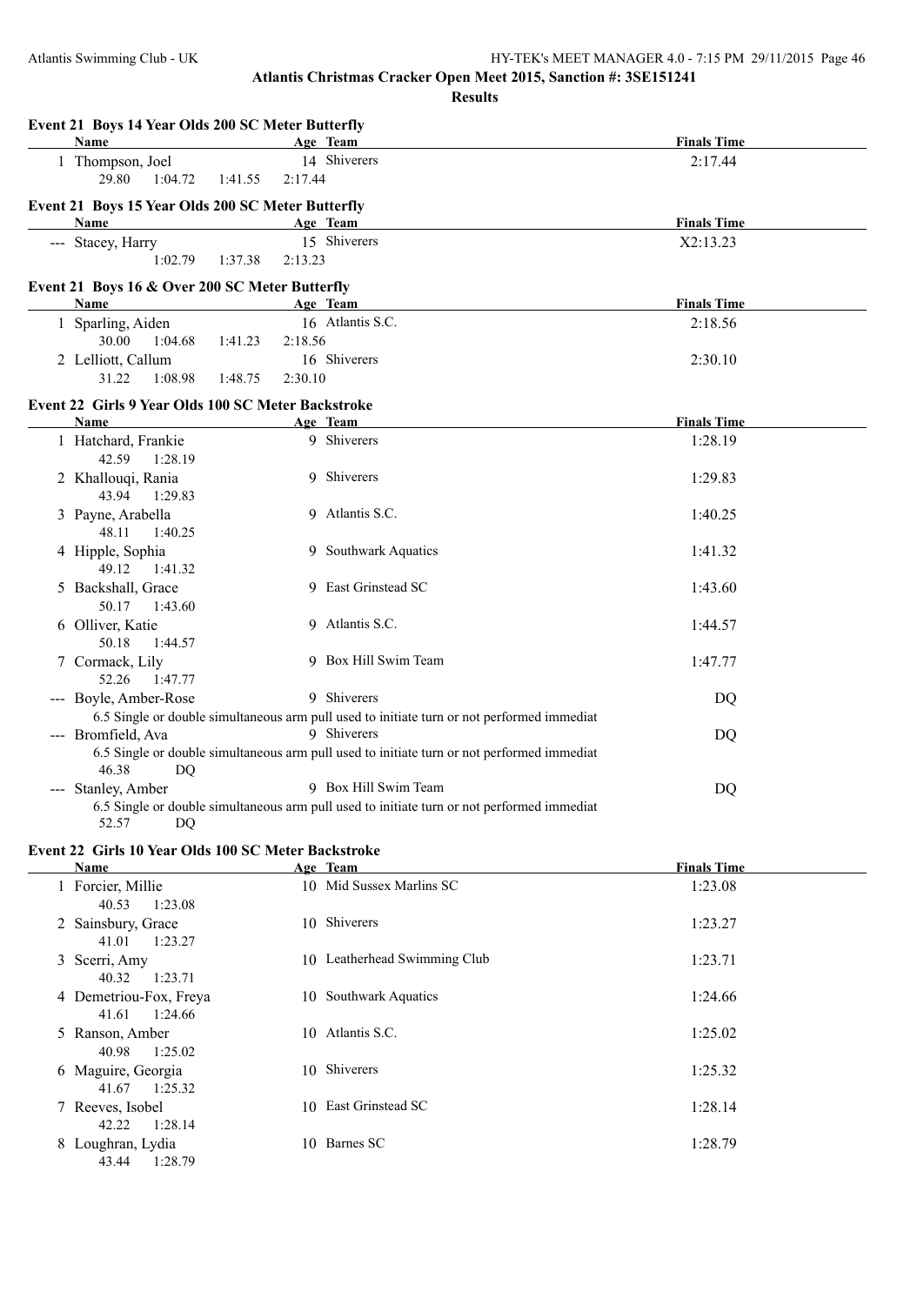**Results**

**Event 21 Boys 14 Year Olds 200 SC Meter Butterfly Age Team Age Team Finals Time** 1 Thompson, Joel 14 Shiverers 2:17.44 29.80 1:04.72 1:41.55 2:17.44 **Event 21 Boys 15 Year Olds 200 SC Meter Butterfly Age Team Age Team Finals Time** --- Stacey, Harry 15 Shiverers X2:13.23 1:02.79 1:37.38 2:13.23 **Event 21 Boys 16 & Over 200 SC Meter Butterfly Name Age Team Finals Time** 1 Sparling, Aiden 16 Atlantis S.C. 2:18.56 30.00 1:04.68 1:41.23 2:18.56 2 Lelliott, Callum 16 Shiverers 2:30.10 31.22 1:08.98 1:48.75 2:30.10 **Event 22 Girls 9 Year Olds 100 SC Meter Backstroke Name Age Team Finals Time** 1 Hatchard, Frankie 9 Shiverers 1:28.19 42.59 1:28.19 2 Khallouqi, Rania 9 Shiverers 1:29.83 43.94 1:29.83 3 Payne, Arabella 9 Atlantis S.C. 1:40.25 48.11 1:40.25 4 Hipple, Sophia 9 Southwark Aquatics 1:41.32 49.12 1:41.32 5 Backshall, Grace 9 East Grinstead SC 1:43.60 50.17 1:43.60 6 Olliver, Katie 9 Atlantis S.C. 1:44.57 50.18 1:44.57 7 Cormack, Lily 9 Box Hill Swim Team 1:47.77 52.26 1:47.77 --- Boyle, Amber-Rose 9 Shiverers DQ 6.5 Single or double simultaneous arm pull used to initiate turn or not performed immediat --- Bromfield, Ava 9 Shiverers DQ 6.5 Single or double simultaneous arm pull used to initiate turn or not performed immediat 46.38 DQ --- Stanley, Amber 9 Box Hill Swim Team DQ 6.5 Single or double simultaneous arm pull used to initiate turn or not performed immediat 52.57 DQ

## **Event 22 Girls 10 Year Olds 100 SC Meter Backstroke**

| <b>Name</b>                                | Age Team                     | <b>Finals Time</b> |
|--------------------------------------------|------------------------------|--------------------|
| 1 Forcier, Millie<br>1:23.08<br>40.53      | 10 Mid Sussex Marlins SC     | 1:23.08            |
| 2 Sainsbury, Grace<br>1:23.27<br>41.01     | 10 Shiverers                 | 1:23.27            |
| 3 Scerri, Amy<br>1:23.71<br>40.32          | 10 Leatherhead Swimming Club | 1:23.71            |
| 4 Demetriou-Fox, Freya<br>1:24.66<br>41.61 | 10 Southwark Aquatics        | 1:24.66            |
| 5 Ranson, Amber<br>1:25.02<br>40.98        | 10 Atlantis S.C.             | 1:25.02            |
| 6 Maguire, Georgia<br>41.67<br>1:25.32     | 10 Shiverers                 | 1:25.32            |
| 7 Reeves, Isobel<br>1:28.14<br>42.22       | 10 East Grinstead SC         | 1:28.14            |
| 8 Loughran, Lydia<br>1:28.79<br>43.44      | 10 Barnes SC                 | 1:28.79            |
|                                            |                              |                    |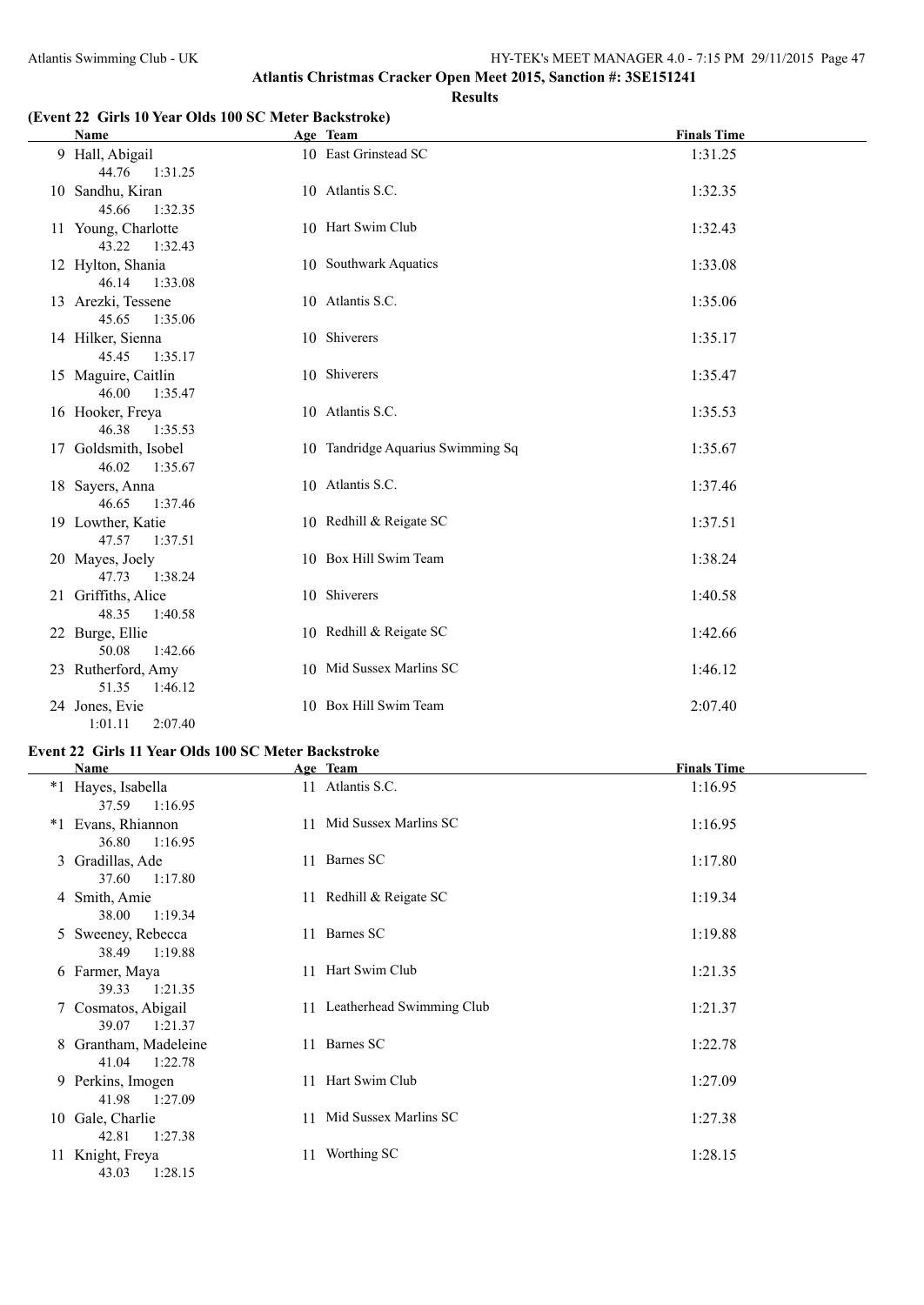## **(Event 22 Girls 10 Year Olds 100 SC Meter Backstroke)**

| <b>Name</b>                              | Age Team                          | <b>Finals Time</b> |
|------------------------------------------|-----------------------------------|--------------------|
| 9 Hall, Abigail<br>44.76 1:31.25         | 10 East Grinstead SC              | 1:31.25            |
| 10 Sandhu, Kiran<br>45.66<br>1:32.35     | 10 Atlantis S.C.                  | 1:32.35            |
| 11 Young, Charlotte<br>43.22<br>1:32.43  | 10 Hart Swim Club                 | 1:32.43            |
| 12 Hylton, Shania<br>46.14<br>1:33.08    | 10 Southwark Aquatics             | 1:33.08            |
| 13 Arezki, Tessene<br>45.65<br>1:35.06   | 10 Atlantis S.C.                  | 1:35.06            |
| 14 Hilker, Sienna<br>45.45<br>1:35.17    | 10 Shiverers                      | 1:35.17            |
| 15 Maguire, Caitlin<br>46.00<br>1:35.47  | 10 Shiverers                      | 1:35.47            |
| 16 Hooker, Freya<br>46.38<br>1:35.53     | 10 Atlantis S.C.                  | 1:35.53            |
| 17 Goldsmith, Isobel<br>46.02<br>1:35.67 | 10 Tandridge Aquarius Swimming Sq | 1:35.67            |
| 18 Sayers, Anna<br>46.65<br>1:37.46      | 10 Atlantis S.C.                  | 1:37.46            |
| 19 Lowther, Katie<br>47.57<br>1:37.51    | 10 Redhill & Reigate SC           | 1:37.51            |
| 20 Mayes, Joely<br>1:38.24<br>47.73      | 10 Box Hill Swim Team             | 1:38.24            |
| 21 Griffiths, Alice<br>48.35<br>1:40.58  | 10 Shiverers                      | 1:40.58            |
| 22 Burge, Ellie<br>1:42.66<br>50.08      | 10 Redhill & Reigate SC           | 1:42.66            |
| 23 Rutherford, Amy<br>51.35<br>1:46.12   | 10 Mid Sussex Marlins SC          | 1:46.12            |
| 24 Jones, Evie<br>1:01.11<br>2:07.40     | 10 Box Hill Swim Team             | 2:07.40            |

## **Event 22 Girls 11 Year Olds 100 SC Meter Backstroke**

|    | Name                                      | Age Team                     | <b>Finals Time</b> |
|----|-------------------------------------------|------------------------------|--------------------|
|    | *1 Hayes, Isabella<br>1:16.95<br>37.59    | 11 Atlantis S.C.             | 1:16.95            |
|    | *1 Evans, Rhiannon<br>36.80<br>1:16.95    | 11 Mid Sussex Marlins SC     | 1:16.95            |
|    | 3 Gradillas, Ade<br>37.60<br>1:17.80      | 11 Barnes SC                 | 1:17.80            |
|    | 4 Smith, Amie<br>1:19.34<br>38.00         | 11 Redhill & Reigate SC      | 1:19.34            |
|    | 5 Sweeney, Rebecca<br>1:19.88<br>38.49    | 11 Barnes SC                 | 1:19.88            |
|    | 6 Farmer, Maya<br>39.33<br>1:21.35        | 11 Hart Swim Club            | 1:21.35            |
|    | 7 Cosmatos, Abigail<br>1:21.37<br>39.07   | 11 Leatherhead Swimming Club | 1:21.37            |
|    | 8 Grantham, Madeleine<br>41.04<br>1:22.78 | 11 Barnes SC                 | 1:22.78            |
|    | 9 Perkins, Imogen<br>41.98<br>1:27.09     | 11 Hart Swim Club            | 1:27.09            |
|    | 10 Gale, Charlie<br>42.81<br>1:27.38      | 11 Mid Sussex Marlins SC     | 1:27.38            |
| 11 | Knight, Freya<br>43.03<br>1:28.15         | 11 Worthing SC               | 1:28.15            |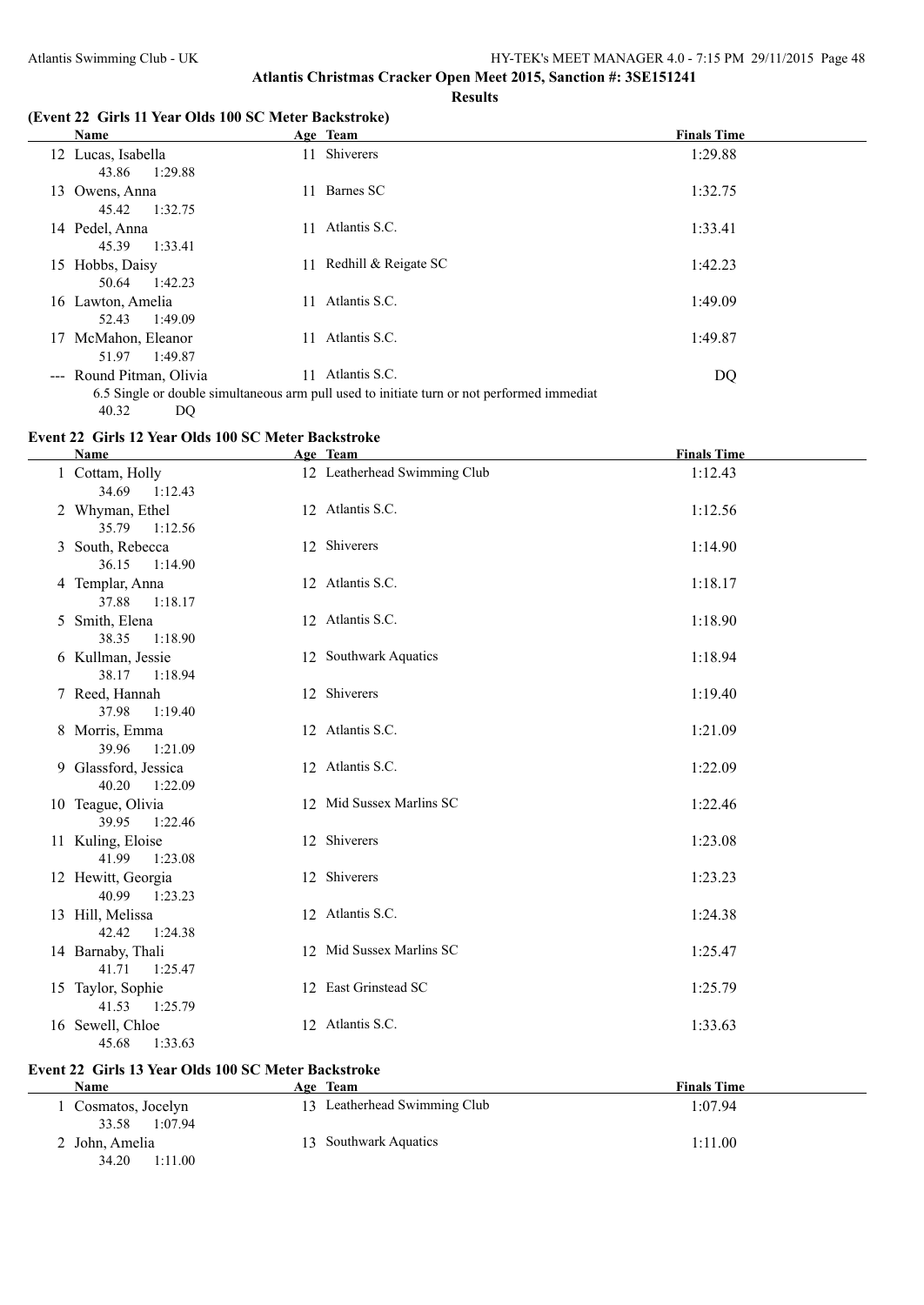#### **Results**

### **(Event 22 Girls 11 Year Olds 100 SC Meter Backstroke)**

| Name                                       | Age Team                                                                                                          | <b>Finals Time</b> |
|--------------------------------------------|-------------------------------------------------------------------------------------------------------------------|--------------------|
| 12 Lucas, Isabella<br>1:29.88<br>43.86     | Shiverers<br>11                                                                                                   | 1:29.88            |
| Owens, Anna<br>13.<br>1:32.75<br>45.42     | Barnes SC<br>11                                                                                                   | 1:32.75            |
| 14 Pedel, Anna<br>1:33.41<br>45.39         | Atlantis S.C.<br>11                                                                                               | 1:33.41            |
| Hobbs, Daisy<br>15<br>50.64<br>1:42.23     | Redhill & Reigate SC<br>11.                                                                                       | 1:42.23            |
| 16 Lawton, Amelia<br>1:49.09<br>52.43      | Atlantis S.C.<br>11                                                                                               | 1:49.09            |
| McMahon, Eleanor<br>17<br>51.97<br>1:49.87 | Atlantis S.C.<br>11                                                                                               | 1:49.87            |
| --- Round Pitman, Olivia                   | Atlantis S.C.<br>11<br>6.5 Single or double simultaneous arm pull used to initiate turn or not performed immediat | DQ                 |

40.32 DQ

 $\overline{a}$ 

## **Event 22 Girls 12 Year Olds 100 SC Meter Backstroke**

| <b>Name</b>                              | Age Team                     | <b>Finals Time</b> |
|------------------------------------------|------------------------------|--------------------|
| 1 Cottam, Holly<br>34.69<br>1:12.43      | 12 Leatherhead Swimming Club | 1:12.43            |
| 2 Whyman, Ethel<br>35.79<br>1:12.56      | 12 Atlantis S.C.             | 1:12.56            |
| 3 South, Rebecca<br>36.15<br>1:14.90     | 12 Shiverers                 | 1:14.90            |
| 4 Templar, Anna<br>37.88<br>1:18.17      | 12 Atlantis S.C.             | 1:18.17            |
| 5 Smith, Elena<br>38.35<br>1:18.90       | 12 Atlantis S.C.             | 1:18.90            |
| 6 Kullman, Jessie<br>38.17<br>1:18.94    | 12 Southwark Aquatics        | 1:18.94            |
| 7 Reed, Hannah<br>37.98<br>1:19.40       | 12 Shiverers                 | 1:19.40            |
| 8 Morris, Emma<br>39.96<br>1:21.09       | 12 Atlantis S.C.             | 1:21.09            |
| 9 Glassford, Jessica<br>40.20<br>1:22.09 | 12 Atlantis S.C.             | 1:22.09            |
| 10 Teague, Olivia<br>39.95<br>1:22.46    | 12 Mid Sussex Marlins SC     | 1:22.46            |
| 11 Kuling, Eloise<br>41.99<br>1:23.08    | 12 Shiverers                 | 1:23.08            |
| 12 Hewitt, Georgia<br>40.99<br>1:23.23   | 12 Shiverers                 | 1:23.23            |
| 13 Hill, Melissa<br>42.42<br>1:24.38     | 12 Atlantis S.C.             | 1:24.38            |
| 14 Barnaby, Thali<br>41.71<br>1:25.47    | 12 Mid Sussex Marlins SC     | 1:25.47            |
| 15 Taylor, Sophie<br>41.53<br>1:25.79    | 12 East Grinstead SC         | 1:25.79            |
| 16 Sewell, Chloe<br>1:33.63<br>45.68     | 12 Atlantis S.C.             | 1:33.63            |

## **Event 22 Girls 13 Year Olds 100 SC Meter Backstroke**

| Name                                  | Age Team                     | <b>Finals Time</b> |
|---------------------------------------|------------------------------|--------------------|
| Cosmatos, Jocelyn<br>1:07.94<br>33.58 | 13 Leatherhead Swimming Club | 1:07.94            |
| 2 John, Amelia<br>34.20<br>1:11.00    | 13 Southwark Aquatics        | 1:11.00            |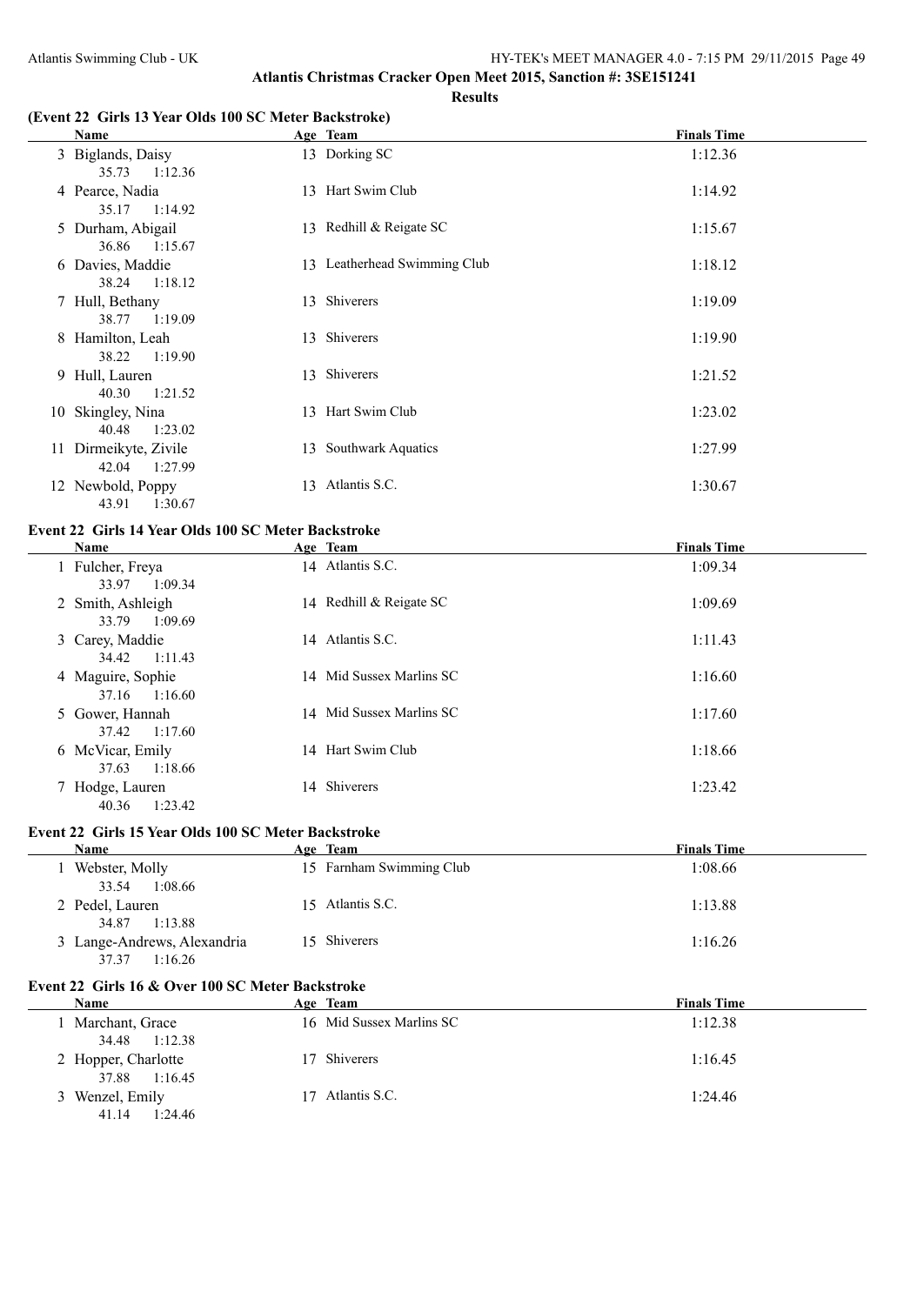#### **Results**

### **(Event 22 Girls 13 Year Olds 100 SC Meter Backstroke)**

| Name                                      | Age Team                     | <b>Finals Time</b> |
|-------------------------------------------|------------------------------|--------------------|
| 3 Biglands, Daisy<br>1:12.36<br>35.73     | 13 Dorking SC                | 1:12.36            |
| 4 Pearce, Nadia<br>1:14.92<br>35.17       | 13 Hart Swim Club            | 1:14.92            |
| 5 Durham, Abigail<br>36.86 1:15.67        | 13 Redhill & Reigate SC      | 1:15.67            |
| 6 Davies, Maddie<br>38.24 1:18.12         | 13 Leatherhead Swimming Club | 1:18.12            |
| 7 Hull, Bethany<br>38.77<br>1:19.09       | 13 Shiverers                 | 1:19.09            |
| 8 Hamilton, Leah<br>38.22<br>1:19.90      | 13 Shiverers                 | 1:19.90            |
| 9 Hull, Lauren<br>40.30<br>1:21.52        | 13 Shiverers                 | 1:21.52            |
| 10 Skingley, Nina<br>1:23.02<br>40.48     | 13 Hart Swim Club            | 1:23.02            |
| 11 Dirmeikyte, Zivile<br>1:27.99<br>42.04 | 13 Southwark Aquatics        | 1:27.99            |
| 12 Newbold, Poppy<br>1:30.67<br>43.91     | 13 Atlantis S.C.             | 1:30.67            |

## **Event 22 Girls 14 Year Olds 100 SC Meter Backstroke**

| <b>Name</b>                                    | Age Team                 | <b>Finals Time</b> |
|------------------------------------------------|--------------------------|--------------------|
| 1 Fulcher, Freya<br>1:09.34                    | 14 Atlantis S.C.         | 1:09.34            |
| 33.97<br>2 Smith, Ashleigh<br>33.79<br>1:09.69 | 14 Redhill & Reigate SC  | 1:09.69            |
| 3 Carey, Maddie<br>1:11.43<br>34.42            | 14 Atlantis S.C.         | 1:11.43            |
| 4 Maguire, Sophie<br>37.16<br>1:16.60          | 14 Mid Sussex Marlins SC | 1:16.60            |
| 5 Gower, Hannah<br>1:17.60<br>37.42            | 14 Mid Sussex Marlins SC | 1:17.60            |
| 6 McVicar, Emily<br>1:18.66<br>37.63           | 14 Hart Swim Club        | 1:18.66            |
| 7 Hodge, Lauren<br>1:23.42<br>40.36            | 14 Shiverers             | 1:23.42            |

## **Event 22 Girls 15 Year Olds 100 SC Meter Backstroke**

| Name                        | Age Team                 | <b>Finals Time</b> |
|-----------------------------|--------------------------|--------------------|
| Webster, Molly              | 15 Farnham Swimming Club | 1:08.66            |
| 1:08.66<br>33.54            |                          |                    |
| 2 Pedel, Lauren             | 15 Atlantis S.C.         | 1:13.88            |
| 1:13.88<br>34.87            |                          |                    |
| 3 Lange-Andrews, Alexandria | 15 Shiverers             | 1:16.26            |
| 1:16.26<br>37.37            |                          |                    |

## **Event 22 Girls 16 & Over 100 SC Meter Backstroke**

| <b>Name</b>                          | Age Team                 | <b>Finals Time</b> |
|--------------------------------------|--------------------------|--------------------|
| Marchant, Grace<br>34.48 1:12.38     | 16 Mid Sussex Marlins SC | 1:12.38            |
| 2 Hopper, Charlotte<br>37.88 1:16.45 | 17 Shiverers             | 1:16.45            |
| 3 Wenzel, Emily<br>1:24.46<br>41.14  | Atlantis S.C.<br>17.     | 1:24.46            |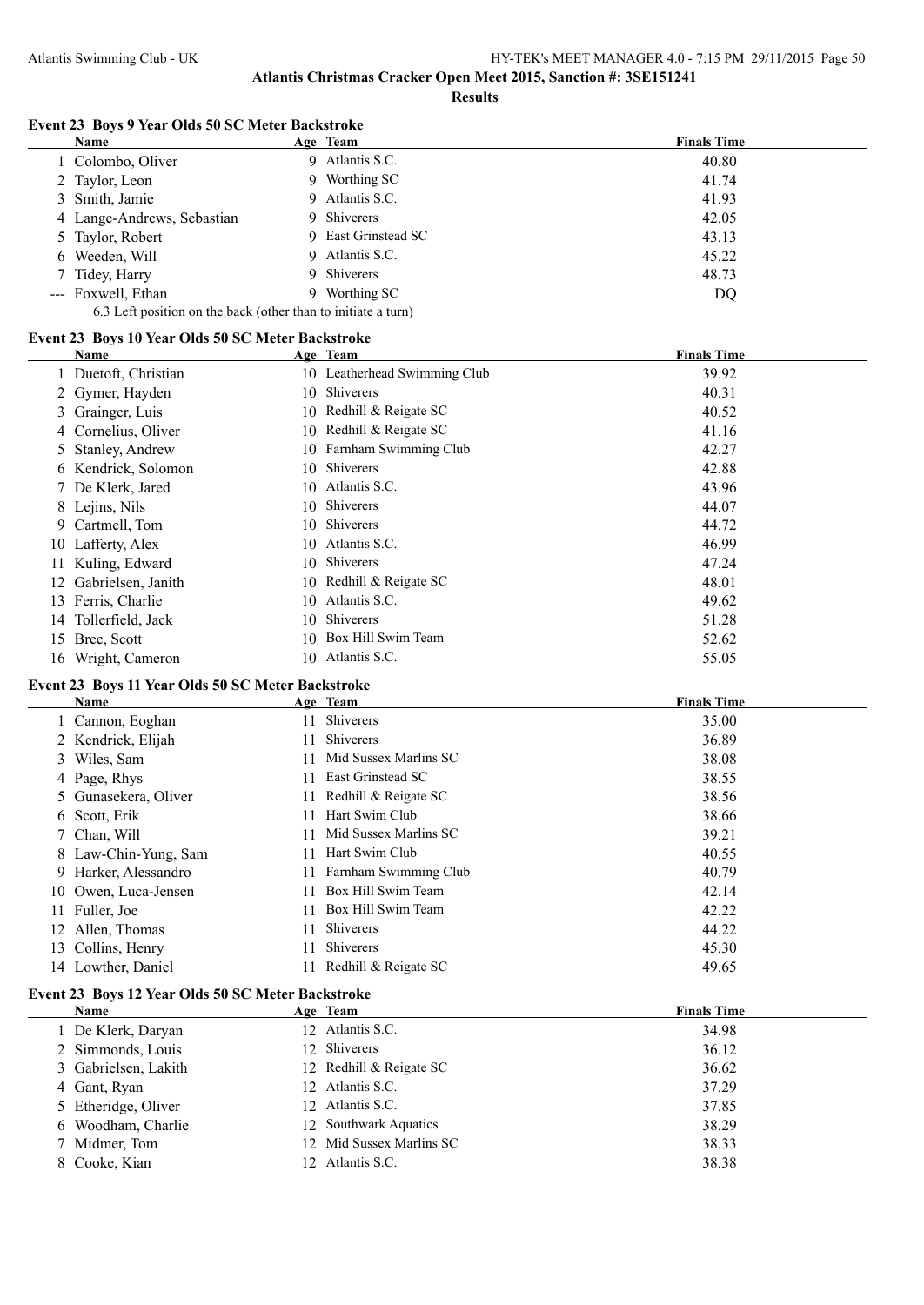**Results**

## **Event 23 Boys 9 Year Olds 50 SC Meter Backstroke**

| Name                                                          |    | Age Team            | <b>Finals Time</b> |  |  |
|---------------------------------------------------------------|----|---------------------|--------------------|--|--|
| 1 Colombo, Oliver                                             |    | 9 Atlantis S.C.     | 40.80              |  |  |
| 2 Taylor, Leon                                                |    | 9 Worthing SC       | 41.74              |  |  |
| 3 Smith, Jamie                                                |    | 9 Atlantis S.C.     | 41.93              |  |  |
| 4 Lange-Andrews, Sebastian                                    |    | 9 Shiverers         | 42.05              |  |  |
| 5 Taylor, Robert                                              |    | 9 East Grinstead SC | 43.13              |  |  |
| 6 Weeden, Will                                                |    | 9 Atlantis S.C.     | 45.22              |  |  |
| 7 Tidey, Harry                                                |    | 9 Shiverers         | 48.73              |  |  |
| --- Foxwell, Ethan                                            | 9. | Worthing SC         | DQ                 |  |  |
| 6.3 Left position on the back (other than to initiate a turn) |    |                     |                    |  |  |

## **Event 23 Boys 10 Year Olds 50 SC Meter Backstroke**

|    | Name                 |     | Age Team                     | <b>Finals Time</b> |
|----|----------------------|-----|------------------------------|--------------------|
|    | 1 Duetoft, Christian |     | 10 Leatherhead Swimming Club | 39.92              |
|    | 2 Gymer, Hayden      | 10. | Shiverers                    | 40.31              |
|    | 3 Grainger, Luis     |     | 10 Redhill & Reigate SC      | 40.52              |
|    | 4 Cornelius, Oliver  |     | 10 Redhill & Reigate SC      | 41.16              |
|    | 5 Stanley, Andrew    |     | 10 Farnham Swimming Club     | 42.27              |
|    | 6 Kendrick, Solomon  | 10. | Shiverers                    | 42.88              |
|    | 7 De Klerk, Jared    |     | 10 Atlantis S.C.             | 43.96              |
|    | 8 Lejins, Nils       |     | 10 Shiverers                 | 44.07              |
|    | 9 Cartmell, Tom      |     | 10 Shiverers                 | 44.72              |
|    | 10 Lafferty, Alex    | 10. | Atlantis S.C.                | 46.99              |
|    | Kuling, Edward       | 10. | Shiverers                    | 47.24              |
| 12 | Gabrielsen, Janith   |     | 10 Redhill & Reigate SC      | 48.01              |
|    | 13 Ferris, Charlie   | 10  | Atlantis S.C.                | 49.62              |
|    | 14 Tollerfield, Jack | 10  | Shiverers                    | 51.28              |
| 15 | Bree, Scott          | 10  | Box Hill Swim Team           | 52.62              |
|    | 16 Wright, Cameron   |     | 10 Atlantis S.C.             | 55.05              |

## **Event 23 Boys 11 Year Olds 50 SC Meter Backstroke**

| Name                 |     | Age Team                 | <b>Finals Time</b> |
|----------------------|-----|--------------------------|--------------------|
| 1 Cannon, Eoghan     | 11. | Shiverers                | 35.00              |
| 2 Kendrick, Elijah   | 11. | <b>Shiverers</b>         | 36.89              |
| 3 Wiles, Sam         |     | 11 Mid Sussex Marlins SC | 38.08              |
| 4 Page, Rhys         |     | East Grinstead SC        | 38.55              |
| 5 Gunasekera, Oliver |     | 11 Redhill & Reigate SC  | 38.56              |
| 6 Scott, Erik        |     | Hart Swim Club           | 38.66              |
| 7 Chan, Will         |     | 11 Mid Sussex Marlins SC | 39.21              |
| 8 Law-Chin-Yung, Sam |     | Hart Swim Club           | 40.55              |
| 9 Harker, Alessandro | 11  | Farnham Swimming Club    | 40.79              |
| 10 Owen, Luca-Jensen |     | Box Hill Swim Team       | 42.14              |
| 11 Fuller, Joe       |     | Box Hill Swim Team       | 42.22              |
| 12 Allen, Thomas     |     | Shiverers                | 44.22              |
| 13 Collins, Henry    |     | Shiverers                | 45.30              |
| 14 Lowther, Daniel   |     | 11 Redhill & Reigate SC  | 49.65              |

## **Event 23 Boys 12 Year Olds 50 SC Meter Backstroke**

| Name                 | Age Team                 | <b>Finals Time</b> |
|----------------------|--------------------------|--------------------|
| 1 De Klerk, Daryan   | 12 Atlantis S.C.         | 34.98              |
| 2 Simmonds, Louis    | 12 Shiverers             | 36.12              |
| 3 Gabrielsen, Lakith | 12 Redhill & Reigate SC  | 36.62              |
| 4 Gant, Ryan         | 12 Atlantis S.C.         | 37.29              |
| 5 Etheridge, Oliver  | 12 Atlantis S.C.         | 37.85              |
| 6 Woodham, Charlie   | 12 Southwark Aquatics    | 38.29              |
| 7 Midmer, Tom        | 12 Mid Sussex Marlins SC | 38.33              |
| 8 Cooke, Kian        | 12 Atlantis S.C.         | 38.38              |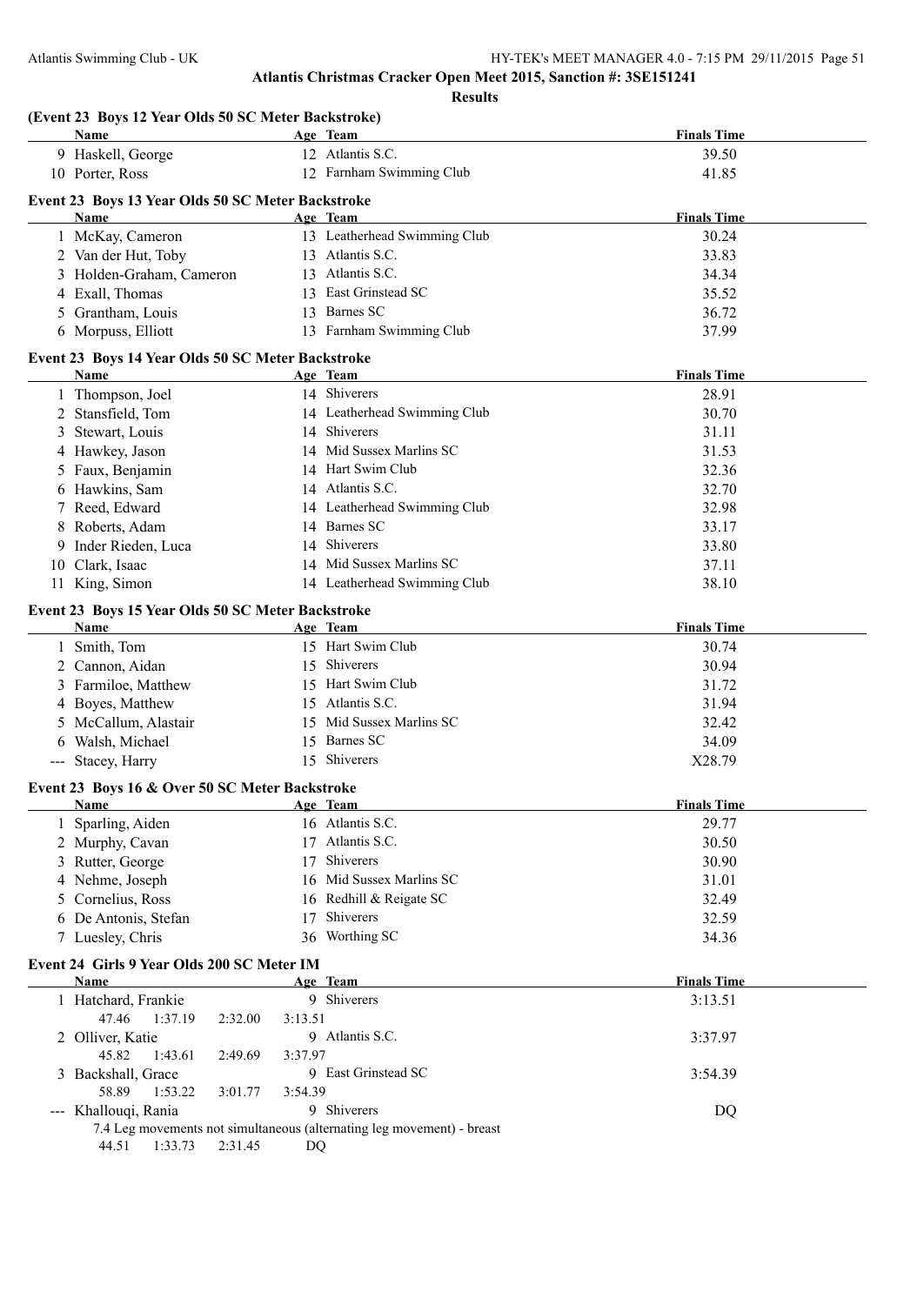**Finals Time** 

**Finals Time** 

**Finals Time** 

**Atlantis Christmas Cracker Open Meet 2015, Sanction #: 3SE151241**

|   |                                                           | <b>Results</b>               |                    |
|---|-----------------------------------------------------------|------------------------------|--------------------|
|   | (Event 23 Boys 12 Year Olds 50 SC Meter Backstroke)       |                              |                    |
|   | <b>Name</b>                                               | Age Team<br>12 Atlantis S.C. | <b>Finals Time</b> |
|   | 9 Haskell, George<br>10 Porter, Ross                      | 12 Farnham Swimming Club     | 39.50<br>41.85     |
|   |                                                           |                              |                    |
|   | Event 23 Boys 13 Year Olds 50 SC Meter Backstroke<br>Name | Age Team                     | <b>Finals Time</b> |
|   |                                                           | 13 Leatherhead Swimming Club |                    |
|   | 1 McKay, Cameron                                          | 13 Atlantis S.C.             | 30.24              |
|   | 2 Van der Hut, Toby                                       | 13 Atlantis S.C.             | 33.83              |
|   | 3 Holden-Graham, Cameron                                  | 13 East Grinstead SC         | 34.34              |
|   | 4 Exall, Thomas                                           |                              | 35.52              |
|   | 5 Grantham, Louis                                         | 13 Barnes SC                 | 36.72              |
|   | 6 Morpuss, Elliott                                        | 13 Farnham Swimming Club     | 37.99              |
|   | Event 23 Boys 14 Year Olds 50 SC Meter Backstroke         |                              |                    |
|   | <b>Name</b>                                               | Age Team                     | <b>Finals Time</b> |
|   | 1 Thompson, Joel                                          | 14 Shiverers                 | 28.91              |
|   | 2 Stansfield, Tom                                         | 14 Leatherhead Swimming Club | 30.70              |
| 3 | Stewart, Louis                                            | 14 Shiverers                 | 31.11              |
|   | 4 Hawkey, Jason                                           | 14 Mid Sussex Marlins SC     | 31.53              |
|   | 5 Faux, Benjamin                                          | 14 Hart Swim Club            | 32.36              |
|   | 6 Hawkins, Sam                                            | 14 Atlantis S.C.             | 32.70              |
|   | 7 Reed, Edward                                            | 14 Leatherhead Swimming Club | 32.98              |
|   | 8 Roberts, Adam                                           | 14 Barnes SC                 | 33.17              |
| 9 | Inder Rieden, Luca                                        | 14 Shiverers                 | 33.80              |
|   | 10 Clark, Isaac                                           | 14 Mid Sussex Marlins SC     | 37.11              |
|   | 11 King, Simon                                            | 14 Leatherhead Swimming Club | 38.10              |
|   | Event 23 Boys 15 Year Olds 50 SC Meter Backstroke         |                              |                    |
|   | Name                                                      | Age Team                     | <b>Finals Time</b> |
|   | 1 Smith, Tom                                              | 15 Hart Swim Club            | 30.74              |
|   |                                                           |                              |                    |

| $\cdots$             | $\mathbf{r}$ $\mathbf{r}$ | 1 111019 11111V |
|----------------------|---------------------------|-----------------|
| Smith, Tom           | 15 Hart Swim Club         | 30.74           |
| 2 Cannon, Aidan      | 15 Shiverers              | 30.94           |
| 3 Farmiloe, Matthew  | 15 Hart Swim Club         | 31.72           |
| 4 Boyes, Matthew     | 15 Atlantis S.C.          | 31.94           |
| 5 McCallum, Alastair | 15 Mid Sussex Marlins SC  | 32.42           |
| 6 Walsh, Michael     | 15 Barnes SC              | 34.09           |
| --- Stacey, Harry    | 15 Shiverers              | X28.79          |

#### **Event 23 Boys 16 & Over 50 SC Meter Backstroke**

| Name                 | Age Team                 | <b>Finals Time</b> |
|----------------------|--------------------------|--------------------|
| Sparling, Aiden      | 16 Atlantis S.C.         | 29.77              |
| 2 Murphy, Cavan      | 17 Atlantis S.C.         | 30.50              |
| 3 Rutter, George     | 17 Shiverers             | 30.90              |
| 4 Nehme, Joseph      | 16 Mid Sussex Marlins SC | 31.01              |
| 5 Cornelius, Ross    | 16 Redhill & Reigate SC  | 32.49              |
| 6 De Antonis, Stefan | 17 Shiverers             | 32.59              |
| 7 Luesley, Chris     | 36 Worthing SC           | 34.36              |

## **Event 24 Girls 9 Year Olds 200 SC Meter IM**

| Name                 |                    | Age Team                                                               | <b>Finals Time</b> |
|----------------------|--------------------|------------------------------------------------------------------------|--------------------|
| 1 Hatchard, Frankie  |                    | 9 Shiverers                                                            | 3:13.51            |
| 47.46                | 1:37.19<br>2:32.00 | 3:13.51                                                                |                    |
| 2 Olliver, Katie     |                    | 9 Atlantis S.C.                                                        | 3:37.97            |
| 45.82                | 1:43.61<br>2:49.69 | 3:37.97                                                                |                    |
| 3 Backshall, Grace   |                    | 9 East Grinstead SC                                                    | 3:54.39            |
| 58.89                | 1:53.22<br>3:01.77 | 3:54.39                                                                |                    |
| --- Khallouqi, Rania |                    | 9 Shiverers                                                            | DQ                 |
|                      |                    | 7.4 Leg movements not simultaneous (alternating leg movement) - breast |                    |
| 44.51                | 1:33.73<br>2:31.45 | DO                                                                     |                    |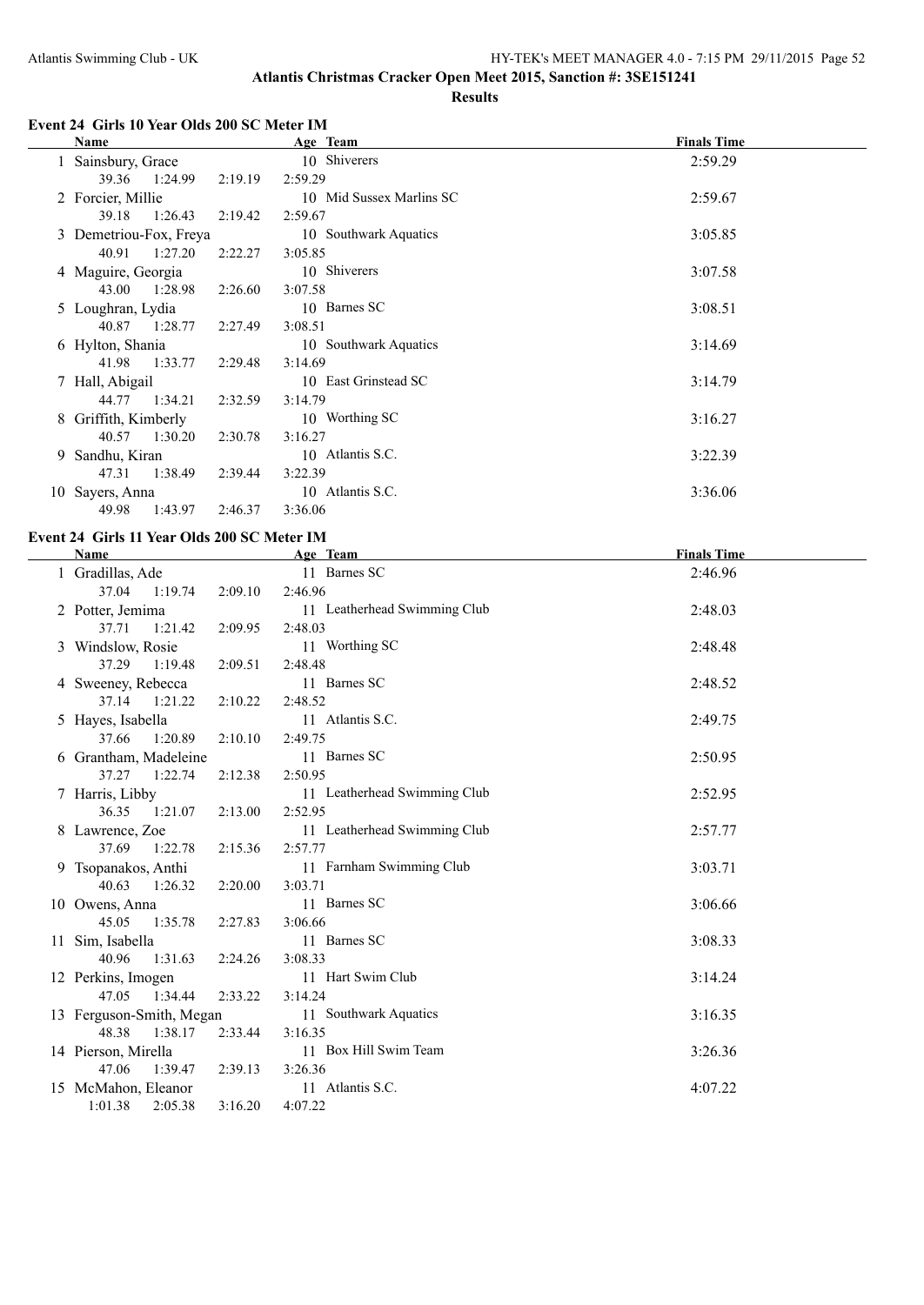## **Event 24 Girls 10 Year Olds 200 SC Meter IM**

|   | Name                   |         | Age Team                 | <b>Finals Time</b> |
|---|------------------------|---------|--------------------------|--------------------|
|   | 1 Sainsbury, Grace     |         | 10 Shiverers             | 2:59.29            |
|   | 39.36<br>1:24.99       | 2:19.19 | 2:59.29                  |                    |
|   | 2 Forcier, Millie      |         | 10 Mid Sussex Marlins SC | 2:59.67            |
|   | 39.18<br>1:26.43       | 2:19.42 | 2:59.67                  |                    |
|   | 3 Demetriou-Fox, Freya |         | 10 Southwark Aquatics    | 3:05.85            |
|   | 40.91<br>1:27.20       | 2:22.27 | 3:05.85                  |                    |
|   | 4 Maguire, Georgia     |         | 10 Shiverers             | 3:07.58            |
|   | 1:28.98<br>43.00       | 2:26.60 | 3:07.58                  |                    |
|   | 5 Loughran, Lydia      |         | 10 Barnes SC             | 3:08.51            |
|   | 40.87<br>1:28.77       | 2:27.49 | 3:08.51                  |                    |
|   | 6 Hylton, Shania       |         | 10 Southwark Aquatics    | 3:14.69            |
|   | 1:33.77<br>41.98       | 2:29.48 | 3:14.69                  |                    |
| 7 | Hall, Abigail          |         | 10 East Grinstead SC     | 3:14.79            |
|   | 44.77 1:34.21          | 2:32.59 | 3:14.79                  |                    |
| 8 | Griffith, Kimberly     |         | 10 Worthing SC           | 3:16.27            |
|   | 40.57<br>1:30.20       | 2:30.78 | 3:16.27                  |                    |
| 9 | Sandhu, Kiran          |         | 10 Atlantis S.C.         | 3:22.39            |
|   | 1:38.49<br>47.31       | 2:39.44 | 3:22.39                  |                    |
|   | 10 Sayers, Anna        |         | 10 Atlantis S.C.         | 3:36.06            |
|   | 1:43.97<br>49.98       | 2:46.37 | 3:36.06                  |                    |

## **Event 24 Girls 11 Year Olds 200 SC Meter IM**

L.

| Name                     |         | Age Team                     | <b>Finals Time</b> |
|--------------------------|---------|------------------------------|--------------------|
| 1 Gradillas, Ade         |         | 11 Barnes SC                 | 2:46.96            |
| 37.04 1:19.74            | 2:09.10 | 2:46.96                      |                    |
| 2 Potter, Jemima         |         | 11 Leatherhead Swimming Club | 2:48.03            |
| 37.71<br>1:21.42         | 2:09.95 | 2:48.03                      |                    |
| 3 Windslow, Rosie        |         | 11 Worthing SC               | 2:48.48            |
| 37.29<br>1:19.48         | 2:09.51 | 2:48.48                      |                    |
| 4 Sweeney, Rebecca       |         | 11 Barnes SC                 | 2:48.52            |
| 37.14 1:21.22            | 2:10.22 | 2:48.52                      |                    |
| 5 Hayes, Isabella        |         | 11 Atlantis S.C.             | 2:49.75            |
| 37.66<br>1:20.89         | 2:10.10 | 2:49.75                      |                    |
| 6 Grantham, Madeleine    |         | 11 Barnes SC                 | 2:50.95            |
| 37.27 1:22.74            | 2:12.38 | 2:50.95                      |                    |
| 7 Harris, Libby          |         | 11 Leatherhead Swimming Club | 2:52.95            |
| 36.35 1:21.07            | 2:13.00 | 2:52.95                      |                    |
| 8 Lawrence, Zoe          |         | 11 Leatherhead Swimming Club | 2:57.77            |
| 37.69<br>1:22.78         | 2:15.36 | 2:57.77                      |                    |
| 9 Tsopanakos, Anthi      |         | 11 Farnham Swimming Club     | 3:03.71            |
| 40.63<br>1:26.32         | 2:20.00 | 3:03.71                      |                    |
| 10 Owens, Anna           |         | 11 Barnes SC                 | 3:06.66            |
| 45.05<br>1:35.78         | 2:27.83 | 3:06.66                      |                    |
| 11 Sim, Isabella         |         | 11 Barnes SC                 | 3:08.33            |
| 1:31.63<br>40.96         | 2:24.26 | 3:08.33                      |                    |
| 12 Perkins, Imogen       |         | 11 Hart Swim Club            | 3:14.24            |
| 47.05 1:34.44            | 2:33.22 | 3:14.24                      |                    |
| 13 Ferguson-Smith, Megan |         | 11 Southwark Aquatics        | 3:16.35            |
| 48.38 1:38.17            | 2:33.44 | 3:16.35                      |                    |
| 14 Pierson, Mirella      |         | 11 Box Hill Swim Team        | 3:26.36            |
| 47.06<br>1:39.47         | 2:39.13 | 3:26.36                      |                    |
| 15 McMahon, Eleanor      |         | 11 Atlantis S.C.             | 4:07.22            |
| 1:01.38<br>2:05.38       | 3:16.20 | 4:07.22                      |                    |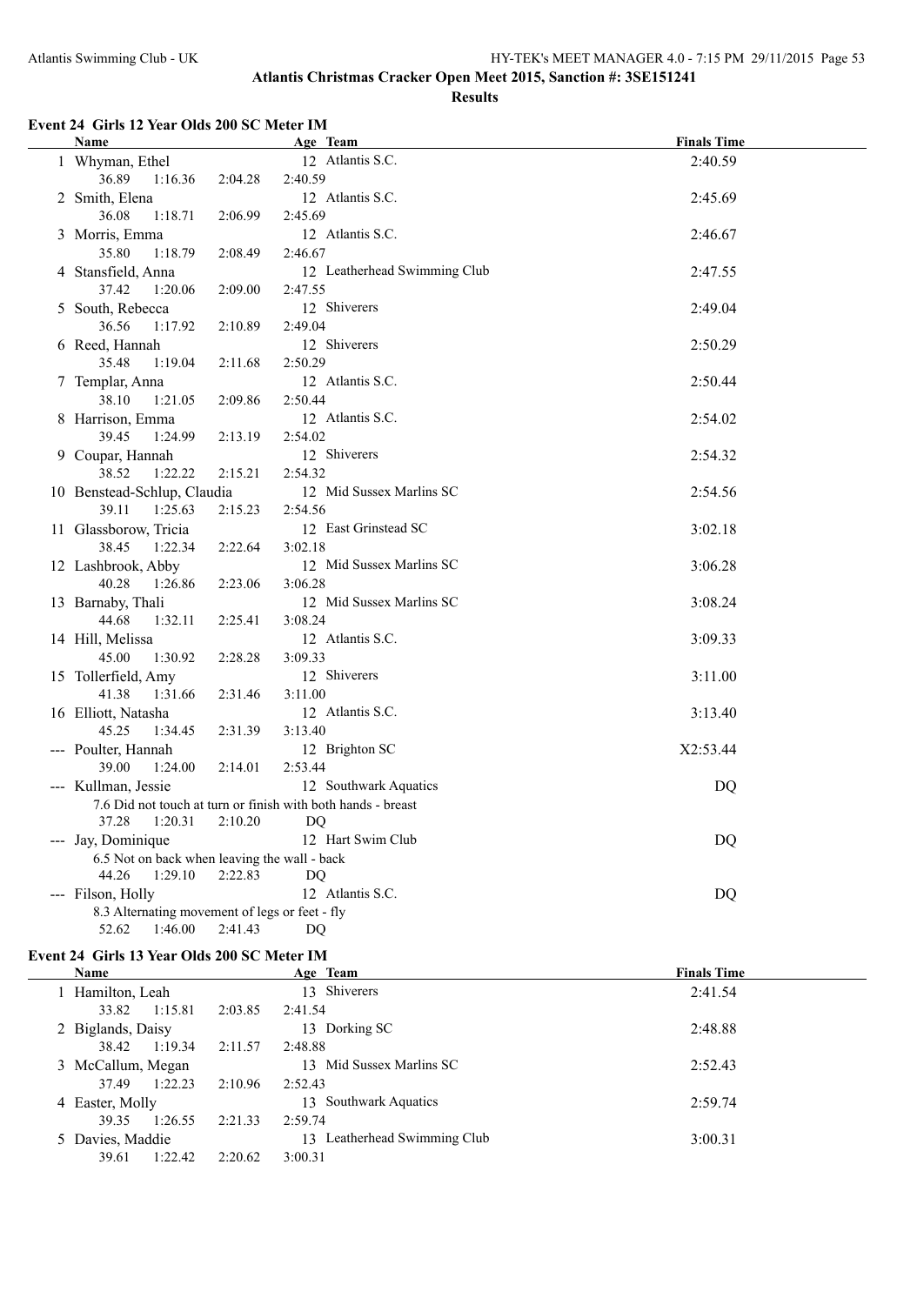## **Event 24 Girls 12 Year Olds 200 SC Meter IM**

| Name                                           |         | Age Team                                                     | <b>Finals Time</b> |
|------------------------------------------------|---------|--------------------------------------------------------------|--------------------|
| 1 Whyman, Ethel                                |         | 12 Atlantis S.C.                                             | 2:40.59            |
| 36.89<br>1:16.36                               | 2:04.28 | 2:40.59                                                      |                    |
| 2 Smith, Elena                                 |         | 12 Atlantis S.C.                                             | 2:45.69            |
| 36.08<br>1:18.71                               | 2:06.99 | 2:45.69                                                      |                    |
| 3 Morris, Emma                                 |         | 12 Atlantis S.C.                                             | 2:46.67            |
| 35.80<br>1:18.79                               | 2:08.49 | 2:46.67                                                      |                    |
| 4 Stansfield, Anna                             |         | 12 Leatherhead Swimming Club                                 | 2:47.55            |
| 37.42<br>1:20.06                               | 2:09.00 | 2:47.55                                                      |                    |
| 5 South, Rebecca                               |         | 12 Shiverers                                                 | 2:49.04            |
| 36.56<br>1:17.92                               | 2:10.89 | 2:49.04                                                      |                    |
| 6 Reed, Hannah                                 |         | 12 Shiverers                                                 | 2:50.29            |
| 35.48<br>1:19.04                               | 2:11.68 | 2:50.29                                                      |                    |
| 7 Templar, Anna                                |         | 12 Atlantis S.C.                                             | 2:50.44            |
| 38.10<br>1:21.05                               | 2:09.86 | 2:50.44                                                      |                    |
| 8 Harrison, Emma                               |         | 12 Atlantis S.C.                                             | 2:54.02            |
| 39.45<br>1:24.99                               | 2:13.19 | 2:54.02                                                      |                    |
| 9 Coupar, Hannah                               |         | 12 Shiverers                                                 | 2:54.32            |
| 38.52<br>1:22.22                               | 2:15.21 | 2:54.32                                                      |                    |
| 10 Benstead-Schlup, Claudia                    |         | 12 Mid Sussex Marlins SC                                     | 2:54.56            |
| 39.11<br>1:25.63                               | 2:15.23 | 2:54.56                                                      |                    |
| 11 Glassborow, Tricia                          |         | 12 East Grinstead SC                                         | 3:02.18            |
| 38.45<br>1:22.34                               | 2:22.64 | 3:02.18                                                      |                    |
| 12 Lashbrook, Abby                             |         | 12 Mid Sussex Marlins SC                                     | 3:06.28            |
| 40.28<br>1:26.86                               | 2:23.06 | 3:06.28                                                      |                    |
| 13 Barnaby, Thali                              |         | 12 Mid Sussex Marlins SC                                     | 3:08.24            |
| 44.68<br>1:32.11                               | 2:25.41 | 3:08.24                                                      |                    |
| 14 Hill, Melissa                               |         | 12 Atlantis S.C.                                             | 3:09.33            |
| 45.00<br>1:30.92                               | 2:28.28 | 3:09.33                                                      |                    |
| 15 Tollerfield, Amy                            |         | 12 Shiverers                                                 | 3:11.00            |
| 41.38<br>1:31.66                               | 2:31.46 | 3:11.00                                                      |                    |
| 16 Elliott, Natasha                            |         | 12 Atlantis S.C.                                             | 3:13.40            |
| 45.25<br>1:34.45                               | 2:31.39 | 3:13.40                                                      |                    |
| --- Poulter, Hannah                            |         | 12 Brighton SC                                               | X2:53.44           |
| 39.00<br>1:24.00                               | 2:14.01 | 2:53.44                                                      |                    |
| --- Kullman, Jessie                            |         | 12 Southwark Aquatics                                        | DQ                 |
|                                                |         | 7.6 Did not touch at turn or finish with both hands - breast |                    |
| 37.28<br>1:20.31                               | 2:10.20 | DQ                                                           |                    |
| --- Jay, Dominique                             |         | 12 Hart Swim Club                                            | <b>DQ</b>          |
| 6.5 Not on back when leaving the wall - back   |         |                                                              |                    |
| 44.26<br>1:29.10                               | 2:22.83 | DQ                                                           |                    |
| --- Filson, Holly                              |         | 12 Atlantis S.C.                                             | DQ                 |
| 8.3 Alternating movement of legs or feet - fly |         |                                                              |                    |
| 52.62<br>1:46.00                               | 2:41.43 | DQ                                                           |                    |

## **Event 24 Girls 13 Year Olds 200 SC Meter IM**

| <b>Name</b>       |         |         | Age Team                     | <b>Finals Time</b> |
|-------------------|---------|---------|------------------------------|--------------------|
| Hamilton, Leah    |         |         | 13 Shiverers                 | 2:41.54            |
| 33.82             | 1:15.81 | 2:03.85 | 2:41.54                      |                    |
| 2 Biglands, Daisy |         |         | 13 Dorking SC                | 2:48.88            |
| 38.42             | 1:19.34 | 2:11.57 | 2:48.88                      |                    |
| 3 McCallum, Megan |         |         | 13 Mid Sussex Marlins SC     | 2:52.43            |
| 37.49             | 1:22.23 | 2:10.96 | 2:52.43                      |                    |
| 4 Easter, Molly   |         |         | 13 Southwark Aquatics        | 2:59.74            |
| 39.35             | 1:26.55 | 2:21.33 | 2:59.74                      |                    |
| 5 Davies, Maddie  |         |         | 13 Leatherhead Swimming Club | 3:00.31            |
| 39.61             | 1:22.42 | 2:20.62 | 3:00.31                      |                    |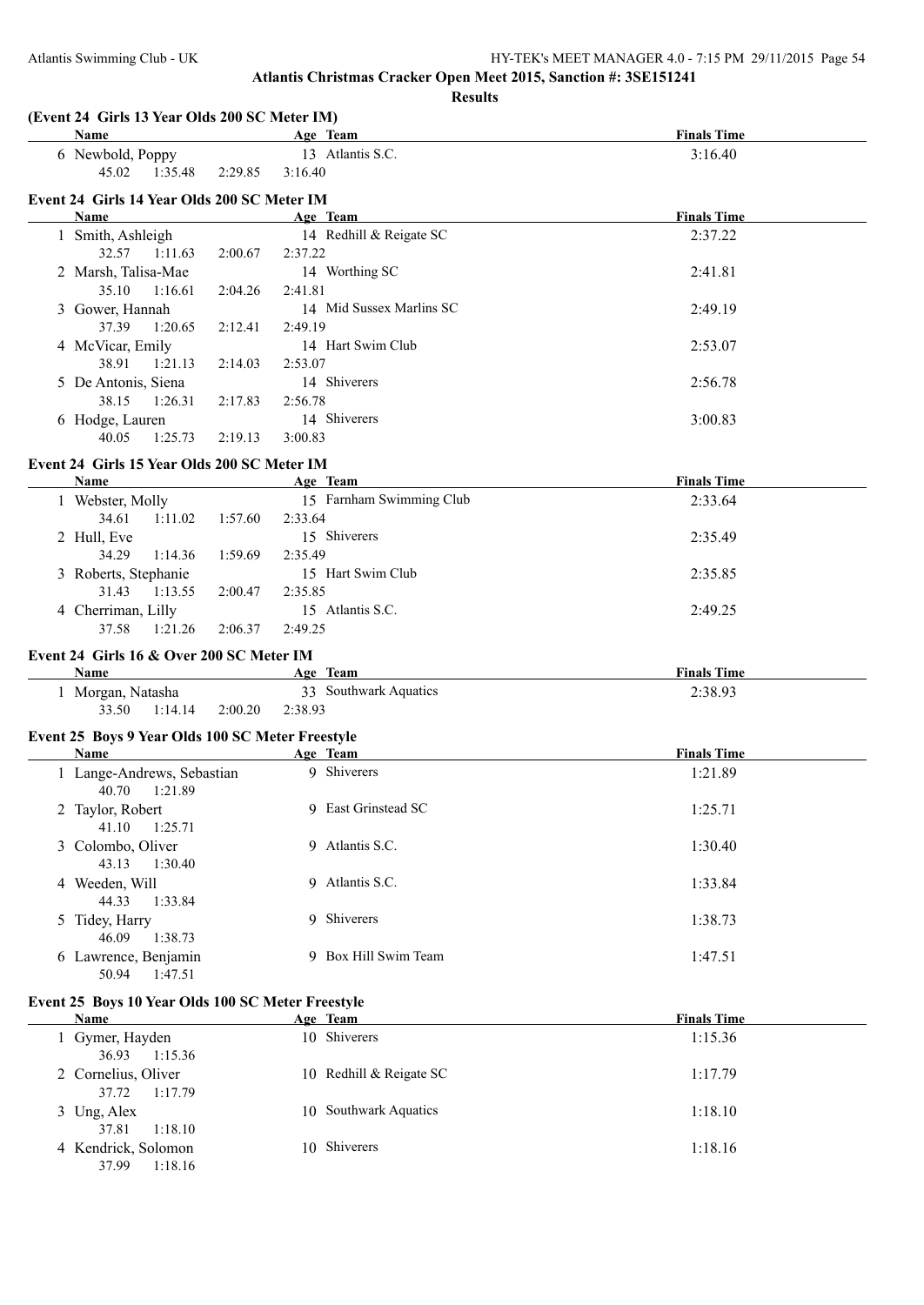**Atlantis Christmas Cracker Open Meet 2015, Sanction #: 3SE151241 Results (Event 24 Girls 13 Year Olds 200 SC Meter IM) Age Team Age Team Age Team Finals Time** 6 Newbold, Poppy 13 Atlantis S.C. 3:16.40 45.02 1:35.48 2:29.85 3:16.40 **Event 24 Girls 14 Year Olds 200 SC Meter IM Age Team Age Team** *Age* **Team** *Finals Time* 1 Smith, Ashleigh 14 Redhill & Reigate SC 2:37.22 32.57 1:11.63 2:00.67 2:37.22 2 Marsh, Talisa-Mae 14 Worthing SC 2:41.81 35.10 1:16.61 2:04.26 2:41.81 3 Gower, Hannah 14 Mid Sussex Marlins SC 2:49.19 37.39 1:20.65 2:12.41 2:49.19 4 McVicar, Emily 14 Hart Swim Club 2:53.07 38.91 1:21.13 2:14.03 2:53.07 5 De Antonis, Siena 14 Shiverers 2:56.78 38.15 1:26.31 2:17.83 2:56.78 6 Hodge, Lauren 14 Shiverers 3:00.83 40.05 1:25.73 2:19.13 3:00.83 **Event 24 Girls 15 Year Olds 200 SC Meter IM Age Team Age Team Finals Time** 1 Webster, Molly 15 Farnham Swimming Club 2:33.64 34.61 1:11.02 1:57.60 2:33.64 2 Hull, Eve 2:35.49 34.29 1:14.36 1:59.69 2:35.49 3 Roberts, Stephanie 15 Hart Swim Club 2:35.85 31.43 1:13.55 2:00.47 2:35.85 4 Cherriman, Lilly 15 Atlantis S.C. 2:49.25 37.58 1:21.26 2:06.37 2:49.25 **Event 24 Girls 16 & Over 200 SC Meter IM Age Team Age Team** *Age Age Age Age Age Age Age Age Age Age Age Age Age Age Age Age Age Age Age Age Age Age Age Age Ag* 1 Morgan, Natasha 33 Southwark Aquatics 2:38.93 33.50 1:14.14 2:00.20 2:38.93 **Event 25 Boys 9 Year Olds 100 SC Meter Freestyle Age Team Age Team Finals Time** 1 Lange-Andrews, Sebastian 9 Shiverers 1:21.89 40.70 1:21.89 2 Taylor, Robert 9 East Grinstead SC 1:25.71 41.10 1:25.71 3 Colombo, Oliver 9 Atlantis S.C. 1:30.40 43.13 1:30.40 4 Weeden, Will 9 Atlantis S.C. 1:33.84 44.33 1:33.84 5 Tidey, Harry 9 Shiverers 1:38.73 46.09 1:38.73 6 Lawrence, Benjamin 9 Box Hill Swim Team 1:47.51 50.94 1:47.51 **Event 25 Boys 10 Year Olds 100 SC Meter Freestyle Age Team Age Team Age Team Finals Time** 

| <b>Name</b>                             | <u>Age leam</u>         | <b>Finals</b> lime |
|-----------------------------------------|-------------------------|--------------------|
| 1 Gymer, Hayden<br>36.93 1:15.36        | 10 Shiverers            | 1:15.36            |
| 2 Cornelius, Oliver<br>1:17.79<br>37.72 | 10 Redhill & Reigate SC | 1:17.79            |
| 3 Ung, Alex<br>1:18.10<br>37.81         | 10 Southwark Aquatics   | 1:18.10            |
| 4 Kendrick, Solomon<br>1:18.16<br>37.99 | 10 Shiverers            | 1:18.16            |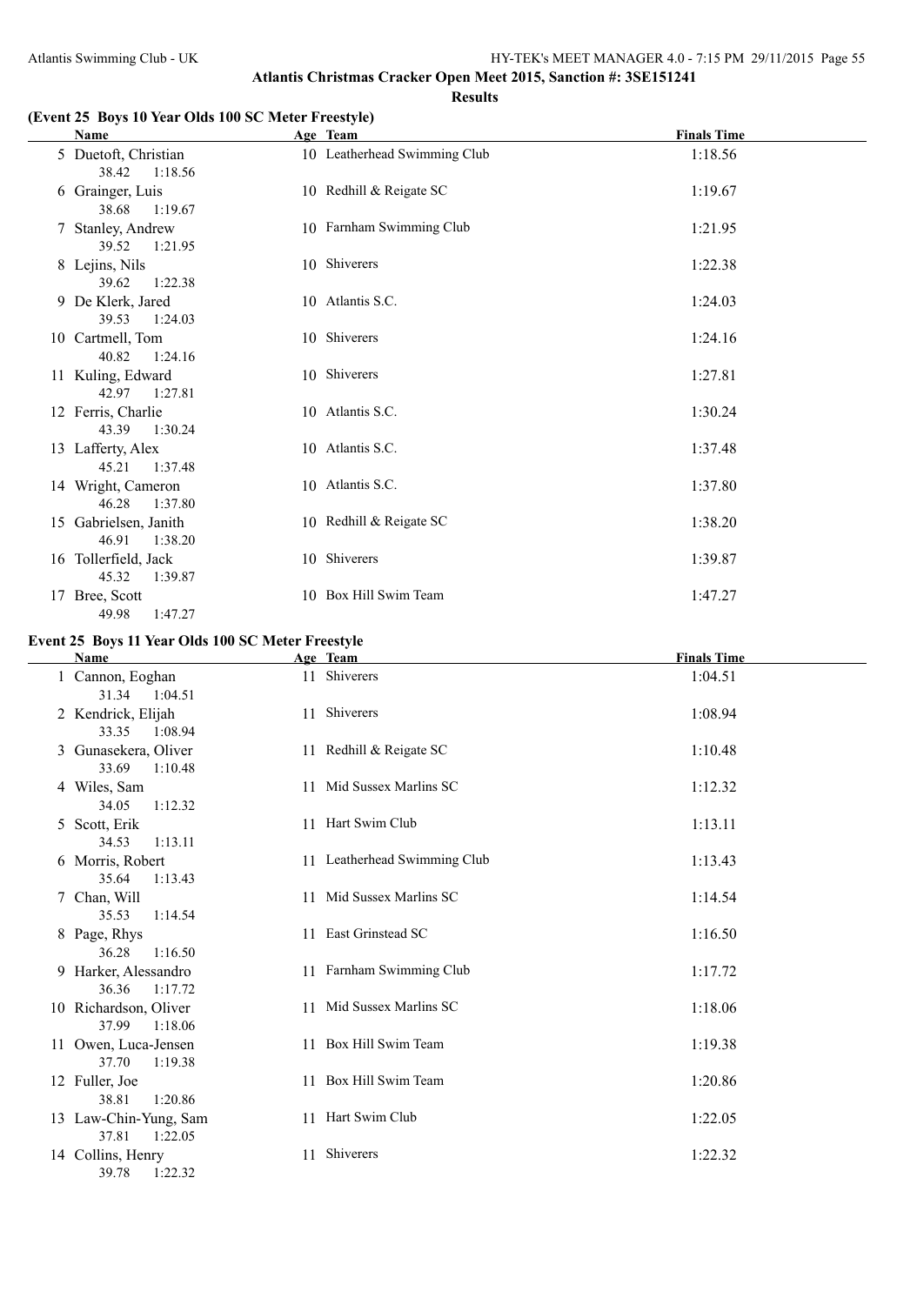## **(Event 25 Boys 10 Year Olds 100 SC Meter Freestyle)**

|    | Name                                      | Age Team                     | <b>Finals Time</b> |
|----|-------------------------------------------|------------------------------|--------------------|
|    | 5 Duetoft, Christian<br>38.42<br>1:18.56  | 10 Leatherhead Swimming Club | 1:18.56            |
|    | 6 Grainger, Luis<br>38.68<br>1:19.67      | 10 Redhill & Reigate SC      | 1:19.67            |
|    | 7 Stanley, Andrew<br>39.52<br>1:21.95     | 10 Farnham Swimming Club     | 1:21.95            |
|    | 8 Lejins, Nils<br>39.62<br>1:22.38        | 10 Shiverers                 | 1:22.38            |
|    | 9 De Klerk, Jared<br>39.53<br>1:24.03     | 10 Atlantis S.C.             | 1:24.03            |
|    | 10 Cartmell, Tom<br>40.82<br>1:24.16      | 10 Shiverers                 | 1:24.16            |
|    | 11 Kuling, Edward<br>42.97 1:27.81        | 10 Shiverers                 | 1:27.81            |
|    | 12 Ferris, Charlie<br>43.39<br>1:30.24    | 10 Atlantis S.C.             | 1:30.24            |
|    | 13 Lafferty, Alex<br>45.21<br>1:37.48     | 10 Atlantis S.C.             | 1:37.48            |
|    | 14 Wright, Cameron<br>46.28<br>1:37.80    | 10 Atlantis S.C.             | 1:37.80            |
|    | 15 Gabrielsen, Janith<br>46.91<br>1:38.20 | 10 Redhill & Reigate SC      | 1:38.20            |
|    | 16 Tollerfield, Jack<br>45.32<br>1:39.87  | 10 Shiverers                 | 1:39.87            |
| 17 | Bree, Scott<br>49.98<br>1:47.27           | 10 Box Hill Swim Team        | 1:47.27            |

## **Event 25 Boys 11 Year Olds 100 SC Meter Freestyle**

| Name                                      | Age Team                     | <b>Finals Time</b> |
|-------------------------------------------|------------------------------|--------------------|
| 1 Cannon, Eoghan<br>31.34<br>1:04.51      | 11 Shiverers                 | 1:04.51            |
| 2 Kendrick, Elijah<br>33.35<br>1:08.94    | 11 Shiverers                 | 1:08.94            |
| 3 Gunasekera, Oliver<br>33.69<br>1:10.48  | 11 Redhill & Reigate SC      | 1:10.48            |
| 4 Wiles, Sam<br>34.05<br>1:12.32          | 11 Mid Sussex Marlins SC     | 1:12.32            |
| 5 Scott, Erik<br>34.53<br>1:13.11         | 11 Hart Swim Club            | 1:13.11            |
| 6 Morris, Robert<br>35.64<br>1:13.43      | 11 Leatherhead Swimming Club | 1:13.43            |
| 7 Chan, Will<br>35.53<br>1:14.54          | 11 Mid Sussex Marlins SC     | 1:14.54            |
| 8 Page, Rhys<br>36.28<br>1:16.50          | 11 East Grinstead SC         | 1:16.50            |
| 9 Harker, Alessandro<br>36.36<br>1:17.72  | 11 Farnham Swimming Club     | 1:17.72            |
| 10 Richardson, Oliver<br>37.99<br>1:18.06 | 11 Mid Sussex Marlins SC     | 1:18.06            |
| 11 Owen, Luca-Jensen<br>37.70<br>1:19.38  | 11 Box Hill Swim Team        | 1:19.38            |
| 12 Fuller, Joe<br>38.81<br>1:20.86        | 11 Box Hill Swim Team        | 1:20.86            |
| 13 Law-Chin-Yung, Sam<br>37.81<br>1:22.05 | 11 Hart Swim Club            | 1:22.05            |
| 14 Collins, Henry<br>39.78<br>1:22.32     | 11 Shiverers                 | 1:22.32            |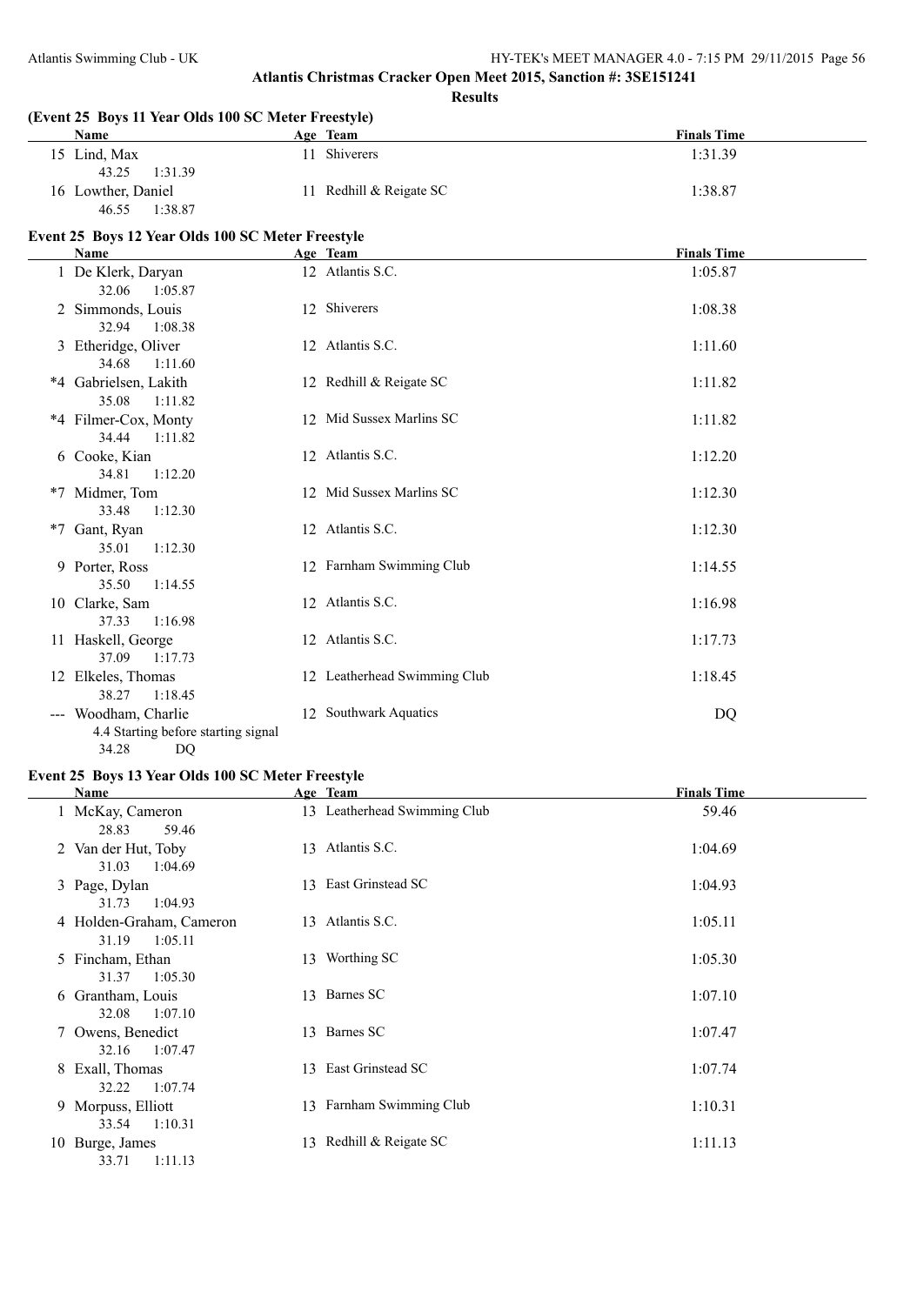**(Event 25 Boys 11 Year Olds 100 SC Meter Freestyle)**

#### **Atlantis Christmas Cracker Open Meet 2015, Sanction #: 3SE151241 Results**

**Age Team Age Team Age Team Finals Time** 15 Lind, Max 11 Shiverers 1:31.39 43.25 1:31.39 16 Lowther, Daniel 11 Redhill & Reigate SC 1:38.87 46.55 1:38.87 **Event 25 Boys 12 Year Olds 100 SC Meter Freestyle Age Team Age Team Finals Time** 1 De Klerk, Daryan 12 Atlantis S.C. 1:05.87 32.06 1:05.87 2 Simmonds, Louis 12 Shiverers 1:08.38 32.94 1:08.38 3 Etheridge, Oliver 12 Atlantis S.C. 1:11.60 34.68 1:11.60 \*4 Gabrielsen, Lakith 12 Redhill & Reigate SC 1:11.82 35.08 1:11.82 \*4 Filmer-Cox, Monty 12 Mid Sussex Marlins SC 1:11.82 34.44 1:11.82 6 Cooke, Kian 12 Atlantis S.C. 1:12.20 34.81 1:12.20 \*7 Midmer, Tom 12 Mid Sussex Marlins SC 1:12.30 33.48 1:12.30 \*7 Gant, Ryan 12 Atlantis S.C. 1:12.30 35.01 1:12.30 9 Porter, Ross 12 Farnham Swimming Club 1:14.55 35.50 1:14.55 10 Clarke, Sam 12 Atlantis S.C. 1:16.98 37.33 1:16.98 11 Haskell, George 12 Atlantis S.C. 1:17.73 37.09 1:17.73 12 Elkeles, Thomas 12 Leatherhead Swimming Club 1:18.45 38.27 1:18.45 --- Woodham, Charlie 12 Southwark Aquatics DQ 4.4 Starting before starting signal 34.28 DQ

#### **Event 25 Boys 13 Year Olds 100 SC Meter Freestyle**

| Name                                         |    | Age Team                     | <b>Finals Time</b> |
|----------------------------------------------|----|------------------------------|--------------------|
| 1 McKay, Cameron<br>28.83<br>59.46           |    | 13 Leatherhead Swimming Club | 59.46              |
| 2 Van der Hut, Toby<br>31.03<br>1:04.69      |    | 13 Atlantis S.C.             | 1:04.69            |
| 3 Page, Dylan<br>31.73<br>1:04.93            |    | 13 East Grinstead SC         | 1:04.93            |
| 4 Holden-Graham, Cameron<br>31.19<br>1:05.11 | 13 | Atlantis S.C.                | 1:05.11            |
| 5 Fincham, Ethan<br>1:05.30<br>31.37         |    | 13 Worthing SC               | 1:05.30            |
| 6 Grantham, Louis<br>32.08<br>1:07.10        |    | 13 Barnes SC                 | 1:07.10            |
| 7 Owens, Benedict<br>32.16<br>1:07.47        | 13 | Barnes SC                    | 1:07.47            |
| 8 Exall, Thomas<br>1:07.74<br>32.22          | 13 | East Grinstead SC            | 1:07.74            |
| 9 Morpuss, Elliott<br>33.54<br>1:10.31       |    | 13 Farnham Swimming Club     | 1:10.31            |
| 10 Burge, James<br>33.71<br>1:11.13          |    | 13 Redhill & Reigate SC      | 1:11.13            |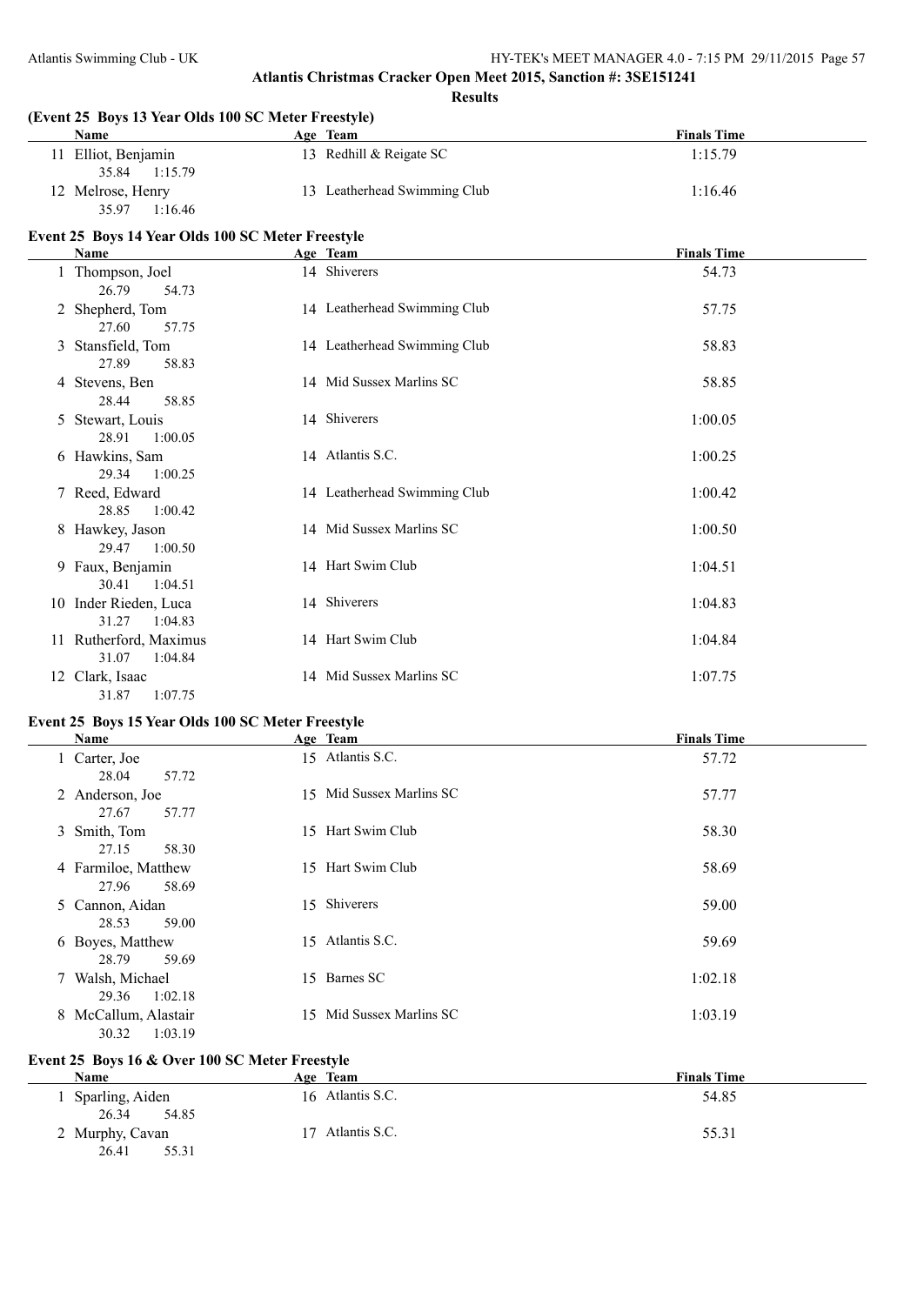| (Event 25 Boys 13 Year Olds 100 SC Meter Freestyle)<br>Name | Age Team                     | <b>Finals Time</b> |
|-------------------------------------------------------------|------------------------------|--------------------|
| 11 Elliot, Benjamin<br>35.84<br>1:15.79                     | 13 Redhill & Reigate SC      | 1:15.79            |
| 12 Melrose, Henry<br>35.97<br>1:16.46                       | 13 Leatherhead Swimming Club | 1:16.46            |
| Event 25 Boys 14 Year Olds 100 SC Meter Freestyle           |                              |                    |
| Name                                                        | Age Team                     | <b>Finals Time</b> |
| 1 Thompson, Joel<br>26.79<br>54.73                          | 14 Shiverers                 | 54.73              |
| 2 Shepherd, Tom<br>27.60<br>57.75                           | 14 Leatherhead Swimming Club | 57.75              |
| 3 Stansfield, Tom<br>27.89<br>58.83                         | 14 Leatherhead Swimming Club | 58.83              |
| 4 Stevens, Ben<br>28.44<br>58.85                            | 14 Mid Sussex Marlins SC     | 58.85              |
| 5 Stewart, Louis<br>28.91<br>1:00.05                        | 14 Shiverers                 | 1:00.05            |
| 6 Hawkins, Sam<br>29.34<br>1:00.25                          | 14 Atlantis S.C.             | 1:00.25            |
| 7 Reed, Edward<br>28.85<br>1:00.42                          | 14 Leatherhead Swimming Club | 1:00.42            |
| 8 Hawkey, Jason<br>29.47<br>1:00.50                         | 14 Mid Sussex Marlins SC     | 1:00.50            |
| 9 Faux, Benjamin<br>30.41<br>1:04.51                        | 14 Hart Swim Club            | 1:04.51            |
| 10 Inder Rieden, Luca<br>31.27<br>1:04.83                   | 14 Shiverers                 | 1:04.83            |
| 11 Rutherford, Maximus<br>31.07<br>1:04.84                  | 14 Hart Swim Club            | 1:04.84            |
| 12 Clark, Isaac<br>31.87<br>1:07.75                         | 14 Mid Sussex Marlins SC     | 1:07.75            |

## **Event 25 Boys 15 Year Olds 100 SC Meter Freestyle**

| Name                                     |    | Age Team                 | <b>Finals Time</b> |
|------------------------------------------|----|--------------------------|--------------------|
| 1 Carter, Joe<br>28.04<br>57.72          |    | 15 Atlantis S.C.         | 57.72              |
| 2 Anderson, Joe<br>27.67<br>57.77        |    | 15 Mid Sussex Marlins SC | 57.77              |
| 3 Smith, Tom<br>27.15<br>58.30           | 15 | Hart Swim Club           | 58.30              |
| 4 Farmiloe, Matthew<br>58.69<br>27.96    |    | 15 Hart Swim Club        | 58.69              |
| 5 Cannon, Aidan<br>59.00<br>28.53        |    | 15 Shiverers             | 59.00              |
| 6 Boyes, Matthew<br>59.69<br>28.79       |    | 15 Atlantis S.C.         | 59.69              |
| 7 Walsh, Michael<br>29.36<br>1:02.18     | 15 | Barnes SC                | 1:02.18            |
| 8 McCallum, Alastair<br>1:03.19<br>30.32 | 15 | Mid Sussex Marlins SC    | 1:03.19            |

#### **Event 25 Boys 16 & Over 100 SC Meter Freestyle**

| Name                              | Age Team         | <b>Finals Time</b> |
|-----------------------------------|------------------|--------------------|
| Sparling, Aiden<br>26.34<br>54.85 | 16 Atlantis S.C. | 54.85              |
| 2 Murphy, Cavan<br>26.41<br>55.31 | 17 Atlantis S.C. | 55.31              |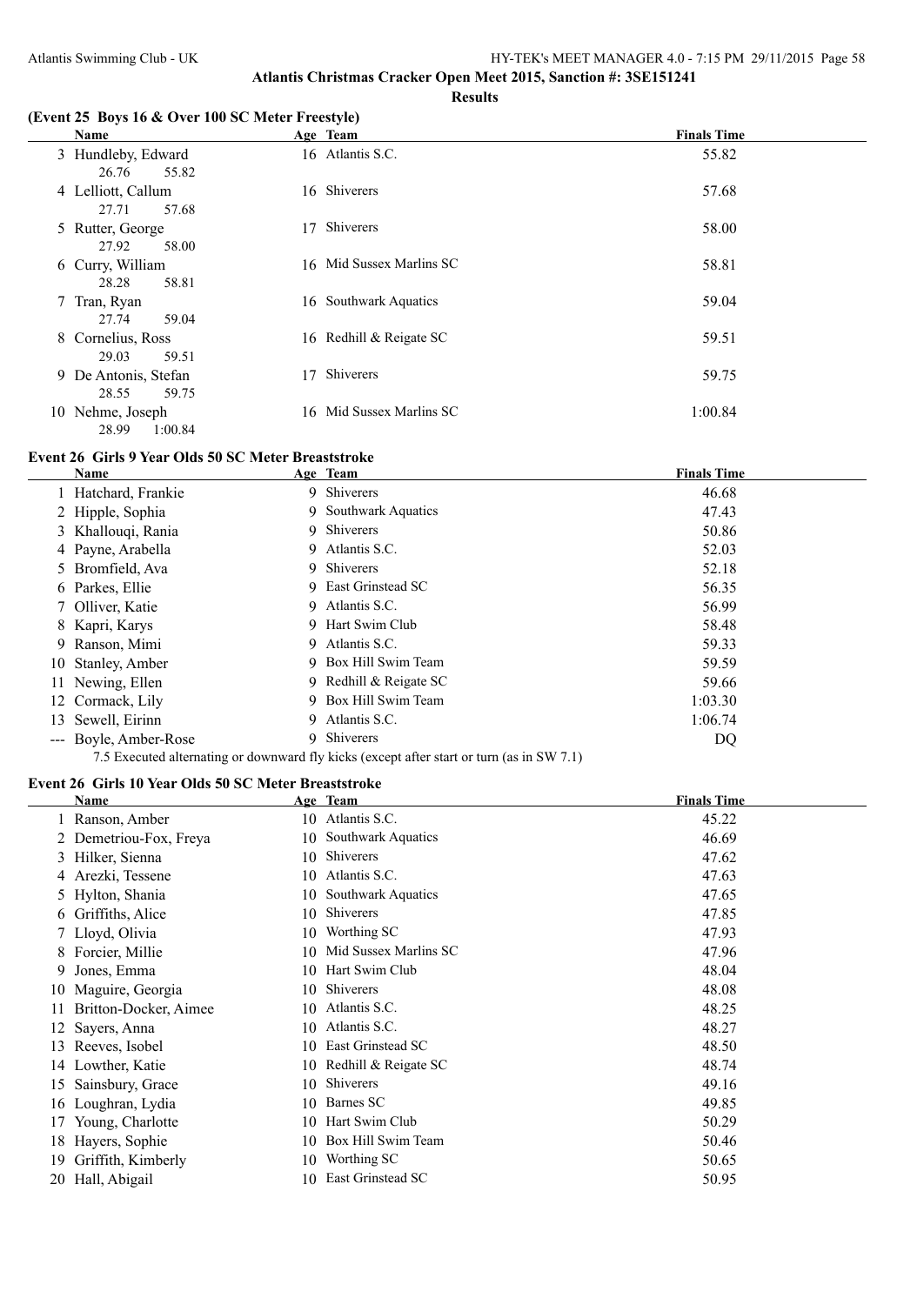#### **Results**

## **(Event 25 Boys 16 & Over 100 SC Meter Freestyle)**

| Name                                   | Age Team                 | <b>Finals Time</b> |
|----------------------------------------|--------------------------|--------------------|
| 3 Hundleby, Edward<br>26.76<br>55.82   | 16 Atlantis S.C.         | 55.82              |
| 4 Lelliott, Callum<br>27.71<br>57.68   | 16 Shiverers             | 57.68              |
| 5 Rutter, George<br>27.92<br>58.00     | Shiverers<br>17          | 58.00              |
| 6 Curry, William<br>58.81<br>28.28     | 16 Mid Sussex Marlins SC | 58.81              |
| Tran, Ryan<br>7<br>59.04<br>27.74      | 16 Southwark Aquatics    | 59.04              |
| 8 Cornelius, Ross<br>59.51<br>29.03    | 16 Redhill & Reigate SC  | 59.51              |
| 9 De Antonis, Stefan<br>28.55<br>59.75 | Shiverers<br>17          | 59.75              |
| 10 Nehme, Joseph<br>1:00.84<br>28.99   | 16 Mid Sussex Marlins SC | 1:00.84            |

#### **Event 26 Girls 9 Year Olds 50 SC Meter Breaststroke**

|    | Name                  | Age Team                                                                                  | <b>Finals Time</b> |
|----|-----------------------|-------------------------------------------------------------------------------------------|--------------------|
|    | 1 Hatchard, Frankie   | 9 Shiverers                                                                               | 46.68              |
|    | 2 Hipple, Sophia      | 9 Southwark Aquatics                                                                      | 47.43              |
|    | 3 Khallouqi, Rania    | 9 Shiverers                                                                               | 50.86              |
|    | 4 Payne, Arabella     | 9 Atlantis S.C.                                                                           | 52.03              |
|    | 5 Bromfield, Ava      | 9 Shiverers                                                                               | 52.18              |
|    | 6 Parkes, Ellie       | 9 East Grinstead SC                                                                       | 56.35              |
|    | 7 Olliver, Katie      | 9 Atlantis S.C.                                                                           | 56.99              |
|    | 8 Kapri, Karys        | 9 Hart Swim Club                                                                          | 58.48              |
|    | 9 Ranson, Mimi        | 9 Atlantis S.C.                                                                           | 59.33              |
|    | 10 Stanley, Amber     | 9 Box Hill Swim Team                                                                      | 59.59              |
|    | 11 Newing, Ellen      | 9 Redhill & Reigate SC                                                                    | 59.66              |
|    | 12 Cormack, Lily      | 9 Box Hill Swim Team                                                                      | 1:03.30            |
| 13 | Sewell, Eirinn        | 9 Atlantis S.C.                                                                           | 1:06.74            |
|    | --- Boyle, Amber-Rose | 9 Shiverers                                                                               | DQ                 |
|    |                       | 7.5 Executed alternating or downward fly kicks (except after start or turn (as in SW 7.1) |                    |

#### **Event 26 Girls 10 Year Olds 50 SC Meter Breaststroke**

|    | Name                   |     | Age Team                  | <b>Finals Time</b> |
|----|------------------------|-----|---------------------------|--------------------|
|    | 1 Ranson, Amber        |     | 10 Atlantis S.C.          | 45.22              |
|    | 2 Demetriou-Fox, Freya | 10  | <b>Southwark Aquatics</b> | 46.69              |
|    | 3 Hilker, Sienna       | 10  | Shiverers                 | 47.62              |
|    | 4 Arezki, Tessene      | 10  | Atlantis S.C.             | 47.63              |
|    | 5 Hylton, Shania       | 10  | <b>Southwark Aquatics</b> | 47.65              |
|    | 6 Griffiths, Alice     | 10  | Shiverers                 | 47.85              |
|    | 7 Lloyd, Olivia        | 10  | Worthing SC               | 47.93              |
| 8. | Forcier, Millie        | 10  | Mid Sussex Marlins SC     | 47.96              |
| 9. | Jones, Emma            |     | 10 Hart Swim Club         | 48.04              |
| 10 | Maguire, Georgia       | 10. | Shiverers                 | 48.08              |
| 11 | Britton-Docker, Aimee  | 10  | Atlantis S.C.             | 48.25              |
| 12 | Sayers, Anna           | 10  | Atlantis S.C.             | 48.27              |
| 13 | Reeves, Isobel         | 10  | East Grinstead SC         | 48.50              |
| 14 | Lowther, Katie         |     | 10 Redhill & Reigate SC   | 48.74              |
| 15 | Sainsbury, Grace       | 10  | Shiverers                 | 49.16              |
| 16 | Loughran, Lydia        | 10  | Barnes SC                 | 49.85              |
| 17 | Young, Charlotte       | 10  | Hart Swim Club            | 50.29              |
| 18 | Hayers, Sophie         | 10  | Box Hill Swim Team        | 50.46              |
| 19 | Griffith, Kimberly     | 10  | Worthing SC               | 50.65              |
| 20 | Hall, Abigail          | 10  | East Grinstead SC         | 50.95              |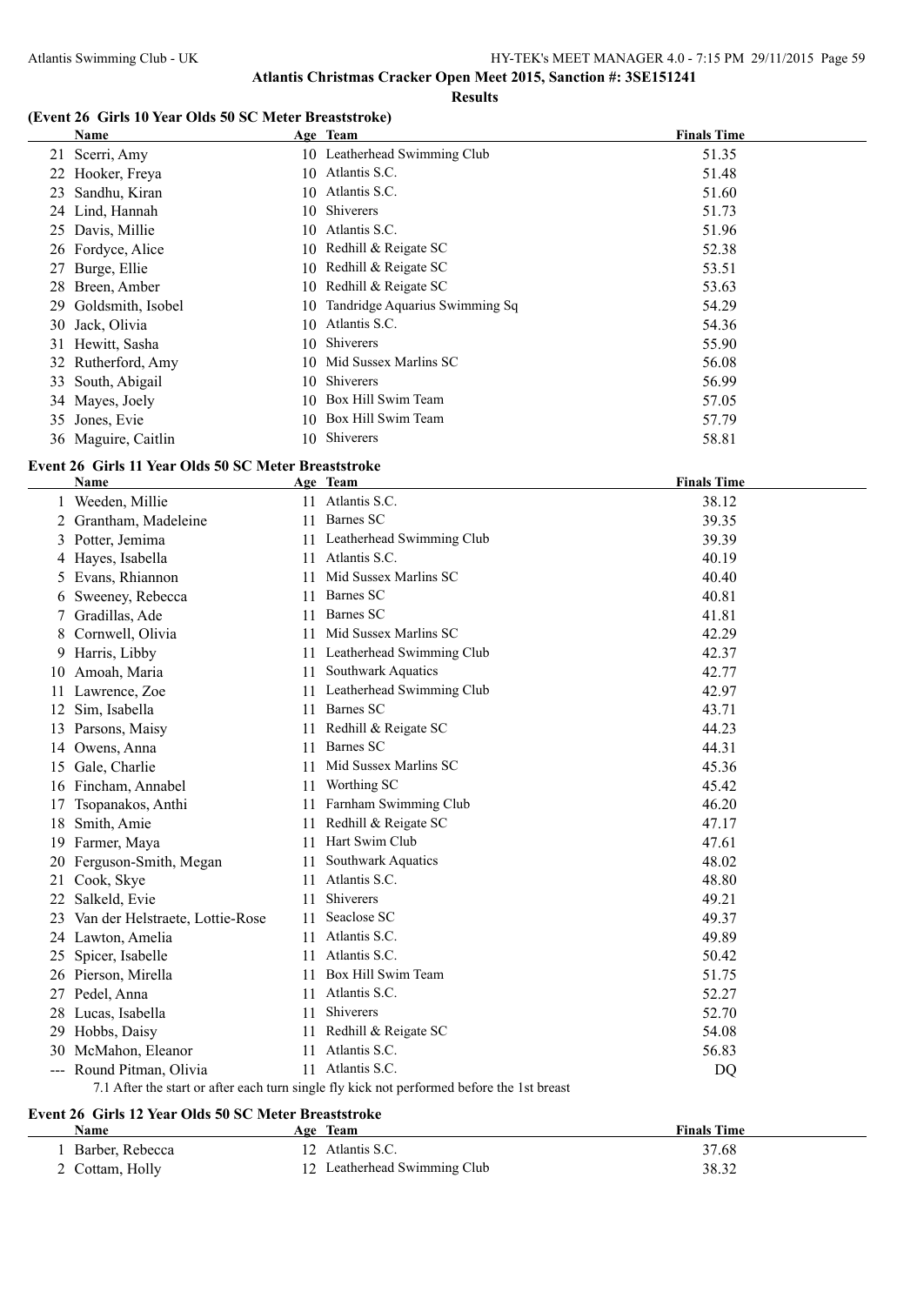#### **Results**

## **(Event 26 Girls 10 Year Olds 50 SC Meter Breaststroke)**

| Name                 | Age Team                          | <b>Finals Time</b> |  |
|----------------------|-----------------------------------|--------------------|--|
| 21 Scerri, Amy       | 10 Leatherhead Swimming Club      | 51.35              |  |
| 22 Hooker, Freya     | Atlantis S.C.<br>10               | 51.48              |  |
| Sandhu, Kiran<br>23  | 10 Atlantis S.C.                  | 51.60              |  |
| 24 Lind, Hannah      | 10 Shiverers                      | 51.73              |  |
| 25 Davis, Millie     | 10 Atlantis S.C.                  | 51.96              |  |
| 26 Fordyce, Alice    | 10 Redhill & Reigate SC           | 52.38              |  |
| 27 Burge, Ellie      | 10 Redhill & Reigate SC           | 53.51              |  |
| 28 Breen, Amber      | 10 Redhill & Reigate SC           | 53.63              |  |
| 29 Goldsmith, Isobel | 10 Tandridge Aquarius Swimming Sq | 54.29              |  |
| 30 Jack, Olivia      | Atlantis S.C.<br>10.              | 54.36              |  |
| 31 Hewitt, Sasha     | <b>Shiverers</b><br>10.           | 55.90              |  |
| 32 Rutherford, Amy   | 10 Mid Sussex Marlins SC          | 56.08              |  |
| 33 South, Abigail    | 10 Shiverers                      | 56.99              |  |
| 34 Mayes, Joely      | 10 Box Hill Swim Team             | 57.05              |  |
| 35 Jones, Evie       | Box Hill Swim Team<br>10.         | 57.79              |  |
| 36 Maguire, Caitlin  | 10 Shiverers                      | 58.81              |  |

## **Event 26 Girls 11 Year Olds 50 SC Meter Breaststroke**

|    | Name                                                                                       |     | Age Team                  | <b>Finals Time</b> |  |  |
|----|--------------------------------------------------------------------------------------------|-----|---------------------------|--------------------|--|--|
|    | 1 Weeden, Millie                                                                           |     | 11 Atlantis S.C.          | 38.12              |  |  |
|    | 2 Grantham, Madeleine                                                                      | 11  | Barnes SC                 | 39.35              |  |  |
| 3  | Potter, Jemima                                                                             | 11  | Leatherhead Swimming Club | 39.39              |  |  |
| 4  | Hayes, Isabella                                                                            |     | 11 Atlantis S.C.          | 40.19              |  |  |
|    | Evans, Rhiannon                                                                            | 11  | Mid Sussex Marlins SC     | 40.40              |  |  |
| 6  | Sweeney, Rebecca                                                                           | 11  | Barnes SC                 | 40.81              |  |  |
|    | Gradillas, Ade                                                                             | 11  | Barnes SC                 | 41.81              |  |  |
|    | Cornwell, Olivia                                                                           | 11. | Mid Sussex Marlins SC     | 42.29              |  |  |
| 9  | Harris, Libby                                                                              | 11  | Leatherhead Swimming Club | 42.37              |  |  |
| 10 | Amoah, Maria                                                                               | 11  | Southwark Aquatics        | 42.77              |  |  |
| 11 | Lawrence, Zoe                                                                              | 11  | Leatherhead Swimming Club | 42.97              |  |  |
| 12 | Sim, Isabella                                                                              | 11  | Barnes SC                 | 43.71              |  |  |
| 13 | Parsons, Maisy                                                                             | 11  | Redhill & Reigate SC      | 44.23              |  |  |
|    | 14 Owens, Anna                                                                             | 11  | <b>Barnes SC</b>          | 44.31              |  |  |
| 15 | Gale, Charlie                                                                              | 11  | Mid Sussex Marlins SC     | 45.36              |  |  |
| 16 | Fincham, Annabel                                                                           | 11  | Worthing SC               | 45.42              |  |  |
| 17 | Tsopanakos, Anthi                                                                          | 11  | Farnham Swimming Club     | 46.20              |  |  |
| 18 | Smith, Amie                                                                                | 11  | Redhill & Reigate SC      | 47.17              |  |  |
| 19 | Farmer, Maya                                                                               | 11  | Hart Swim Club            | 47.61              |  |  |
| 20 | Ferguson-Smith, Megan                                                                      | 11  | Southwark Aquatics        | 48.02              |  |  |
| 21 | Cook, Skye                                                                                 | 11  | Atlantis S.C.             | 48.80              |  |  |
| 22 | Salkeld, Evie                                                                              | 11  | Shiverers                 | 49.21              |  |  |
| 23 | Van der Helstraete, Lottie-Rose                                                            | 11  | Seaclose SC               | 49.37              |  |  |
|    | 24 Lawton, Amelia                                                                          | 11  | Atlantis S.C.             | 49.89              |  |  |
| 25 | Spicer, Isabelle                                                                           | 11  | Atlantis S.C.             | 50.42              |  |  |
|    | 26 Pierson, Mirella                                                                        | 11  | Box Hill Swim Team        | 51.75              |  |  |
|    | 27 Pedel, Anna                                                                             | 11  | Atlantis S.C.             | 52.27              |  |  |
|    | 28 Lucas, Isabella                                                                         | 11  | Shiverers                 | 52.70              |  |  |
|    | 29 Hobbs, Daisy                                                                            | 11  | Redhill & Reigate SC      | 54.08              |  |  |
| 30 | McMahon, Eleanor                                                                           | 11  | Atlantis S.C.             | 56.83              |  |  |
|    | --- Round Pitman, Olivia                                                                   |     | 11 Atlantis S.C.          | DQ                 |  |  |
|    | 7.1 After the start or after each turn single fly kick not performed before the 1st breast |     |                           |                    |  |  |

## **Event 26 Girls 12 Year Olds 50 SC Meter Breaststroke**

 $\overline{\phantom{a}}$ 

| Name            | Team<br>Age                  | <b>Finals Time</b> |
|-----------------|------------------------------|--------------------|
| Barber, Rebecca | Atlantis S.C.                | 37.68              |
| 2 Cottam, Holly | 12 Leatherhead Swimming Club | 38.32              |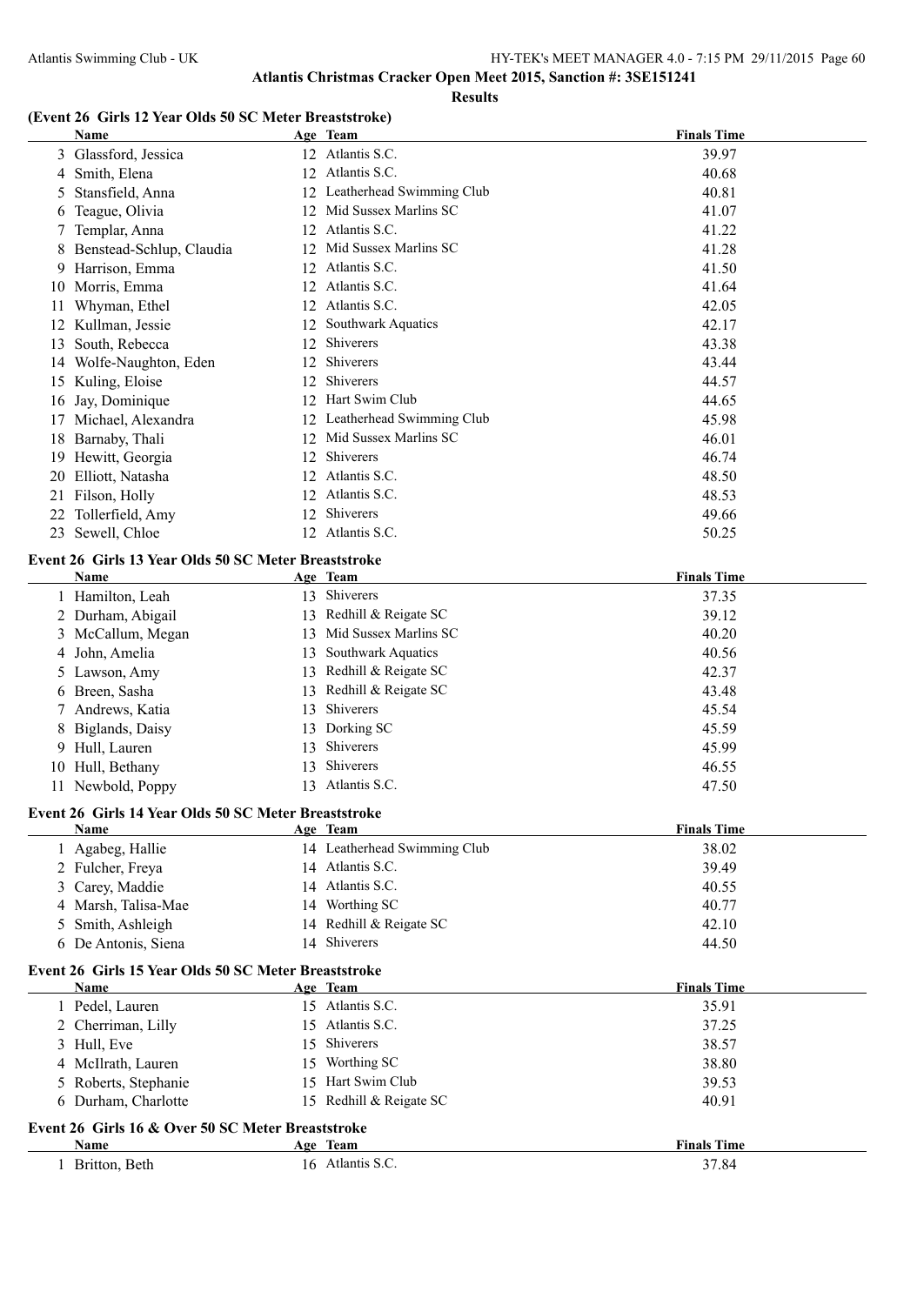**Results**

## **(Event 26 Girls 12 Year Olds 50 SC Meter Breaststroke)**

|    | ins is item only so see ment breaststrone,<br><u>Name</u> |    | Age Team                     | <b>Finals Time</b> |
|----|-----------------------------------------------------------|----|------------------------------|--------------------|
|    | 3 Glassford, Jessica                                      |    | 12 Atlantis S.C.             | 39.97              |
|    | 4 Smith, Elena                                            |    | 12 Atlantis S.C.             | 40.68              |
| 5. | Stansfield, Anna                                          |    | 12 Leatherhead Swimming Club | 40.81              |
| 6  | Teague, Olivia                                            |    | 12 Mid Sussex Marlins SC     | 41.07              |
|    | Templar, Anna                                             |    | 12 Atlantis S.C.             | 41.22              |
| 8  | Benstead-Schlup, Claudia                                  |    | 12 Mid Sussex Marlins SC     | 41.28              |
| 9. | Harrison, Emma                                            |    | 12 Atlantis S.C.             | 41.50              |
|    | 10 Morris, Emma                                           |    | 12 Atlantis S.C.             | 41.64              |
| 11 | Whyman, Ethel                                             |    | 12 Atlantis S.C.             | 42.05              |
|    | 12 Kullman, Jessie                                        |    | 12 Southwark Aquatics        | 42.17              |
| 13 | South, Rebecca                                            | 12 | Shiverers                    | 43.38              |
|    | 14 Wolfe-Naughton, Eden                                   | 12 | Shiverers                    | 43.44              |
|    | 15 Kuling, Eloise                                         | 12 | Shiverers                    | 44.57              |
|    | 16 Jay, Dominique                                         |    | 12 Hart Swim Club            | 44.65              |
| 17 | Michael, Alexandra                                        |    | 12 Leatherhead Swimming Club | 45.98              |
|    | 18 Barnaby, Thali                                         | 12 | Mid Sussex Marlins SC        | 46.01              |
|    | 19 Hewitt, Georgia                                        | 12 | Shiverers                    | 46.74              |
|    | 20 Elliott, Natasha                                       | 12 | Atlantis S.C.                | 48.50              |
| 21 | Filson, Holly                                             | 12 | Atlantis S.C.                | 48.53              |
|    | 22 Tollerfield, Amy                                       | 12 | Shiverers                    | 49.66              |
|    | 23 Sewell, Chloe                                          |    | 12 Atlantis S.C.             | 50.25              |
|    |                                                           |    |                              |                    |
|    | Event 26 Girls 13 Year Olds 50 SC Meter Breaststroke      |    |                              |                    |
|    | Name                                                      |    | Age Team                     | <b>Finals Time</b> |
|    | 1 Hamilton, Leah                                          |    | 13 Shiverers                 | 37.35              |
|    | 2 Durham, Abigail                                         | 13 | Redhill & Reigate SC         | 39.12              |
|    | 3 McCallum, Megan                                         | 13 | Mid Sussex Marlins SC        | 40.20              |
| 4  | John, Amelia                                              | 13 | Southwark Aquatics           | 40.56              |
|    | 5 Lawson, Amy                                             | 13 | Redhill & Reigate SC         | 42.37              |
|    | 6 Breen, Sasha                                            | 13 | Redhill & Reigate SC         | 43.48              |
|    | Andrews, Katia                                            | 13 | Shiverers                    | 45.54              |
| 8  | Biglands, Daisy                                           | 13 | Dorking SC                   | 45.59              |
|    | 9 Hull, Lauren                                            | 13 | Shiverers                    | 45.99              |
|    | 10 Hull, Bethany                                          | 13 | Shiverers                    | 46.55              |
|    | 11 Newbold, Poppy                                         |    | 13 Atlantis S.C.             | 47.50              |
|    | Event 26 Girls 14 Year Olds 50 SC Meter Breaststroke      |    |                              |                    |
|    | Name                                                      |    | Age Team                     | <b>Finals Time</b> |
|    | Agabeg, Hallie                                            |    | 14 Leatherhead Swimming Club | 38.02              |
|    | 2 Fulcher, Freya                                          |    | 14 Atlantis S.C.             | 39.49              |
| 3  | Carey, Maddie                                             |    | 14 Atlantis S.C.             | 40.55              |
| 4  | Marsh, Talisa-Mae                                         |    | 14 Worthing SC               | 40.77              |
| 5  | Smith, Ashleigh                                           |    | 14 Redhill & Reigate SC      | 42.10              |
|    | 6 De Antonis, Siena                                       |    | 14 Shiverers                 | 44.50              |
|    | Event 26 Girls 15 Year Olds 50 SC Meter Breaststroke      |    |                              |                    |
|    | Name                                                      |    | Age Team                     | <b>Finals Time</b> |
|    | 1 Pedel, Lauren                                           |    | 15 Atlantis S.C.             | 35.91              |
|    | 2 Cherriman, Lilly                                        |    | 15 Atlantis S.C.             | 37.25              |
| 3  | Hull, Eve                                                 | 15 | Shiverers                    | 38.57              |
|    | 4 McIlrath, Lauren                                        |    | 15 Worthing SC               | 38.80              |
|    | Roberts, Stephanie                                        |    | 15 Hart Swim Club            | 39.53              |
|    | 6 Durham, Charlotte                                       |    | 15 Redhill & Reigate SC      | 40.91              |
|    | Event 26 Girls 16 & Over 50 SC Meter Breaststroke         |    |                              |                    |
|    | <b>Name</b>                                               |    | Age Team                     | <b>Finals Time</b> |
|    | 1 Britton, Beth                                           |    | 16 Atlantis S.C.             | 37.84              |
|    |                                                           |    |                              |                    |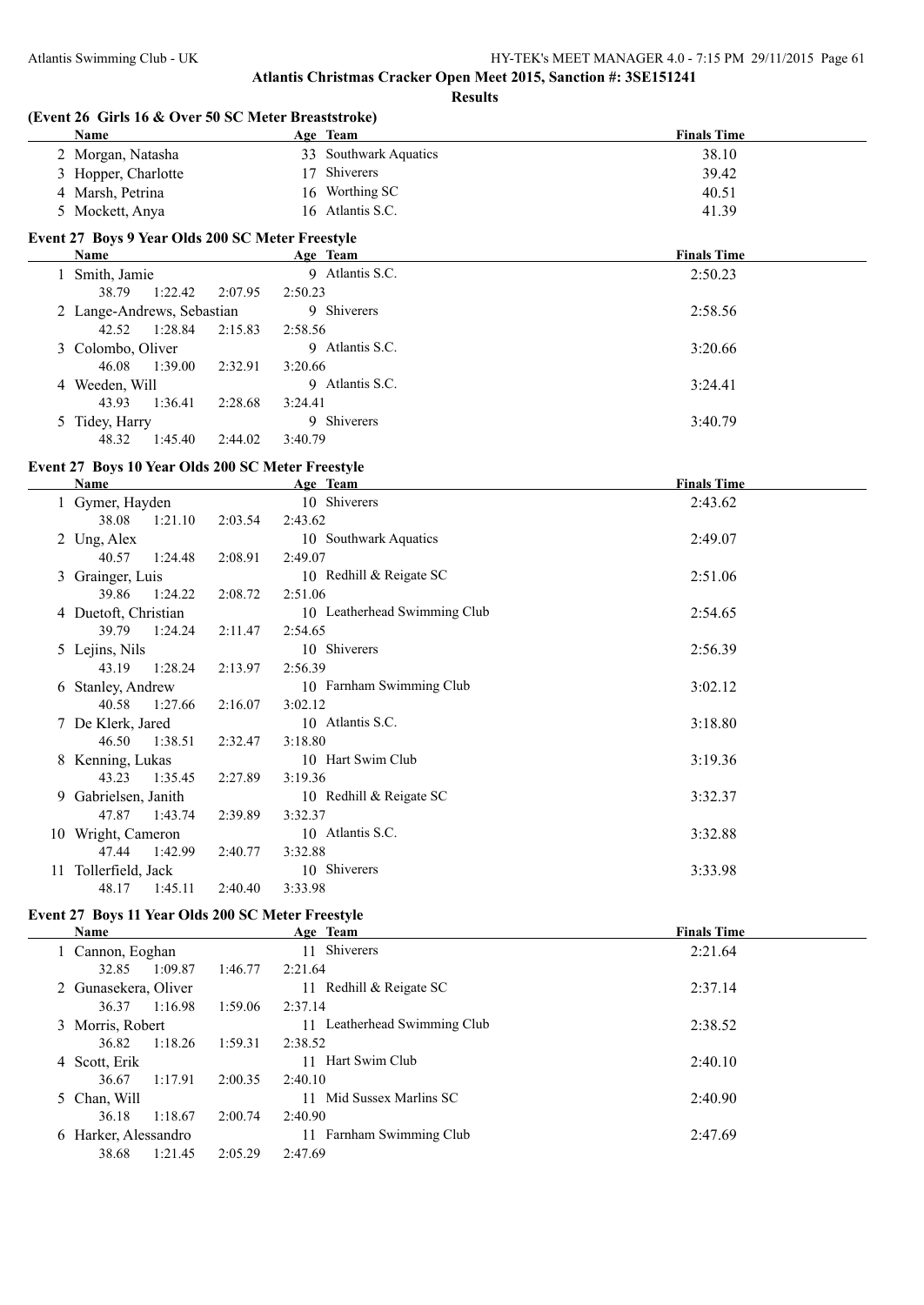| (Event 26 Girls 16 & Over 50 SC Meter Breaststroke) |         |                              |                    |
|-----------------------------------------------------|---------|------------------------------|--------------------|
| Name                                                |         | Age Team                     | <b>Finals Time</b> |
| 2 Morgan, Natasha                                   |         | 33 Southwark Aquatics        | 38.10              |
| 3 Hopper, Charlotte                                 |         | 17 Shiverers                 | 39.42              |
| 4 Marsh, Petrina                                    |         | 16 Worthing SC               | 40.51              |
| 5 Mockett, Anya                                     |         | 16 Atlantis S.C.             | 41.39              |
| Event 27 Boys 9 Year Olds 200 SC Meter Freestyle    |         |                              |                    |
| <b>Name</b>                                         |         | Age Team                     | <b>Finals Time</b> |
| 1 Smith, Jamie                                      |         | 9 Atlantis S.C.              | 2:50.23            |
| 38.79<br>1:22.42                                    | 2:07.95 | 2:50.23                      |                    |
| 2 Lange-Andrews, Sebastian                          |         | 9 Shiverers                  | 2:58.56            |
| 42.52<br>1:28.84                                    | 2:15.83 | 2:58.56                      |                    |
| 3 Colombo, Oliver                                   |         | 9 Atlantis S.C.              | 3:20.66            |
| 46.08<br>1:39.00                                    | 2:32.91 | 3:20.66                      |                    |
| 4 Weeden, Will                                      |         | 9 Atlantis S.C.              | 3:24.41            |
| 43.93<br>1:36.41                                    | 2:28.68 | 3:24.41                      |                    |
| 5 Tidey, Harry                                      |         | 9 Shiverers                  | 3:40.79            |
| 48.32<br>1:45.40                                    | 2:44.02 | 3:40.79                      |                    |
| Event 27 Boys 10 Year Olds 200 SC Meter Freestyle   |         |                              |                    |
| Name                                                |         | Age Team                     | <b>Finals Time</b> |
| 1 Gymer, Hayden                                     |         | 10 Shiverers                 | 2:43.62            |
| 38.08<br>1:21.10                                    | 2:03.54 | 2:43.62                      |                    |
| 2 Ung, Alex                                         |         | 10 Southwark Aquatics        | 2:49.07            |
| 40.57<br>1:24.48                                    | 2:08.91 | 2:49.07                      |                    |
| 3 Grainger, Luis                                    |         | 10 Redhill & Reigate SC      | 2:51.06            |
| 39.86<br>1:24.22                                    | 2:08.72 | 2:51.06                      |                    |
| 4 Duetoft, Christian                                |         | 10 Leatherhead Swimming Club | 2:54.65            |
| 39.79<br>1:24.24                                    | 2:11.47 | 2:54.65                      |                    |
| 5 Lejins, Nils                                      |         | 10 Shiverers                 | 2:56.39            |
| 43.19<br>1:28.24                                    | 2:13.97 | 2:56.39                      |                    |
| 6 Stanley, Andrew                                   |         | 10 Farnham Swimming Club     | 3:02.12            |
| 40.58<br>1:27.66                                    | 2:16.07 | 3:02.12                      |                    |
| 7 De Klerk, Jared                                   |         | 10 Atlantis S.C.             | 3:18.80            |
| 46.50<br>1:38.51                                    | 2:32.47 | 3:18.80                      |                    |
| 8 Kenning, Lukas                                    |         | 10 Hart Swim Club            | 3:19.36            |
| $43.23$ $1.35.45$                                   | 2.2780  | 3.1036                       |                    |

| 43.23                | 1:35.45 2:27.89 |         | 3:19.36                 |         |
|----------------------|-----------------|---------|-------------------------|---------|
| 9 Gabrielsen, Janith |                 |         | 10 Redhill & Reigate SC | 3:32.37 |
|                      | 47.87 1:43.74   | 2:39.89 | 3:32.37                 |         |
| 10 Wright, Cameron   |                 |         | 10 Atlantis S.C.        | 3:32.88 |
| 47.44                | 1:42.99         | 2:40.77 | 3:32.88                 |         |
| 11 Tollerfield, Jack |                 |         | 10 Shiverers            | 3:33.98 |
| 48.17                | 1:45.11         | 2:40.40 | 3:33.98                 |         |
|                      |                 |         |                         |         |

## **Event 27 Boys 11 Year Olds 200 SC Meter Freestyle**

 $\overline{\phantom{a}}$ 

| <b>Name</b>          |         | Age Team                        | <b>Finals Time</b> |
|----------------------|---------|---------------------------------|--------------------|
| 1 Cannon, Eoghan     |         | 11 Shiverers                    | 2:21.64            |
| 1:09.87<br>32.85     | 1:46.77 | 2:21.64                         |                    |
| 2 Gunasekera, Oliver |         | Redhill & Reigate SC<br>11      | 2:37.14            |
| 36.37<br>1:16.98     | 1:59.06 | 2:37.14                         |                    |
| 3 Morris, Robert     |         | Leatherhead Swimming Club<br>11 | 2:38.52            |
| 1:18.26<br>36.82     | 1:59.31 | 2:38.52                         |                    |
| 4 Scott, Erik        |         | Hart Swim Club<br>11            | 2:40.10            |
| 1:17.91<br>36.67     | 2:00.35 | 2:40.10                         |                    |
| 5 Chan, Will         |         | Mid Sussex Marlins SC<br>11     | 2:40.90            |
| 36.18<br>1:18.67     | 2:00.74 | 2:40.90                         |                    |
| 6 Harker, Alessandro |         | Farnham Swimming Club<br>11     | 2:47.69            |
| 38.68<br>1:21.45     | 2:05.29 | 2:47.69                         |                    |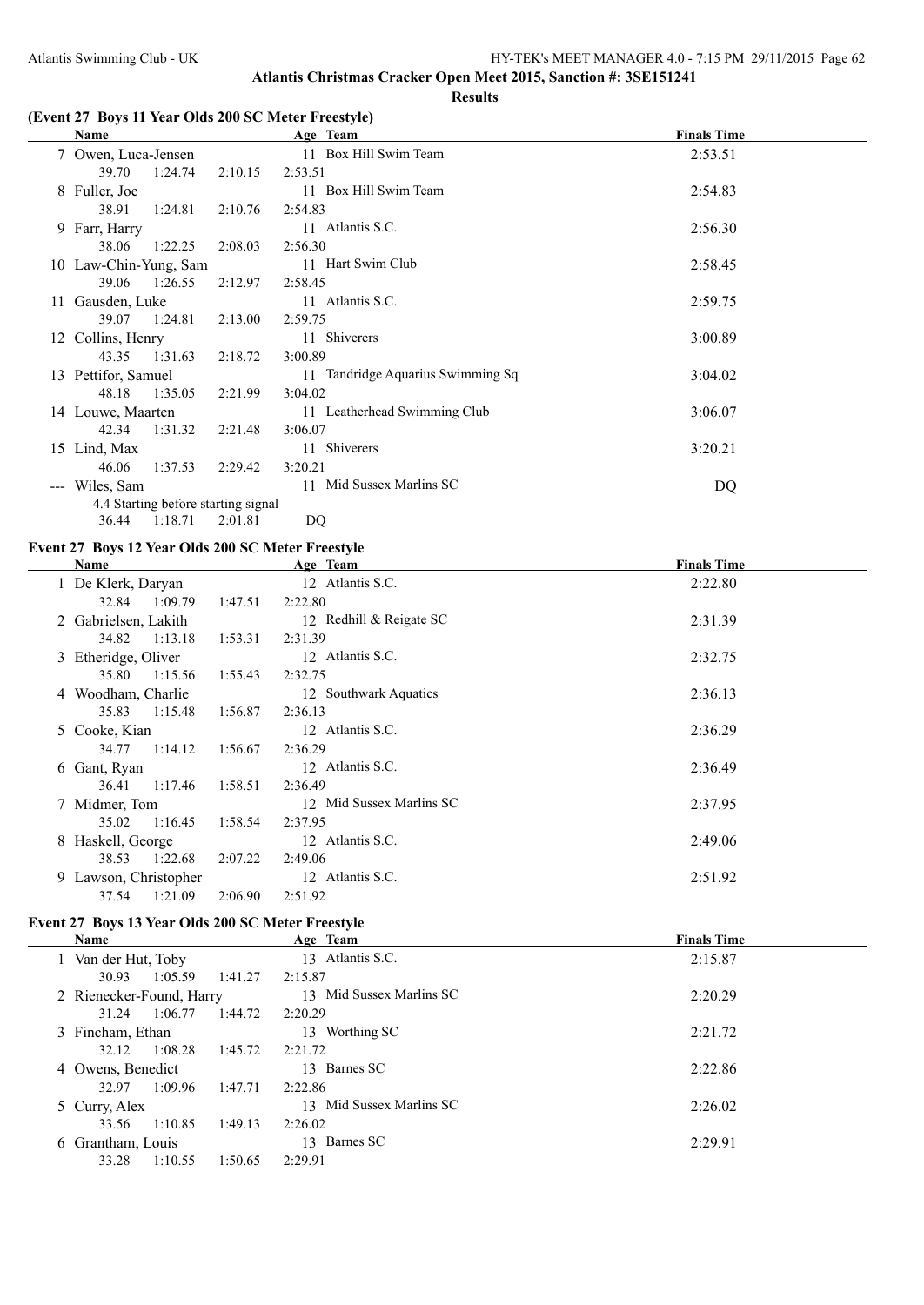## **(Event 27 Boys 11 Year Olds 200 SC Meter Freestyle)**

|                                             | Name                                |         | Age Team                          | <b>Finals Time</b> |
|---------------------------------------------|-------------------------------------|---------|-----------------------------------|--------------------|
|                                             | 7 Owen, Luca-Jensen                 |         | 11 Box Hill Swim Team             | 2:53.51            |
|                                             | 39.70<br>1:24.74                    | 2:10.15 | 2:53.51                           |                    |
|                                             | 8 Fuller, Joe                       |         | 11 Box Hill Swim Team             | 2:54.83            |
|                                             | 38.91<br>1:24.81                    | 2:10.76 | 2:54.83                           |                    |
|                                             | 9 Farr, Harry                       |         | 11 Atlantis S.C.                  | 2:56.30            |
|                                             | 38.06 1:22.25                       | 2:08.03 | 2:56.30                           |                    |
|                                             | 10 Law-Chin-Yung, Sam               |         | 11 Hart Swim Club                 | 2:58.45            |
|                                             | 1:26.55<br>39.06                    | 2:12.97 | 2:58.45                           |                    |
|                                             | 11 Gausden, Luke                    |         | 11 Atlantis S.C.                  | 2:59.75            |
|                                             | 39.07 1:24.81                       | 2:13.00 | 2:59.75                           |                    |
|                                             | 12 Collins, Henry                   |         | 11 Shiverers                      | 3:00.89            |
|                                             | 43.35 1:31.63                       | 2:18.72 | 3:00.89                           |                    |
|                                             | 13 Pettifor, Samuel                 |         | 11 Tandridge Aquarius Swimming Sq | 3:04.02            |
|                                             | 48.18 1:35.05                       | 2:21.99 | 3:04.02                           |                    |
|                                             | 14 Louwe, Maarten                   |         | 11 Leatherhead Swimming Club      | 3:06.07            |
|                                             | 42.34<br>1:31.32                    | 2:21.48 | 3:06.07                           |                    |
|                                             | 15 Lind, Max                        |         | 11 Shiverers                      | 3:20.21            |
|                                             | 46.06<br>1:37.53                    | 2:29.42 | 3:20.21                           |                    |
| $\scriptstyle \cdots$ $\scriptstyle \cdots$ | Wiles, Sam                          |         | 11 Mid Sussex Marlins SC          | DQ                 |
|                                             | 4.4 Starting before starting signal |         |                                   |                    |

#### **Event 27 Boys 12 Year Olds 200 SC Meter Freestyle**

36.44 1:18.71 2:01.81 DQ

| Name                  |                    | Age Team                 | <b>Finals Time</b> |
|-----------------------|--------------------|--------------------------|--------------------|
| 1 De Klerk, Daryan    |                    | 12 Atlantis S.C.         | 2:22.80            |
| 32.84                 | 1:09.79<br>1:47.51 | 2:22.80                  |                    |
| 2 Gabrielsen, Lakith  |                    | 12 Redhill & Reigate SC  | 2:31.39            |
| 34.82                 | 1:13.18<br>1:53.31 | 2:31.39                  |                    |
| 3 Etheridge, Oliver   |                    | 12 Atlantis S.C.         | 2:32.75            |
| 35.80                 | 1:15.56<br>1:55.43 | 2:32.75                  |                    |
| 4 Woodham, Charlie    |                    | 12 Southwark Aquatics    | 2:36.13            |
| 35.83                 | 1:15.48<br>1:56.87 | 2:36.13                  |                    |
| 5 Cooke, Kian         |                    | 12 Atlantis S.C.         | 2:36.29            |
| 34.77                 | 1:14.12<br>1:56.67 | 2:36.29                  |                    |
| 6 Gant, Ryan          |                    | 12 Atlantis S.C.         | 2:36.49            |
| 36.41                 | 1:17.46<br>1:58.51 | 2:36.49                  |                    |
| 7 Midmer, Tom         |                    | 12 Mid Sussex Marlins SC | 2:37.95            |
| 35.02                 | 1:16.45<br>1:58.54 | 2:37.95                  |                    |
| 8 Haskell, George     |                    | 12 Atlantis S.C.         | 2:49.06            |
| 38.53                 | 1:22.68<br>2:07.22 | 2:49.06                  |                    |
| 9 Lawson, Christopher |                    | 12 Atlantis S.C.         | 2:51.92            |
| 37.54                 | 1:21.09<br>2:06.90 | 2:51.92                  |                    |

## **Event 27 Boys 13 Year Olds 200 SC Meter Freestyle**

 $\frac{1}{1}$ 

| <b>Name</b>              |         |         | Age Team                 | <b>Finals Time</b> |
|--------------------------|---------|---------|--------------------------|--------------------|
| 1 Van der Hut, Toby      |         |         | 13 Atlantis S.C.         | 2:15.87            |
| 30.93                    | 1:05.59 | 1:41.27 | 2:15.87                  |                    |
| 2 Rienecker-Found, Harry |         |         | 13 Mid Sussex Marlins SC | 2:20.29            |
| 31.24                    | 1:06.77 | 1:44.72 | 2:20.29                  |                    |
| 3 Fincham, Ethan         |         |         | 13 Worthing SC           | 2:21.72            |
| 32.12                    | 1:08.28 | 1:45.72 | 2:21.72                  |                    |
| 4 Owens, Benedict        |         |         | 13 Barnes SC             | 2:22.86            |
| 32.97                    | 1:09.96 | 1:47.71 | 2:22.86                  |                    |
| 5 Curry, Alex            |         |         | 13 Mid Sussex Marlins SC | 2:26.02            |
| 33.56                    | 1:10.85 | 1:49.13 | 2:26.02                  |                    |
| 6 Grantham, Louis        |         |         | Barnes SC<br>13.         | 2:29.91            |
| 33.28                    | 1:10.55 | 1:50.65 | 2:29.91                  |                    |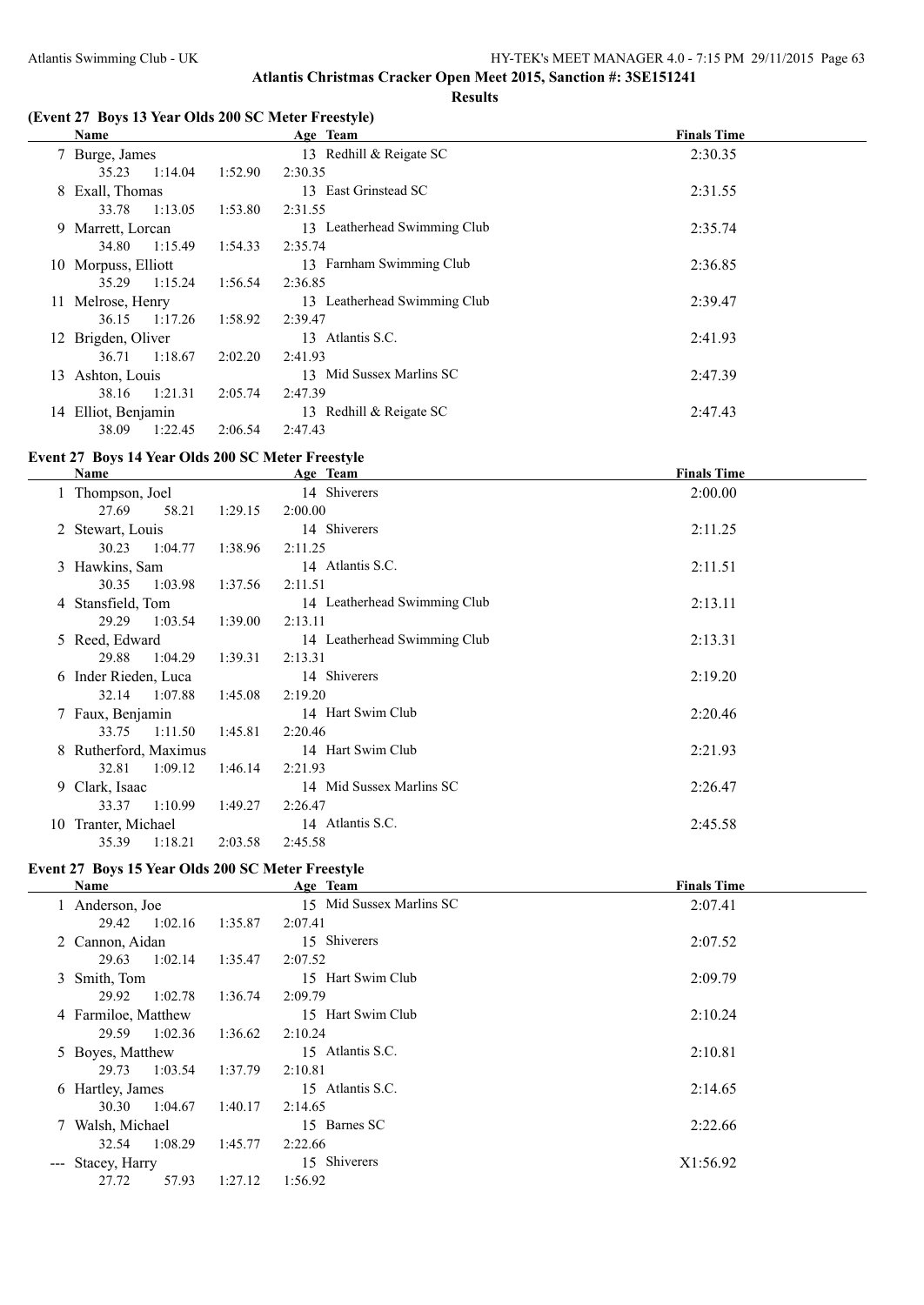## **(Event 27 Boys 13 Year Olds 200 SC Meter Freestyle)**

|    | Name                |         | Age Team                     | <b>Finals Time</b> |
|----|---------------------|---------|------------------------------|--------------------|
|    | 7 Burge, James      |         | 13 Redhill & Reigate SC      | 2:30.35            |
|    | 1:14.04<br>35.23    | 1:52.90 | 2:30.35                      |                    |
|    | 8 Exall, Thomas     |         | 13 East Grinstead SC         | 2:31.55            |
|    | 1:13.05<br>33.78    | 1:53.80 | 2:31.55                      |                    |
|    | 9 Marrett, Lorcan   |         | 13 Leatherhead Swimming Club | 2:35.74            |
|    | 1:15.49<br>34.80    | 1:54.33 | 2:35.74                      |                    |
|    | 10 Morpuss, Elliott |         | 13 Farnham Swimming Club     | 2:36.85            |
|    | 1:15.24<br>35.29    | 1:56.54 | 2:36.85                      |                    |
|    | 11 Melrose, Henry   |         | 13 Leatherhead Swimming Club | 2:39.47            |
|    | 1:17.26<br>36.15    | 1:58.92 | 2:39.47                      |                    |
|    | 12 Brigden, Oliver  |         | 13 Atlantis S.C.             | 2:41.93            |
|    | 1:18.67<br>36.71    | 2:02.20 | 2:41.93                      |                    |
| 13 | Ashton, Louis       |         | 13 Mid Sussex Marlins SC     | 2:47.39            |
|    | 1:21.31<br>38.16    | 2:05.74 | 2:47.39                      |                    |
|    | 14 Elliot, Benjamin |         | 13 Redhill & Reigate SC      | 2:47.43            |
|    | 1:22.45<br>38.09    | 2:06.54 | 2:47.43                      |                    |

## **Event 27 Boys 14 Year Olds 200 SC Meter Freestyle**

|    | Name                  |         |         | Age Team                     | <b>Finals Time</b> |
|----|-----------------------|---------|---------|------------------------------|--------------------|
|    | 1 Thompson, Joel      |         |         | 14 Shiverers                 | 2:00.00            |
|    | 27.69                 | 58.21   | 1:29.15 | 2:00.00                      |                    |
|    | 2 Stewart, Louis      |         |         | 14 Shiverers                 | 2:11.25            |
|    | 30.23                 | 1:04.77 | 1:38.96 | 2:11.25                      |                    |
|    | 3 Hawkins, Sam        |         |         | 14 Atlantis S.C.             | 2:11.51            |
|    | 30.35                 | 1:03.98 | 1:37.56 | 2:11.51                      |                    |
|    | 4 Stansfield, Tom     |         |         | 14 Leatherhead Swimming Club | 2:13.11            |
|    | 29.29                 | 1:03.54 | 1:39.00 | 2:13.11                      |                    |
|    | 5 Reed, Edward        |         |         | 14 Leatherhead Swimming Club | 2:13.31            |
|    | 29.88                 | 1:04.29 | 1:39.31 | 2:13.31                      |                    |
|    | 6 Inder Rieden, Luca  |         |         | 14 Shiverers                 | 2:19.20            |
|    | 32.14                 | 1:07.88 | 1:45.08 | 2:19.20                      |                    |
|    | 7 Faux, Benjamin      |         |         | 14 Hart Swim Club            | 2:20.46            |
|    | 33.75                 | 1:11.50 | 1:45.81 | 2:20.46                      |                    |
|    | 8 Rutherford, Maximus |         |         | 14 Hart Swim Club            | 2:21.93            |
|    | 32.81                 | 1:09.12 | 1:46.14 | 2:21.93                      |                    |
|    | 9 Clark, Isaac        |         |         | 14 Mid Sussex Marlins SC     | 2:26.47            |
|    | 33.37                 | 1:10.99 | 1:49.27 | 2:26.47                      |                    |
| 10 | Tranter, Michael      |         |         | 14 Atlantis S.C.             | 2:45.58            |
|    | 35.39                 | 1:18.21 | 2:03.58 | 2:45.58                      |                    |

# **Event 27 Boys 15 Year Olds 200 SC Meter Freestyle**

| Name              | Age Team                                                                                                                                                             | <b>Finals Time</b>                                                                   |
|-------------------|----------------------------------------------------------------------------------------------------------------------------------------------------------------------|--------------------------------------------------------------------------------------|
| 1 Anderson, Joe   | 15 Mid Sussex Marlins SC                                                                                                                                             | 2:07.41                                                                              |
| 29.42             | 2:07.41                                                                                                                                                              |                                                                                      |
|                   | 15 Shiverers                                                                                                                                                         | 2:07.52                                                                              |
| 29.63             | 2:07.52                                                                                                                                                              |                                                                                      |
| 3 Smith, Tom      | 15 Hart Swim Club                                                                                                                                                    | 2:09.79                                                                              |
| 29.92             | 2:09.79                                                                                                                                                              |                                                                                      |
|                   | 15 Hart Swim Club                                                                                                                                                    | 2:10.24                                                                              |
| 29.59             | 2:10.24                                                                                                                                                              |                                                                                      |
|                   | 15 Atlantis S.C.                                                                                                                                                     | 2:10.81                                                                              |
| 29.73             | 2:10.81                                                                                                                                                              |                                                                                      |
| 6 Hartley, James  | 15 Atlantis S.C.                                                                                                                                                     | 2:14.65                                                                              |
| 30.30             | 2:14.65                                                                                                                                                              |                                                                                      |
|                   | 15 Barnes SC                                                                                                                                                         | 2:22.66                                                                              |
| 32.54             | 2:22.66                                                                                                                                                              |                                                                                      |
| --- Stacey, Harry | 15 Shiverers                                                                                                                                                         | X1:56.92                                                                             |
| 27.72             | 1:56.92                                                                                                                                                              |                                                                                      |
|                   | 1:02.16<br>2 Cannon, Aidan<br>1:02.14<br>1:02.78<br>4 Farmiloe, Matthew<br>1:02.36<br>5 Boyes, Matthew<br>1:03.54<br>1:04.67<br>7 Walsh, Michael<br>1:08.29<br>57.93 | 1:35.87<br>1:35.47<br>1:36.74<br>1:36.62<br>1:37.79<br>1:40.17<br>1:45.77<br>1:27.12 |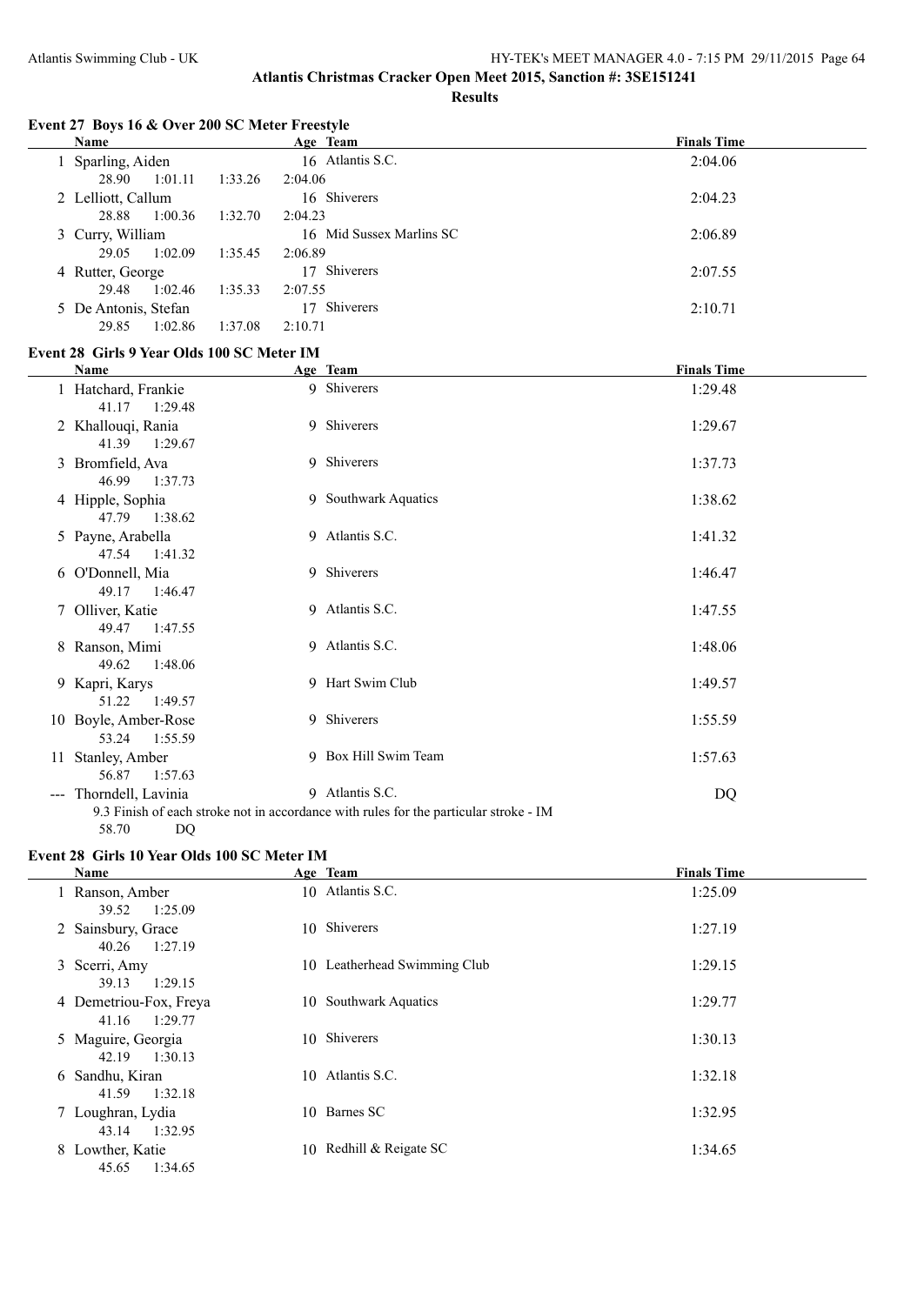#### **Event 27 Boys 16 & Over 200 SC Meter Freestyle**

| Name                 |         | Age Team                 | <b>Finals Time</b> |
|----------------------|---------|--------------------------|--------------------|
| Sparling, Aiden      |         | 16 Atlantis S.C.         | 2:04.06            |
| 1:01.11<br>28.90     | 1:33.26 | 2:04.06                  |                    |
| 2 Lelliott, Callum   |         | 16 Shiverers             | 2:04.23            |
| 1:00.36<br>28.88     | 1:32.70 | 2:04.23                  |                    |
| 3 Curry, William     |         | 16 Mid Sussex Marlins SC | 2:06.89            |
| 1:02.09<br>29.05     | 1:35.45 | 2:06.89                  |                    |
| 4 Rutter, George     |         | 17 Shiverers             | 2:07.55            |
| 1:02.46<br>29.48     | 1:35.33 | 2:07.55                  |                    |
| 5 De Antonis, Stefan |         | 17 Shiverers             | 2:10.71            |
| 29.85<br>1:02.86     | 1:37.08 | 2:10.71                  |                    |

#### **Event 28 Girls 9 Year Olds 100 SC Meter IM**

|                      | Name                                               | Age Team                                                                                                 | <b>Finals Time</b> |  |
|----------------------|----------------------------------------------------|----------------------------------------------------------------------------------------------------------|--------------------|--|
|                      | 1 Hatchard, Frankie<br>41.17<br>1:29.48            | 9 Shiverers                                                                                              | 1:29.48            |  |
|                      | 2 Khallouqi, Rania                                 | 9 Shiverers                                                                                              | 1:29.67            |  |
|                      | 41.39 1:29.67<br>3 Bromfield, Ava<br>46.99 1:37.73 | 9 Shiverers                                                                                              | 1:37.73            |  |
|                      | 4 Hipple, Sophia<br>47.79<br>1:38.62               | 9 Southwark Aquatics                                                                                     | 1:38.62            |  |
|                      | 5 Payne, Arabella<br>47.54<br>1:41.32              | 9 Atlantis S.C.                                                                                          | 1:41.32            |  |
|                      | 6 O'Donnell, Mia<br>49.17<br>1:46.47               | 9 Shiverers                                                                                              | 1:46.47            |  |
|                      | 7 Olliver, Katie<br>49.47<br>1:47.55               | 9 Atlantis S.C.                                                                                          | 1:47.55            |  |
|                      | 8 Ranson, Mimi<br>49.62<br>1:48.06                 | 9 Atlantis S.C.                                                                                          | 1:48.06            |  |
| 9                    | Kapri, Karys<br>51.22 1:49.57                      | 9 Hart Swim Club                                                                                         | 1:49.57            |  |
| 10                   | Boyle, Amber-Rose<br>53.24 1:55.59                 | 9 Shiverers                                                                                              | 1:55.59            |  |
| 11                   | Stanley, Amber<br>56.87<br>1:57.63                 | 9 Box Hill Swim Team                                                                                     | 1:57.63            |  |
| $\scriptstyle\cdots$ | Thorndell, Lavinia<br>DQ<br>58.70                  | 9 Atlantis S.C.<br>9.3 Finish of each stroke not in accordance with rules for the particular stroke - IM | DQ                 |  |

## **Event 28 Girls 10 Year Olds 100 SC Meter IM**

| Name                                       | Age Team                     | <b>Finals Time</b> |
|--------------------------------------------|------------------------------|--------------------|
| 1 Ranson, Amber<br>1:25.09<br>39.52        | 10 Atlantis S.C.             | 1:25.09            |
| 2 Sainsbury, Grace<br>1:27.19<br>40.26     | 10 Shiverers                 | 1:27.19            |
| 3 Scerri, Amy<br>39.13<br>1:29.15          | 10 Leatherhead Swimming Club | 1:29.15            |
| 4 Demetriou-Fox, Freya<br>1:29.77<br>41.16 | 10 Southwark Aquatics        | 1:29.77            |
| 5 Maguire, Georgia<br>1:30.13<br>42.19     | 10 Shiverers                 | 1:30.13            |
| 6 Sandhu, Kiran<br>1:32.18<br>41.59        | 10 Atlantis S.C.             | 1:32.18            |
| 7 Loughran, Lydia<br>1:32.95<br>43.14      | 10 Barnes SC                 | 1:32.95            |
| 8 Lowther, Katie<br>1:34.65<br>45.65       | 10 Redhill & Reigate SC      | 1:34.65            |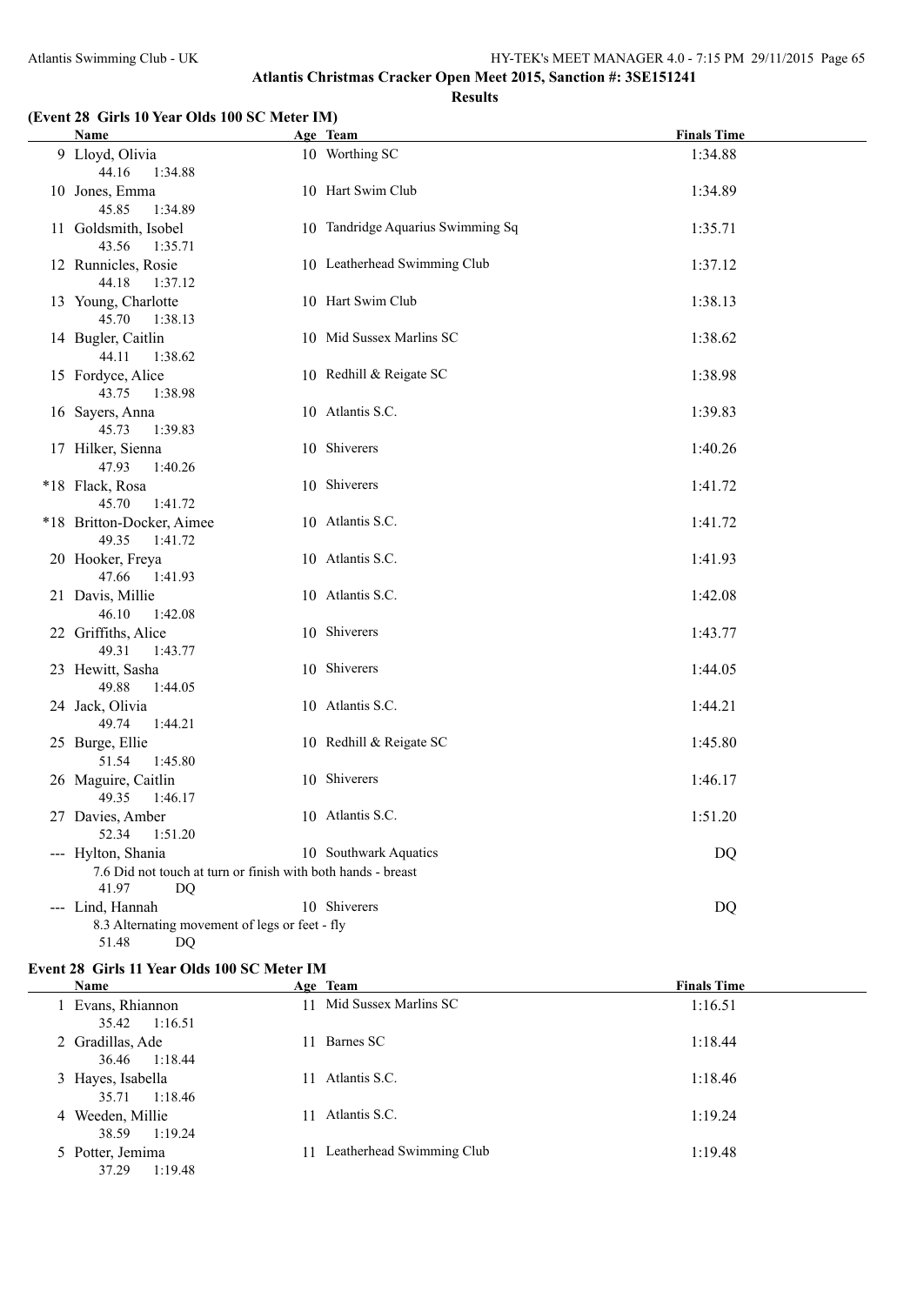### **Results**

## **(Event 28 Girls 10 Year Olds 100 SC Meter IM)**

|  | <b>Name</b>                                                                        | Age Team                          | <b>Finals Time</b> |
|--|------------------------------------------------------------------------------------|-----------------------------------|--------------------|
|  | 9 Lloyd, Olivia<br>44.16<br>1:34.88                                                | 10 Worthing SC                    | 1:34.88            |
|  | 10 Jones, Emma<br>45.85<br>1:34.89                                                 | 10 Hart Swim Club                 | 1:34.89            |
|  | 11 Goldsmith, Isobel<br>43.56<br>1:35.71                                           | 10 Tandridge Aquarius Swimming Sq | 1:35.71            |
|  | 12 Runnicles, Rosie<br>44.18<br>1:37.12                                            | 10 Leatherhead Swimming Club      | 1:37.12            |
|  | 13 Young, Charlotte<br>45.70<br>1:38.13                                            | 10 Hart Swim Club                 | 1:38.13            |
|  | 14 Bugler, Caitlin<br>44.11<br>1:38.62                                             | 10 Mid Sussex Marlins SC          | 1:38.62            |
|  | 15 Fordyce, Alice<br>43.75<br>1:38.98                                              | 10 Redhill & Reigate SC           | 1:38.98            |
|  | 16 Sayers, Anna<br>45.73<br>1:39.83                                                | 10 Atlantis S.C.                  | 1:39.83            |
|  | 17 Hilker, Sienna<br>47.93<br>1:40.26                                              | 10 Shiverers                      | 1:40.26            |
|  | *18 Flack, Rosa<br>45.70<br>1:41.72                                                | 10 Shiverers                      | 1:41.72            |
|  | *18 Britton-Docker, Aimee<br>49.35<br>1:41.72                                      | 10 Atlantis S.C.                  | 1:41.72            |
|  | 20 Hooker, Freya<br>47.66<br>1:41.93                                               | 10 Atlantis S.C.                  | 1:41.93            |
|  | 21 Davis, Millie<br>46.10<br>1:42.08                                               | 10 Atlantis S.C.                  | 1:42.08            |
|  | 22 Griffiths, Alice<br>49.31<br>1:43.77                                            | 10 Shiverers                      | 1:43.77            |
|  | 23 Hewitt, Sasha<br>49.88<br>1:44.05                                               | 10 Shiverers                      | 1:44.05            |
|  | 24 Jack, Olivia<br>49.74<br>1:44.21                                                | 10 Atlantis S.C.                  | 1:44.21            |
|  | 25 Burge, Ellie<br>51.54<br>1:45.80                                                | 10 Redhill & Reigate SC           | 1:45.80            |
|  | 26 Maguire, Caitlin<br>49.35<br>1:46.17                                            | 10 Shiverers                      | 1:46.17            |
|  | 27 Davies, Amber<br>1:51.20<br>52.34                                               | 10 Atlantis S.C.                  | 1:51.20            |
|  | --- Hylton, Shania<br>7.6 Did not touch at turn or finish with both hands - breast | 10 Southwark Aquatics             | <b>DQ</b>          |
|  | 41.97<br>DQ                                                                        |                                   |                    |
|  | --- Lind, Hannah                                                                   | 10 Shiverers                      | DQ                 |
|  | 8.3 Alternating movement of legs or feet - fly<br>51.48<br>DQ                      |                                   |                    |
|  |                                                                                    |                                   |                    |

## **Event 28 Girls 11 Year Olds 100 SC Meter IM**

 $\overline{a}$ 

| Name                                    |    | Age Team                  | <b>Finals Time</b> |
|-----------------------------------------|----|---------------------------|--------------------|
| Evans, Rhiannon<br>35.42<br>1:16.51     |    | 11 Mid Sussex Marlins SC  | 1:16.51            |
| 2 Gradillas, Ade<br>1:18.44<br>36.46    | 11 | Barnes SC                 | 1:18.44            |
| 3 Hayes, Isabella<br>35.71<br>1:18.46   | 11 | Atlantis S.C.             | 1:18.46            |
| Weeden, Millie<br>4<br>38.59<br>1:19.24 | 11 | Atlantis S.C.             | 1:19.24            |
| 5 Potter, Jemima<br>1:19.48<br>37.29    | 11 | Leatherhead Swimming Club | 1:19.48            |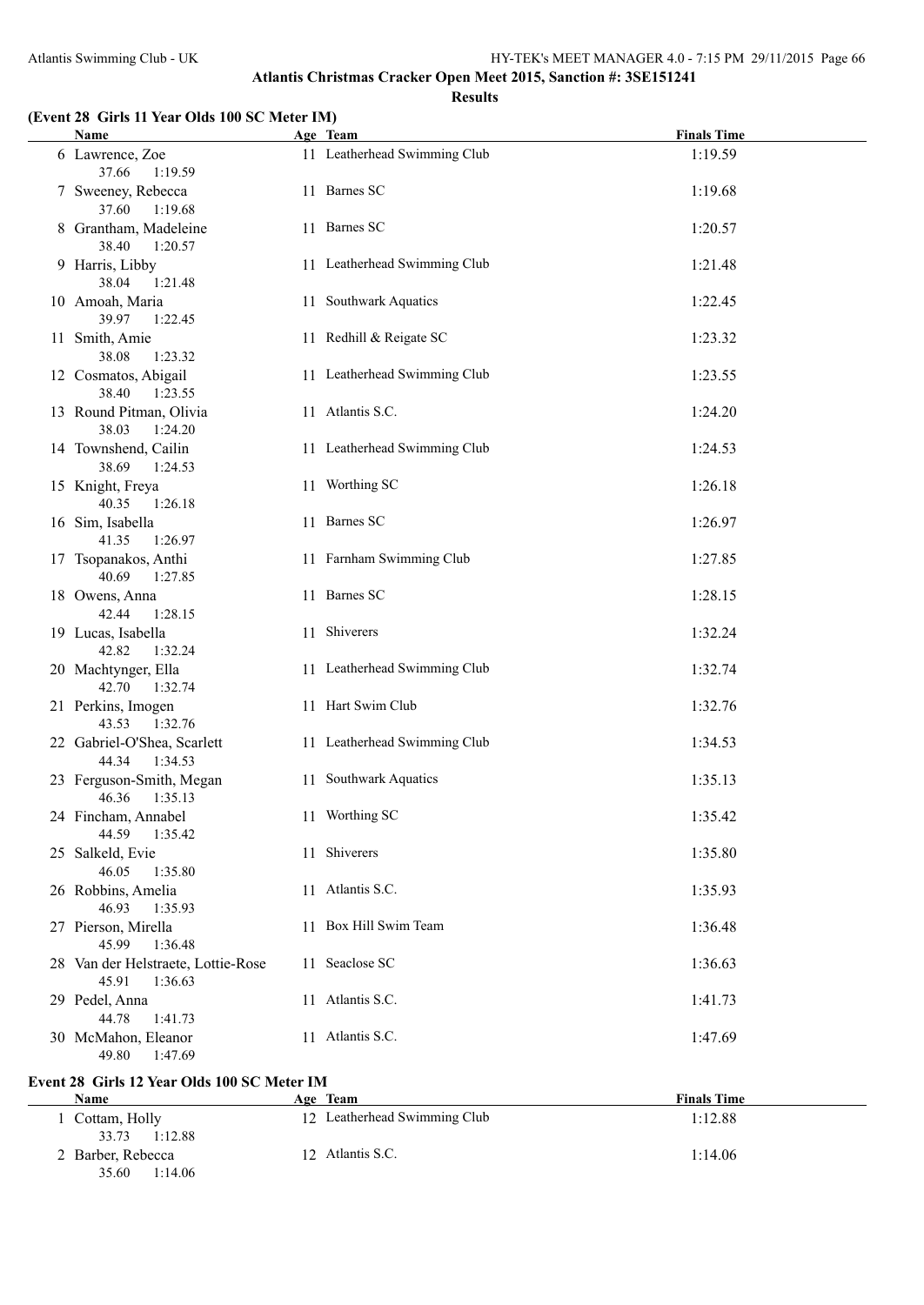#### **(Event 28 Girls 11 Year Olds 100 SC Meter IM)**

| Name Manual Communication of the Manual Communication of the Manual Communication of the Manual Communication of the Manual Communication of the Manual Communication of the Manual Communication of the Manual Communication | Age Team                     | <b>Finals Time</b> |
|-------------------------------------------------------------------------------------------------------------------------------------------------------------------------------------------------------------------------------|------------------------------|--------------------|
| 6 Lawrence, Zoe<br>37.66 1:19.59                                                                                                                                                                                              | 11 Leatherhead Swimming Club | 1:19.59            |
| 7 Sweeney, Rebecca<br>37.60 1:19.68                                                                                                                                                                                           | 11 Barnes SC                 | 1:19.68            |
| 8 Grantham, Madeleine<br>38.40 1:20.57                                                                                                                                                                                        | 11 Barnes SC                 | 1:20.57            |
| 9 Harris, Libby<br>38.04 1:21.48                                                                                                                                                                                              | 11 Leatherhead Swimming Club | 1:21.48            |
| 10 Amoah, Maria<br>39.97 1:22.45                                                                                                                                                                                              | 11 Southwark Aquatics        | 1:22.45            |
| 11 Smith, Amie<br>38.08<br>1:23.32                                                                                                                                                                                            | 11 Redhill & Reigate SC      | 1:23.32            |
| 12 Cosmatos, Abigail<br>38.40 1:23.55                                                                                                                                                                                         | 11 Leatherhead Swimming Club | 1:23.55            |
| 13 Round Pitman, Olivia<br>38.03<br>1:24.20                                                                                                                                                                                   | 11 Atlantis S.C.             | 1:24.20            |
| 14 Townshend, Cailin<br>38.69 1:24.53                                                                                                                                                                                         | 11 Leatherhead Swimming Club | 1:24.53            |
| 15 Knight, Freya<br>40.35<br>1:26.18                                                                                                                                                                                          | 11 Worthing SC               | 1:26.18            |
| 16 Sim, Isabella<br>41.35<br>1:26.97                                                                                                                                                                                          | 11 Barnes SC                 | 1:26.97            |
| 17 Tsopanakos, Anthi<br>40.69 1:27.85                                                                                                                                                                                         | 11 Farnham Swimming Club     | 1:27.85            |
| 18 Owens, Anna<br>42.44 1:28.15                                                                                                                                                                                               | 11 Barnes SC                 | 1:28.15            |
| 19 Lucas, Isabella<br>42.82<br>1:32.24                                                                                                                                                                                        | 11 Shiverers                 | 1:32.24            |
| 20 Machtynger, Ella<br>42.70  1:32.74                                                                                                                                                                                         | 11 Leatherhead Swimming Club | 1:32.74            |
| 21 Perkins, Imogen<br>43.53 1:32.76                                                                                                                                                                                           | 11 Hart Swim Club            | 1:32.76            |
| 22 Gabriel-O'Shea, Scarlett<br>44.34 1:34.53                                                                                                                                                                                  | 11 Leatherhead Swimming Club | 1:34.53            |
| 23 Ferguson-Smith, Megan<br>46.36 1:35.13                                                                                                                                                                                     | 11 Southwark Aquatics        | 1:35.13            |
| 24 Fincham, Annabel<br>44.59 1:35.42                                                                                                                                                                                          | 11 Worthing SC               | 1:35.42            |
| 25 Salkeld, Evie<br>46.05<br>1:35.80                                                                                                                                                                                          | 11 Shiverers                 | 1:35.80            |
| 26 Robbins, Amelia<br>46.93<br>1:35.93                                                                                                                                                                                        | 11 Atlantis S.C.             | 1:35.93            |
| 27 Pierson, Mirella<br>45.99<br>1:36.48                                                                                                                                                                                       | 11 Box Hill Swim Team        | 1:36.48            |
| 28 Van der Helstraete, Lottie-Rose<br>45.91<br>1:36.63                                                                                                                                                                        | 11 Seaclose SC               | 1:36.63            |
| 29 Pedel, Anna<br>44.78<br>1:41.73                                                                                                                                                                                            | 11 Atlantis S.C.             | 1:41.73            |
| 30 McMahon, Eleanor<br>49.80 1:47.69                                                                                                                                                                                          | 11 Atlantis S.C.             | 1:47.69            |

## **Event 28 Girls 12 Year Olds 100 SC Meter IM**

 $\overline{\phantom{a}}$ 

| Name                                  | Age Team                     | <b>Finals Time</b> |
|---------------------------------------|------------------------------|--------------------|
| 1 Cottam, Holly<br>1:12.88<br>33.73   | 12 Leatherhead Swimming Club | 1:12.88            |
| 2 Barber, Rebecca<br>1:14.06<br>35.60 | 12 Atlantis S.C.             | 1:14.06            |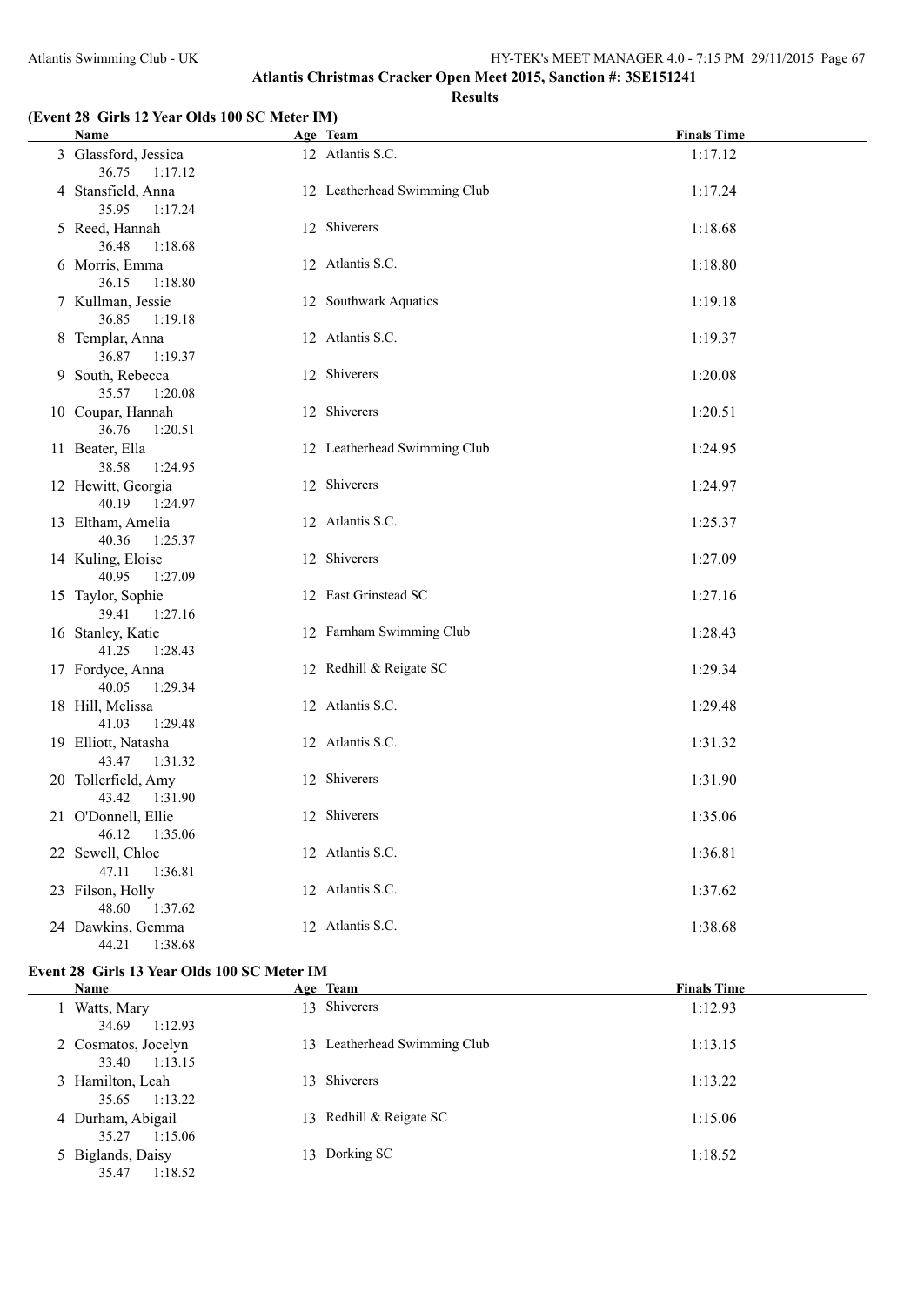#### **(Event 28 Girls 12 Year Olds 100 SC Meter IM)**

|  | <b>Name</b>                              | Age Team                     | <b>Finals Time</b> |
|--|------------------------------------------|------------------------------|--------------------|
|  | 3 Glassford, Jessica<br>36.75<br>1:17.12 | 12 Atlantis S.C.             | 1:17.12            |
|  | 4 Stansfield, Anna<br>35.95 1:17.24      | 12 Leatherhead Swimming Club | 1:17.24            |
|  | 5 Reed, Hannah<br>36.48<br>1:18.68       | 12 Shiverers                 | 1:18.68            |
|  | 6 Morris, Emma<br>36.15<br>1:18.80       | 12 Atlantis S.C.             | 1:18.80            |
|  | 7 Kullman, Jessie<br>36.85<br>1:19.18    | 12 Southwark Aquatics        | 1:19.18            |
|  | 8 Templar, Anna<br>36.87<br>1:19.37      | 12 Atlantis S.C.             | 1:19.37            |
|  | 9 South, Rebecca<br>35.57<br>1:20.08     | 12 Shiverers                 | 1:20.08            |
|  | 10 Coupar, Hannah<br>36.76<br>1:20.51    | 12 Shiverers                 | 1:20.51            |
|  | 11 Beater, Ella<br>38.58<br>1:24.95      | 12 Leatherhead Swimming Club | 1:24.95            |
|  | 12 Hewitt, Georgia<br>40.19<br>1:24.97   | 12 Shiverers                 | 1:24.97            |
|  | 13 Eltham, Amelia<br>40.36<br>1:25.37    | 12 Atlantis S.C.             | 1:25.37            |
|  | 14 Kuling, Eloise<br>40.95<br>1:27.09    | 12 Shiverers                 | 1:27.09            |
|  | 15 Taylor, Sophie<br>39.41<br>1:27.16    | 12 East Grinstead SC         | 1:27.16            |
|  | 16 Stanley, Katie<br>41.25<br>1:28.43    | 12 Farnham Swimming Club     | 1:28.43            |
|  | 17 Fordyce, Anna<br>40.05<br>1:29.34     | 12 Redhill & Reigate SC      | 1:29.34            |
|  | 18 Hill, Melissa<br>41.03<br>1:29.48     | 12 Atlantis S.C.             | 1:29.48            |
|  | 19 Elliott, Natasha<br>43.47<br>1:31.32  | 12 Atlantis S.C.             | 1:31.32            |
|  | 20 Tollerfield, Amy<br>43.42<br>1:31.90  | 12 Shiverers                 | 1:31.90            |
|  | 21 O'Donnell, Ellie<br>46.12  1:35.06    | 12 Shiverers                 | 1:35.06            |
|  | 22 Sewell, Chloe<br>47.11<br>1:36.81     | 12 Atlantis S.C.             | 1:36.81            |
|  | 23 Filson, Holly<br>48.60<br>1:37.62     | 12 Atlantis S.C.             | 1:37.62            |
|  | 24 Dawkins, Gemma<br>44.21  1:38.68      | 12 Atlantis S.C.             | 1:38.68            |

## **Event 28 Girls 13 Year Olds 100 SC Meter IM**

| Name                                    | Age Team                     | <b>Finals Time</b> |
|-----------------------------------------|------------------------------|--------------------|
| Watts, Mary                             | 13 Shiverers                 | 1:12.93            |
| 34.69<br>1:12.93<br>2 Cosmatos, Jocelyn | 13 Leatherhead Swimming Club | 1:13.15            |
| 1:13.15<br>33.40<br>3 Hamilton, Leah    | 13 Shiverers                 | 1:13.22            |
| 1:13.22<br>35.65<br>4 Durham, Abigail   | 13 Redhill & Reigate SC      | 1:15.06            |
| 35.27<br>1:15.06<br>5 Biglands, Daisy   | 13 Dorking SC                | 1:18.52            |
| 35.47<br>1:18.52                        |                              |                    |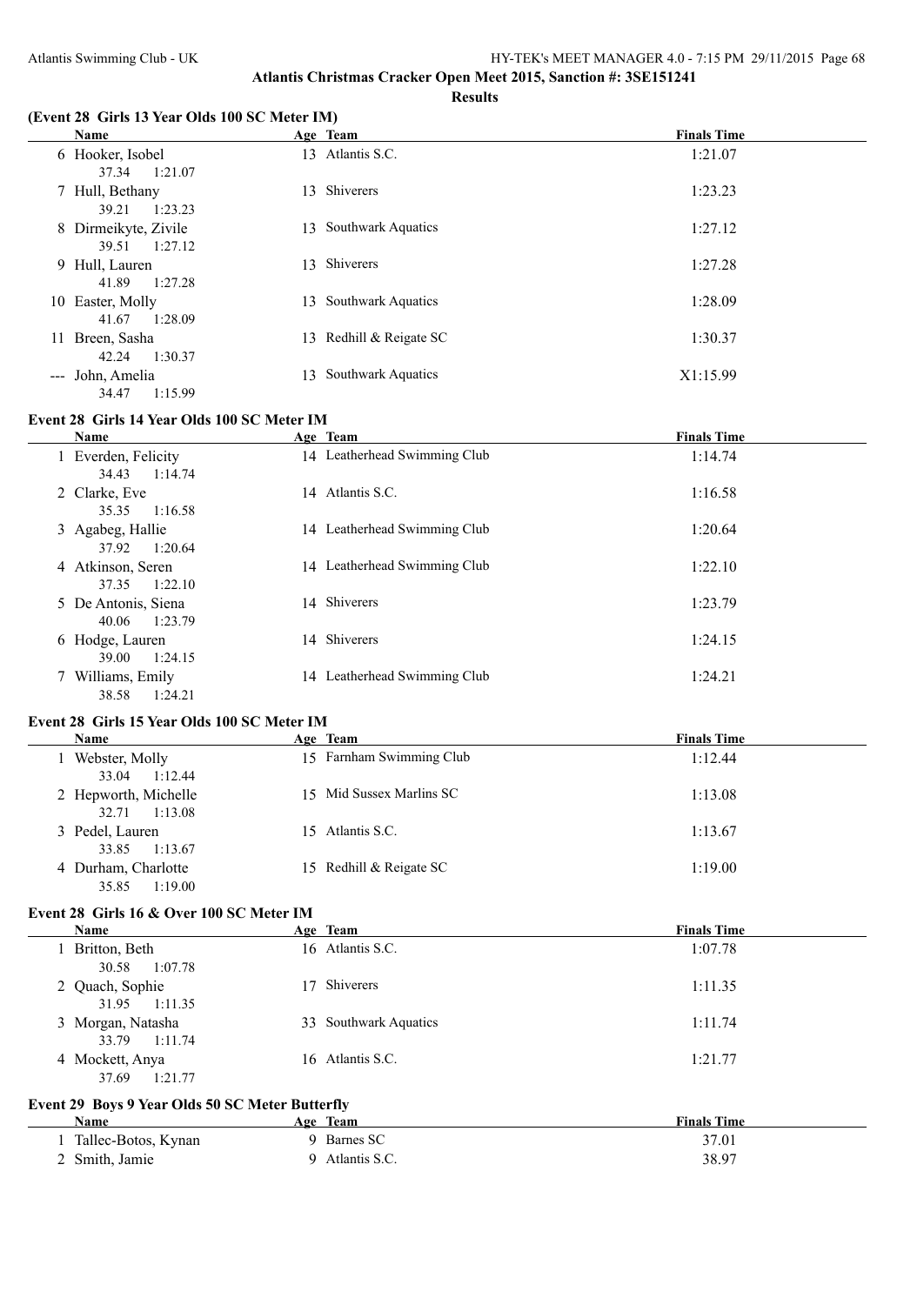#### **Results**

#### **(Event 28 Girls 13 Year Olds 100 SC Meter IM)**

|                     | <b>Name</b>                              |     | Age Team                  | <b>Finals Time</b> |
|---------------------|------------------------------------------|-----|---------------------------|--------------------|
|                     | 6 Hooker, Isobel<br>37.34<br>1:21.07     | 13  | Atlantis S.C.             | 1:21.07            |
|                     | 7 Hull, Bethany<br>1:23.23<br>39.21      | 13. | Shiverers                 | 1:23.23            |
|                     | 8 Dirmeikyte, Zivile<br>1:27.12<br>39.51 | 13. | <b>Southwark Aquatics</b> | 1:27.12            |
|                     | 9 Hull, Lauren<br>41.89<br>1:27.28       | 13  | Shiverers                 | 1:27.28            |
|                     | 10 Easter, Molly<br>41.67<br>1:28.09     | 13  | <b>Southwark Aquatics</b> | 1:28.09            |
| 11                  | Breen, Sasha<br>42.24<br>1:30.37         | 13  | Redhill & Reigate SC      | 1:30.37            |
| $\qquad \qquad - -$ | John, Amelia<br>34.47<br>1:15.99         | 13  | <b>Southwark Aquatics</b> | X1:15.99           |

## **Event 28 Girls 14 Year Olds 100 SC Meter IM**

| Name                | Age Team                     | <b>Finals Time</b> |
|---------------------|------------------------------|--------------------|
| 1 Everden, Felicity | 14 Leatherhead Swimming Club | 1:14.74            |
| 1:14.74<br>34.43    |                              |                    |
| 2 Clarke, Eve       | 14 Atlantis S.C.             | 1:16.58            |
| 35.35<br>1:16.58    |                              |                    |
| 3 Agabeg, Hallie    | 14 Leatherhead Swimming Club | 1:20.64            |
| 37.92<br>1:20.64    |                              |                    |
| 4 Atkinson, Seren   | 14 Leatherhead Swimming Club | 1:22.10            |
| 1:22.10<br>37.35    |                              |                    |
| 5 De Antonis, Siena | 14 Shiverers                 | 1:23.79            |
| 40.06<br>1:23.79    |                              |                    |
| 6 Hodge, Lauren     | 14 Shiverers                 | 1:24.15            |
| 39.00<br>1:24.15    |                              |                    |
|                     | 14 Leatherhead Swimming Club | 1:24.21            |
| 7 Williams, Emily   |                              |                    |
| 38.58<br>1:24.21    |                              |                    |

#### **Event 28 Girls 15 Year Olds 100 SC Meter IM**

| <b>Name</b>                              | Age Team                 | <b>Finals Time</b> |
|------------------------------------------|--------------------------|--------------------|
| Webster, Molly<br>1:12.44<br>33.04       | 15 Farnham Swimming Club | 1:12.44            |
| 2 Hepworth, Michelle<br>1:13.08<br>32.71 | 15 Mid Sussex Marlins SC | 1:13.08            |
| 3 Pedel, Lauren<br>1:13.67<br>33.85      | 15 Atlantis S.C.         | 1:13.67            |
| 4 Durham, Charlotte<br>1:19.00<br>35.85  | 15 Redhill & Reigate SC  | 1:19.00            |

## **Event 28 Girls 16 & Over 100 SC Meter IM**

| <b>Name</b>                         | Age Team              | <b>Finals Time</b> |
|-------------------------------------|-----------------------|--------------------|
| 1 Britton, Beth<br>1:07.78<br>30.58 | 16 Atlantis S.C.      | 1:07.78            |
| 2 Quach, Sophie<br>31.95 1:11.35    | Shiverers<br>17       | 1:11.35            |
| 3 Morgan, Natasha<br>33.79 1:11.74  | 33 Southwark Aquatics | 1:11.74            |
| 4 Mockett, Anya<br>37.69<br>1:21.77 | 16 Atlantis S.C.      | 1:21.77            |

### **Event 29 Boys 9 Year Olds 50 SC Meter Butterfly**

| Name                | Team<br>Age   | <b>Finals Time</b> |
|---------------------|---------------|--------------------|
| Tallec-Botos, Kynan | Barnes SC     | 37.01              |
| 2 Smith, Jamie      | Atlantis S.C. | 38.97              |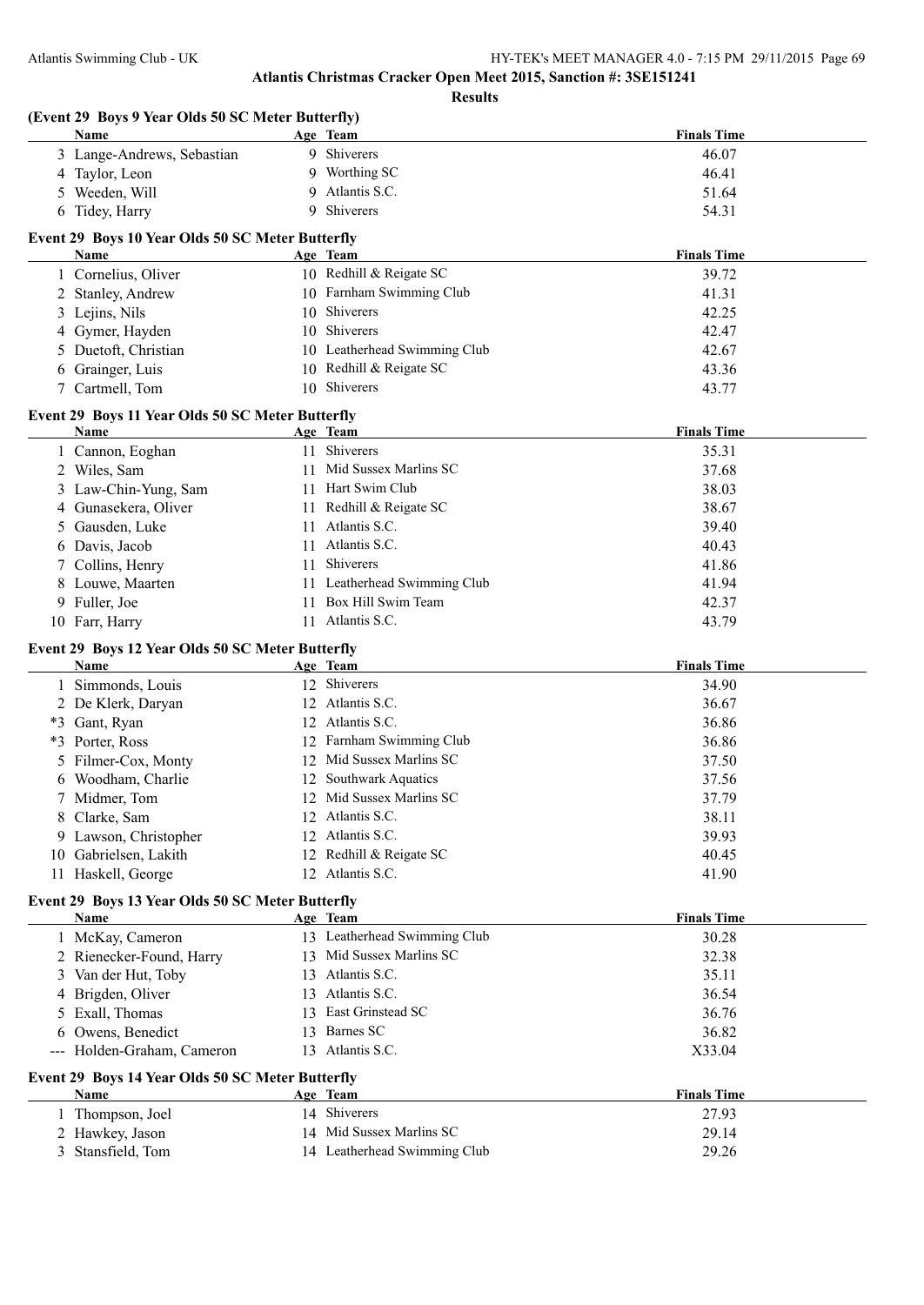| (Event 29 Boys 9 Year Olds 50 SC Meter Butterfly)               |                              |                    |
|-----------------------------------------------------------------|------------------------------|--------------------|
| <b>Name</b>                                                     | Age Team                     | <b>Finals Time</b> |
| 3 Lange-Andrews, Sebastian                                      | 9 Shiverers                  | 46.07              |
| 4 Taylor, Leon                                                  | 9 Worthing SC                | 46.41              |
| Weeden, Will<br>5                                               | Atlantis S.C.<br>9           | 51.64              |
| 6 Tidey, Harry                                                  | Shiverers<br>9               | 54.31              |
| Event 29 Boys 10 Year Olds 50 SC Meter Butterfly                |                              |                    |
| Name                                                            | Age Team                     | <b>Finals Time</b> |
| 1 Cornelius, Oliver                                             | 10 Redhill & Reigate SC      | 39.72              |
| 2 Stanley, Andrew                                               | 10 Farnham Swimming Club     | 41.31              |
| 3 Lejins, Nils                                                  | 10 Shiverers                 | 42.25              |
| 4 Gymer, Hayden                                                 | 10 Shiverers                 | 42.47              |
| Duetoft, Christian<br>5                                         | 10 Leatherhead Swimming Club | 42.67              |
| 6 Grainger, Luis                                                | 10 Redhill & Reigate SC      | 43.36              |
| 7 Cartmell, Tom                                                 | 10 Shiverers                 | 43.77              |
| Event 29 Boys 11 Year Olds 50 SC Meter Butterfly                |                              |                    |
| Name                                                            | Age Team                     | <b>Finals Time</b> |
| 1 Cannon, Eoghan                                                | 11 Shiverers                 | 35.31              |
| 2 Wiles, Sam                                                    | 11 Mid Sussex Marlins SC     | 37.68              |
| Law-Chin-Yung, Sam<br>3                                         | 11 Hart Swim Club            | 38.03              |
| Gunasekera, Oliver<br>4                                         | 11 Redhill & Reigate SC      | 38.67              |
| Gausden, Luke<br>5                                              | Atlantis S.C.<br>11          | 39.40              |
| Davis, Jacob<br>6                                               | 11 Atlantis S.C.             | 40.43              |
| Collins, Henry<br>7                                             | Shiverers<br>11              | 41.86              |
| 8 Louwe, Maarten                                                | 11 Leatherhead Swimming Club | 41.94              |
| 9 Fuller, Joe                                                   | Box Hill Swim Team<br>11     | 42.37              |
| 10 Farr, Harry                                                  | 11 Atlantis S.C.             | 43.79              |
| Event 29 Boys 12 Year Olds 50 SC Meter Butterfly                |                              |                    |
| <b>Name</b>                                                     | Age Team                     | <b>Finals Time</b> |
| 1 Simmonds, Louis                                               | 12 Shiverers                 | 34.90              |
| 2 De Klerk, Daryan                                              | 12 Atlantis S.C.             | 36.67              |
| *3 Gant, Ryan                                                   | 12 Atlantis S.C.             | 36.86              |
| Porter, Ross<br>*3                                              | 12 Farnham Swimming Club     | 36.86              |
| Filmer-Cox, Monty<br>5                                          | 12 Mid Sussex Marlins SC     | 37.50              |
| Woodham, Charlie<br>6                                           | Southwark Aquatics<br>12     | 37.56              |
| 7 Midmer, Tom                                                   | 12 Mid Sussex Marlins SC     | 37.79              |
| 8 Clarke, Sam                                                   | 12 Atlantis S.C.             | 38.11              |
| 9 Lawson, Christopher                                           | 12 Atlantis S.C.             | 39.93              |
|                                                                 | 12 Redhill & Reigate SC      |                    |
| Gabrielsen, Lakith<br>10<br>11 Haskell, George                  | 12 Atlantis S.C.             | 40.45<br>41.90     |
|                                                                 |                              |                    |
| Event 29 Boys 13 Year Olds 50 SC Meter Butterfly<br>Name        | Age Team                     | <b>Finals Time</b> |
| 1 McKay, Cameron                                                | 13 Leatherhead Swimming Club | 30.28              |
| 2 Rienecker-Found, Harry                                        | 13 Mid Sussex Marlins SC     | 32.38              |
| 3 Van der Hut, Toby                                             | 13 Atlantis S.C.             | 35.11              |
| Brigden, Oliver<br>4                                            | 13 Atlantis S.C.             | 36.54              |
| Exall, Thomas<br>5                                              | 13 East Grinstead SC         | 36.76              |
|                                                                 | Barnes SC<br>13              |                    |
| Owens, Benedict<br>6<br>Holden-Graham, Cameron                  | 13 Atlantis S.C.             | 36.82<br>X33.04    |
|                                                                 |                              |                    |
| Event 29 Boys 14 Year Olds 50 SC Meter Butterfly<br><b>Name</b> | Age Team                     | <b>Finals Time</b> |
| 1 Thompson, Joel                                                | 14 Shiverers                 | 27.93              |
| 2 Hawkey, Jason                                                 | 14 Mid Sussex Marlins SC     | 29.14              |
|                                                                 | 14 Leatherhead Swimming Club |                    |
| Stansfield, Tom<br>3                                            |                              | 29.26              |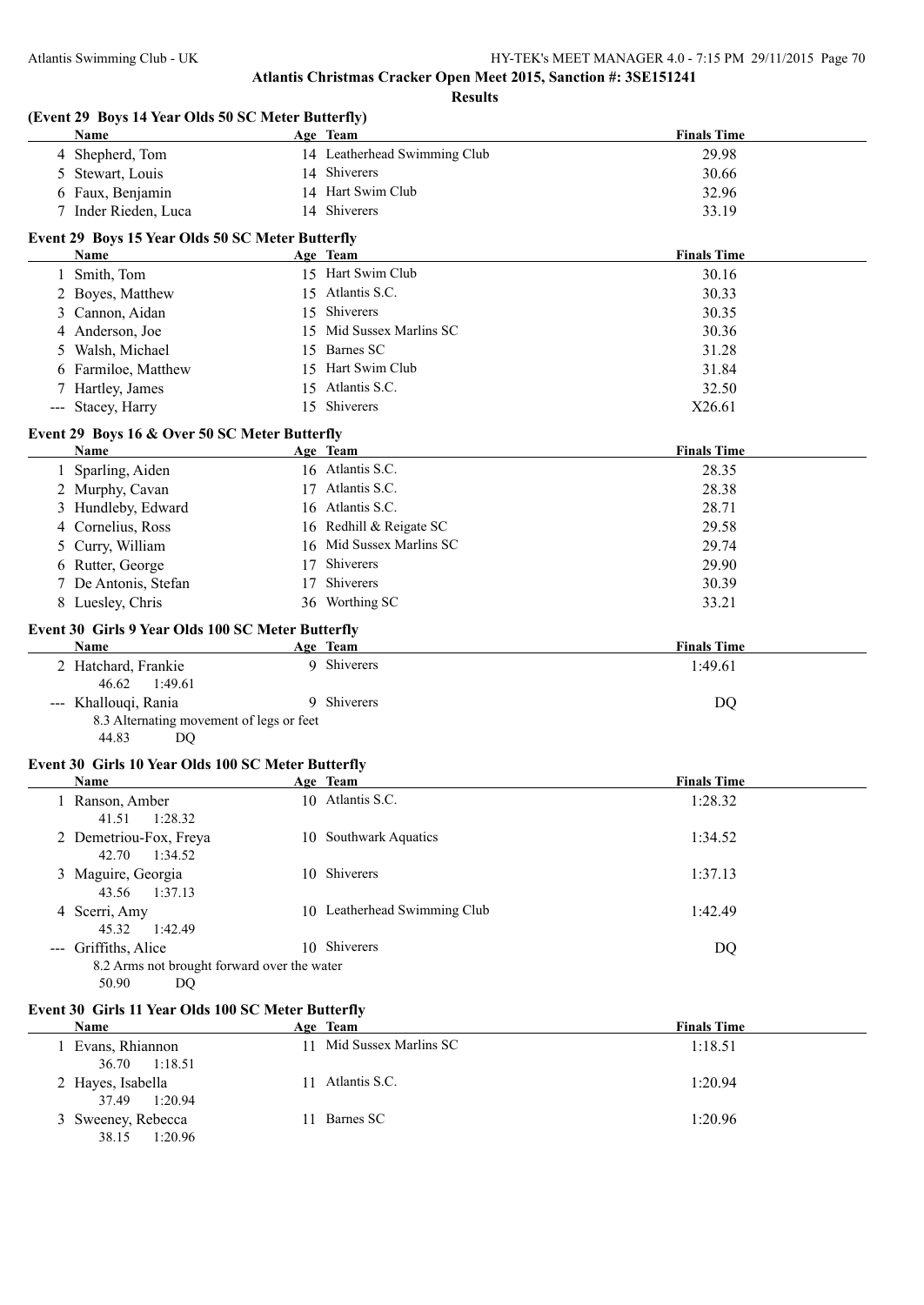| (Event 29 Boys 14 Year Olds 50 SC Meter Butterfly)<br>Name | Age Team         |                              | <b>Finals Time</b> |
|------------------------------------------------------------|------------------|------------------------------|--------------------|
| 4 Shepherd, Tom                                            |                  | 14 Leatherhead Swimming Club | 29.98              |
| Stewart, Louis<br>5                                        | 14 Shiverers     |                              | 30.66              |
| Faux, Benjamin                                             |                  | 14 Hart Swim Club            | 32.96              |
| 7 Inder Rieden, Luca                                       | 14 Shiverers     |                              | 33.19              |
| Event 29 Boys 15 Year Olds 50 SC Meter Butterfly           |                  |                              |                    |
| Name                                                       | Age Team         |                              | <b>Finals Time</b> |
| 1 Smith, Tom                                               |                  | 15 Hart Swim Club            | 30.16              |
| 2 Boyes, Matthew                                           | 15 Atlantis S.C. |                              | 30.33              |
| Cannon, Aidan<br>3                                         | 15 Shiverers     |                              | 30.35              |
| Anderson, Joe<br>4                                         |                  | 15 Mid Sussex Marlins SC     | 30.36              |
| Walsh, Michael<br>5                                        | 15 Barnes SC     |                              | 31.28              |
| Farmiloe, Matthew<br>6                                     |                  | 15 Hart Swim Club            | 31.84              |
| 7 Hartley, James                                           | 15 Atlantis S.C. |                              | 32.50              |
| --- Stacey, Harry                                          | Shiverers<br>15  |                              | X26.61             |
| Event 29 Boys 16 & Over 50 SC Meter Butterfly              |                  |                              |                    |
| <b>Name</b>                                                | Age Team         |                              | <b>Finals Time</b> |
| 1 Sparling, Aiden                                          | 16 Atlantis S.C. |                              | 28.35              |
| 2 Murphy, Cavan                                            | 17 Atlantis S.C. |                              | 28.38              |
| Hundleby, Edward<br>3                                      | 16 Atlantis S.C. |                              | 28.71              |
| Cornelius, Ross<br>4                                       |                  | 16 Redhill & Reigate SC      | 29.58              |
| Curry, William<br>5                                        |                  | 16 Mid Sussex Marlins SC     | 29.74              |
| Rutter, George<br>6                                        | Shiverers<br>17  |                              | 29.90              |
| 7 De Antonis, Stefan                                       | Shiverers<br>17  |                              | 30.39              |
| 8 Luesley, Chris                                           | 36 Worthing SC   |                              | 33.21              |
| Event 30 Girls 9 Year Olds 100 SC Meter Butterfly          |                  |                              |                    |
| Name                                                       | Age Team         |                              | <b>Finals Time</b> |
| 2 Hatchard, Frankie<br>46.62<br>1:49.61                    | 9 Shiverers      |                              | 1:49.61            |
| --- Khallouqi, Rania                                       | 9 Shiverers      |                              | DQ                 |
| 8.3 Alternating movement of legs or feet<br>44.83<br>DQ    |                  |                              |                    |
| Event 30 Girls 10 Year Olds 100 SC Meter Butterfly         |                  |                              |                    |
| Name                                                       | Age Team         |                              | <b>Finals Time</b> |
| Ranson, Amber<br>1:28.32<br>41.51                          | 10 Atlantis S.C. |                              | 1:28.32            |
| 2 Demetriou-Fox, Freya<br>42.70<br>1:34.52                 |                  | 10 Southwark Aquatics        | 1:34.52            |
| 3 Maguire, Georgia<br>43.56<br>1:37.13                     | 10 Shiverers     |                              | 1:37.13            |
| 4 Scerri, Amy<br>45.32<br>1:42.49                          |                  | 10 Leatherhead Swimming Club | 1:42.49            |
| --- Griffiths, Alice                                       | 10 Shiverers     |                              | DQ                 |
| 8.2 Arms not brought forward over the water                |                  |                              |                    |
| 50.90<br>DQ                                                |                  |                              |                    |
|                                                            |                  |                              |                    |

## **Event 30 Girls 11 Year Olds 100 SC Meter Butterfly**

| Name                                   | Age Team                 | <b>Finals Time</b> |
|----------------------------------------|--------------------------|--------------------|
| Evans, Rhiannon<br>36.70 1:18.51       | 11 Mid Sussex Marlins SC | 1:18.51            |
| 2 Hayes, Isabella<br>1:20.94<br>37.49  | 11 Atlantis S.C.         | 1:20.94            |
| 3 Sweeney, Rebecca<br>1:20.96<br>38.15 | Barnes SC<br>H.          | 1:20.96            |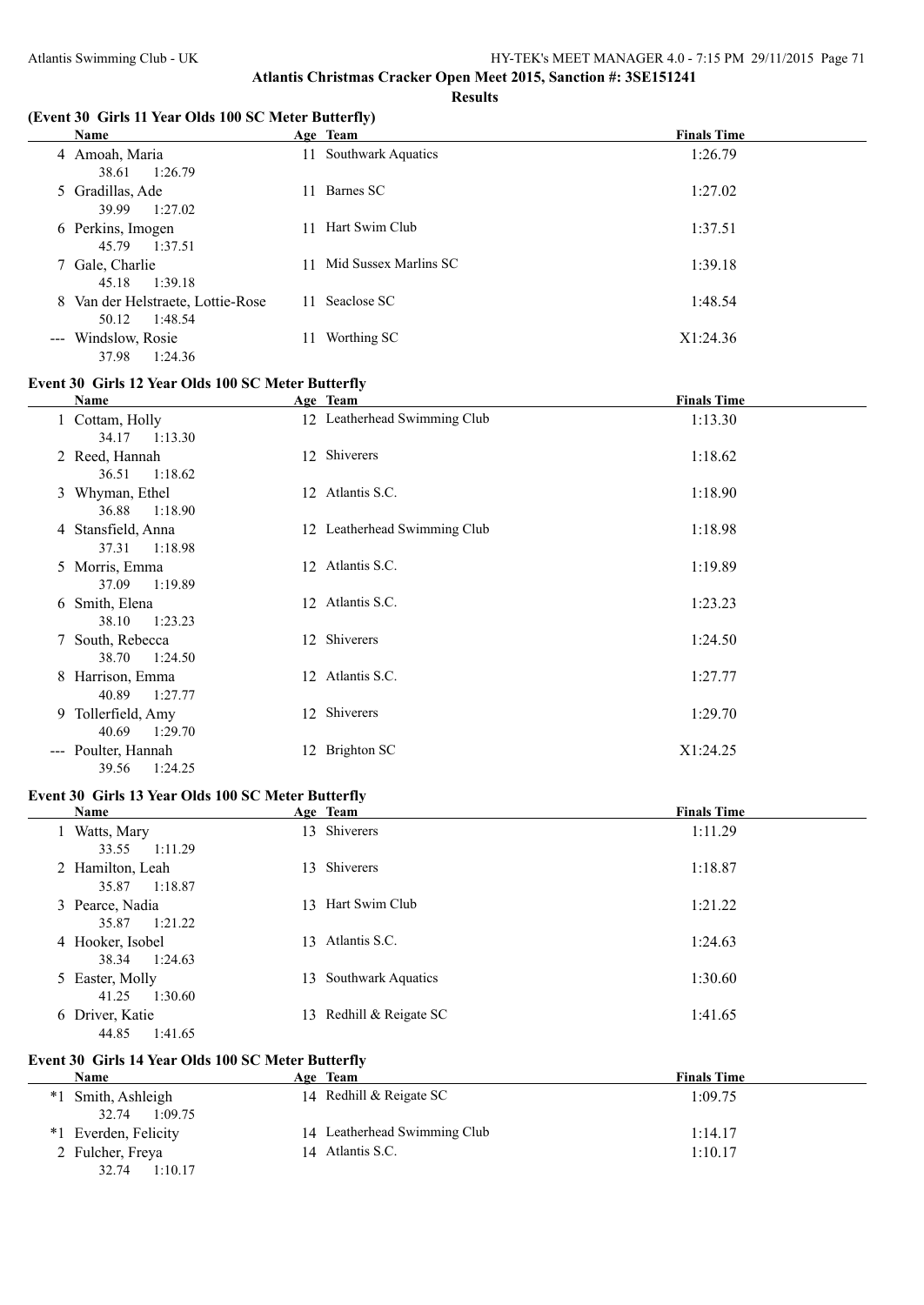#### **(Event 30 Girls 11 Year Olds 100 SC Meter Butterfly)**

| Name                                                  | Age Team                 | <b>Finals Time</b> |
|-------------------------------------------------------|--------------------------|--------------------|
| 4 Amoah, Maria<br>1:26.79<br>38.61                    | 11 Southwark Aquatics    | 1:26.79            |
| 5 Gradillas, Ade<br>1:27.02<br>39.99                  | Barnes SC<br>11.         | 1:27.02            |
| 6 Perkins, Imogen<br>1:37.51<br>45.79                 | Hart Swim Club<br>11     | 1:37.51            |
| 7 Gale, Charlie<br>1:39.18<br>45.18                   | 11 Mid Sussex Marlins SC | 1:39.18            |
| 8 Van der Helstraete, Lottie-Rose<br>1:48.54<br>50.12 | 11 Seaclose SC           | 1:48.54            |
| --- Windslow, Rosie<br>1:24.36<br>37.98               | Worthing SC<br>11        | X1:24.36           |

## **Event 30 Girls 12 Year Olds 100 SC Meter Butterfly**

| Name                                                        | Age Team                     | <b>Finals Time</b> |
|-------------------------------------------------------------|------------------------------|--------------------|
| 1 Cottam, Holly<br>34.17<br>1:13.30                         | 12 Leatherhead Swimming Club | 1:13.30            |
| 2 Reed, Hannah<br>1:18.62<br>36.51                          | 12 Shiverers                 | 1:18.62            |
| 3 Whyman, Ethel<br>1:18.90<br>36.88                         | 12 Atlantis S.C.             | 1:18.90            |
| 4 Stansfield, Anna<br>37.31<br>1:18.98                      | 12 Leatherhead Swimming Club | 1:18.98            |
| 5 Morris, Emma<br>37.09<br>1:19.89                          | 12 Atlantis S.C.             | 1:19.89            |
| 6 Smith, Elena<br>1:23.23<br>38.10                          | 12 Atlantis S.C.             | 1:23.23            |
| 7 South, Rebecca<br>38.70<br>1:24.50                        | 12 Shiverers                 | 1:24.50            |
| 8 Harrison, Emma<br>40.89<br>1:27.77                        | 12 Atlantis S.C.             | 1:27.77            |
| 9 Tollerfield, Amy<br>40.69<br>1:29.70                      | 12 Shiverers                 | 1:29.70            |
| Poulter, Hannah<br>$\sim$ $\sim$ $\sim$<br>1:24.25<br>39.56 | <b>Brighton SC</b><br>12     | X1:24.25           |

## **Event 30 Girls 13 Year Olds 100 SC Meter Butterfly**

| Name                                 |     | Age Team                  | <b>Finals Time</b> |
|--------------------------------------|-----|---------------------------|--------------------|
| 1 Watts, Mary                        |     | 13 Shiverers              | 1:11.29            |
| 1:11.29<br>33.55<br>2 Hamilton, Leah |     | 13 Shiverers              | 1:18.87            |
| 1:18.87<br>35.87<br>3 Pearce, Nadia  |     | 13 Hart Swim Club         | 1:21.22            |
| 1:21.22<br>35.87<br>4 Hooker, Isobel | 13  | Atlantis S.C.             | 1:24.63            |
| 1:24.63<br>38.34                     |     |                           |                    |
| 5 Easter, Molly<br>1:30.60<br>41.25  | 13. | <b>Southwark Aquatics</b> | 1:30.60            |
| 6 Driver, Katie<br>1:41.65<br>44.85  |     | 13 Redhill & Reigate SC   | 1:41.65            |

#### **Event 30 Girls 14 Year Olds 100 SC Meter Butterfly**

| <b>Name</b>             | Age Team                     | <b>Finals Time</b> |
|-------------------------|------------------------------|--------------------|
| Smith, Ashleigh<br>$*1$ | 14 Redhill & Reigate SC      | 1:09.75            |
| 1:09.75<br>32.74        |                              |                    |
| Everden, Felicity<br>*1 | 14 Leatherhead Swimming Club | 1:14.17            |
| 2 Fulcher, Freya        | 14 Atlantis S.C.             | 1:10.17            |
| 1:10.17<br>32.74        |                              |                    |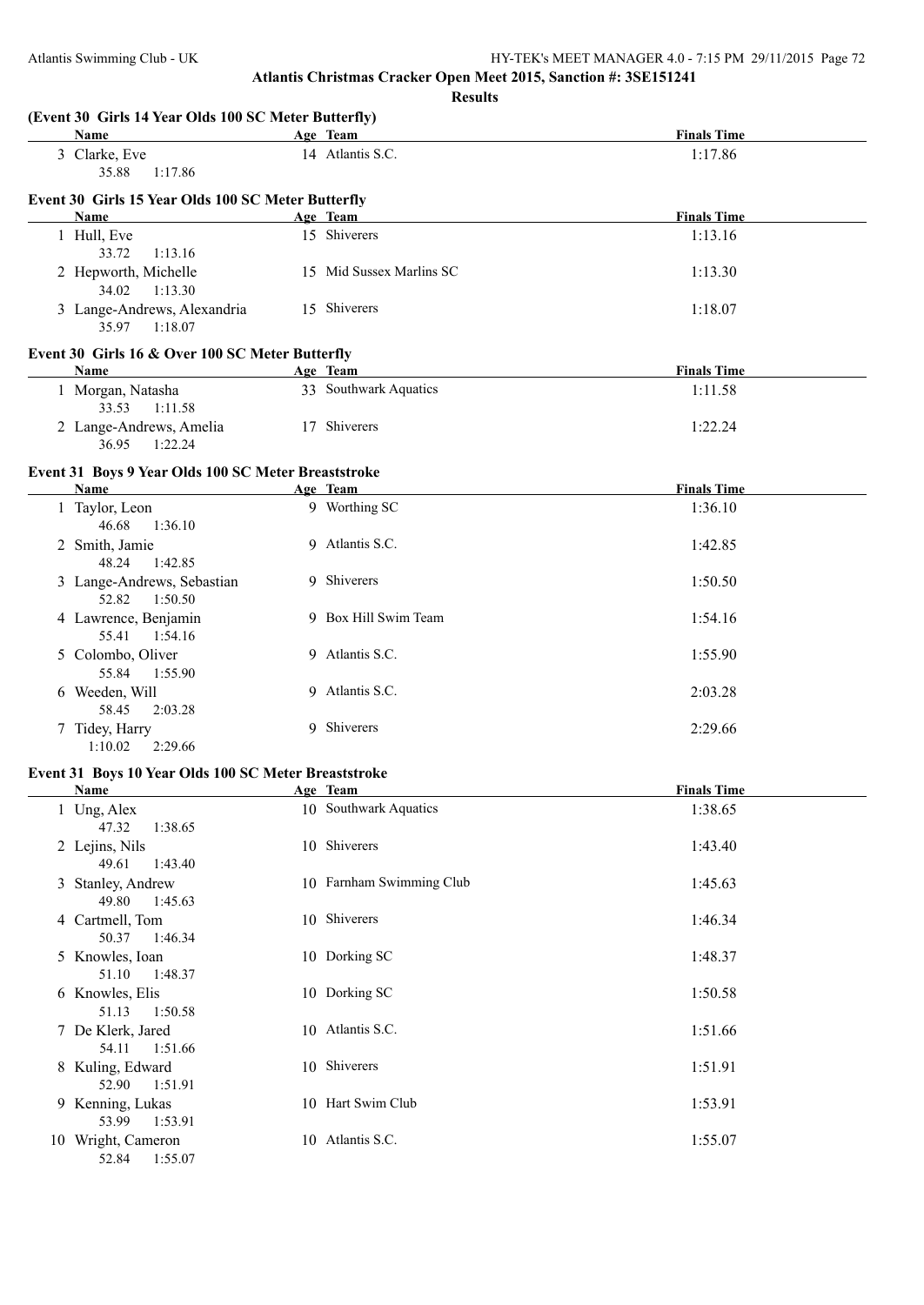51.13 1:50.58

54.11 1:51.66

52.90 1:51.91

53.99 1:53.91

52.84 1:55.07

**Atlantis Christmas Cracker Open Meet 2015, Sanction #: 3SE151241**

|                                                                     | <b>Results</b>           |                    |
|---------------------------------------------------------------------|--------------------------|--------------------|
| (Event 30 Girls 14 Year Olds 100 SC Meter Butterfly)<br><b>Name</b> | Age Team                 | <b>Finals Time</b> |
| 3 Clarke, Eve<br>35.88<br>1:17.86                                   | 14 Atlantis S.C.         | 1:17.86            |
| Event 30 Girls 15 Year Olds 100 SC Meter Butterfly                  |                          |                    |
| Name                                                                | Age Team                 | <b>Finals Time</b> |
| 1 Hull, Eve<br>33.72<br>1:13.16                                     | 15 Shiverers             | 1:13.16            |
| 2 Hepworth, Michelle<br>34.02<br>1:13.30                            | 15 Mid Sussex Marlins SC | 1:13.30            |
| 3 Lange-Andrews, Alexandria<br>35.97 1:18.07                        | 15 Shiverers             | 1:18.07            |
| Event 30 Girls 16 & Over 100 SC Meter Butterfly                     |                          |                    |
| <b>Name</b>                                                         | Age Team                 | <b>Finals Time</b> |
| 1 Morgan, Natasha<br>33.53<br>1:11.58                               | 33 Southwark Aquatics    | 1:11.58            |
| 2 Lange-Andrews, Amelia<br>36.95<br>1:22.24                         | 17 Shiverers             | 1:22.24            |
| Event 31 Boys 9 Year Olds 100 SC Meter Breaststroke                 |                          |                    |
| Name                                                                | Age Team                 | <b>Finals Time</b> |
| 1 Taylor, Leon<br>46.68<br>1:36.10                                  | 9 Worthing SC            | 1:36.10            |
| 2 Smith, Jamie<br>48.24<br>1:42.85                                  | 9 Atlantis S.C.          | 1:42.85            |
| 3 Lange-Andrews, Sebastian<br>52.82<br>1:50.50                      | 9 Shiverers              | 1:50.50            |
| 4 Lawrence, Benjamin<br>55.41<br>1:54.16                            | 9 Box Hill Swim Team     | 1:54.16            |
| 5 Colombo, Oliver<br>55.84<br>1:55.90                               | 9 Atlantis S.C.          | 1:55.90            |
| 6 Weeden, Will<br>58.45<br>2:03.28                                  | 9 Atlantis S.C.          | 2:03.28            |
| 7 Tidey, Harry<br>1:10.02<br>2:29.66                                | 9 Shiverers              | 2:29.66            |
| Event 31 Boys 10 Year Olds 100 SC Meter Breaststroke                |                          |                    |
| Name                                                                | Age Team                 | <b>Finals Time</b> |
| 1 Ung, Alex<br>47.32<br>1:38.65                                     | 10 Southwark Aquatics    | 1:38.65            |
| 2 Lejins, Nils<br>49.61<br>1:43.40                                  | 10 Shiverers             | 1:43.40            |
| 3 Stanley, Andrew<br>49.80<br>1:45.63                               | 10 Farnham Swimming Club | 1:45.63            |
| 4 Cartmell, Tom<br>50.37<br>1:46.34                                 | 10 Shiverers             | 1:46.34            |
| 5 Knowles, Ioan<br>51.10<br>1:48.37                                 | 10 Dorking SC            | 1:48.37            |
| 6 Knowles, Elis                                                     | 10 Dorking SC            | 1:50.58            |

7 De Klerk, Jared 10 Atlantis S.C. 1:51.66

8 Kuling, Edward 10 Shiverers 1:51.91

9 Kenning, Lukas 10 Hart Swim Club 1:53.91

10 Wright, Cameron 10 Atlantis S.C. 1:55.07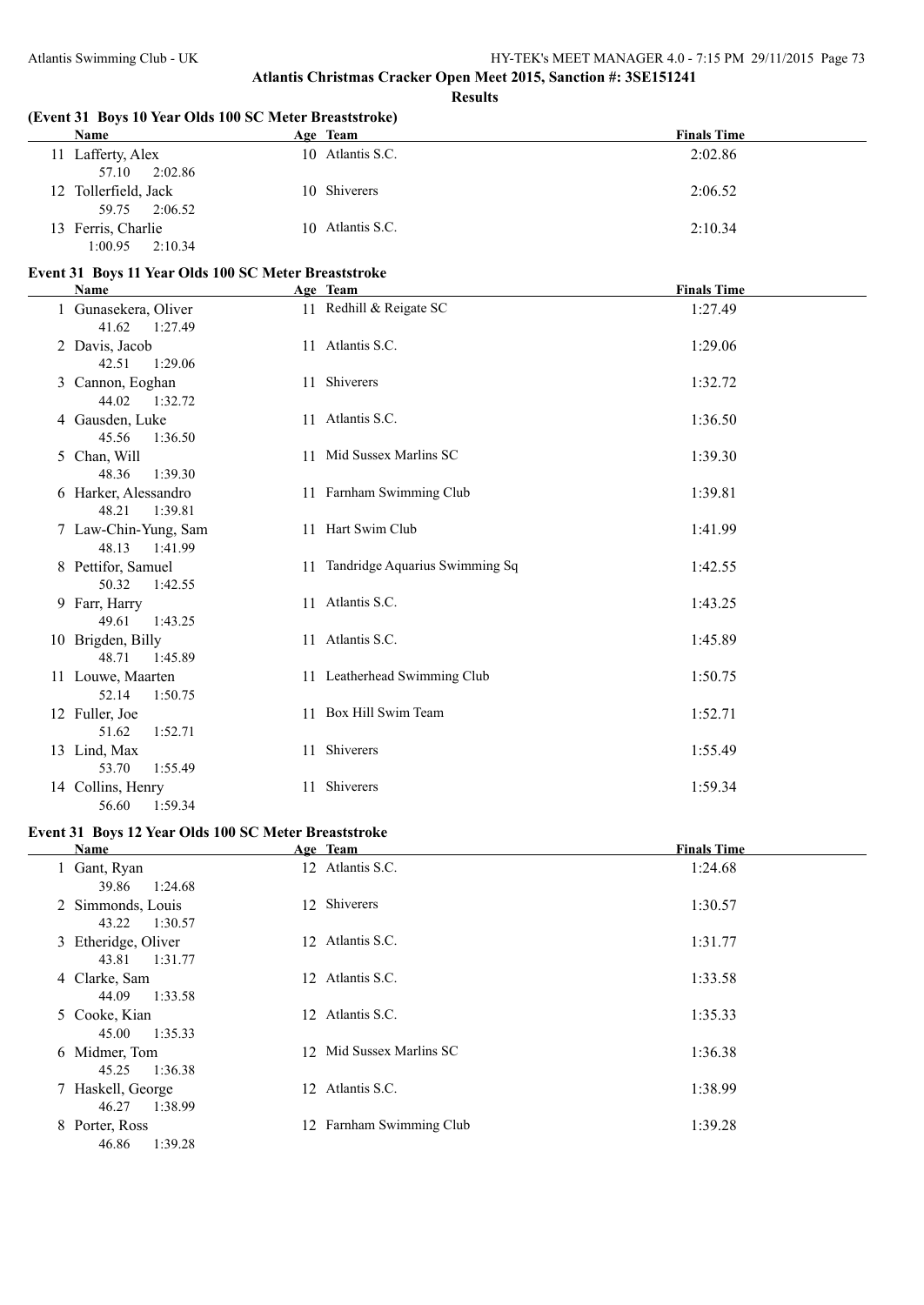| (Event 31 Boys 10 Year Olds 100 SC Meter Breaststroke) |                                   |                    |
|--------------------------------------------------------|-----------------------------------|--------------------|
| Name                                                   | Age Team                          | <b>Finals Time</b> |
| 11 Lafferty, Alex<br>57.10<br>2:02.86                  | 10 Atlantis S.C.                  | 2:02.86            |
| 12 Tollerfield, Jack<br>59.75<br>2:06.52               | 10 Shiverers                      | 2:06.52            |
| 13 Ferris, Charlie<br>1:00.95<br>2:10.34               | 10 Atlantis S.C.                  | 2:10.34            |
| Event 31 Boys 11 Year Olds 100 SC Meter Breaststroke   |                                   |                    |
| Name                                                   | Age Team                          | <b>Finals Time</b> |
| 1 Gunasekera, Oliver<br>41.62<br>1:27.49               | 11 Redhill & Reigate SC           | 1:27.49            |
| 2 Davis, Jacob<br>42.51<br>1:29.06                     | 11 Atlantis S.C.                  | 1:29.06            |
| 3 Cannon, Eoghan<br>44.02<br>1:32.72                   | 11 Shiverers                      | 1:32.72            |
| 4 Gausden, Luke<br>45.56<br>1:36.50                    | 11 Atlantis S.C.                  | 1:36.50            |
| 5 Chan, Will<br>48.36<br>1:39.30                       | 11 Mid Sussex Marlins SC          | 1:39.30            |
| 6 Harker, Alessandro<br>48.21<br>1:39.81               | 11 Farnham Swimming Club          | 1:39.81            |
| 7 Law-Chin-Yung, Sam<br>48.13<br>1:41.99               | 11 Hart Swim Club                 | 1:41.99            |
| 8 Pettifor, Samuel<br>50.32<br>1:42.55                 | 11 Tandridge Aquarius Swimming Sq | 1:42.55            |
| 9 Farr, Harry<br>49.61<br>1:43.25                      | 11 Atlantis S.C.                  | 1:43.25            |
| 10 Brigden, Billy<br>48.71<br>1:45.89                  | 11 Atlantis S.C.                  | 1:45.89            |
| 11 Louwe, Maarten<br>52.14<br>1:50.75                  | 11 Leatherhead Swimming Club      | 1:50.75            |
| 12 Fuller, Joe<br>51.62<br>1:52.71                     | 11 Box Hill Swim Team             | 1:52.71            |
| 13 Lind, Max<br>53.70<br>1:55.49                       | 11 Shiverers                      | 1:55.49            |
| 14 Collins, Henry<br>56.60<br>1:59.34                  | 11 Shiverers                      | 1:59.34            |
| Event 31 Boys 12 Year Olds 100 SC Meter Breaststroke   |                                   |                    |
| Name                                                   | Age Team                          | <b>Finals Time</b> |
| $1$ Gant Ryan                                          | 12 Atlantic $SC$                  | 1.24.68            |

| 39.86 1:24.68    |                                                                                                                                                                                            | 1:24.68                                                                                                                                                                  |
|------------------|--------------------------------------------------------------------------------------------------------------------------------------------------------------------------------------------|--------------------------------------------------------------------------------------------------------------------------------------------------------------------------|
| 43.22<br>1:30.57 |                                                                                                                                                                                            | 1:30.57                                                                                                                                                                  |
|                  |                                                                                                                                                                                            | 1:31.77                                                                                                                                                                  |
| 44.09<br>1:33.58 |                                                                                                                                                                                            | 1:33.58                                                                                                                                                                  |
| 1:35.33<br>45.00 |                                                                                                                                                                                            | 1:35.33                                                                                                                                                                  |
| 1:36.38<br>45.25 |                                                                                                                                                                                            | 1:36.38                                                                                                                                                                  |
|                  |                                                                                                                                                                                            | 1:38.99                                                                                                                                                                  |
| 1:39.28<br>46.86 |                                                                                                                                                                                            | 1:39.28                                                                                                                                                                  |
|                  | 1 Gant, Ryan<br>2 Simmonds, Louis<br>3 Etheridge, Oliver<br>1:31.77<br>43.81<br>4 Clarke, Sam<br>5 Cooke, Kian<br>6 Midmer, Tom<br>7 Haskell, George<br>1:38.99<br>46.27<br>8 Porter, Ross | 12 Atlantis S.C.<br>12 Shiverers<br>12 Atlantis S.C.<br>12 Atlantis S.C.<br>12 Atlantis S.C.<br>12 Mid Sussex Marlins SC<br>12 Atlantis S.C.<br>12 Farnham Swimming Club |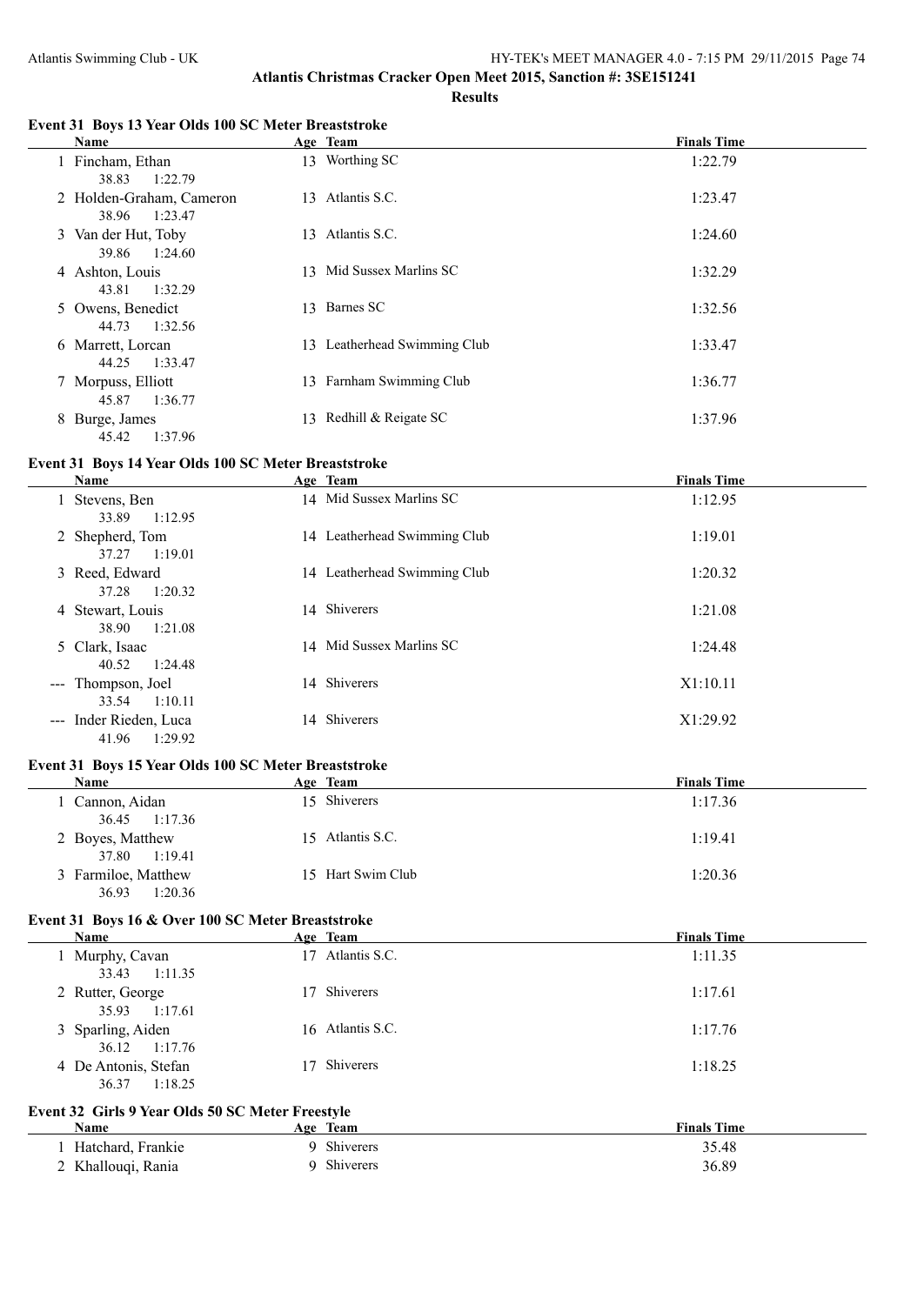#### **Event 31 Boys 13 Year Olds 100 SC Meter Breaststroke**

|   | Name                                         |    | Age Team                     | <b>Finals Time</b> |
|---|----------------------------------------------|----|------------------------------|--------------------|
|   | 1 Fincham, Ethan                             |    | 13 Worthing SC               | 1:22.79            |
|   | 1:22.79<br>38.83<br>2 Holden-Graham, Cameron |    | 13 Atlantis S.C.             | 1:23.47            |
|   | 38.96<br>1:23.47                             |    |                              |                    |
|   | 3 Van der Hut, Toby                          | 13 | Atlantis S.C.                | 1:24.60            |
|   | 1:24.60<br>39.86                             |    |                              |                    |
|   | 4 Ashton, Louis                              | 13 | Mid Sussex Marlins SC        | 1:32.29            |
|   | 1:32.29<br>43.81                             |    |                              |                    |
|   | 5 Owens, Benedict                            | 13 | Barnes SC                    | 1:32.56            |
|   | 1:32.56<br>44.73                             |    |                              |                    |
|   | 6 Marrett, Lorcan                            |    | 13 Leatherhead Swimming Club | 1:33.47            |
|   | 1:33.47<br>44.25                             |    |                              |                    |
|   | 7 Morpuss, Elliott                           |    | 13 Farnham Swimming Club     | 1:36.77            |
|   | 45.87<br>1:36.77                             |    |                              |                    |
| 8 | Burge, James                                 | 13 | Redhill & Reigate SC         | 1:37.96            |
|   | 45.42<br>1:37.96                             |    |                              |                    |

## **Event 31 Boys 14 Year Olds 100 SC Meter Breaststroke**

| Name                                       | Age Team                     | <b>Finals Time</b> |
|--------------------------------------------|------------------------------|--------------------|
| Stevens, Ben<br>33.89<br>1:12.95           | 14 Mid Sussex Marlins SC     | 1:12.95            |
| 2 Shepherd, Tom<br>1:19.01<br>37.27        | 14 Leatherhead Swimming Club | 1:19.01            |
| 3 Reed, Edward<br>37.28<br>1:20.32         | 14 Leatherhead Swimming Club | 1:20.32            |
| 4 Stewart, Louis<br>38.90<br>1:21.08       | 14 Shiverers                 | 1:21.08            |
| 5 Clark, Isaac<br>1:24.48<br>40.52         | 14 Mid Sussex Marlins SC     | 1:24.48            |
| --- Thompson, Joel<br>33.54<br>1:10.11     | 14 Shiverers                 | X1:10.11           |
| --- Inder Rieden, Luca<br>41.96<br>1:29.92 | 14 Shiverers                 | X1:29.92           |

## **Event 31 Boys 15 Year Olds 100 SC Meter Breaststroke**

| Name                | Age Team          | <b>Finals Time</b> |
|---------------------|-------------------|--------------------|
| Cannon, Aidan       | 15 Shiverers      | 1:17.36            |
| 36.45 1:17.36       |                   |                    |
| 2 Boyes, Matthew    | 15 Atlantis S.C.  | 1:19.41            |
| 1:19.41<br>37.80    |                   |                    |
| 3 Farmiloe, Matthew | 15 Hart Swim Club | 1:20.36            |
| 1:20.36<br>36.93    |                   |                    |

## **Event 31 Boys 16 & Over 100 SC Meter Breaststroke**

| Name                                     | Age Team         | <b>Finals Time</b> |
|------------------------------------------|------------------|--------------------|
| 1 Murphy, Cavan<br>33.43 1:11.35         | 17 Atlantis S.C. | 1:11.35            |
| 2 Rutter, George<br>35.93 1:17.61        | 17 Shiverers     | 1:17.61            |
| 3 Sparling, Aiden<br>36.12 1:17.76       | 16 Atlantis S.C. | 1:17.76            |
| 4 De Antonis, Stefan<br>1:18.25<br>36.37 | 17 Shiverers     | 1:18.25            |

#### **Event 32 Girls 9 Year Olds 50 SC Meter Freestyle**

| <b>Name</b>        | Team<br>Age | <b>Finals Time</b> |
|--------------------|-------------|--------------------|
| Hatchard, Frankie  | Shiverers   | 35.48              |
| 2 Khallouqi, Rania | Shiverers   | 36.89              |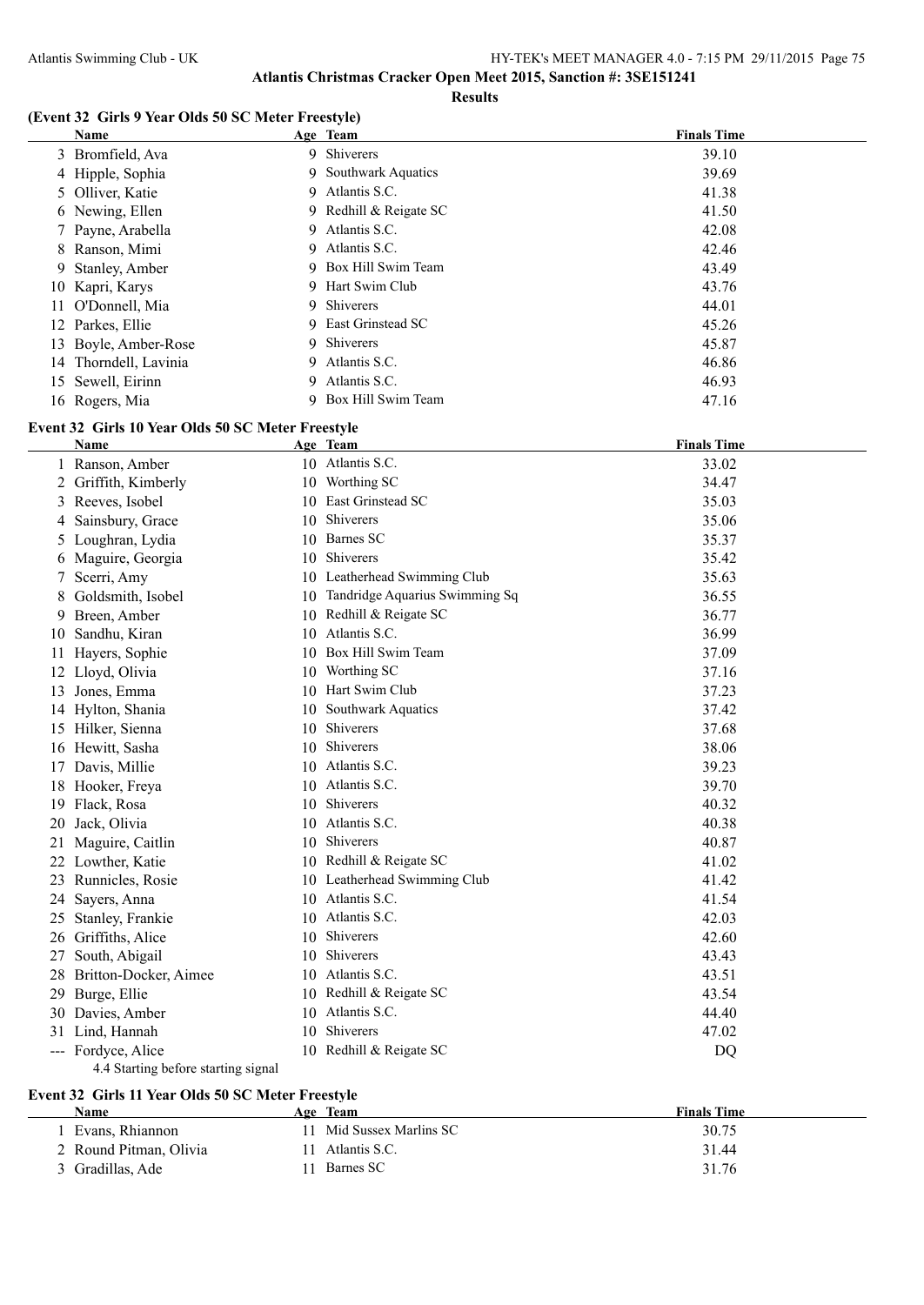#### **(Event 32 Girls 9 Year Olds 50 SC Meter Freestyle)**

| Name                  | Age Team               | <b>Finals Time</b> |
|-----------------------|------------------------|--------------------|
| 3 Bromfield, Ava      | 9 Shiverers            | 39.10              |
| 4 Hipple, Sophia      | 9 Southwark Aquatics   | 39.69              |
| 5 Olliver, Katie      | 9 Atlantis S.C.        | 41.38              |
| 6 Newing, Ellen       | 9 Redhill & Reigate SC | 41.50              |
| 7 Payne, Arabella     | 9 Atlantis S.C.        | 42.08              |
| 8 Ranson, Mimi        | 9 Atlantis S.C.        | 42.46              |
| 9 Stanley, Amber      | 9 Box Hill Swim Team   | 43.49              |
| 10 Kapri, Karys       | 9 Hart Swim Club       | 43.76              |
| 11 O'Donnell, Mia     | 9 Shiverers            | 44.01              |
| 12 Parkes, Ellie      | 9 East Grinstead SC    | 45.26              |
| 13 Boyle, Amber-Rose  | 9 Shiverers            | 45.87              |
| 14 Thorndell, Lavinia | 9 Atlantis S.C.        | 46.86              |
| 15 Sewell, Eirinn     | Atlantis S.C.<br>9     | 46.93              |
| 16 Rogers, Mia        | 9 Box Hill Swim Team   | 47.16              |

## **Event 32 Girls 10 Year Olds 50 SC Meter Freestyle**

|    | <b>Name</b>                         |     | Age Team                       | <b>Finals Time</b> |  |  |
|----|-------------------------------------|-----|--------------------------------|--------------------|--|--|
|    | 1 Ranson, Amber                     |     | 10 Atlantis S.C.               | 33.02              |  |  |
| 2  | Griffith, Kimberly                  | 10. | Worthing SC                    | 34.47              |  |  |
| 3  | Reeves, Isobel                      |     | 10 East Grinstead SC           | 35.03              |  |  |
| 4  | Sainsbury, Grace                    |     | 10 Shiverers                   | 35.06              |  |  |
| 5  | Loughran, Lydia                     |     | 10 Barnes SC                   | 35.37              |  |  |
| 6  | Maguire, Georgia                    | 10  | Shiverers                      | 35.42              |  |  |
| 7  | Scerri, Amy                         |     | 10 Leatherhead Swimming Club   | 35.63              |  |  |
| 8  | Goldsmith, Isobel                   | 10. | Tandridge Aquarius Swimming Sq | 36.55              |  |  |
| 9  | Breen, Amber                        |     | 10 Redhill & Reigate SC        | 36.77              |  |  |
| 10 | Sandhu, Kiran                       | 10  | Atlantis S.C.                  | 36.99              |  |  |
| 11 | Hayers, Sophie                      | 10  | Box Hill Swim Team             | 37.09              |  |  |
| 12 | Lloyd, Olivia                       | 10  | Worthing SC                    | 37.16              |  |  |
| 13 | Jones, Emma                         |     | 10 Hart Swim Club              | 37.23              |  |  |
| 14 | Hylton, Shania                      | 10  | Southwark Aquatics             | 37.42              |  |  |
| 15 | Hilker, Sienna                      | 10  | Shiverers                      | 37.68              |  |  |
|    | 16 Hewitt, Sasha                    | 10. | Shiverers                      | 38.06              |  |  |
| 17 | Davis, Millie                       |     | 10 Atlantis S.C.               | 39.23              |  |  |
| 18 | Hooker, Freya                       |     | 10 Atlantis S.C.               | 39.70              |  |  |
| 19 | Flack, Rosa                         | 10  | <b>Shiverers</b>               | 40.32              |  |  |
| 20 | Jack, Olivia                        | 10  | Atlantis S.C.                  | 40.38              |  |  |
| 21 | Maguire, Caitlin                    | 10. | Shiverers                      | 40.87              |  |  |
| 22 | Lowther, Katie                      |     | 10 Redhill & Reigate SC        | 41.02              |  |  |
| 23 | Runnicles, Rosie                    |     | 10 Leatherhead Swimming Club   | 41.42              |  |  |
| 24 | Sayers, Anna                        |     | 10 Atlantis S.C.               | 41.54              |  |  |
| 25 | Stanley, Frankie                    | 10  | Atlantis S.C.                  | 42.03              |  |  |
| 26 | Griffiths, Alice                    | 10  | Shiverers                      | 42.60              |  |  |
| 27 | South, Abigail                      | 10  | Shiverers                      | 43.43              |  |  |
| 28 | Britton-Docker, Aimee               |     | 10 Atlantis S.C.               | 43.51              |  |  |
| 29 | Burge, Ellie                        |     | 10 Redhill & Reigate SC        | 43.54              |  |  |
| 30 | Davies, Amber                       | 10  | Atlantis S.C.                  | 44.40              |  |  |
| 31 | Lind, Hannah                        | 10  | Shiverers                      | 47.02              |  |  |
|    | --- Fordyce, Alice                  |     | 10 Redhill & Reigate SC        | DQ                 |  |  |
|    | 4.4 Starting before starting signal |     |                                |                    |  |  |

## **Event 32 Girls 11 Year Olds 50 SC Meter Freestyle**

| <b>Name</b>            | Team<br>Age              | <b>Finals Time</b> |
|------------------------|--------------------------|--------------------|
| Evans, Rhiannon        | 11 Mid Sussex Marlins SC | 30.75              |
| 2 Round Pitman, Olivia | Atlantis S.C.            | 31.44              |
| Gradillas, Ade         | Barnes SC                | 31.76              |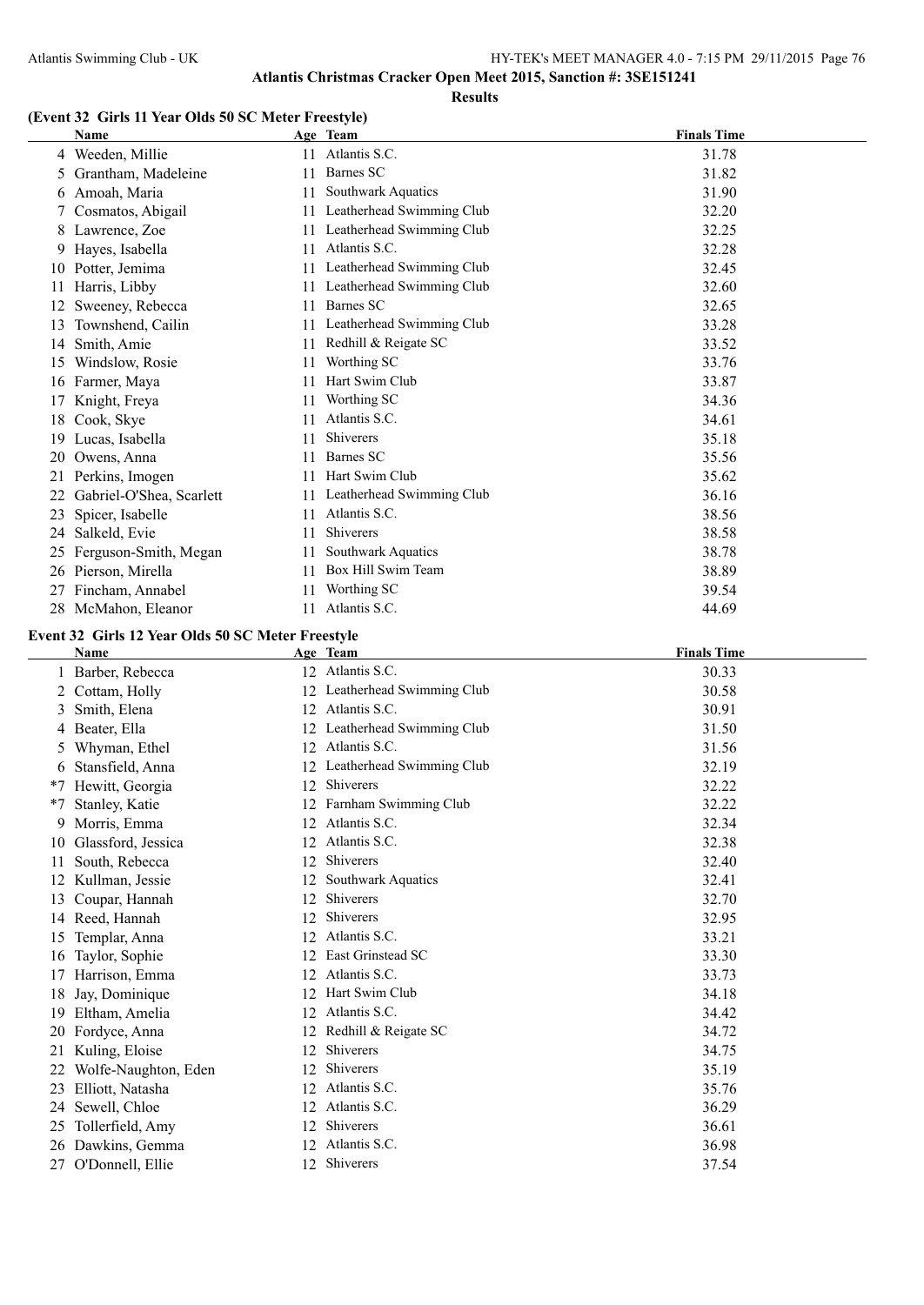**Atlantis Christmas Cracker Open Meet 2015, Sanction #: 3SE151241**

**Results**

## **(Event 32 Girls 11 Year Olds 50 SC Meter Freestyle)**

|    | Name                     |    | Age Team                  | <b>Finals Time</b> |
|----|--------------------------|----|---------------------------|--------------------|
|    | 4 Weeden, Millie         | 11 | Atlantis S.C.             | 31.78              |
| 5  | Grantham, Madeleine      | 11 | Barnes SC                 | 31.82              |
| 6  | Amoah, Maria             | 11 | Southwark Aquatics        | 31.90              |
|    | Cosmatos, Abigail        |    | Leatherhead Swimming Club | 32.20              |
| 8  | Lawrence, Zoe            | 11 | Leatherhead Swimming Club | 32.25              |
| 9  | Hayes, Isabella          | 11 | Atlantis S.C.             | 32.28              |
| 10 | Potter, Jemima           | 11 | Leatherhead Swimming Club | 32.45              |
| 11 | Harris, Libby            |    | Leatherhead Swimming Club | 32.60              |
| 12 | Sweeney, Rebecca         | 11 | Barnes SC                 | 32.65              |
| 13 | Townshend, Cailin        | 11 | Leatherhead Swimming Club | 33.28              |
| 14 | Smith, Amie              | 11 | Redhill & Reigate SC      | 33.52              |
| 15 | Windslow, Rosie          | 11 | Worthing SC               | 33.76              |
| 16 | Farmer, Maya             | 11 | Hart Swim Club            | 33.87              |
| 17 | Knight, Freya            | 11 | Worthing SC               | 34.36              |
| 18 | Cook, Skye               | 11 | Atlantis S.C.             | 34.61              |
| 19 | Lucas, Isabella          | 11 | <b>Shiverers</b>          | 35.18              |
| 20 | Owens, Anna              | 11 | Barnes SC                 | 35.56              |
| 21 | Perkins, Imogen          | 11 | Hart Swim Club            | 35.62              |
|    | Gabriel-O'Shea, Scarlett | 11 | Leatherhead Swimming Club | 36.16              |
| 23 | Spicer, Isabelle         | 11 | Atlantis S.C.             | 38.56              |
| 24 | Salkeld, Evie            | 11 | Shiverers                 | 38.58              |
| 25 | Ferguson-Smith, Megan    | 11 | Southwark Aquatics        | 38.78              |
|    | 26 Pierson, Mirella      | 11 | Box Hill Swim Team        | 38.89              |
| 27 | Fincham, Annabel         | 11 | Worthing SC               | 39.54              |
| 28 | McMahon, Eleanor         | 11 | Atlantis S.C.             | 44.69              |

### **Event 32 Girls 12 Year Olds 50 SC Meter Freestyle**

|      | <b>Name</b>          |    | Age Team                  | <b>Finals Time</b> |
|------|----------------------|----|---------------------------|--------------------|
|      | Barber, Rebecca      | 12 | Atlantis S.C.             | 30.33              |
| 2    | Cottam, Holly        | 12 | Leatherhead Swimming Club | 30.58              |
| 3    | Smith, Elena         | 12 | Atlantis S.C.             | 30.91              |
| 4    | Beater, Ella         | 12 | Leatherhead Swimming Club | 31.50              |
| 5.   | Whyman, Ethel        | 12 | Atlantis S.C.             | 31.56              |
| 6    | Stansfield, Anna     | 12 | Leatherhead Swimming Club | 32.19              |
| *7   | Hewitt, Georgia      | 12 | <b>Shiverers</b>          | 32.22              |
| $*7$ | Stanley, Katie       | 12 | Farnham Swimming Club     | 32.22              |
| 9    | Morris, Emma         | 12 | Atlantis S.C.             | 32.34              |
| 10   | Glassford, Jessica   | 12 | Atlantis S.C.             | 32.38              |
| 11   | South, Rebecca       | 12 | Shiverers                 | 32.40              |
| 12   | Kullman, Jessie      | 12 | Southwark Aquatics        | 32.41              |
| 13   | Coupar, Hannah       | 12 | Shiverers                 | 32.70              |
| 14   | Reed, Hannah         | 12 | <b>Shiverers</b>          | 32.95              |
| 15   | Templar, Anna        | 12 | Atlantis S.C.             | 33.21              |
| 16   | Taylor, Sophie       | 12 | East Grinstead SC         | 33.30              |
| 17   | Harrison, Emma       | 12 | Atlantis S.C.             | 33.73              |
| 18   | Jay, Dominique       | 12 | Hart Swim Club            | 34.18              |
| 19   | Eltham, Amelia       | 12 | Atlantis S.C.             | 34.42              |
| 20   | Fordyce, Anna        | 12 | Redhill & Reigate SC      | 34.72              |
| 21   | Kuling, Eloise       | 12 | Shiverers                 | 34.75              |
| 22   | Wolfe-Naughton, Eden | 12 | Shiverers                 | 35.19              |
| 23   | Elliott, Natasha     | 12 | Atlantis S.C.             | 35.76              |
| 24   | Sewell, Chloe        | 12 | Atlantis S.C.             | 36.29              |
| 25   | Tollerfield, Amy     | 12 | Shiverers                 | 36.61              |
| 26   | Dawkins, Gemma       | 12 | Atlantis S.C.             | 36.98              |
| 27   | O'Donnell, Ellie     | 12 | Shiverers                 | 37.54              |